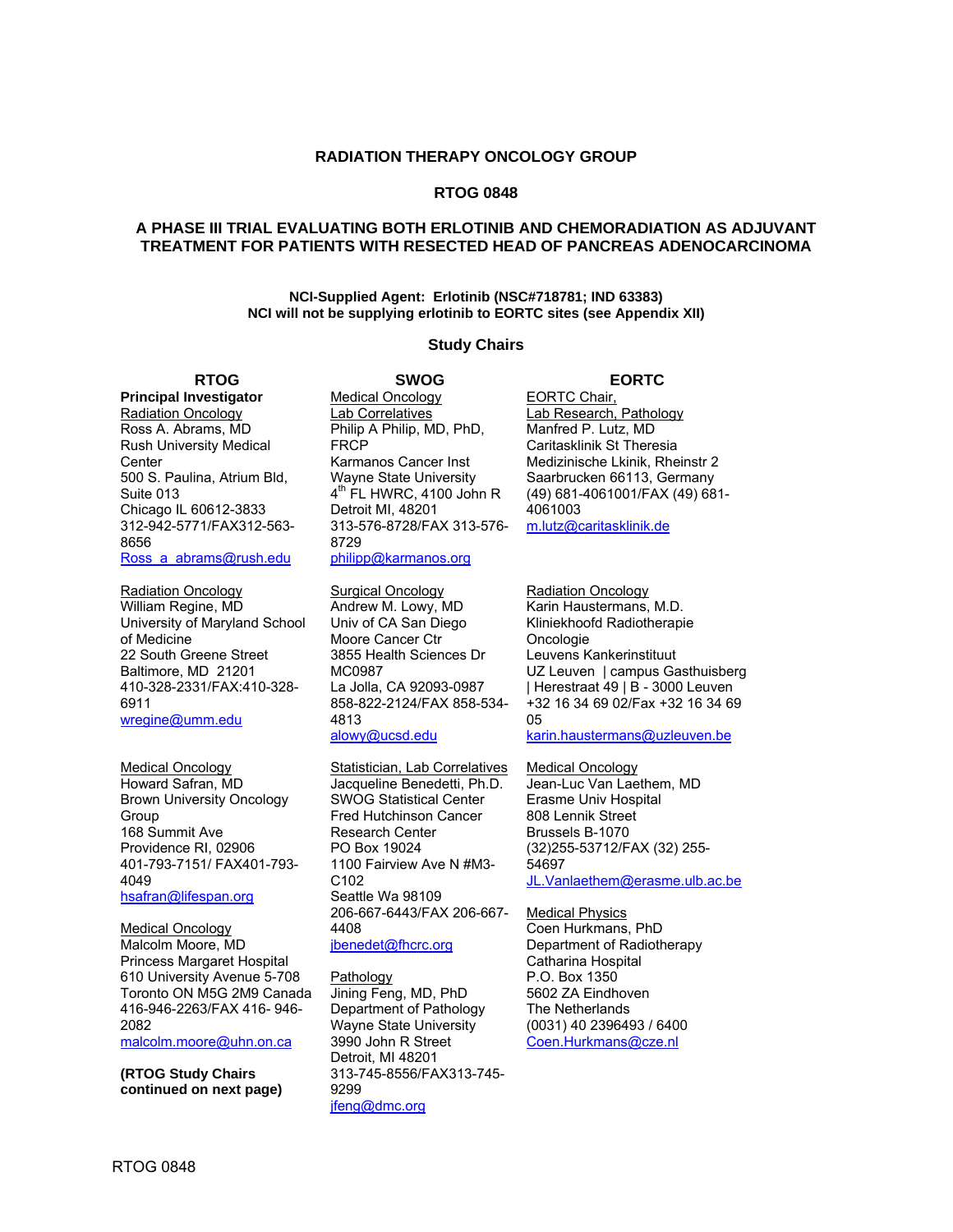#### **RADIATION THERAPY ONCOLOGY GROUP**

#### **RTOG 0848**

#### **A PHASE III TRIAL EVALUATING BOTH ERLOTINIB AND CHEMORADIATION AS ADJUVANT TREATMENT FOR PATIENTS WITH RESECTED HEAD OF PANCREAS ADENOCARCINOMA**

#### **NCI-Supplied Agent: Erlotinib (NSC#718781; IND 63383) NCI will not be supplying erlotinib to EORTC sites (see Appendix XII)**

#### **Study Chairs**

Radiation Oncology Ross A. Abrams, MD Rush University Medical **Center** 500 S. Paulina, Atrium Bld, Suite 013 Chicago IL 60612-3833 312-942-5771/FAX312-563- 8656 Ross\_a\_[abrams@rush.edu](mailto:abrams@rush.edu)

Radiation Oncology **Surgical Oncology** Radiation Oncology William Regine, MD University of Maryland School of Medicine 22 South Greene Street Baltimore, MD 21201 410-328-2331/FAX:410-328- 6911 [wregine@umm.edu](mailto:wregine@umm.edu)

#### Medical Oncology

Howard Safran, MD Brown University Oncology Group 168 Summit Ave Providence RI, 02906 401-793-7151/ FAX401-793- 4049 [hsafran@lifespan.org](mailto:hsafran@lifespan.org)

Medical Oncology Malcolm Moore, MD Princess Margaret Hospital 610 University Avenue 5-708 Toronto ON M5G 2M9 Canada 416-946-2263/FAX 416- 946- 2082 malcolm[.moore@uhn.on.ca](mailto:moore@uhn.on.ca)

#### **(RTOG Study Chairs continued on next page)**

**RTOG SWOG EORTC Principal Investigator Medical Oncology EORTC Chair,** Lab Correlatives Philip A Philip, MD, PhD, **FRCP** Karmanos Cancer Inst Wayne State University 4<sup>th</sup> FL HWRC, 4100 John R Detroit MI, 48201 313-576-8728/FAX 313-576- 8729 [philipp@karmanos.org](mailto:philipp@karmanos.org)

Andrew M. Lowy, MD Univ of CA San Diego Moore Cancer Ctr 3855 Health Sciences Dr MC0987 La Jolla, CA 92093-0987 858-822-2124/FAX 858-534- 4813 [alowy@ucsd.edu](mailto:alowy@ucsd.edu)

Statistician, Lab Correlatives Jacqueline Benedetti, Ph.D. SWOG Statistical Center Fred Hutchinson Cancer Research Center PO Box 19024 1100 Fairview Ave N #M3- C<sub>102</sub> Seattle Wa 98109 206-667-6443/FAX 206-667- 4408

#### [jbenedet@fhcrc.org](mailto:jbenedet@fhcrc.org)

Pathology Jining Feng, MD, PhD Department of Pathology Wayne State University 3990 John R Street Detroit, MI 48201 313-745-8556/FAX313-745- 9299 [jfeng@dmc.org](mailto:jfeng@dmc.org)

Lab Research, Pathology Manfred P. Lutz, MD Caritasklinik St Theresia Medizinische Lkinik, Rheinstr 2 Saarbrucken 66113, Germany (49) 681-4061001/FAX (49) 681- 4061003 m[.lutz@caritasklinik.de](mailto:lutz@caritasklinik.de)

Karin Haustermans, M.D. Kliniekhoofd Radiotherapie Oncologie Leuvens Kankerinstituut UZ Leuven | campus Gasthuisberg | Herestraat 49 | B - 3000 Leuven +32 16 34 69 02/Fax +32 16 34 69 05

karin[.haustermans@uzleuven.be](mailto:haustermans@uzleuven.be)

# Medical Oncology

Jean-Luc Van Laethem, MD Erasme Univ Hospital 808 Lennik Street Brussels B-1070 (32)255-53712/FAX (32) 255- 54697 JL[.Vanlaethem@erasme.ulb.ac.be](mailto:Vanlaethem@erasme.ulb.ac.be)

Medical Physics Coen Hurkmans, PhD Department of Radiotherapy Catharina Hospital P.O. Box 1350 5602 ZA Eindhoven The Netherlands (0031) 40 2396493 / 6400 Coen[.Hurkmans@cze.nl](mailto:Hurkmans@cze.nl)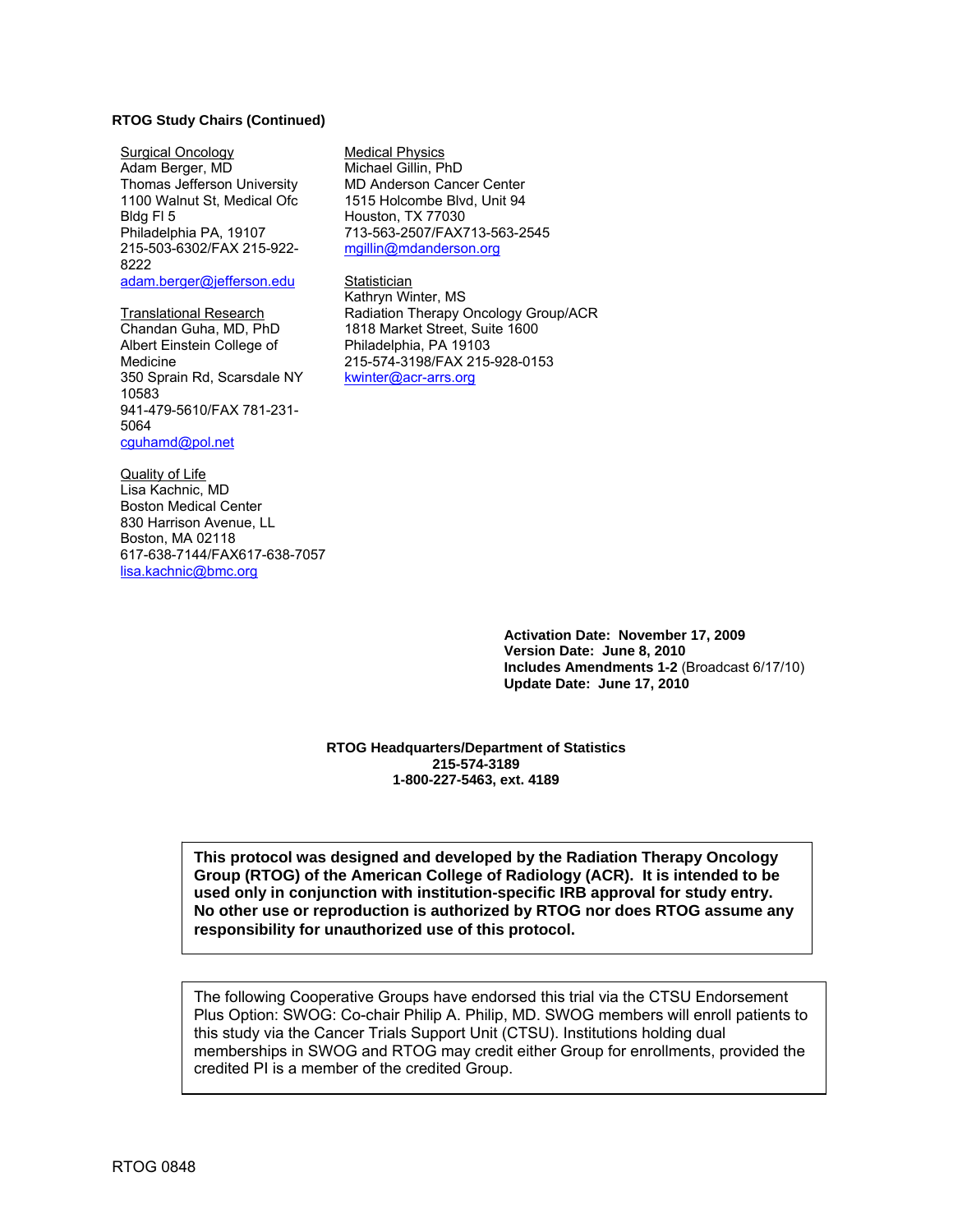#### **RTOG Study Chairs (Continued)**

Surgical Oncology Adam Berger, MD Thomas Jefferson University 1100 Walnut St, Medical Ofc Bldg Fl 5 Philadelphia PA, 19107 215-503-6302/FAX 215-922- 8222 adam[.berger@jefferson.edu](mailto:berger@jefferson.edu)

Translational Research Chandan Guha, MD, PhD Albert Einstein College of Medicine 350 Sprain Rd, Scarsdale NY 10583 941-479-5610/FAX 781-231- 5064 [cguhamd@pol.net](mailto:cguhamd@pol.net)

Medical Physics Michael Gillin, PhD MD Anderson Cancer Center 1515 Holcombe Blvd, Unit 94 Houston, TX 77030 713-563-2507/FAX713-563-2545 [mgillin@mdanderson.org](mailto:mgillin@mdanderson.org)

**Statistician** Kathryn Winter, MS Radiation Therapy Oncology Group/ACR 1818 Market Street, Suite 1600 Philadelphia, PA 19103 215-574-3198/FAX 215-928-0153 [kwinter@acr-arrs.org](mailto:kwinter@acr-arrs.org)

Quality of Life Lisa Kachnic, MD Boston Medical Center 830 Harrison Avenue, LL Boston, MA 02118 617-638-7144/FAX617-638-7057 lisa[.kachnic@bmc.org](mailto:kachnic@bmc.org)

> **Activation Date: November 17, 2009 Version Date: June 8, 2010 Includes Amendments 1-2** (Broadcast 6/17/10) **Update Date: June 17, 2010**

**RTOG Headquarters/Department of Statistics 215-574-3189 1-800-227-5463, ext. 4189**

**This protocol was designed and developed by the Radiation Therapy Oncology Group (RTOG) of the American College of Radiology (ACR). It is intended to be used only in conjunction with institution-specific IRB approval for study entry. No other use or reproduction is authorized by RTOG nor does RTOG assume any responsibility for unauthorized use of this protocol.**

The following Cooperative Groups have endorsed this trial via the CTSU Endorsement Plus Option: SWOG: Co-chair Philip A. Philip, MD. SWOG members will enroll patients to this study via the Cancer Trials Support Unit (CTSU). Institutions holding dual memberships in SWOG and RTOG may credit either Group for enrollments, provided the credited PI is a member of the credited Group.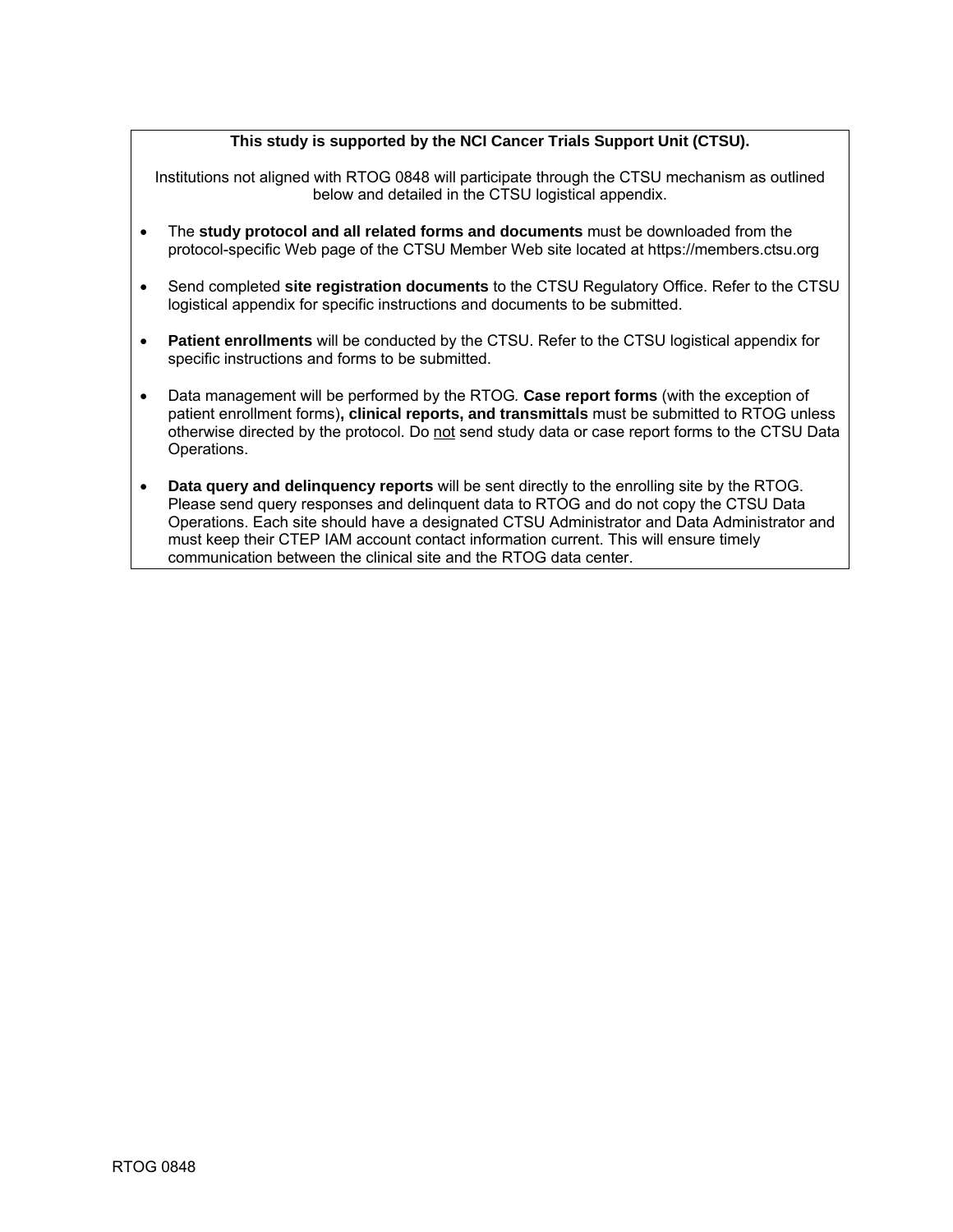# **This study is supported by the NCI Cancer Trials Support Unit (CTSU).**

Institutions not aligned with RTOG 0848 will participate through the CTSU mechanism as outlined below and detailed in the CTSU logistical appendix.

- The **study protocol and all related forms and documents** must be downloaded from the protocol-specific Web page of the CTSU Member Web site located at<https://members.ctsu.org>
- Send completed **site registration documents** to the CTSU Regulatory Office. Refer to the CTSU logistical appendix for specific instructions and documents to be submitted.
- **Patient enrollments** will be conducted by the CTSU. Refer to the CTSU logistical appendix for specific instructions and forms to be submitted.
- Data management will be performed by the RTOG*.* **Case report forms** (with the exception of patient enrollment forms)**, clinical reports, and transmittals** must be submitted to RTOG unless otherwise directed by the protocol. Do not send study data or case report forms to the CTSU Data Operations.
- **Data query and delinquency reports** will be sent directly to the enrolling site by the RTOG. Please send query responses and delinquent data to RTOG and do not copy the CTSU Data Operations. Each site should have a designated CTSU Administrator and Data Administrator and must keep their CTEP IAM account contact information current. This will ensure timely communication between the clinical site and the RTOG data center.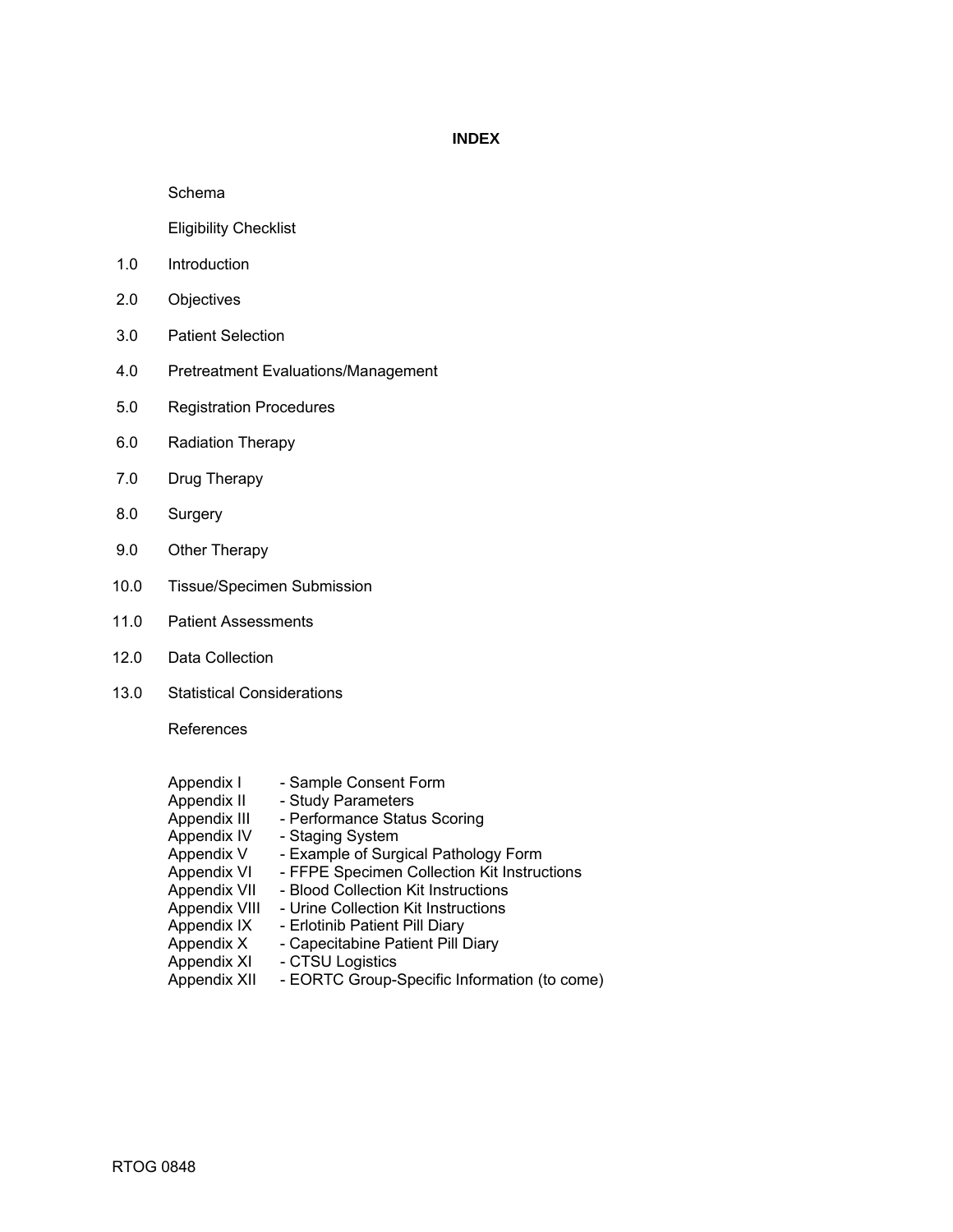# **INDEX**

Schema

Eligibility Checklist

- 1.0 Introduction
- 2.0 Objectives
- 3.0 Patient Selection
- 4.0 Pretreatment Evaluations/Management
- 5.0 Registration Procedures
- 6.0 Radiation Therapy
- 7.0 Drug Therapy
- 8.0 Surgery
- 9.0 Other Therapy
- 10.0 Tissue/Specimen Submission
- 11.0 Patient Assessments
- 12.0 Data Collection
- 13.0 Statistical Considerations

References

| Appendix I          | - Sample Consent Form                        |
|---------------------|----------------------------------------------|
| Appendix II         | - Study Parameters                           |
| Appendix III        | - Performance Status Scoring                 |
| Appendix IV         | - Staging System                             |
| Appendix V          | - Example of Surgical Pathology Form         |
| Appendix VI         | - FFPE Specimen Collection Kit Instructions  |
| <b>Appendix VII</b> | - Blood Collection Kit Instructions          |
| Appendix VIII       | - Urine Collection Kit Instructions          |
| Appendix IX         | - Erlotinib Patient Pill Diary               |
| Appendix X          | - Capecitabine Patient Pill Diary            |
| Appendix XI         | - CTSU Logistics                             |
| <b>Appendix XII</b> | - EORTC Group-Specific Information (to come) |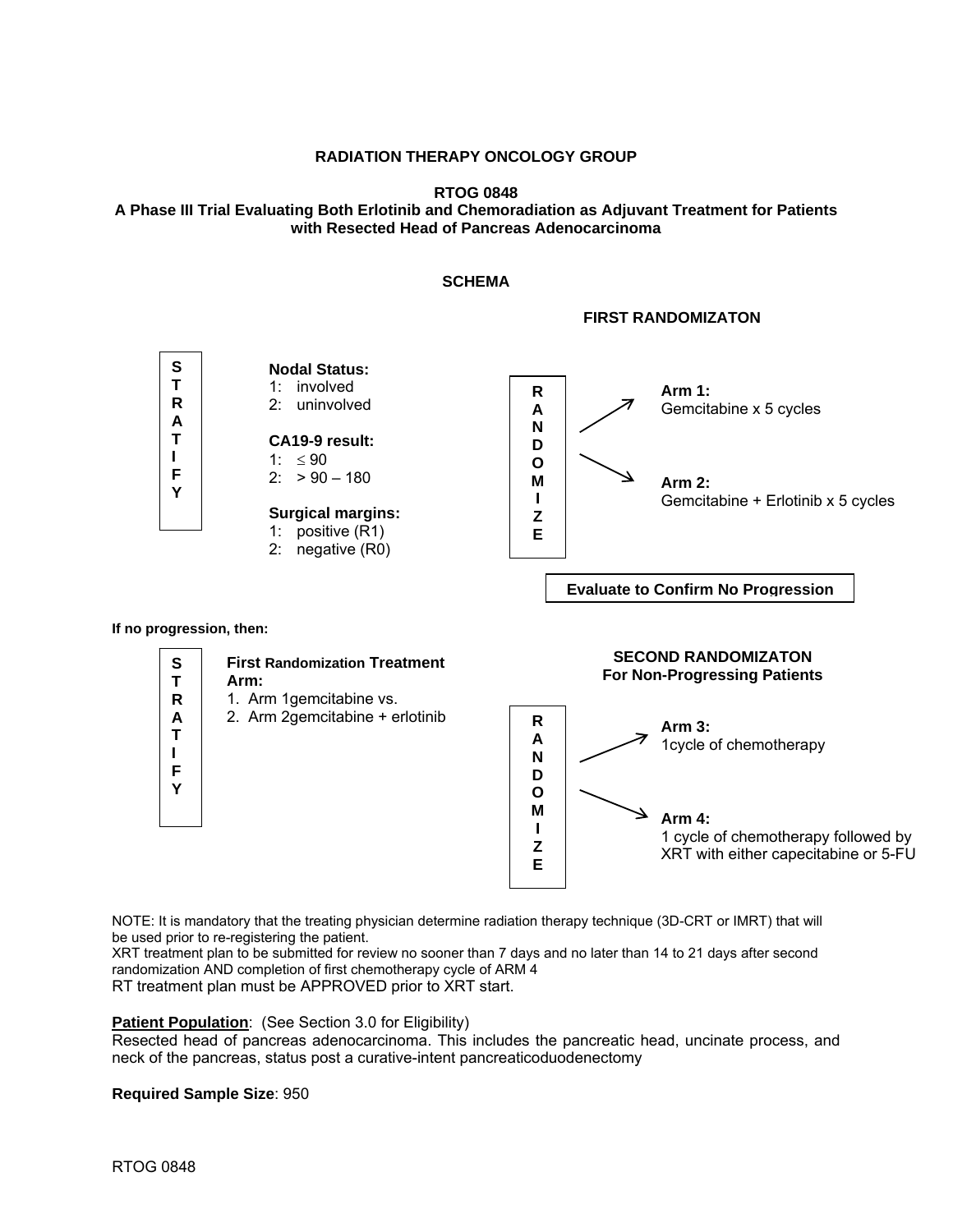#### **RADIATION THERAPY ONCOLOGY GROUP**

**RTOG 0848** 

### **A Phase III Trial Evaluating Both Erlotinib and Chemoradiation as Adjuvant Treatment for Patients with Resected Head of Pancreas Adenocarcinoma**



NOTE: It is mandatory that the treating physician determine radiation therapy technique (3D-CRT or IMRT) that will be used prior to re-registering the patient.

XRT treatment plan to be submitted for review no sooner than 7 days and no later than 14 to 21 days after second randomization AND completion of first chemotherapy cycle of ARM 4 RT treatment plan must be APPROVED prior to XRT start.

#### **Patient Population:** (See Section 3.0 for Eligibility)

Resected head of pancreas adenocarcinoma. This includes the pancreatic head, uncinate process, and neck of the pancreas, status post a curative-intent pancreaticoduodenectomy

#### **Required Sample Size**: 950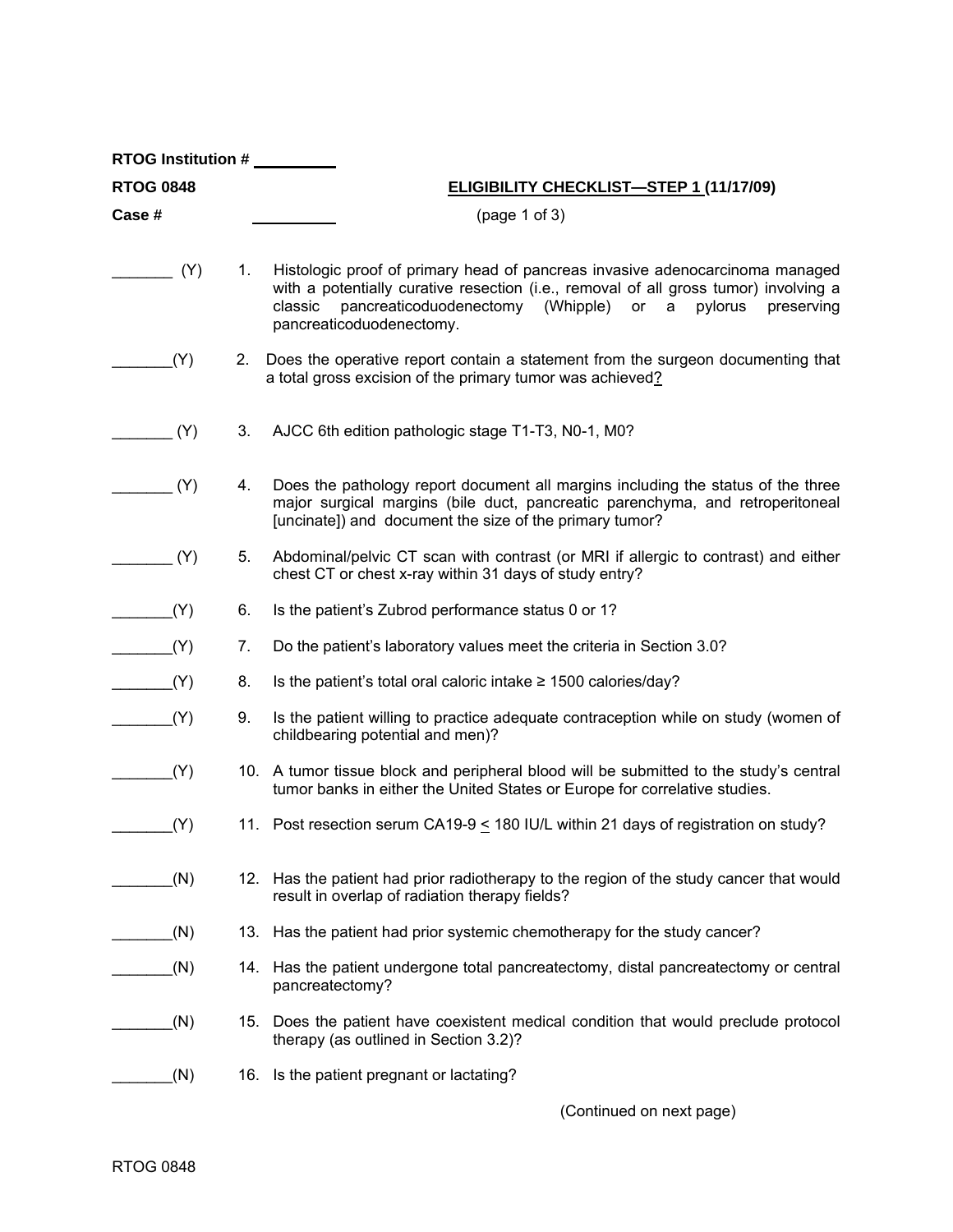| <b>RTOG Institution #</b> |     |                                                                                                                                                                                                                                                                                         |
|---------------------------|-----|-----------------------------------------------------------------------------------------------------------------------------------------------------------------------------------------------------------------------------------------------------------------------------------------|
| <b>RTOG 0848</b>          |     | <b>ELIGIBILITY CHECKLIST-STEP 1 (11/17/09)</b>                                                                                                                                                                                                                                          |
| Case #                    |     | (page 1 of 3)                                                                                                                                                                                                                                                                           |
| (Y)                       | 1.  | Histologic proof of primary head of pancreas invasive adenocarcinoma managed<br>with a potentially curative resection (i.e., removal of all gross tumor) involving a<br>classic<br>pancreaticoduodenectomy<br>(Whipple)<br>pylorus<br>or<br>preserving<br>a<br>pancreaticoduodenectomy. |
| (Y)                       | 2.  | Does the operative report contain a statement from the surgeon documenting that<br>a total gross excision of the primary tumor was achieved?                                                                                                                                            |
| (Y)                       | 3.  | AJCC 6th edition pathologic stage T1-T3, N0-1, M0?                                                                                                                                                                                                                                      |
| (Y)                       | 4.  | Does the pathology report document all margins including the status of the three<br>major surgical margins (bile duct, pancreatic parenchyma, and retroperitoneal<br>[uncinate]) and document the size of the primary tumor?                                                            |
| (Y)                       | 5.  | Abdominal/pelvic CT scan with contrast (or MRI if allergic to contrast) and either<br>chest CT or chest x-ray within 31 days of study entry?                                                                                                                                            |
| (Y)                       | 6.  | Is the patient's Zubrod performance status 0 or 1?                                                                                                                                                                                                                                      |
| (Y)                       | 7.  | Do the patient's laboratory values meet the criteria in Section 3.0?                                                                                                                                                                                                                    |
| (Y)                       | 8.  | Is the patient's total oral caloric intake $\geq$ 1500 calories/day?                                                                                                                                                                                                                    |
| (Y)                       | 9.  | Is the patient willing to practice adequate contraception while on study (women of<br>childbearing potential and men)?                                                                                                                                                                  |
| (Y)                       |     | 10. A tumor tissue block and peripheral blood will be submitted to the study's central<br>tumor banks in either the United States or Europe for correlative studies.                                                                                                                    |
| (Y)                       |     | 11. Post resection serum CA19-9 < 180 IU/L within 21 days of registration on study?                                                                                                                                                                                                     |
| (N)                       | 12. | Has the patient had prior radiotherapy to the region of the study cancer that would<br>result in overlap of radiation therapy fields?                                                                                                                                                   |
| (N)                       | 13. | Has the patient had prior systemic chemotherapy for the study cancer?                                                                                                                                                                                                                   |
| (N)                       |     | 14. Has the patient undergone total pancreatectomy, distal pancreatectomy or central<br>pancreatectomy?                                                                                                                                                                                 |
| (N)                       | 15. | Does the patient have coexistent medical condition that would preclude protocol<br>therapy (as outlined in Section 3.2)?                                                                                                                                                                |
| (N)                       | 16. | Is the patient pregnant or lactating?                                                                                                                                                                                                                                                   |

(Continued on next page)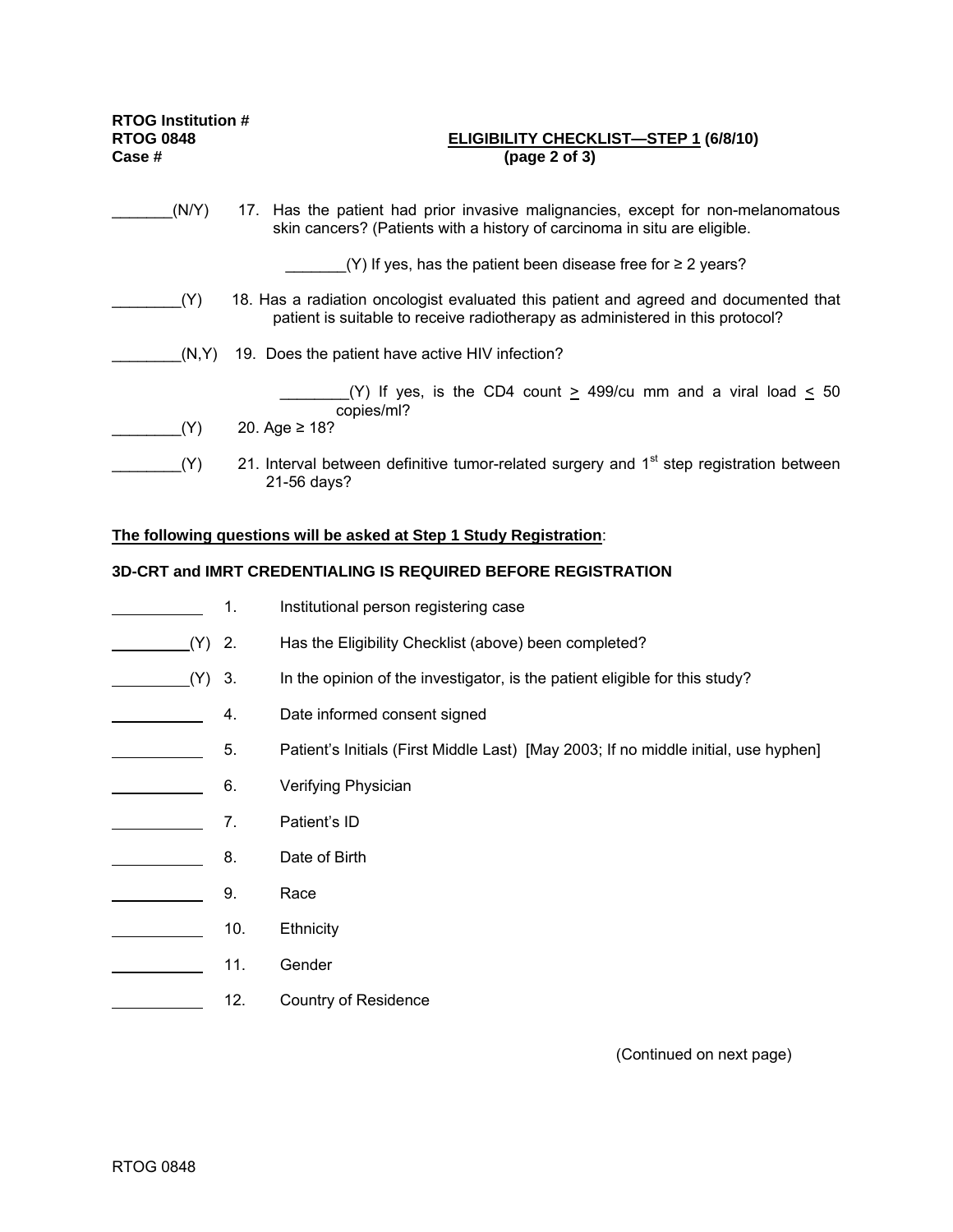| <b>RTOG Institution #</b><br><b>RTOG 0848</b><br>Case # | <b>ELIGIBILITY CHECKLIST—STEP 1 (6/8/10)</b><br>(page 2 of 3)                                                                                                         |
|---------------------------------------------------------|-----------------------------------------------------------------------------------------------------------------------------------------------------------------------|
| (N/Y)                                                   | 17. Has the patient had prior invasive malignancies, except for non-melanomatous<br>skin cancers? (Patients with a history of carcinoma in situ are eligible.         |
|                                                         | $(Y)$ If yes, has the patient been disease free for $\geq 2$ years?                                                                                                   |
| (Y)                                                     | 18. Has a radiation oncologist evaluated this patient and agreed and documented that<br>patient is suitable to receive radiotherapy as administered in this protocol? |
| (N,Y)                                                   | 19. Does the patient have active HIV infection?                                                                                                                       |
|                                                         | (Y) If yes, is the CD4 count $\geq$ 499/cu mm and a viral load $\leq$ 50<br>copies/ml?                                                                                |
| (Y)                                                     | 20. Age ≥ 18?                                                                                                                                                         |
| (Y)                                                     | 21. Interval between definitive tumor-related surgery and $1st$ step registration between<br>21-56 days?                                                              |

### **The following questions will be asked at Step 1 Study Registration**:

#### **3D-CRT and IMRT CREDENTIALING IS REQUIRED BEFORE REGISTRATION**

1. Institutional person registering case (Y) 2. Has the Eligibility Checklist (above) been completed? (Y) 3. In the opinion of the investigator, is the patient eligible for this study? **Example 24.** Date informed consent signed 5. Patient's Initials (First Middle Last) [May 2003; If no middle initial, use hyphen] **Example 2** 6. Verifying Physician **2.** T. Patient's ID **Example 2** 8. Date of Birth **2.** 9. Race **10.** Ethnicity **Ethnicity 11.** Gender **12.** Country of Residence

(Continued on next page)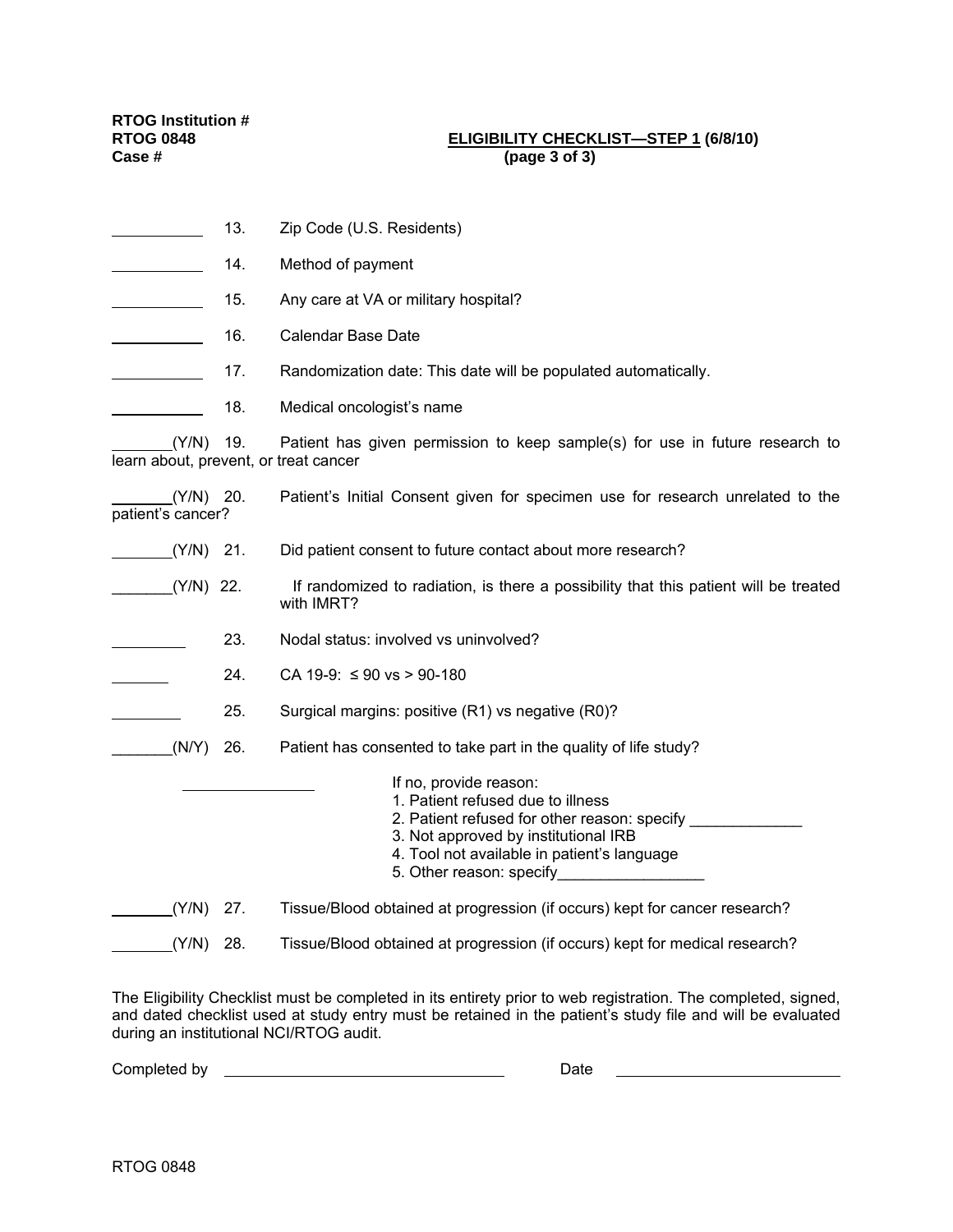# RTOG 0848 **ELIGIBILITY CHECKLIST—STEP 1 (6/8/10)**<br>Case # (bagge 3 of 3) **Case # (page 3 of 3)**

|                                                | 13. | Zip Code (U.S. Residents)                                                                                                                                                                                                      |
|------------------------------------------------|-----|--------------------------------------------------------------------------------------------------------------------------------------------------------------------------------------------------------------------------------|
|                                                | 14. | Method of payment                                                                                                                                                                                                              |
|                                                | 15. | Any care at VA or military hospital?                                                                                                                                                                                           |
|                                                | 16. | <b>Calendar Base Date</b>                                                                                                                                                                                                      |
| $\frac{1}{2}$                                  | 17. | Randomization date: This date will be populated automatically.                                                                                                                                                                 |
|                                                | 18. | Medical oncologist's name                                                                                                                                                                                                      |
| (Y/N)<br>learn about, prevent, or treat cancer | 19. | Patient has given permission to keep sample(s) for use in future research to                                                                                                                                                   |
| (Y/N) 20.<br>patient's cancer?                 |     | Patient's Initial Consent given for specimen use for research unrelated to the                                                                                                                                                 |
| (Y/N) 21.                                      |     | Did patient consent to future contact about more research?                                                                                                                                                                     |
| $(Y/N)$ 22.                                    |     | If randomized to radiation, is there a possibility that this patient will be treated<br>with IMRT?                                                                                                                             |
|                                                | 23. | Nodal status: involved vs uninvolved?                                                                                                                                                                                          |
|                                                | 24. | CA 19-9: $\leq$ 90 vs > 90-180                                                                                                                                                                                                 |
|                                                | 25. | Surgical margins: positive (R1) vs negative (R0)?                                                                                                                                                                              |
| (N/Y)                                          | 26. | Patient has consented to take part in the quality of life study?                                                                                                                                                               |
|                                                |     | If no, provide reason:<br>1. Patient refused due to illness<br>2. Patient refused for other reason: specify<br>3. Not approved by institutional IRB<br>4. Tool not available in patient's language<br>5. Other reason: specify |
| (Y/N)                                          | 27. | Tissue/Blood obtained at progression (if occurs) kept for cancer research?                                                                                                                                                     |
| (Y/N)                                          | 28. | Tissue/Blood obtained at progression (if occurs) kept for medical research?                                                                                                                                                    |

The Eligibility Checklist must be completed in its entirety prior to web registration. The completed, signed, and dated checklist used at study entry must be retained in the patient's study file and will be evaluated during an institutional NCI/RTOG audit.

Completed by Date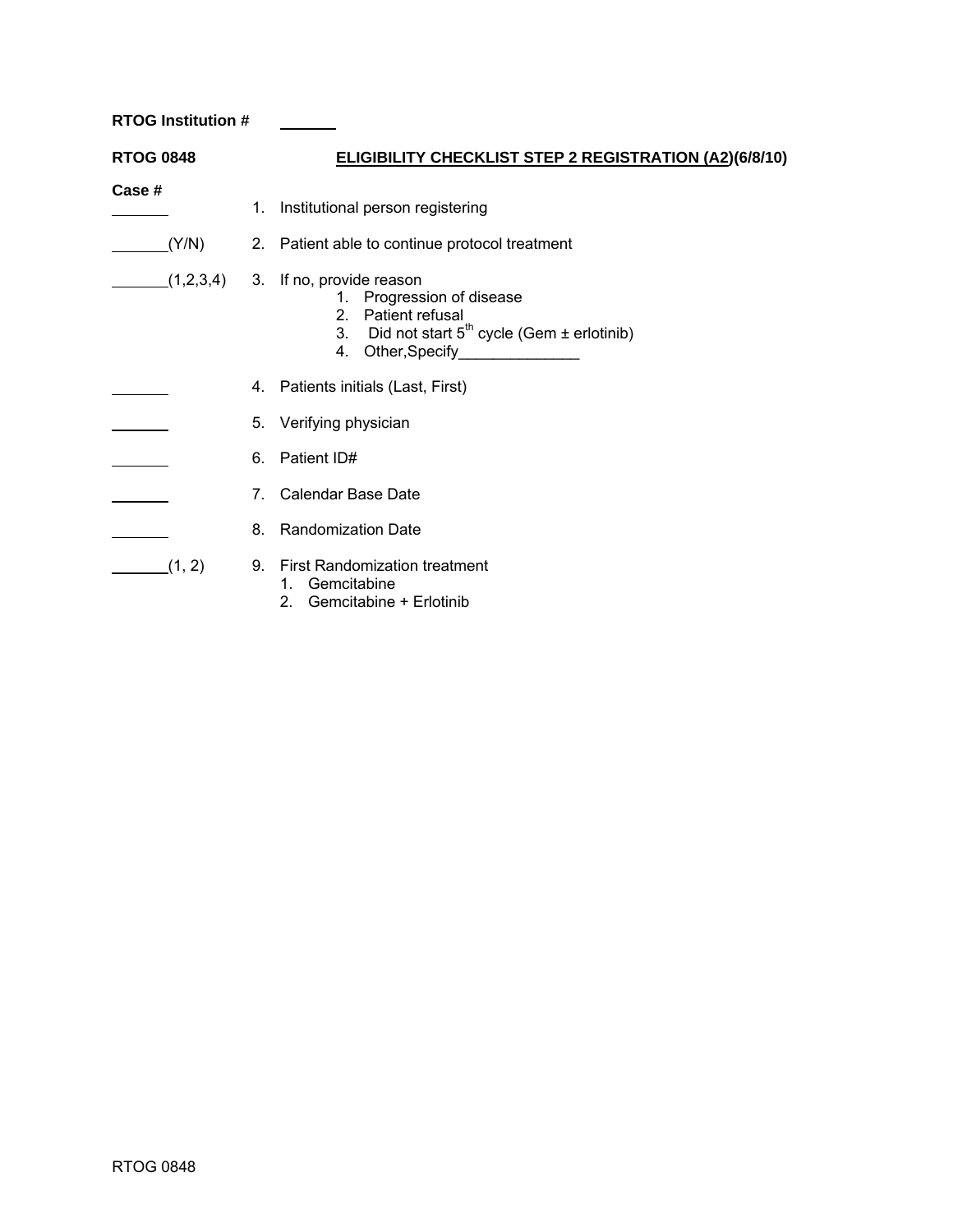| <b>RTOG Institution #</b> |                                |                                                                                                                                                                            |  |  |
|---------------------------|--------------------------------|----------------------------------------------------------------------------------------------------------------------------------------------------------------------------|--|--|
| <b>RTOG 0848</b>          |                                | <b>ELIGIBILITY CHECKLIST STEP 2 REGISTRATION (A2)(6/8/10)</b>                                                                                                              |  |  |
| Case #                    | 1.                             | Institutional person registering                                                                                                                                           |  |  |
| (Y/N)                     |                                | 2. Patient able to continue protocol treatment                                                                                                                             |  |  |
| (1,2,3,4)                 |                                | 3. If no, provide reason<br>1. Progression of disease<br>2. Patient refusal<br>3. Did not start $5^{th}$ cycle (Gem $\pm$ erlotinib)<br>4. Other, Specify ________________ |  |  |
|                           |                                | 4. Patients initials (Last, First)                                                                                                                                         |  |  |
|                           | 5.                             | Verifying physician                                                                                                                                                        |  |  |
|                           | 6.                             | Patient ID#                                                                                                                                                                |  |  |
|                           | $7_{\scriptscriptstyle{\sim}}$ | Calendar Base Date                                                                                                                                                         |  |  |
|                           | 8.                             | <b>Randomization Date</b>                                                                                                                                                  |  |  |
| (1, 2)                    | 9.                             | <b>First Randomization treatment</b><br>Gemcitabine<br>1.<br>Gemcitabine + Erlotinib<br>2.                                                                                 |  |  |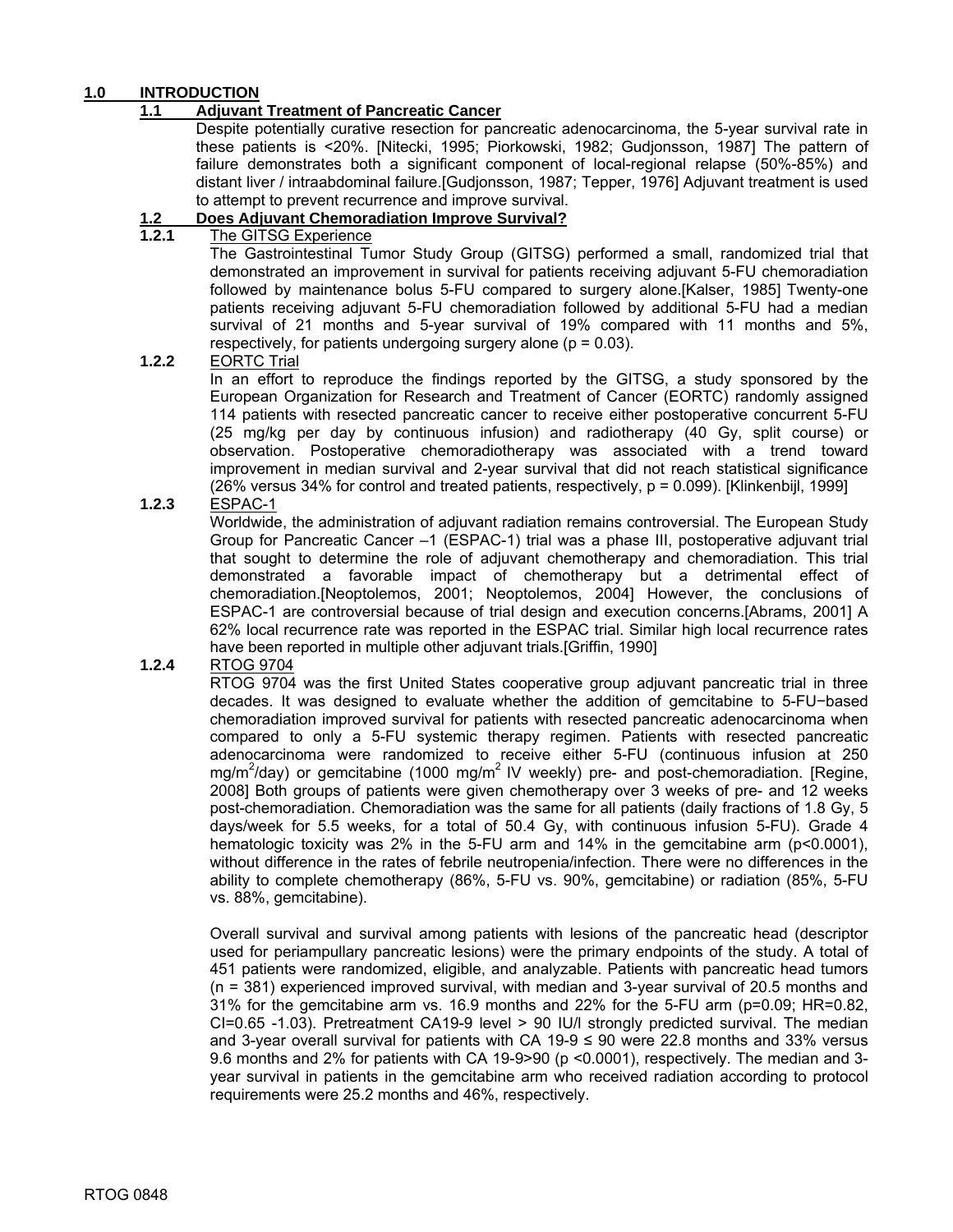#### **1.0 INTRODUCTION**

#### **1.1 Adjuvant Treatment of Pancreatic Cancer**

Despite potentially curative resection for pancreatic adenocarcinoma, the 5-year survival rate in these patients is <20%. [Nitecki, 1995; Piorkowski, 1982; Gudjonsson, 1987] The pattern of failure demonstrates both a significant component of local-regional relapse (50%-85%) and distant liver / intraabdominal failure.[Gudjonsson, 1987; Tepper, 1976] Adjuvant treatment is used to attempt to prevent recurrence and improve survival.

# **1.2 Does Adjuvant Chemoradiation Improve Survival?**

#### **1.2.1** The GITSG Experience

The Gastrointestinal Tumor Study Group (GITSG) performed a small, randomized trial that demonstrated an improvement in survival for patients receiving adjuvant 5-FU chemoradiation followed by maintenance bolus 5-FU compared to surgery alone.[Kalser, 1985] Twenty-one patients receiving adjuvant 5-FU chemoradiation followed by additional 5-FU had a median survival of 21 months and 5-year survival of 19% compared with 11 months and 5%, respectively, for patients undergoing surgery alone  $(p = 0.03)$ .

#### **1.2.2** EORTC Trial

In an effort to reproduce the findings reported by the GITSG, a study sponsored by the European Organization for Research and Treatment of Cancer (EORTC) randomly assigned 114 patients with resected pancreatic cancer to receive either postoperative concurrent 5-FU (25 mg/kg per day by continuous infusion) and radiotherapy (40 Gy, split course) or observation. Postoperative chemoradiotherapy was associated with a trend toward improvement in median survival and 2-year survival that did not reach statistical significance (26% versus 34% for control and treated patients, respectively, p = 0.099). [Klinkenbijl, 1999]

#### **1.2.3** ESPAC-1

Worldwide, the administration of adjuvant radiation remains controversial. The European Study Group for Pancreatic Cancer –1 (ESPAC-1) trial was a phase III, postoperative adjuvant trial that sought to determine the role of adjuvant chemotherapy and chemoradiation. This trial demonstrated a favorable impact of chemotherapy but a detrimental effect of chemoradiation.[Neoptolemos, 2001; Neoptolemos, 2004] However, the conclusions of ESPAC-1 are controversial because of trial design and execution concerns.[Abrams, 2001] A 62% local recurrence rate was reported in the ESPAC trial. Similar high local recurrence rates have been reported in multiple other adjuvant trials.[Griffin, 1990]

#### **1.2.4** RTOG 9704

RTOG 9704 was the first United States cooperative group adjuvant pancreatic trial in three decades. It was designed to evaluate whether the addition of gemcitabine to 5-FU−based chemoradiation improved survival for patients with resected pancreatic adenocarcinoma when compared to only a 5-FU systemic therapy regimen. Patients with resected pancreatic adenocarcinoma were randomized to receive either 5-FU (continuous infusion at 250 mg/m<sup>2</sup>/day) or gemcitabine (1000 mg/m<sup>2</sup> IV weekly) pre- and post-chemoradiation. [Regine, 2008] Both groups of patients were given chemotherapy over 3 weeks of pre- and 12 weeks post-chemoradiation. Chemoradiation was the same for all patients (daily fractions of 1.8 Gy, 5 days/week for 5.5 weeks, for a total of 50.4 Gy, with continuous infusion 5-FU). Grade 4 hematologic toxicity was 2% in the 5-FU arm and 14% in the gemcitabine arm (p<0.0001), without difference in the rates of febrile neutropenia/infection. There were no differences in the ability to complete chemotherapy (86%, 5-FU vs. 90%, gemcitabine) or radiation (85%, 5-FU vs. 88%, gemcitabine).

Overall survival and survival among patients with lesions of the pancreatic head (descriptor used for periampullary pancreatic lesions) were the primary endpoints of the study. A total of 451 patients were randomized, eligible, and analyzable. Patients with pancreatic head tumors (n = 381) experienced improved survival, with median and 3-year survival of 20.5 months and 31% for the gemcitabine arm vs. 16.9 months and 22% for the 5-FU arm (p=0.09; HR=0.82, CI=0.65 -1.03). Pretreatment CA19-9 level > 90 IU/l strongly predicted survival. The median and 3-year overall survival for patients with CA 19-9  $\leq$  90 were 22.8 months and 33% versus 9.6 months and 2% for patients with CA 19-9>90 (p <0.0001), respectively. The median and 3 year survival in patients in the gemcitabine arm who received radiation according to protocol requirements were 25.2 months and 46%, respectively.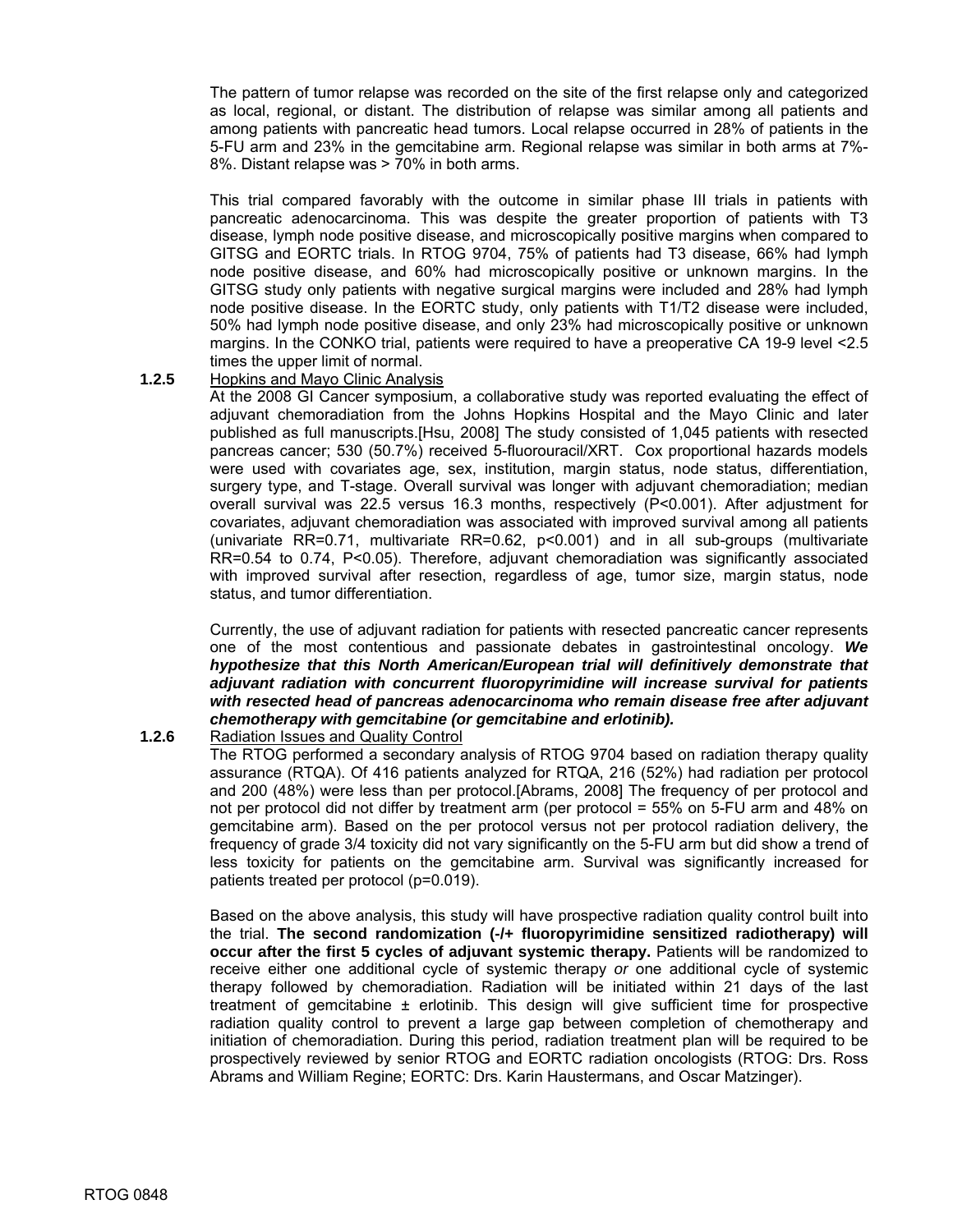The pattern of tumor relapse was recorded on the site of the first relapse only and categorized as local, regional, or distant. The distribution of relapse was similar among all patients and among patients with pancreatic head tumors. Local relapse occurred in 28% of patients in the 5-FU arm and 23% in the gemcitabine arm. Regional relapse was similar in both arms at 7%- 8%. Distant relapse was > 70% in both arms.

This trial compared favorably with the outcome in similar phase III trials in patients with pancreatic adenocarcinoma. This was despite the greater proportion of patients with T3 disease, lymph node positive disease, and microscopically positive margins when compared to GITSG and EORTC trials. In RTOG 9704, 75% of patients had T3 disease, 66% had lymph node positive disease, and 60% had microscopically positive or unknown margins. In the GITSG study only patients with negative surgical margins were included and 28% had lymph node positive disease. In the EORTC study, only patients with T1/T2 disease were included, 50% had lymph node positive disease, and only 23% had microscopically positive or unknown margins. In the CONKO trial, patients were required to have a preoperative CA 19-9 level <2.5 times the upper limit of normal.

#### **1.2.5** Hopkins and Mayo Clinic Analysis

At the 2008 GI Cancer symposium, a collaborative study was reported evaluating the effect of adjuvant chemoradiation from the Johns Hopkins Hospital and the Mayo Clinic and later published as full manuscripts.[Hsu, 2008] The study consisted of 1,045 patients with resected pancreas cancer; 530 (50.7%) received 5-fluorouracil/XRT. Cox proportional hazards models were used with covariates age, sex, institution, margin status, node status, differentiation, surgery type, and T-stage. Overall survival was longer with adjuvant chemoradiation; median overall survival was 22.5 versus 16.3 months, respectively (P<0.001). After adjustment for covariates, adjuvant chemoradiation was associated with improved survival among all patients (univariate RR=0.71, multivariate RR=0.62,  $p<0.001$ ) and in all sub-groups (multivariate RR=0.54 to 0.74, P<0.05). Therefore, adjuvant chemoradiation was significantly associated with improved survival after resection, regardless of age, tumor size, margin status, node status, and tumor differentiation.

Currently, the use of adjuvant radiation for patients with resected pancreatic cancer represents one of the most contentious and passionate debates in gastrointestinal oncology. *We hypothesize that this North American/European trial will definitively demonstrate that adjuvant radiation with concurrent fluoropyrimidine will increase survival for patients with resected head of pancreas adenocarcinoma who remain disease free after adjuvant chemotherapy with gemcitabine (or gemcitabine and erlotinib).* 

# **1.2.6** Radiation Issues and Quality Control

The RTOG performed a secondary analysis of RTOG 9704 based on radiation therapy quality assurance (RTQA). Of 416 patients analyzed for RTQA, 216 (52%) had radiation per protocol and 200 (48%) were less than per protocol.[Abrams, 2008] The frequency of per protocol and not per protocol did not differ by treatment arm (per protocol = 55% on 5-FU arm and 48% on gemcitabine arm). Based on the per protocol versus not per protocol radiation delivery, the frequency of grade 3/4 toxicity did not vary significantly on the 5-FU arm but did show a trend of less toxicity for patients on the gemcitabine arm. Survival was significantly increased for patients treated per protocol (p=0.019).

Based on the above analysis, this study will have prospective radiation quality control built into the trial. **The second randomization (-/+ fluoropyrimidine sensitized radiotherapy) will occur after the first 5 cycles of adjuvant systemic therapy.** Patients will be randomized to receive either one additional cycle of systemic therapy *or* one additional cycle of systemic therapy followed by chemoradiation. Radiation will be initiated within 21 days of the last treatment of gemcitabine  $\pm$  erlotinib. This design will give sufficient time for prospective radiation quality control to prevent a large gap between completion of chemotherapy and initiation of chemoradiation. During this period, radiation treatment plan will be required to be prospectively reviewed by senior RTOG and EORTC radiation oncologists (RTOG: Drs. Ross Abrams and William Regine; EORTC: Drs. Karin Haustermans, and Oscar Matzinger).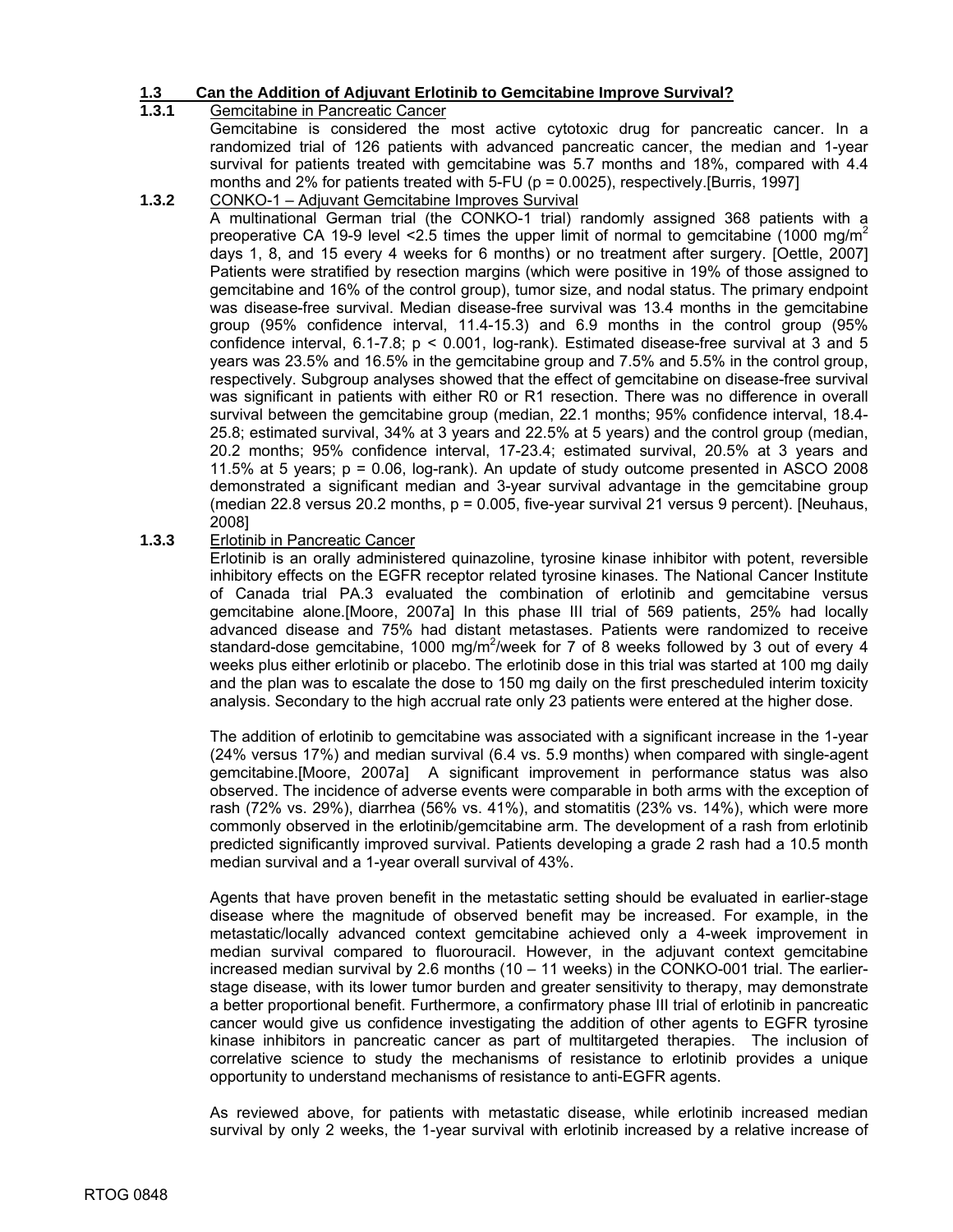#### **1.3 Can the Addition of Adjuvant Erlotinib to Gemcitabine Improve Survival?**

#### **1.3.1** Gemcitabine in Pancreatic Cancer

Gemcitabine is considered the most active cytotoxic drug for pancreatic cancer. In a randomized trial of 126 patients with advanced pancreatic cancer, the median and 1-year survival for patients treated with gemcitabine was 5.7 months and 18%, compared with 4.4 months and 2% for patients treated with 5-FU (p = 0.0025), respectively.[Burris, 1997]

#### **1.3.2** CONKO-1 – Adjuvant Gemcitabine Improves Survival

A multinational German trial (the CONKO-1 trial) randomly assigned 368 patients with a preoperative CA 19-9 level <2.5 times the upper limit of normal to gemcitabine (1000 mg/m<sup>2</sup> days 1, 8, and 15 every 4 weeks for 6 months) or no treatment after surgery. [Oettle, 2007] Patients were stratified by resection margins (which were positive in 19% of those assigned to gemcitabine and 16% of the control group), tumor size, and nodal status. The primary endpoint was disease-free survival. Median disease-free survival was 13.4 months in the gemcitabine group (95% confidence interval, 11.4-15.3) and 6.9 months in the control group (95% confidence interval,  $6.1 - 7.8$ ;  $p < 0.001$ , log-rank). Estimated disease-free survival at 3 and 5 years was 23.5% and 16.5% in the gemcitabine group and 7.5% and 5.5% in the control group, respectively. Subgroup analyses showed that the effect of gemcitabine on disease-free survival was significant in patients with either R0 or R1 resection. There was no difference in overall survival between the gemcitabine group (median, 22.1 months; 95% confidence interval, 18.4- 25.8; estimated survival, 34% at 3 years and 22.5% at 5 years) and the control group (median, 20.2 months; 95% confidence interval, 17-23.4; estimated survival, 20.5% at 3 years and 11.5% at 5 years; p = 0.06, log-rank). An update of study outcome presented in ASCO 2008 demonstrated a significant median and 3-year survival advantage in the gemcitabine group (median 22.8 versus 20.2 months,  $p = 0.005$ , five-year survival 21 versus 9 percent). [Neuhaus, 2008]

#### **1.3.3** Erlotinib in Pancreatic Cancer

Erlotinib is an orally administered quinazoline, tyrosine kinase inhibitor with potent, reversible inhibitory effects on the EGFR receptor related tyrosine kinases. The National Cancer Institute of Canada trial PA.3 evaluated the combination of erlotinib and gemcitabine versus gemcitabine alone.[Moore, 2007a] In this phase III trial of 569 patients, 25% had locally advanced disease and 75% had distant metastases. Patients were randomized to receive standard-dose gemcitabine, 1000 mg/m<sup>2</sup>/week for 7 of 8 weeks followed by 3 out of every 4 weeks plus either erlotinib or placebo. The erlotinib dose in this trial was started at 100 mg daily and the plan was to escalate the dose to 150 mg daily on the first prescheduled interim toxicity analysis. Secondary to the high accrual rate only 23 patients were entered at the higher dose.

The addition of erlotinib to gemcitabine was associated with a significant increase in the 1-year (24% versus 17%) and median survival (6.4 vs. 5.9 months) when compared with single-agent gemcitabine.[Moore, 2007a] A significant improvement in performance status was also observed. The incidence of adverse events were comparable in both arms with the exception of rash (72% vs. 29%), diarrhea (56% vs. 41%), and stomatitis (23% vs. 14%), which were more commonly observed in the erlotinib/gemcitabine arm. The development of a rash from erlotinib predicted significantly improved survival. Patients developing a grade 2 rash had a 10.5 month median survival and a 1-year overall survival of 43%.

Agents that have proven benefit in the metastatic setting should be evaluated in earlier-stage disease where the magnitude of observed benefit may be increased. For example, in the metastatic/locally advanced context gemcitabine achieved only a 4-week improvement in median survival compared to fluorouracil. However, in the adjuvant context gemcitabine increased median survival by 2.6 months (10 – 11 weeks) in the CONKO-001 trial. The earlierstage disease, with its lower tumor burden and greater sensitivity to therapy, may demonstrate a better proportional benefit. Furthermore, a confirmatory phase III trial of erlotinib in pancreatic cancer would give us confidence investigating the addition of other agents to EGFR tyrosine kinase inhibitors in pancreatic cancer as part of multitargeted therapies. The inclusion of correlative science to study the mechanisms of resistance to erlotinib provides a unique opportunity to understand mechanisms of resistance to anti-EGFR agents.

As reviewed above, for patients with metastatic disease, while erlotinib increased median survival by only 2 weeks, the 1-year survival with erlotinib increased by a relative increase of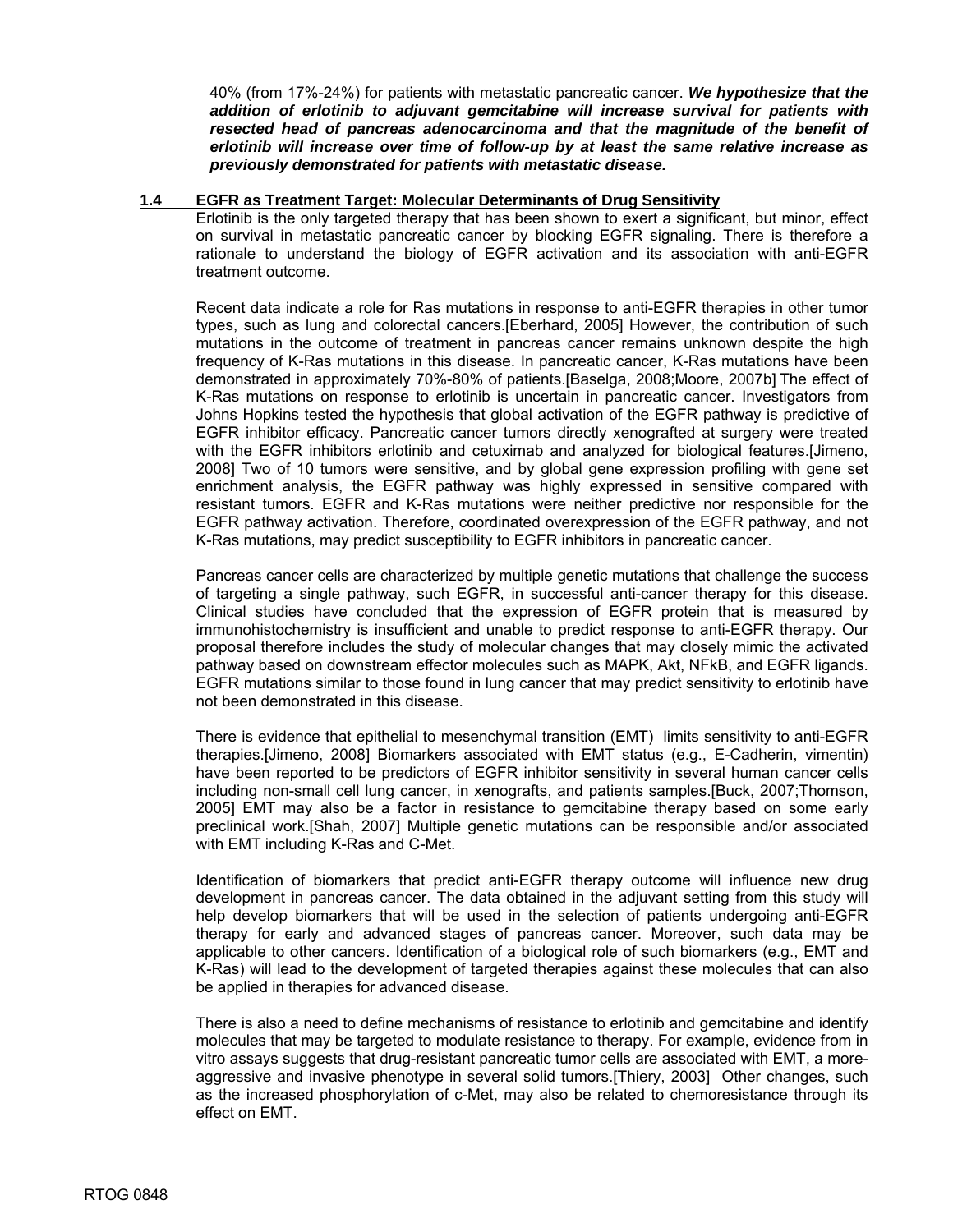40% (from 17%-24%) for patients with metastatic pancreatic cancer. *We hypothesize that the addition of erlotinib to adjuvant gemcitabine will increase survival for patients with*  resected head of pancreas adenocarcinoma and that the magnitude of the benefit of *erlotinib will increase over time of follow-up by at least the same relative increase as previously demonstrated for patients with metastatic disease.* 

#### **1.4 EGFR as Treatment Target: Molecular Determinants of Drug Sensitivity**

Erlotinib is the only targeted therapy that has been shown to exert a significant, but minor, effect on survival in metastatic pancreatic cancer by blocking EGFR signaling. There is therefore a rationale to understand the biology of EGFR activation and its association with anti-EGFR treatment outcome.

Recent data indicate a role for Ras mutations in response to anti-EGFR therapies in other tumor types, such as lung and colorectal cancers.[Eberhard, 2005] However, the contribution of such mutations in the outcome of treatment in pancreas cancer remains unknown despite the high frequency of K-Ras mutations in this disease. In pancreatic cancer, K-Ras mutations have been demonstrated in approximately 70%-80% of patients.[Baselga, 2008;Moore, 2007b] The effect of K-Ras mutations on response to erlotinib is uncertain in pancreatic cancer. Investigators from Johns Hopkins tested the hypothesis that global activation of the EGFR pathway is predictive of EGFR inhibitor efficacy. Pancreatic cancer tumors directly xenografted at surgery were treated with the EGFR inhibitors erlotinib and cetuximab and analyzed for biological features.[Jimeno, 2008] Two of 10 tumors were sensitive, and by global gene expression profiling with gene set enrichment analysis, the EGFR pathway was highly expressed in sensitive compared with resistant tumors. EGFR and K-Ras mutations were neither predictive nor responsible for the EGFR pathway activation. Therefore, coordinated overexpression of the EGFR pathway, and not K-Ras mutations, may predict susceptibility to EGFR inhibitors in pancreatic cancer.

Pancreas cancer cells are characterized by multiple genetic mutations that challenge the success of targeting a single pathway, such EGFR, in successful anti-cancer therapy for this disease. Clinical studies have concluded that the expression of EGFR protein that is measured by immunohistochemistry is insufficient and unable to predict response to anti-EGFR therapy. Our proposal therefore includes the study of molecular changes that may closely mimic the activated pathway based on downstream effector molecules such as MAPK, Akt, NFkB, and EGFR ligands. EGFR mutations similar to those found in lung cancer that may predict sensitivity to erlotinib have not been demonstrated in this disease.

There is evidence that epithelial to mesenchymal transition (EMT) limits sensitivity to anti-EGFR therapies.[Jimeno, 2008] Biomarkers associated with EMT status (e.g., E-Cadherin, vimentin) have been reported to be predictors of EGFR inhibitor sensitivity in several human cancer cells including non-small cell lung cancer, in xenografts, and patients samples.[Buck, 2007;Thomson, 2005] EMT may also be a factor in resistance to gemcitabine therapy based on some early preclinical work.[Shah, 2007] Multiple genetic mutations can be responsible and/or associated with EMT including K-Ras and C-Met.

Identification of biomarkers that predict anti-EGFR therapy outcome will influence new drug development in pancreas cancer. The data obtained in the adjuvant setting from this study will help develop biomarkers that will be used in the selection of patients undergoing anti-EGFR therapy for early and advanced stages of pancreas cancer. Moreover, such data may be applicable to other cancers. Identification of a biological role of such biomarkers (e.g., EMT and K-Ras) will lead to the development of targeted therapies against these molecules that can also be applied in therapies for advanced disease.

There is also a need to define mechanisms of resistance to erlotinib and gemcitabine and identify molecules that may be targeted to modulate resistance to therapy. For example, evidence from in vitro assays suggests that drug-resistant pancreatic tumor cells are associated with EMT, a moreaggressive and invasive phenotype in several solid tumors.[Thiery, 2003] Other changes, such as the increased phosphorylation of c-Met, may also be related to chemoresistance through its effect on EMT.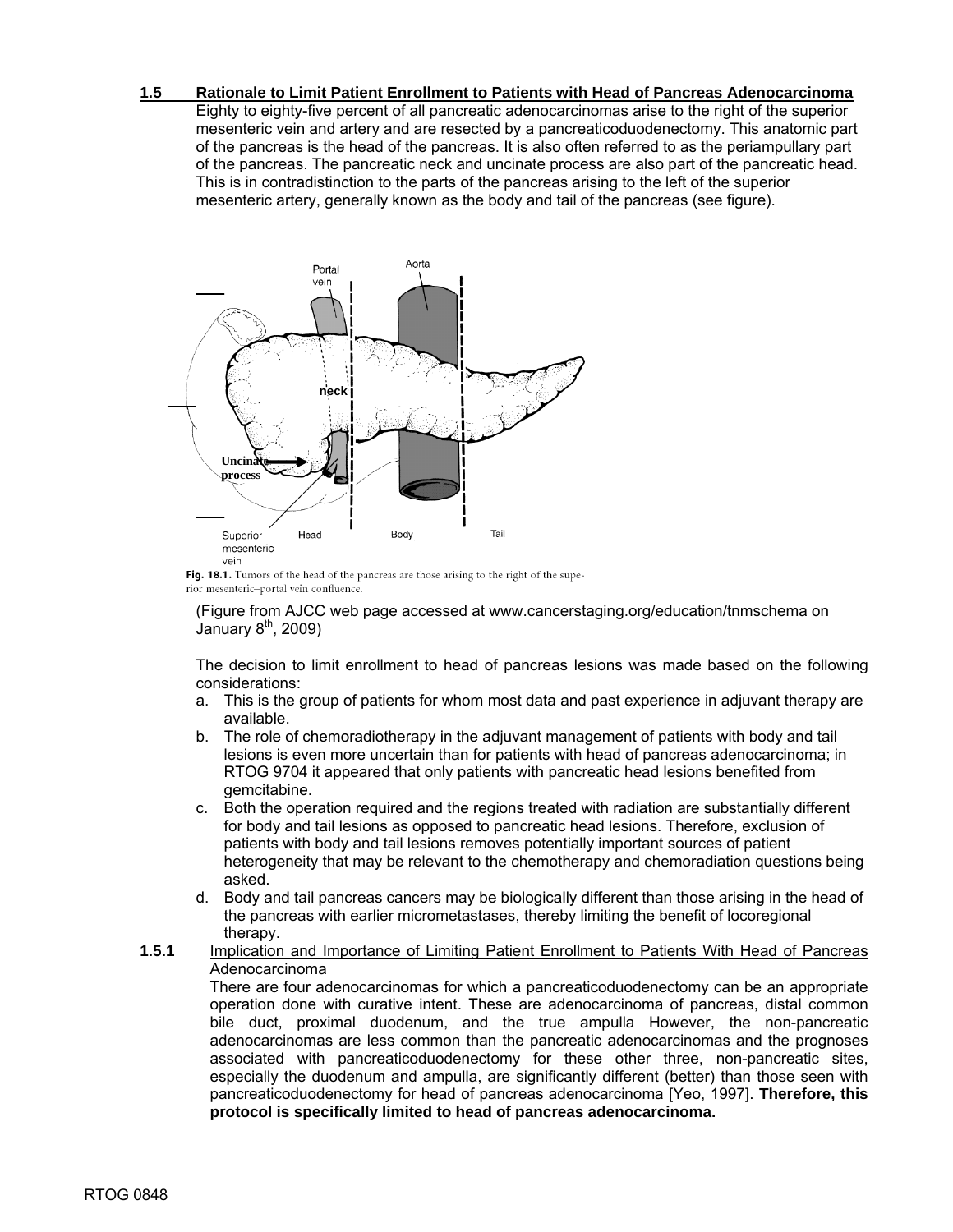**1.5 Rationale to Limit Patient Enrollment to Patients with Head of Pancreas Adenocarcinoma**  Eighty to eighty-five percent of all pancreatic adenocarcinomas arise to the right of the superior mesenteric vein and artery and are resected by a pancreaticoduodenectomy. This anatomic part of the pancreas is the head of the pancreas. It is also often referred to as the periampullary part of the pancreas. The pancreatic neck and uncinate process are also part of the pancreatic head. This is in contradistinction to the parts of the pancreas arising to the left of the superior

mesenteric artery, generally known as the body and tail of the pancreas (see figure).



Fig. 18.1. Tumors of the head of the pancreas are those arising to the right of the superior mesenteric-portal vein confluence.

(Figure from AJCC web page accessed at [www.cancerstaging.org/education/tnmschema on](http://www.cancerstaging.org/education/tnmschema) January  $8<sup>th</sup>$ , 2009)

The decision to limit enrollment to head of pancreas lesions was made based on the following considerations:

- a. This is the group of patients for whom most data and past experience in adjuvant therapy are available.
- b. The role of chemoradiotherapy in the adjuvant management of patients with body and tail lesions is even more uncertain than for patients with head of pancreas adenocarcinoma; in RTOG 9704 it appeared that only patients with pancreatic head lesions benefited from gemcitabine.
- c. Both the operation required and the regions treated with radiation are substantially different for body and tail lesions as opposed to pancreatic head lesions. Therefore, exclusion of patients with body and tail lesions removes potentially important sources of patient heterogeneity that may be relevant to the chemotherapy and chemoradiation questions being asked.
- d. Body and tail pancreas cancers may be biologically different than those arising in the head of the pancreas with earlier micrometastases, thereby limiting the benefit of locoregional therapy.

#### **1.5.1** Implication and Importance of Limiting Patient Enrollment to Patients With Head of Pancreas Adenocarcinoma

There are four adenocarcinomas for which a pancreaticoduodenectomy can be an appropriate operation done with curative intent. These are adenocarcinoma of pancreas, distal common bile duct, proximal duodenum, and the true ampulla However, the non-pancreatic adenocarcinomas are less common than the pancreatic adenocarcinomas and the prognoses associated with pancreaticoduodenectomy for these other three, non-pancreatic sites, especially the duodenum and ampulla, are significantly different (better) than those seen with pancreaticoduodenectomy for head of pancreas adenocarcinoma [Yeo, 1997]. **Therefore, this protocol is specifically limited to head of pancreas adenocarcinoma.**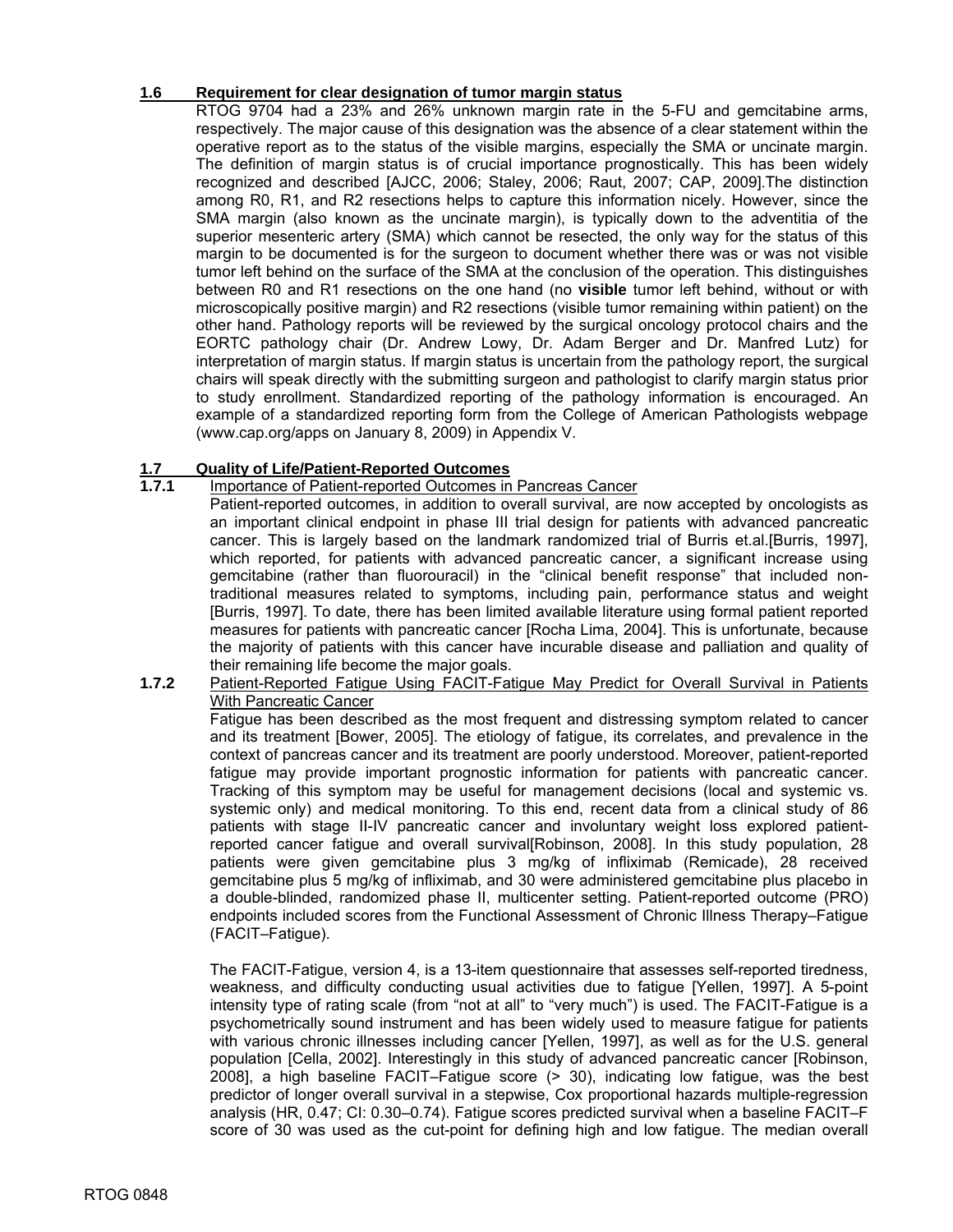#### **1.6 Requirement for clear designation of tumor margin status**

RTOG 9704 had a 23% and 26% unknown margin rate in the 5-FU and gemcitabine arms, respectively. The major cause of this designation was the absence of a clear statement within the operative report as to the status of the visible margins, especially the SMA or uncinate margin. The definition of margin status is of crucial importance prognostically. This has been widely recognized and described [AJCC, 2006; Staley, 2006; Raut, 2007; CAP, 2009].The distinction among R0, R1, and R2 resections helps to capture this information nicely. However, since the SMA margin (also known as the uncinate margin), is typically down to the adventitia of the superior mesenteric artery (SMA) which cannot be resected, the only way for the status of this margin to be documented is for the surgeon to document whether there was or was not visible tumor left behind on the surface of the SMA at the conclusion of the operation. This distinguishes between R0 and R1 resections on the one hand (no **visible** tumor left behind, without or with microscopically positive margin) and R2 resections (visible tumor remaining within patient) on the other hand. Pathology reports will be reviewed by the surgical oncology protocol chairs and the EORTC pathology chair (Dr. Andrew Lowy, Dr. Adam Berger and Dr. Manfred Lutz) for interpretation of margin status. If margin status is uncertain from the pathology report, the surgical chairs will speak directly with the submitting surgeon and pathologist to clarify margin status prior to study enrollment. Standardized reporting of the pathology information is encouraged. An example of a standardized reporting form from the College of American Pathologists webpage [\(www.cap.org/apps on January 8,](http://www.cap.org/appsonJanuary8) 2009) in Appendix V.

# **1.7 Quality of Life/Patient-Reported Outcomes**

# **1.7.1** Importance of Patient-reported Outcomes in Pancreas Cancer

Patient-reported outcomes, in addition to overall survival, are now accepted by oncologists as an important clinical endpoint in phase III trial design for patients with advanced pancreatic cancer. This is largely based on the landmark randomized trial of Burris et.al.[Burris, 1997], which reported, for patients with advanced pancreatic cancer, a significant increase using gemcitabine (rather than fluorouracil) in the "clinical benefit response" that included nontraditional measures related to symptoms, including pain, performance status and weight [Burris, 1997]. To date, there has been limited available literature using formal patient reported measures for patients with pancreatic cancer [Rocha Lima, 2004]. This is unfortunate, because the majority of patients with this cancer have incurable disease and palliation and quality of their remaining life become the major goals.

#### **1.7.2** Patient-Reported Fatigue Using FACIT-Fatigue May Predict for Overall Survival in Patients With Pancreatic Cancer

Fatigue has been described as the most frequent and distressing symptom related to cancer and its treatment [Bower, 2005]. The etiology of fatigue, its correlates, and prevalence in the context of pancreas cancer and its treatment are poorly understood. Moreover, patient-reported fatigue may provide important prognostic information for patients with pancreatic cancer. Tracking of this symptom may be useful for management decisions (local and systemic vs. systemic only) and medical monitoring. To this end, recent data from a clinical study of 86 patients with stage II-IV pancreatic cancer and involuntary weight loss explored patientreported cancer fatigue and overall survival[Robinson, 2008]. In this study population, 28 patients were given gemcitabine plus 3 mg/kg of infliximab (Remicade), 28 received gemcitabine plus 5 mg/kg of infliximab, and 30 were administered gemcitabine plus placebo in a double-blinded, randomized phase II, multicenter setting. Patient-reported outcome (PRO) endpoints included scores from the Functional Assessment of Chronic Illness Therapy–Fatigue (FACIT–Fatigue).

The FACIT-Fatigue, version 4, is a 13-item questionnaire that assesses self-reported tiredness, weakness, and difficulty conducting usual activities due to fatigue [Yellen, 1997]. A 5-point intensity type of rating scale (from "not at all" to "very much") is used. The FACIT-Fatigue is a psychometrically sound instrument and has been widely used to measure fatigue for patients with various chronic illnesses including cancer [Yellen, 1997], as well as for the U.S. general population [Cella, 2002]. Interestingly in this study of advanced pancreatic cancer [Robinson, 2008], a high baseline FACIT–Fatigue score  $(> 30)$ , indicating low fatigue, was the best predictor of longer overall survival in a stepwise, Cox proportional hazards multiple-regression analysis (HR, 0.47; CI: 0.30–0.74). Fatigue scores predicted survival when a baseline FACIT–F score of 30 was used as the cut-point for defining high and low fatigue. The median overall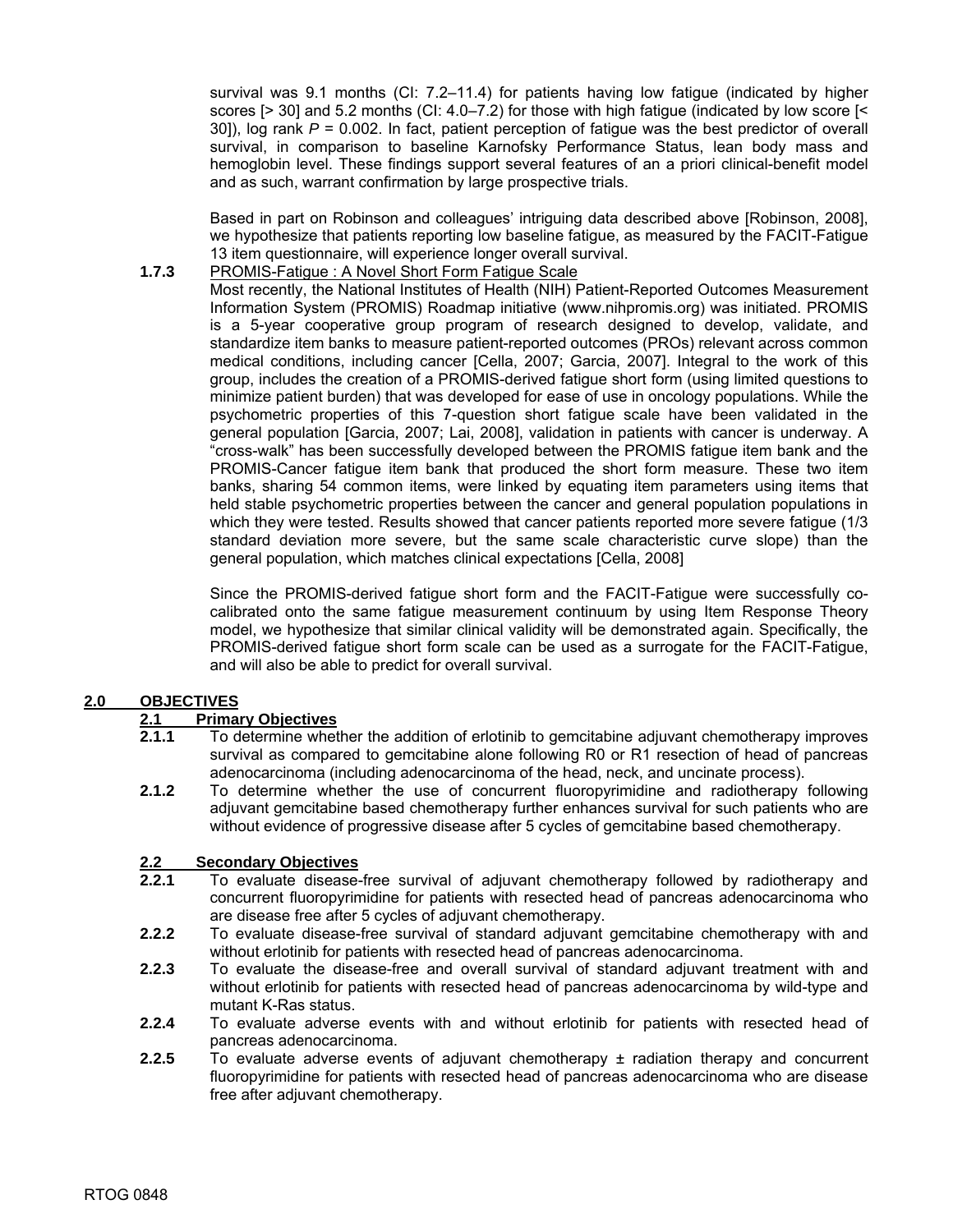survival was 9.1 months (CI: 7.2–11.4) for patients having low fatigue (indicated by higher scores [> 30] and 5.2 months (CI: 4.0–7.2) for those with high fatigue (indicated by low score [< 30]), log rank *P* = 0.002. In fact, patient perception of fatigue was the best predictor of overall survival, in comparison to baseline Karnofsky Performance Status, lean body mass and hemoglobin level. These findings support several features of an a priori clinical-benefit model and as such, warrant confirmation by large prospective trials.

Based in part on Robinson and colleagues' intriguing data described above [Robinson, 2008], we hypothesize that patients reporting low baseline fatigue, as measured by the FACIT-Fatigue 13 item questionnaire, will experience longer overall survival.

#### **1.7.3** PROMIS-Fatigue : A Novel Short Form Fatigue Scale

Most recently, the National Institutes of Health (NIH) Patient-Reported Outcomes Measurement Information System (PROMIS) Roadmap initiative ([www.nihpromis.org\)](http://www.nihpromis.org) was initiated. PROMIS is a 5-year cooperative group program of research designed to develop, validate, and standardize item banks to measure patient-reported outcomes (PROs) relevant across common medical conditions, including cancer [Cella, 2007; Garcia, 2007]. Integral to the work of this group, includes the creation of a PROMIS-derived fatigue short form (using limited questions to minimize patient burden) that was developed for ease of use in oncology populations. While the psychometric properties of this 7-question short fatigue scale have been validated in the general population [Garcia, 2007; Lai, 2008], validation in patients with cancer is underway. A "cross-walk" has been successfully developed between the PROMIS fatigue item bank and the PROMIS-Cancer fatigue item bank that produced the short form measure. These two item banks, sharing 54 common items, were linked by equating item parameters using items that held stable psychometric properties between the cancer and general population populations in which they were tested. Results showed that cancer patients reported more severe fatigue (1/3 standard deviation more severe, but the same scale characteristic curve slope) than the general population, which matches clinical expectations [Cella, 2008]

Since the PROMIS-derived fatigue short form and the FACIT-Fatigue were successfully cocalibrated onto the same fatigue measurement continuum by using Item Response Theory model, we hypothesize that similar clinical validity will be demonstrated again. Specifically, the PROMIS-derived fatigue short form scale can be used as a surrogate for the FACIT-Fatigue, and will also be able to predict for overall survival.

# **2.0 OBJECTIVES**

# **2.1 Primary Objectives**

- **2.1.1** To determine whether the addition of erlotinib to gemcitabine adjuvant chemotherapy improves survival as compared to gemcitabine alone following R0 or R1 resection of head of pancreas adenocarcinoma (including adenocarcinoma of the head, neck, and uncinate process).
- **2.1.2** To determine whether the use of concurrent fluoropyrimidine and radiotherapy following adjuvant gemcitabine based chemotherapy further enhances survival for such patients who are without evidence of progressive disease after 5 cycles of gemcitabine based chemotherapy.

# **2.2 Secondary Objectives**

- **2.2.1** To evaluate disease-free survival of adjuvant chemotherapy followed by radiotherapy and concurrent fluoropyrimidine for patients with resected head of pancreas adenocarcinoma who are disease free after 5 cycles of adjuvant chemotherapy.
- **2.2.2** To evaluate disease-free survival of standard adjuvant gemcitabine chemotherapy with and without erlotinib for patients with resected head of pancreas adenocarcinoma.
- **2.2.3** To evaluate the disease-free and overall survival of standard adjuvant treatment with and without erlotinib for patients with resected head of pancreas adenocarcinoma by wild-type and mutant K-Ras status.
- **2.2.4** To evaluate adverse events with and without erlotinib for patients with resected head of pancreas adenocarcinoma.
- **2.2.5** To evaluate adverse events of adjuvant chemotherapy ± radiation therapy and concurrent fluoropyrimidine for patients with resected head of pancreas adenocarcinoma who are disease free after adjuvant chemotherapy.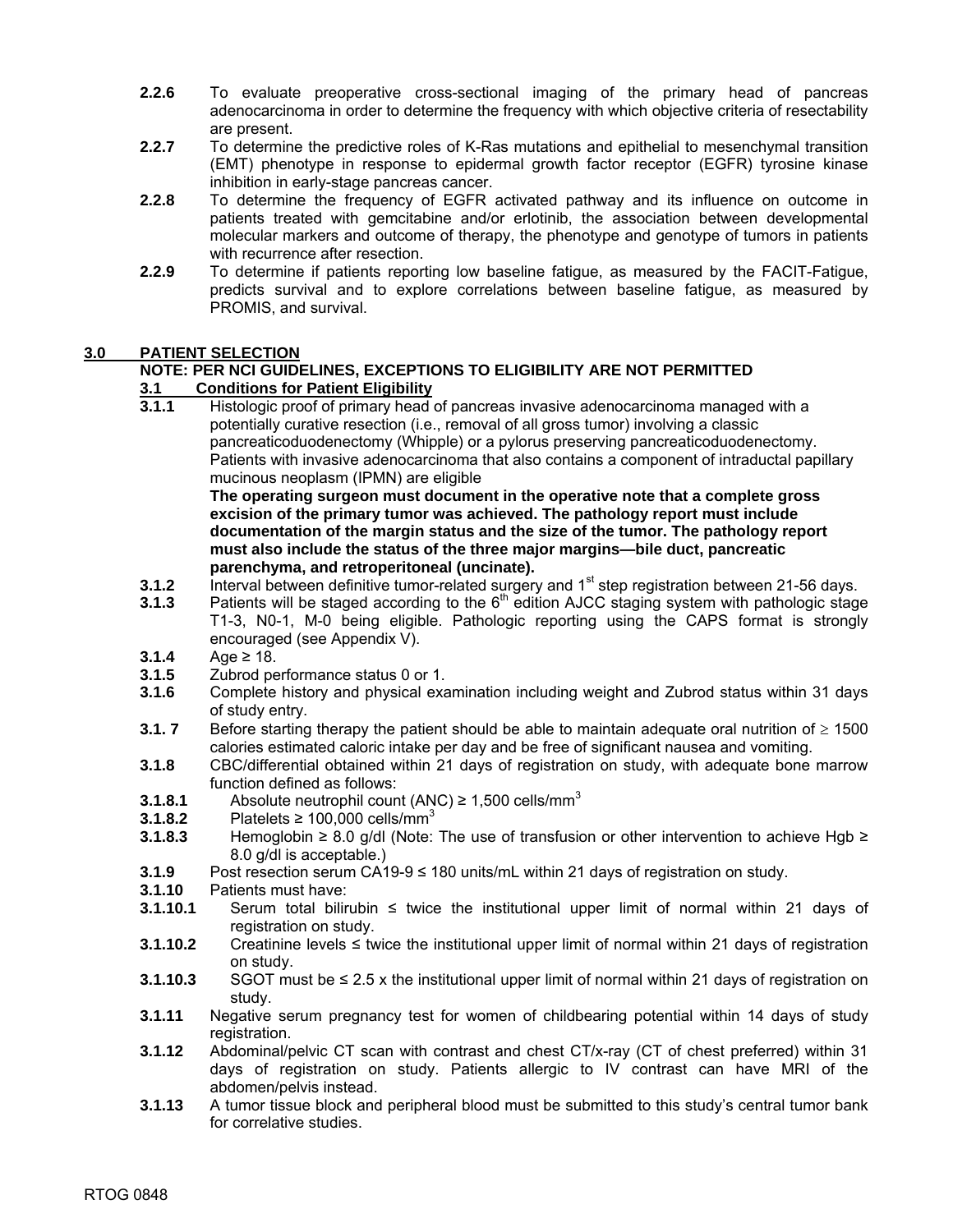- **2.2.6** To evaluate preoperative cross-sectional imaging of the primary head of pancreas adenocarcinoma in order to determine the frequency with which objective criteria of resectability are present.
- **2.2.7** To determine the predictive roles of K-Ras mutations and epithelial to mesenchymal transition (EMT) phenotype in response to epidermal growth factor receptor (EGFR) tyrosine kinase inhibition in early-stage pancreas cancer.
- **2.2.8** To determine the frequency of EGFR activated pathway and its influence on outcome in patients treated with gemcitabine and/or erlotinib, the association between developmental molecular markers and outcome of therapy, the phenotype and genotype of tumors in patients with recurrence after resection.
- **2.2.9** To determine if patients reporting low baseline fatigue, as measured by the FACIT-Fatigue, predicts survival and to explore correlations between baseline fatigue, as measured by PROMIS, and survival.

# **3.0 PATIENT SELECTION**

# **NOTE: PER NCI GUIDELINES, EXCEPTIONS TO ELIGIBILITY ARE NOT PERMITTED**

# **3.1 Conditions for Patient Eligibility**

**3.1.1** Histologic proof of primary head of pancreas invasive adenocarcinoma managed with a potentially curative resection (i.e., removal of all gross tumor) involving a classic pancreaticoduodenectomy (Whipple) or a pylorus preserving pancreaticoduodenectomy. Patients with invasive adenocarcinoma that also contains a component of intraductal papillary mucinous neoplasm (IPMN) are eligible

**The operating surgeon must document in the operative note that a complete gross excision of the primary tumor was achieved. The pathology report must include documentation of the margin status and the size of the tumor. The pathology report must also include the status of the three major margins—bile duct, pancreatic parenchyma, and retroperitoneal (uncinate).** 

- **3.1.2** Interval between definitive tumor-related surgery and 1<sup>st</sup> step registration between 21-56 days.
- **3.1.3** Patients will be staged according to the 6<sup>th</sup> edition AJCC staging system with pathologic stage T1-3, N0-1, M-0 being eligible. Pathologic reporting using the CAPS format is strongly encouraged (see Appendix V).
- **3.1.4** Age ≥ 18.
- **3.1.5** Zubrod performance status 0 or 1.
- **3.1.6** Complete history and physical examination including weight and Zubrod status within 31 days of study entry.
- **3.1. 7** Before starting therapy the patient should be able to maintain adequate oral nutrition of ≥ 1500 calories estimated caloric intake per day and be free of significant nausea and vomiting.
- **3.1.8** CBC/differential obtained within 21 days of registration on study, with adequate bone marrow function defined as follows:
- **3.1.8.1** Absolute neutrophil count (ANC)  $\geq$  1,500 cells/mm<sup>3</sup>
- **3.1.8.2** Platelets ≥ 100,000 cells/mm<sup>3</sup>
- **3.1.8.3** Hemoglobin ≥ 8.0 g/dl (Note: The use of transfusion or other intervention to achieve Hgb ≥ 8.0 g/dl is acceptable.)
- **3.1.9** Post resection serum CA19-9 ≤ 180 units/mL within 21 days of registration on study.
- **3.1.10** Patients must have:
- **3.1.10.1** Serum total bilirubin ≤ twice the institutional upper limit of normal within 21 days of registration on study.
- **3.1.10.2** Creatinine levels ≤ twice the institutional upper limit of normal within 21 days of registration on study.
- **3.1.10.3** SGOT must be ≤ 2.5 x the institutional upper limit of normal within 21 days of registration on study.
- **3.1.11** Negative serum pregnancy test for women of childbearing potential within 14 days of study registration.
- **3.1.12** Abdominal/pelvic CT scan with contrast and chest CT/x-ray (CT of chest preferred) within 31 days of registration on study. Patients allergic to IV contrast can have MRI of the abdomen/pelvis instead.
- **3.1.13** A tumor tissue block and peripheral blood must be submitted to this study's central tumor bank for correlative studies.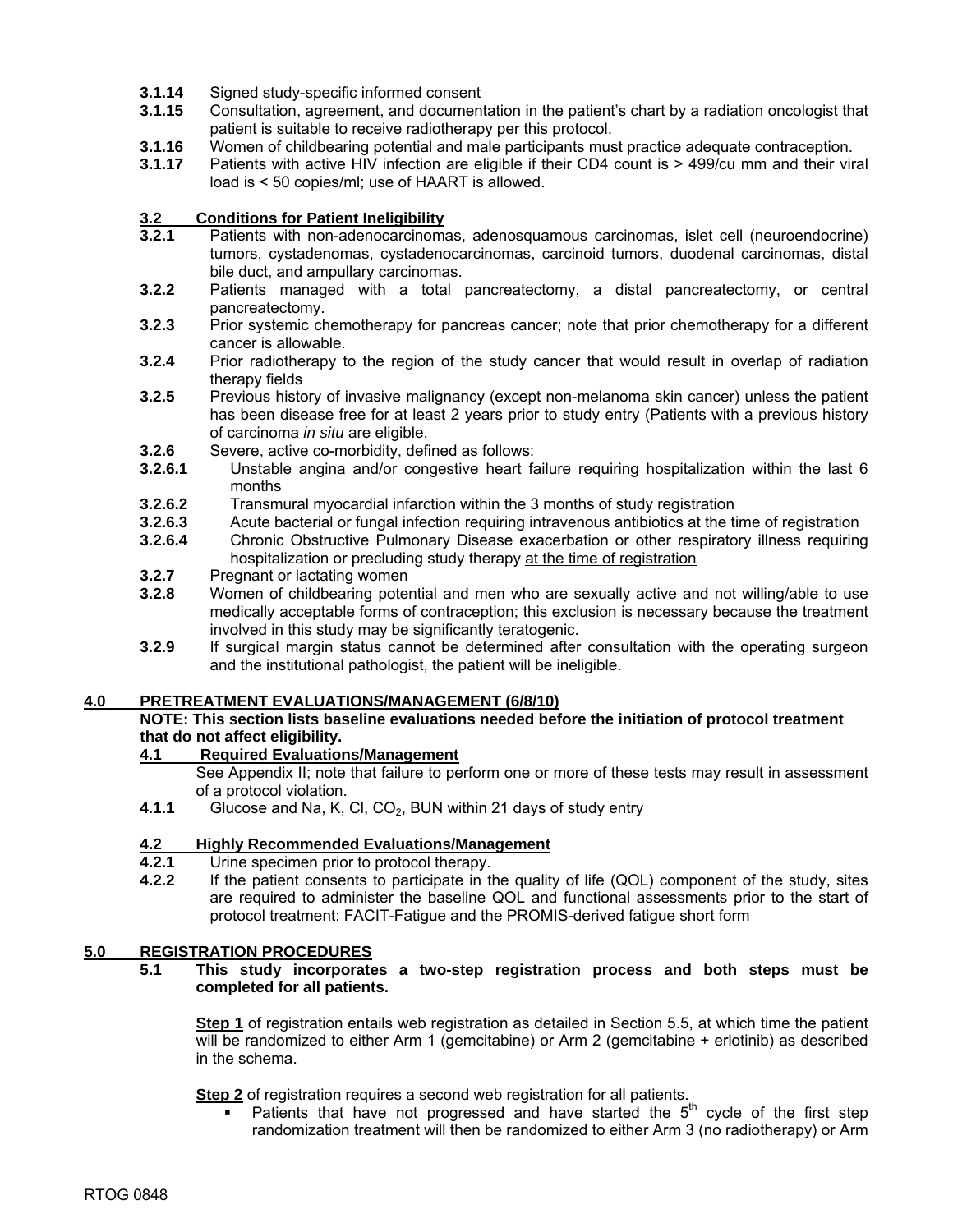- **3.1.14** Signed study-specific informed consent
- **3.1.15** Consultation, agreement, and documentation in the patient's chart by a radiation oncologist that patient is suitable to receive radiotherapy per this protocol.
- **3.1.16** Women of childbearing potential and male participants must practice adequate contraception.
- **3.1.17** Patients with active HIV infection are eligible if their CD4 count is > 499/cu mm and their viral load is < 50 copies/ml; use of HAART is allowed.

# **3.2 Conditions for Patient Ineligibility**

- **3.2.1** Patients with non-adenocarcinomas, adenosquamous carcinomas, islet cell (neuroendocrine) tumors, cystadenomas, cystadenocarcinomas, carcinoid tumors, duodenal carcinomas, distal bile duct, and ampullary carcinomas.
- **3.2.2** Patients managed with a total pancreatectomy, a distal pancreatectomy, or central pancreatectomy.
- **3.2.3** Prior systemic chemotherapy for pancreas cancer; note that prior chemotherapy for a different cancer is allowable.
- **3.2.4** Prior radiotherapy to the region of the study cancer that would result in overlap of radiation therapy fields
- **3.2.5** Previous history of invasive malignancy (except non-melanoma skin cancer) unless the patient has been disease free for at least 2 years prior to study entry (Patients with a previous history of carcinoma *in situ* are eligible.
- **3.2.6** Severe, active co-morbidity, defined as follows:
- **3.2.6.1** Unstable angina and/or congestive heart failure requiring hospitalization within the last 6 months
- **3.2.6.2** Transmural myocardial infarction within the 3 months of study registration
- **3.2.6.3** Acute bacterial or fungal infection requiring intravenous antibiotics at the time of registration
- **3.2.6.4** Chronic Obstructive Pulmonary Disease exacerbation or other respiratory illness requiring hospitalization or precluding study therapy at the time of registration
- **3.2.7** Pregnant or lactating women
- **3.2.8** Women of childbearing potential and men who are sexually active and not willing/able to use medically acceptable forms of contraception; this exclusion is necessary because the treatment involved in this study may be significantly teratogenic.
- **3.2.9** If surgical margin status cannot be determined after consultation with the operating surgeon and the institutional pathologist, the patient will be ineligible.

#### **4.0 PRETREATMENT EVALUATIONS/MANAGEMENT (6/8/10)**

**NOTE: This section lists baseline evaluations needed before the initiation of protocol treatment that do not affect eligibility.** 

#### **4.1 Required Evaluations/Management**

- See Appendix II; note that failure to perform one or more of these tests may result in assessment of a protocol violation.
- **4.1.1** Glucose and Na, K, Cl,  $CO<sub>2</sub>$ , BUN within 21 days of study entry

### **4.2 Highly Recommended Evaluations/Management**

- **4.2.1** Urine specimen prior to protocol therapy.
- **4.2.2** If the patient consents to participate in the quality of life (QOL) component of the study, sites are required to administer the baseline QOL and functional assessments prior to the start of protocol treatment: FACIT-Fatigue and the PROMIS-derived fatigue short form

#### **5.0 REGISTRATION PROCEDURES**

**5.1 This study incorporates a two-step registration process and both steps must be completed for all patients.** 

**Step 1** of registration entails web registration as detailed in Section 5.5, at which time the patient will be randomized to either Arm 1 (gemcitabine) or Arm 2 (gemcitabine + erlotinib) as described in the schema.

**Step 2** of registration requires a second web registration for all patients.

Patients that have not progressed and have started the  $5<sup>th</sup>$  cycle of the first step randomization treatment will then be randomized to either Arm 3 (no radiotherapy) or Arm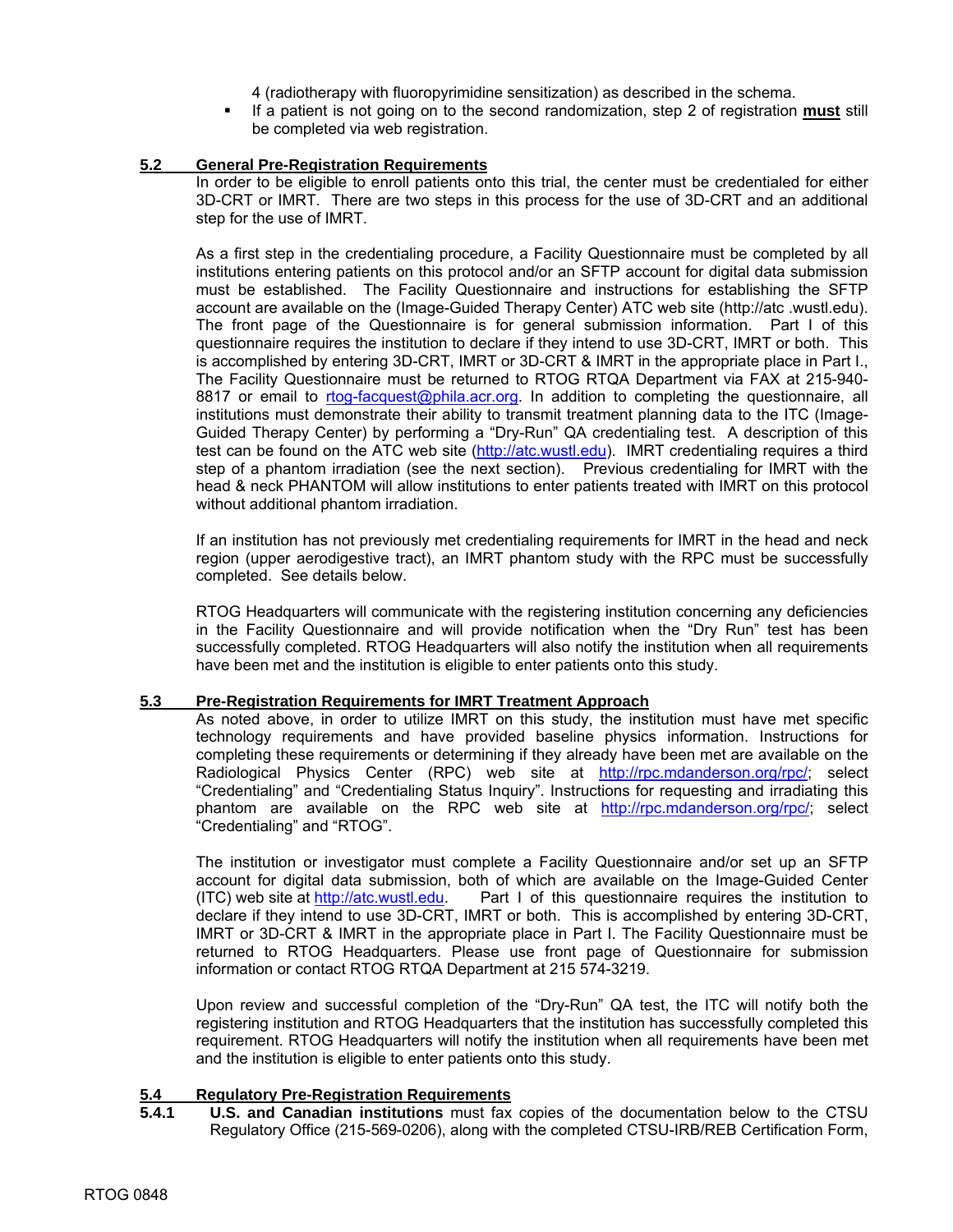- 4 (radiotherapy with fluoropyrimidine sensitization) as described in the schema.
- If a patient is not going on to the second randomization, step 2 of registration **must** still be completed via web registration.

#### **5.2 General Pre-Registration Requirements**

 In order to be eligible to enroll patients onto this trial, the center must be credentialed for either 3D-CRT or IMRT. There are two steps in this process for the use of 3D-CRT and an additional step for the use of IMRT.

As a first step in the credentialing procedure, a Facility Questionnaire must be completed by all institutions entering patients on this protocol and/or an SFTP account for digital data submission must be established. The Facility Questionnaire and instructions for establishing the SFTP account are available on the (Image-Guided Therapy Center) ATC web site ([http://atc .wustl.edu\).](http://atc.wustl.edu)  The front page of the Questionnaire is for general submission information. Part I of this questionnaire requires the institution to declare if they intend to use 3D-CRT, IMRT or both. This is accomplished by entering 3D-CRT, IMRT or 3D-CRT & IMRT in the appropriate place in Part I., The Facility Questionnaire must be returned to RTOG RTQA Department via FAX at 215-940- 8817 or email to rtog[-facquest@phila.acr.org.](mailto:facquest@phila.acr.org) In addition to completing the questionnaire, all institutions must demonstrate their ability to transmit treatment planning data to the ITC (Image-Guided Therapy Center) by performing a "Dry-Run" QA credentialing test. A description of this test can be found on the ATC web site [\(http://atc.wustl.edu](http://atc.wustl.edu)). IMRT credentialing requires a third step of a phantom irradiation (see the next section). Previous credentialing for IMRT with the head & neck PHANTOM will allow institutions to enter patients treated with IMRT on this protocol without additional phantom irradiation.

If an institution has not previously met credentialing requirements for IMRT in the head and neck region (upper aerodigestive tract), an IMRT phantom study with the RPC must be successfully completed. See details below.

RTOG Headquarters will communicate with the registering institution concerning any deficiencies in the Facility Questionnaire and will provide notification when the "Dry Run" test has been successfully completed. RTOG Headquarters will also notify the institution when all requirements have been met and the institution is eligible to enter patients onto this study.

#### **5.3 Pre-Registration Requirements for IMRT Treatment Approach**

As noted above, in order to utilize IMRT on this study, the institution must have met specific technology requirements and have provided baseline physics information. Instructions for completing these requirements or determining if they already have been met are available on the Radiological Physics Center (RPC) web site at <http://rpc.mdanderson.org/rpc>/; select "Credentialing" and "Credentialing Status Inquiry". Instructions for requesting and irradiating this phantom are available on the RPC web site at <http://rpc.mdanderson.org/rpc>/; select "Credentialing" and "RTOG".

The institution or investigator must complete a Facility Questionnaire and/or set up an SFTP account for digital data submission, both of which are available on the Image-Guided Center (ITC) web site at [http://atc.wustl.edu.](http://atc.wustl.edu) Part I of this questionnaire requires the institution to declare if they intend to use 3D-CRT, IMRT or both. This is accomplished by entering 3D-CRT, IMRT or 3D-CRT & IMRT in the appropriate place in Part I. The Facility Questionnaire must be returned to RTOG Headquarters. Please use front page of Questionnaire for submission information or contact RTOG RTQA Department at 215 574-3219.

Upon review and successful completion of the "Dry-Run" QA test, the ITC will notify both the registering institution and RTOG Headquarters that the institution has successfully completed this requirement. RTOG Headquarters will notify the institution when all requirements have been met and the institution is eligible to enter patients onto this study.

#### **5.4 Regulatory Pre-Registration Requirements**

**5.4.1 U.S. and Canadian institutions** must fax copies of the documentation below to the CTSU Regulatory Office (215-569-0206), along with the completed CTSU-IRB/REB Certification Form,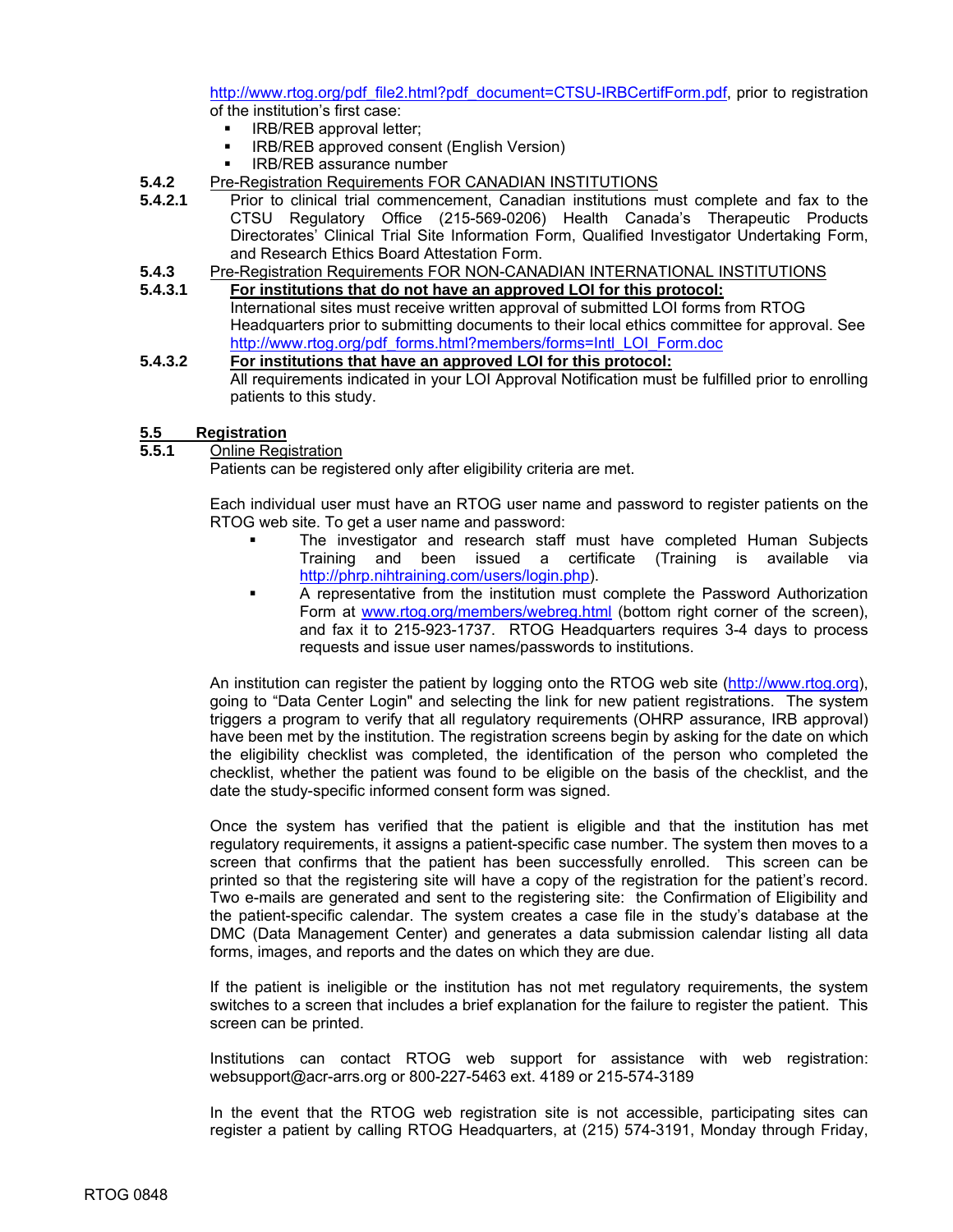[http://www.rtog.org/pdf\\_file2.html?pdf\\_document=CTSU-IRBCertifForm.pdf,](http://www.rtog.org/pdf_file2.html?pdf_document=CTSU-IRBCertifForm.pdf) prior to registration of the institution's first case:

- IRB/REB approval letter;
- **IRB/REB approved consent (English Version)**
- IRB/REB assurance number
- **5.4.2** Pre-Registration Requirements FOR CANADIAN INSTITUTIONS
- **5.4.2.1** Prior to clinical trial commencement, Canadian institutions must complete and fax to the CTSU Regulatory Office (215-569-0206) Health Canada's Therapeutic Products Directorates' Clinical Trial Site Information Form, Qualified Investigator Undertaking Form, and Research Ethics Board Attestation Form.
- **5.4.3** Pre-Registration Requirements FOR NON-CANADIAN INTERNATIONAL INSTITUTIONS
- **5.4.3.1 For institutions that do not have an approved LOI for this protocol:** International sites must receive written approval of submitted LOI forms from RTOG Headquarters prior to submitting documents to their local ethics committee for approval. See [http://www.rtog.org/pdf\\_forms.html?members/forms=Intl\\_LOI\\_Form.doc](http://www.rtog.org/pdf_forms.html?members/forms=Intl_LOI_Form.doc)
- **5.4.3.2 For institutions that have an approved LOI for this protocol:** All requirements indicated in your LOI Approval Notification must be fulfilled prior to enrolling patients to this study.

# **5.5 Registration**

**5.5.1** Online Registration

Patients can be registered only after eligibility criteria are met.

 Each individual user must have an RTOG user name and password to register patients on the RTOG web site. To get a user name and password:

- The investigator and research staff must have completed Human Subjects Training and been issued a certificate (Training is available via [http://phrp.nihtraining.com/users/login.php\).](http://phrp.nihtraining.com/users/login.php)
- A representative from the institution must complete the Password Authorization Form at [www.rtog.org/members/webreg.html \(b](http://www.rtog.org/members/webreg.html)ottom right corner of the screen), and fax it to 215-923-1737. RTOG Headquarters requires 3-4 days to process requests and issue user names/passwords to institutions.

 An institution can register the patient by logging onto the RTOG web site [\(http://www.rtog.org\),](http://www.rtog.org)  going to "Data Center Login" and selecting the link for new patient registrations. The system triggers a program to verify that all regulatory requirements (OHRP assurance, IRB approval) have been met by the institution. The registration screens begin by asking for the date on which the eligibility checklist was completed, the identification of the person who completed the checklist, whether the patient was found to be eligible on the basis of the checklist, and the date the study-specific informed consent form was signed.

 Once the system has verified that the patient is eligible and that the institution has met regulatory requirements, it assigns a patient-specific case number. The system then moves to a screen that confirms that the patient has been successfully enrolled. This screen can be printed so that the registering site will have a copy of the registration for the patient's record. Two e-mails are generated and sent to the registering site: the Confirmation of Eligibility and the patient-specific calendar. The system creates a case file in the study's database at the DMC (Data Management Center) and generates a data submission calendar listing all data forms, images, and reports and the dates on which they are due.

 If the patient is ineligible or the institution has not met regulatory requirements, the system switches to a screen that includes a brief explanation for the failure to register the patient. This screen can be printed.

 Institutions can contact RTOG web support for assistance with web registration: [websupport@acr-arrs.org or](mailto:websupport@acr-arrs.org) 800-227-5463 ext. 4189 or 215-574-3189

 In the event that the RTOG web registration site is not accessible, participating sites can register a patient by calling RTOG Headquarters, at (215) 574-3191, Monday through Friday,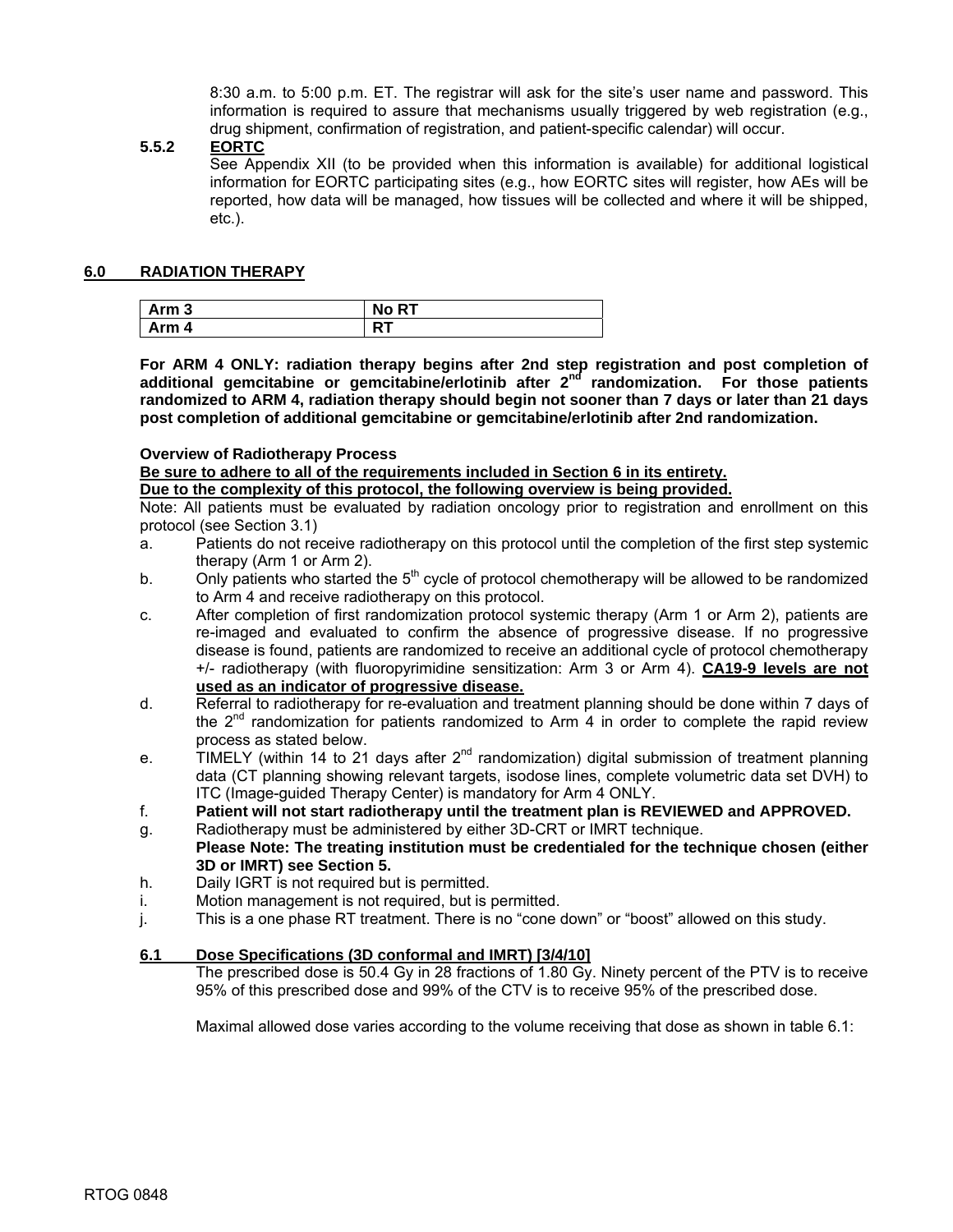8:30 a.m. to 5:00 p.m. ET. The registrar will ask for the site's user name and password. This information is required to assure that mechanisms usually triggered by web registration (e.g., drug shipment, confirmation of registration, and patient-specific calendar) will occur.

### **5.5.2 EORTC**

See Appendix XII (to be provided when this information is available) for additional logistical information for EORTC participating sites (e.g., how EORTC sites will register, how AEs will be reported, how data will be managed, how tissues will be collected and where it will be shipped, etc.).

#### **6.0 RADIATION THERAPY**

| ຶ<br>Arm<br>ು | No<br>-RT |
|---------------|-----------|
| rm            | о         |
| 4             | ÷         |
|               | m         |

**For ARM 4 ONLY: radiation therapy begins after 2nd step registration and post completion of**  additional gemcitabine or gemcitabine/erlotinib after 2<sup>nd</sup> randomization. For those patients **randomized to ARM 4, radiation therapy should begin not sooner than 7 days or later than 21 days post completion of additional gemcitabine or gemcitabine/erlotinib after 2nd randomization.** 

#### **Overview of Radiotherapy Process**

# **Be sure to adhere to all of the requirements included in Section 6 in its entirety.**

**Due to the complexity of this protocol, the following overview is being provided.**

Note: All patients must be evaluated by radiation oncology prior to registration and enrollment on this protocol (see Section 3.1)

- a. Patients do not receive radiotherapy on this protocol until the completion of the first step systemic therapy (Arm 1 or Arm 2).
- b. Only patients who started the  $5<sup>th</sup>$  cycle of protocol chemotherapy will be allowed to be randomized to Arm 4 and receive radiotherapy on this protocol.
- c. After completion of first randomization protocol systemic therapy (Arm 1 or Arm 2), patients are re-imaged and evaluated to confirm the absence of progressive disease. If no progressive disease is found, patients are randomized to receive an additional cycle of protocol chemotherapy +/- radiotherapy (with fluoropyrimidine sensitization: Arm 3 or Arm 4). **CA19-9 levels are not used as an indicator of progressive disease.**
- d. Referral to radiotherapy for re-evaluation and treatment planning should be done within 7 days of the  $2^{nd}$  randomization for patients randomized to Arm 4 in order to complete the rapid review process as stated below.
- e. TIMELY (within 14 to 21 days after  $2^{nd}$  randomization) digital submission of treatment planning data (CT planning showing relevant targets, isodose lines, complete volumetric data set DVH) to ITC (Image-guided Therapy Center) is mandatory for Arm 4 ONLY.
- f. **Patient will not start radiotherapy until the treatment plan is REVIEWED and APPROVED.**
- g. Radiotherapy must be administered by either 3D-CRT or IMRT technique. **Please Note: The treating institution must be credentialed for the technique chosen (either**
- **3D or IMRT) see Section 5.**  h. Daily IGRT is not required but is permitted.
- i. Motion management is not required, but is permitted.
- j. This is a one phase RT treatment. There is no "cone down" or "boost" allowed on this study.

# **6.1 Dose Specifications (3D conformal and IMRT) [3/4/10]**

 The prescribed dose is 50.4 Gy in 28 fractions of 1.80 Gy. Ninety percent of the PTV is to receive 95% of this prescribed dose and 99% of the CTV is to receive 95% of the prescribed dose.

Maximal allowed dose varies according to the volume receiving that dose as shown in table 6.1: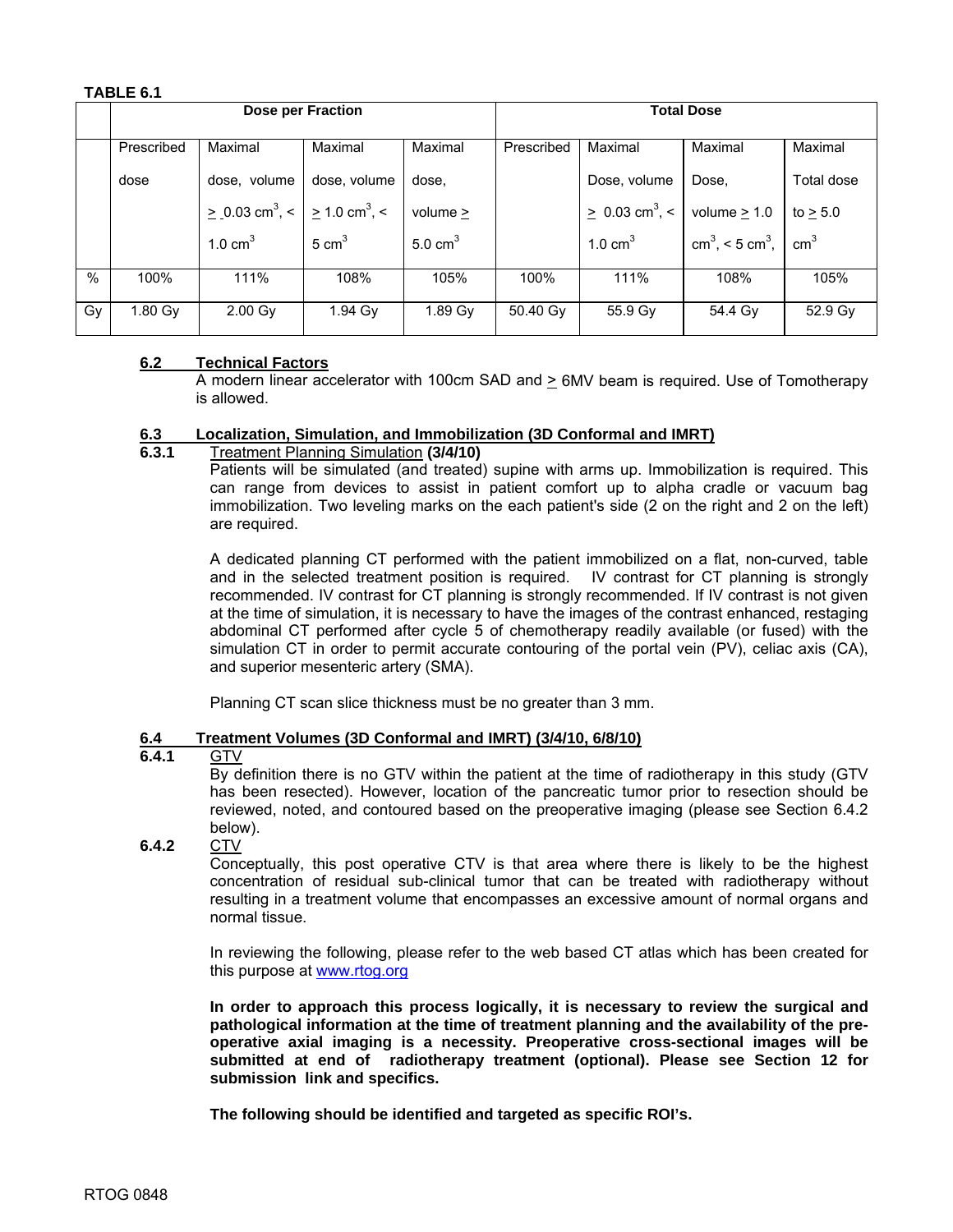#### **TABLE 6.1**

|      | Dose per Fraction |                                                                |                  |                    | <b>Total Dose</b> |                                 |                                |                 |
|------|-------------------|----------------------------------------------------------------|------------------|--------------------|-------------------|---------------------------------|--------------------------------|-----------------|
|      | Prescribed        | Maximal                                                        | Maximal          | Maximal            | Prescribed        | Maximal                         | Maximal                        | Maximal         |
|      | dose              | dose, volume                                                   | dose, volume     | dose.              |                   | Dose, volume                    | Dose.                          | Total dose      |
|      |                   | $\geq$ 0.03 cm <sup>3</sup> , < $\geq$ 1.0 cm <sup>3</sup> , < |                  | volume $\geq$      |                   | $\geq 0.03$ cm <sup>3</sup> , < | volume $> 1.0$                 | to $> 5.0$      |
|      |                   | 1.0 $cm3$                                                      | $5 \text{ cm}^3$ | $5.0 \text{ cm}^3$ |                   | 1.0 $cm3$                       | $cm^3$ , < 5 cm <sup>3</sup> , | cm <sup>3</sup> |
| $\%$ | 100%              | 111%                                                           | 108%             | 105%               | 100%              | 111%                            | 108%                           | 105%            |
| Gy   | 1.80 Gv           | $2.00$ Gy                                                      | 1.94 Gy          | 1.89 Gv            | 50.40 Gv          | 55.9 Gy                         | 54.4 Gv                        | 52.9 Gv         |

#### **6.2 Technical Factors**

A modern linear accelerator with 100cm SAD and  $\geq$  6MV beam is required. Use of Tomotherapy is allowed.

#### **6.3 Localization, Simulation, and Immobilization (3D Conformal and IMRT)**

#### **6.3.1** Treatment Planning Simulation **(3/4/10)**

Patients will be simulated (and treated) supine with arms up. Immobilization is required. This can range from devices to assist in patient comfort up to alpha cradle or vacuum bag immobilization. Two leveling marks on the each patient's side (2 on the right and 2 on the left) are required.

A dedicated planning CT performed with the patient immobilized on a flat, non-curved, table and in the selected treatment position is required. IV contrast for CT planning is strongly recommended. IV contrast for CT planning is strongly recommended. If IV contrast is not given at the time of simulation, it is necessary to have the images of the contrast enhanced, restaging abdominal CT performed after cycle 5 of chemotherapy readily available (or fused) with the simulation CT in order to permit accurate contouring of the portal vein (PV), celiac axis (CA), and superior mesenteric artery (SMA).

Planning CT scan slice thickness must be no greater than 3 mm.

# **6.4 Treatment Volumes (3D Conformal and IMRT) (3/4/10, 6/8/10)**

**6.4.1** GTV

By definition there is no GTV within the patient at the time of radiotherapy in this study (GTV has been resected). However, location of the pancreatic tumor prior to resection should be reviewed, noted, and contoured based on the preoperative imaging (please see Section 6.4.2 below).

**6.4.2** CTV

Conceptually, this post operative CTV is that area where there is likely to be the highest concentration of residual sub-clinical tumor that can be treated with radiotherapy without resulting in a treatment volume that encompasses an excessive amount of normal organs and normal tissue.

In reviewing the following, please refer to the web based CT atlas which has been created for this purpose at [www.rtog.org](http://www.rtog.org)

**In order to approach this process logically, it is necessary to review the surgical and pathological information at the time of treatment planning and the availability of the preoperative axial imaging is a necessity. Preoperative cross-sectional images will be submitted at end of radiotherapy treatment (optional). Please see Section 12 for submission link and specifics.** 

**The following should be identified and targeted as specific ROI's.**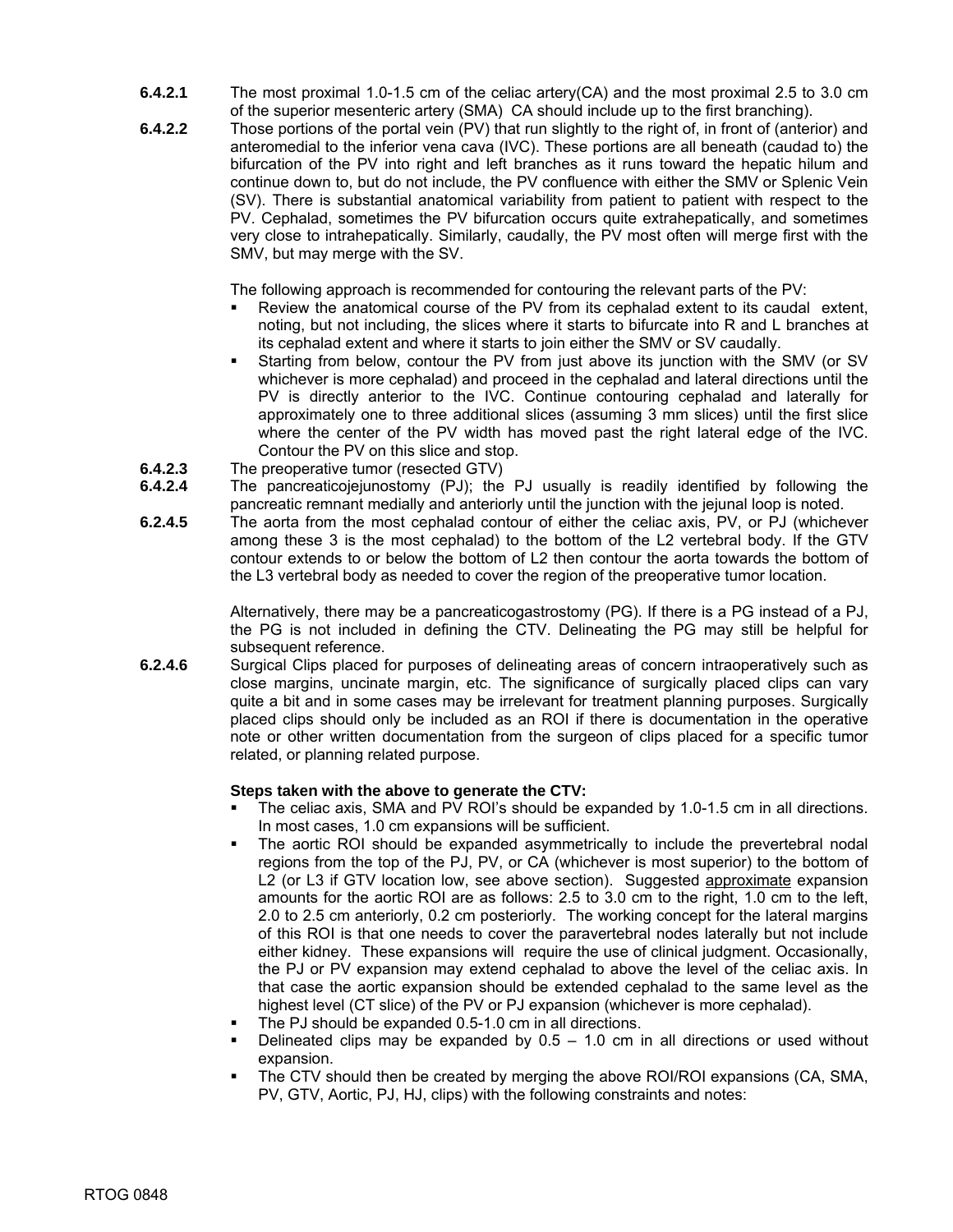- **6.4.2.1** The most proximal 1.0-1.5 cm of the celiac artery(CA) and the most proximal 2.5 to 3.0 cm of the superior mesenteric artery (SMA) CA should include up to the first branching).
- **6.4.2.2** Those portions of the portal vein (PV) that run slightly to the right of, in front of (anterior) and anteromedial to the inferior vena cava (IVC). These portions are all beneath (caudad to) the bifurcation of the PV into right and left branches as it runs toward the hepatic hilum and continue down to, but do not include, the PV confluence with either the SMV or Splenic Vein (SV). There is substantial anatomical variability from patient to patient with respect to the PV. Cephalad, sometimes the PV bifurcation occurs quite extrahepatically, and sometimes very close to intrahepatically. Similarly, caudally, the PV most often will merge first with the SMV, but may merge with the SV.

The following approach is recommended for contouring the relevant parts of the PV:

- Review the anatomical course of the PV from its cephalad extent to its caudal extent, noting, but not including, the slices where it starts to bifurcate into R and L branches at its cephalad extent and where it starts to join either the SMV or SV caudally.
- Starting from below, contour the PV from just above its junction with the SMV (or SV whichever is more cephalad) and proceed in the cephalad and lateral directions until the PV is directly anterior to the IVC. Continue contouring cephalad and laterally for approximately one to three additional slices (assuming 3 mm slices) until the first slice where the center of the PV width has moved past the right lateral edge of the IVC. Contour the PV on this slice and stop.
- **6.4.2.3** The preoperative tumor (resected GTV)
- **6.4.2.4** The pancreaticojejunostomy (PJ); the PJ usually is readily identified by following the pancreatic remnant medially and anteriorly until the junction with the jejunal loop is noted.
- **6.2.4.5** The aorta from the most cephalad contour of either the celiac axis, PV, or PJ (whichever among these 3 is the most cephalad) to the bottom of the L2 vertebral body. If the GTV contour extends to or below the bottom of L2 then contour the aorta towards the bottom of the L3 vertebral body as needed to cover the region of the preoperative tumor location.

Alternatively, there may be a pancreaticogastrostomy (PG). If there is a PG instead of a PJ, the PG is not included in defining the CTV. Delineating the PG may still be helpful for subsequent reference.

**6.2.4.6** Surgical Clips placed for purposes of delineating areas of concern intraoperatively such as close margins, uncinate margin, etc. The significance of surgically placed clips can vary quite a bit and in some cases may be irrelevant for treatment planning purposes. Surgically placed clips should only be included as an ROI if there is documentation in the operative note or other written documentation from the surgeon of clips placed for a specific tumor related, or planning related purpose.

#### **Steps taken with the above to generate the CTV:**

- The celiac axis, SMA and PV ROI's should be expanded by 1.0-1.5 cm in all directions. In most cases, 1.0 cm expansions will be sufficient.
- The aortic ROI should be expanded asymmetrically to include the prevertebral nodal regions from the top of the PJ, PV, or CA (whichever is most superior) to the bottom of L2 (or L3 if GTV location low, see above section). Suggested approximate expansion amounts for the aortic ROI are as follows: 2.5 to 3.0 cm to the right, 1.0 cm to the left, 2.0 to 2.5 cm anteriorly, 0.2 cm posteriorly. The working concept for the lateral margins of this ROI is that one needs to cover the paravertebral nodes laterally but not include either kidney. These expansions will require the use of clinical judgment. Occasionally, the PJ or PV expansion may extend cephalad to above the level of the celiac axis. In that case the aortic expansion should be extended cephalad to the same level as the highest level (CT slice) of the PV or PJ expansion (whichever is more cephalad).
- The PJ should be expanded 0.5-1.0 cm in all directions.
- Delineated clips may be expanded by  $0.5 1.0$  cm in all directions or used without expansion.
- The CTV should then be created by merging the above ROI/ROI expansions (CA, SMA, PV, GTV, Aortic, PJ, HJ, clips) with the following constraints and notes: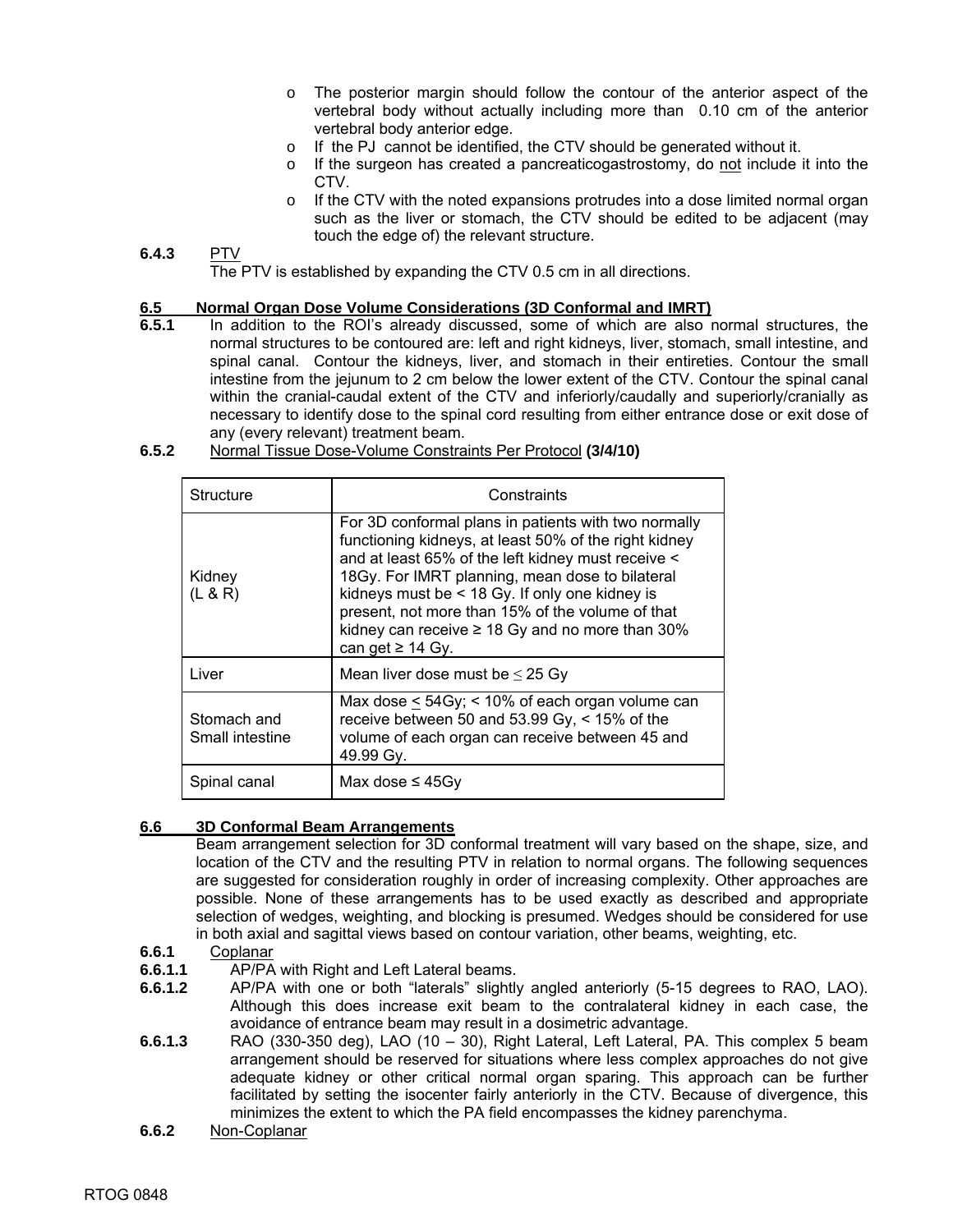- o The posterior margin should follow the contour of the anterior aspect of the vertebral body without actually including more than 0.10 cm of the anterior vertebral body anterior edge.
- If the PJ cannot be identified, the CTV should be generated without it.
- $\circ$  If the surgeon has created a pancreaticogastrostomy, do not include it into the CTV.
- If the CTV with the noted expansions protrudes into a dose limited normal organ such as the liver or stomach, the CTV should be edited to be adjacent (may touch the edge of) the relevant structure.

### **6.4.3** PTV

The PTV is established by expanding the CTV 0.5 cm in all directions.

### **6.5 Normal Organ Dose Volume Considerations (3D Conformal and IMRT)**

**6.5.1** In addition to the ROI's already discussed, some of which are also normal structures, the normal structures to be contoured are: left and right kidneys, liver, stomach, small intestine, and spinal canal. Contour the kidneys, liver, and stomach in their entireties. Contour the small intestine from the jejunum to 2 cm below the lower extent of the CTV. Contour the spinal canal within the cranial-caudal extent of the CTV and inferiorly/caudally and superiorly/cranially as necessary to identify dose to the spinal cord resulting from either entrance dose or exit dose of any (every relevant) treatment beam.

| <b>Structure</b>               | Constraints                                                                                                                                                                                                                                                                                                                                                                                                   |
|--------------------------------|---------------------------------------------------------------------------------------------------------------------------------------------------------------------------------------------------------------------------------------------------------------------------------------------------------------------------------------------------------------------------------------------------------------|
| Kidney<br>(L & R)              | For 3D conformal plans in patients with two normally<br>functioning kidneys, at least 50% of the right kidney<br>and at least 65% of the left kidney must receive <<br>18Gy. For IMRT planning, mean dose to bilateral<br>kidneys must be < 18 Gy. If only one kidney is<br>present, not more than 15% of the volume of that<br>kidney can receive $\geq$ 18 Gy and no more than 30%<br>can get $\geq$ 14 Gy. |
| Liver                          | Mean liver dose must be $\leq$ 25 Gy                                                                                                                                                                                                                                                                                                                                                                          |
| Stomach and<br>Small intestine | Max dose $\leq$ 54Gy; $\leq$ 10% of each organ volume can<br>receive between 50 and 53.99 Gy, $<$ 15% of the<br>volume of each organ can receive between 45 and<br>49.99 Gy.                                                                                                                                                                                                                                  |
| Spinal canal                   | Max dose $\leq$ 45Gy                                                                                                                                                                                                                                                                                                                                                                                          |

**6.5.2** Normal Tissue Dose-Volume Constraints Per Protocol **(3/4/10)** 

# **6.6 3D Conformal Beam Arrangements**

Beam arrangement selection for 3D conformal treatment will vary based on the shape, size, and location of the CTV and the resulting PTV in relation to normal organs. The following sequences are suggested for consideration roughly in order of increasing complexity. Other approaches are possible. None of these arrangements has to be used exactly as described and appropriate selection of wedges, weighting, and blocking is presumed. Wedges should be considered for use in both axial and sagittal views based on contour variation, other beams, weighting, etc.

# **6.6.1** Coplanar

- **6.6.1.1** AP/PA with Right and Left Lateral beams.
- **6.6.1.2** AP/PA with one or both "laterals" slightly angled anteriorly (5-15 degrees to RAO, LAO). Although this does increase exit beam to the contralateral kidney in each case, the avoidance of entrance beam may result in a dosimetric advantage.
- **6.6.1.3** RAO (330-350 deg), LAO (10 30), Right Lateral, Left Lateral, PA. This complex 5 beam arrangement should be reserved for situations where less complex approaches do not give adequate kidney or other critical normal organ sparing. This approach can be further facilitated by setting the isocenter fairly anteriorly in the CTV. Because of divergence, this minimizes the extent to which the PA field encompasses the kidney parenchyma.
- **6.6.2** Non-Coplanar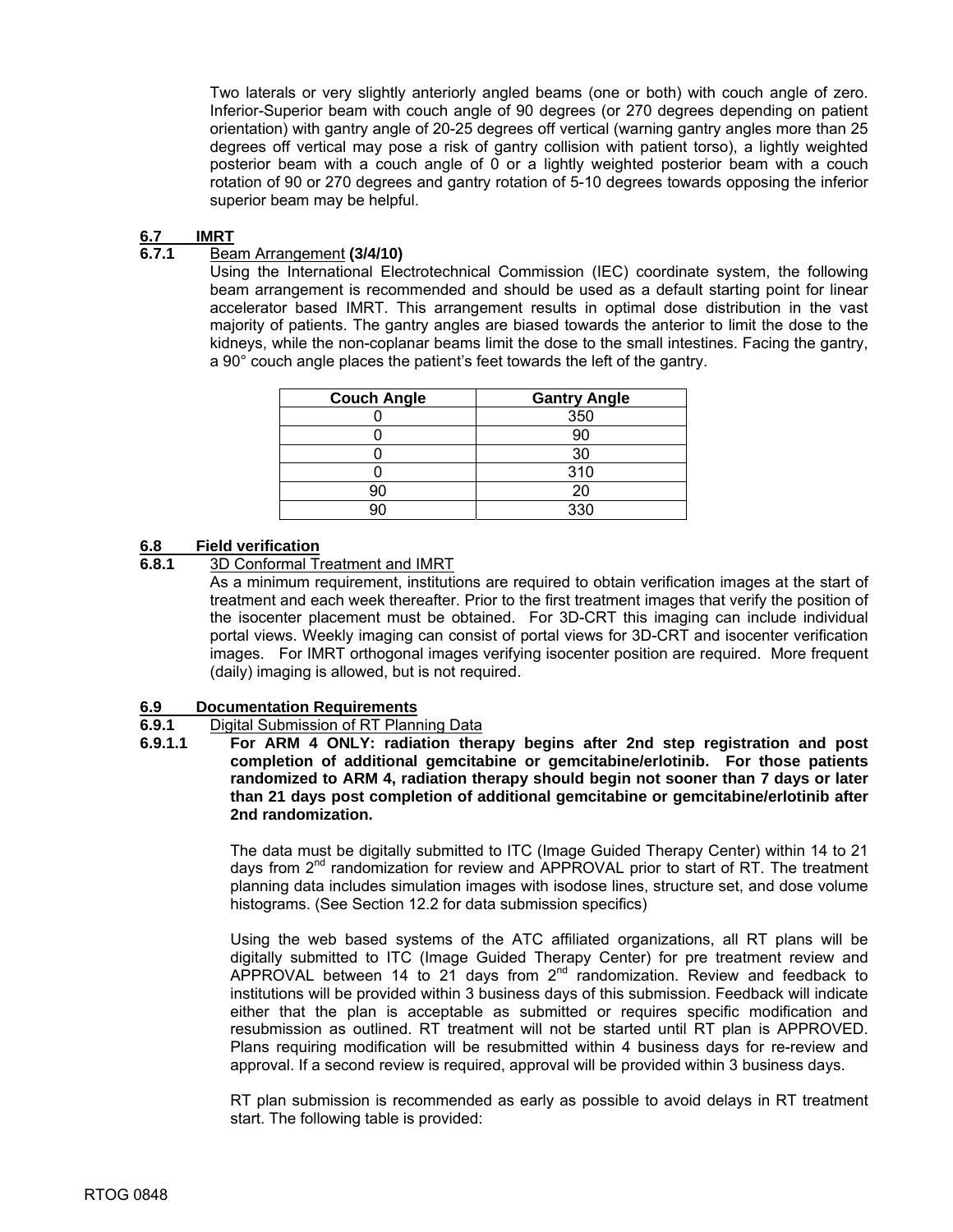Two laterals or very slightly anteriorly angled beams (one or both) with couch angle of zero. Inferior-Superior beam with couch angle of 90 degrees (or 270 degrees depending on patient orientation) with gantry angle of 20-25 degrees off vertical (warning gantry angles more than 25 degrees off vertical may pose a risk of gantry collision with patient torso), a lightly weighted posterior beam with a couch angle of 0 or a lightly weighted posterior beam with a couch rotation of 90 or 270 degrees and gantry rotation of 5-10 degrees towards opposing the inferior superior beam may be helpful.

# **6.7 IMRT**

#### **6.7.1** Beam Arrangement **(3/4/10)**

 Using the International Electrotechnical Commission (IEC) coordinate system, the following beam arrangement is recommended and should be used as a default starting point for linear accelerator based IMRT. This arrangement results in optimal dose distribution in the vast majority of patients. The gantry angles are biased towards the anterior to limit the dose to the kidneys, while the non-coplanar beams limit the dose to the small intestines. Facing the gantry, a 90° couch angle places the patient's feet towards the left of the gantry.

| <b>Couch Angle</b> | <b>Gantry Angle</b> |
|--------------------|---------------------|
|                    | 350                 |
|                    | 90                  |
|                    | 30                  |
|                    | 310                 |
|                    | 20                  |
|                    | 330                 |

#### **6.8 Field verification**

**6.8.1** 3D Conformal Treatment and IMRT

As a minimum requirement, institutions are required to obtain verification images at the start of treatment and each week thereafter. Prior to the first treatment images that verify the position of the isocenter placement must be obtained. For 3D-CRT this imaging can include individual portal views. Weekly imaging can consist of portal views for 3D-CRT and isocenter verification images. For IMRT orthogonal images verifying isocenter position are required. More frequent (daily) imaging is allowed, but is not required.

### **6.9 Documentation Requirements**

- **6.9.1** Digital Submission of RT Planning Data
- **6.9.1.1 For ARM 4 ONLY: radiation therapy begins after 2nd step registration and post completion of additional gemcitabine or gemcitabine/erlotinib. For those patients randomized to ARM 4, radiation therapy should begin not sooner than 7 days or later than 21 days post completion of additional gemcitabine or gemcitabine/erlotinib after 2nd randomization.**

The data must be digitally submitted to ITC (Image Guided Therapy Center) within 14 to 21 days from  $2<sup>nd</sup>$  randomization for review and APPROVAL prior to start of RT. The treatment planning data includes simulation images with isodose lines, structure set, and dose volume histograms. (See Section 12.2 for data submission specifics)

Using the web based systems of the ATC affiliated organizations, all RT plans will be digitally submitted to ITC (Image Guided Therapy Center) for pre treatment review and APPROVAL between 14 to 21 days from  $2<sup>nd</sup>$  randomization. Review and feedback to institutions will be provided within 3 business days of this submission. Feedback will indicate either that the plan is acceptable as submitted or requires specific modification and resubmission as outlined. RT treatment will not be started until RT plan is APPROVED. Plans requiring modification will be resubmitted within 4 business days for re-review and approval. If a second review is required, approval will be provided within 3 business days.

RT plan submission is recommended as early as possible to avoid delays in RT treatment start. The following table is provided: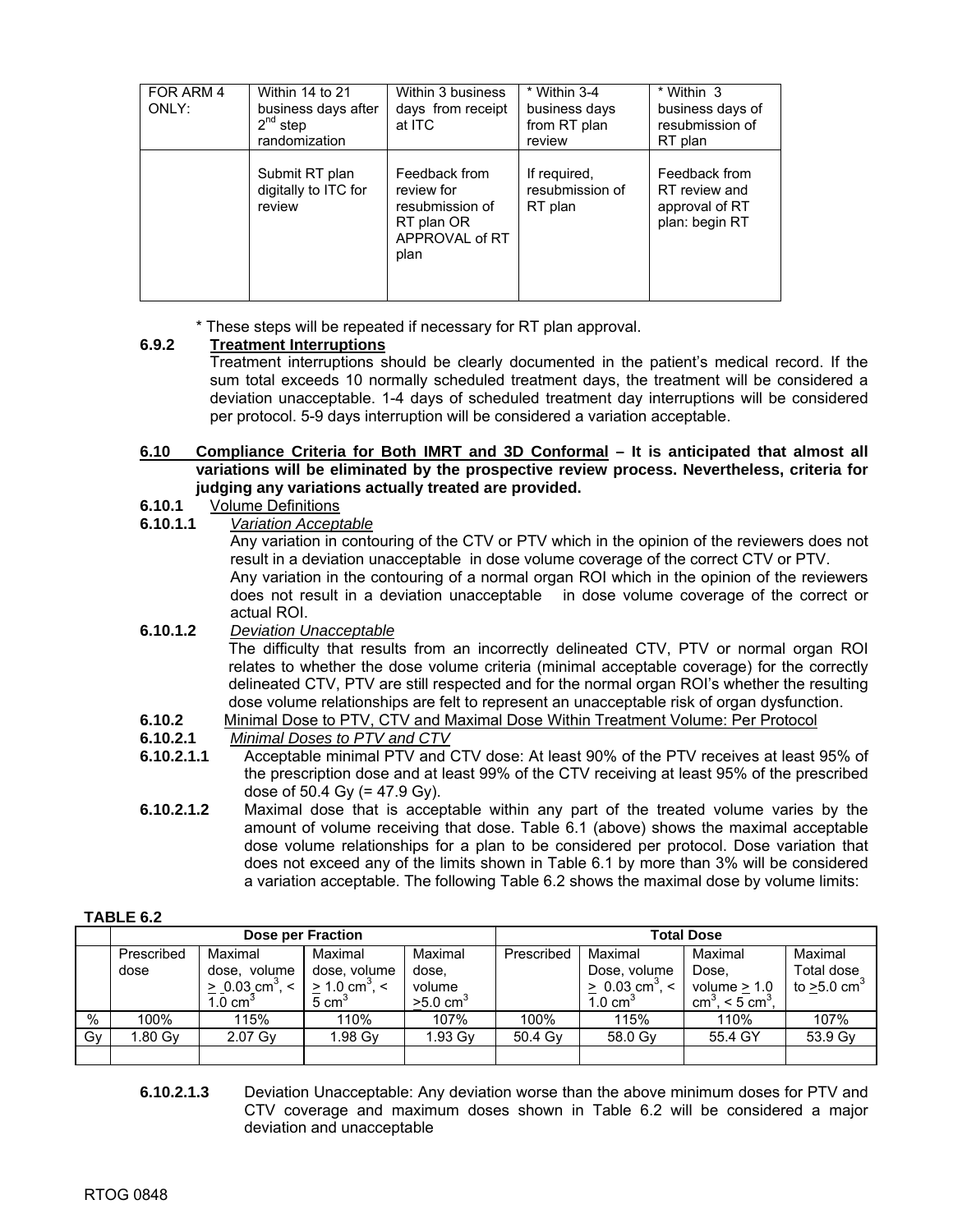| FOR ARM 4<br>ONLY: | Within 14 to 21<br>business days after<br>$2^{nd}$ step<br>randomization | Within 3 business<br>days from receipt<br>at ITC                                       | * Within 3-4<br>business days<br>from RT plan<br>review | * Within 3<br>business days of<br>resubmission of<br>RT plan       |
|--------------------|--------------------------------------------------------------------------|----------------------------------------------------------------------------------------|---------------------------------------------------------|--------------------------------------------------------------------|
|                    | Submit RT plan<br>digitally to ITC for<br>review                         | Feedback from<br>review for<br>resubmission of<br>RT plan OR<br>APPROVAL of RT<br>plan | If required,<br>resubmission of<br>RT plan              | Feedback from<br>RT review and<br>approval of RT<br>plan: begin RT |

\* These steps will be repeated if necessary for RT plan approval.

### **6.9.2 Treatment Interruptions**

Treatment interruptions should be clearly documented in the patient's medical record. If the sum total exceeds 10 normally scheduled treatment days, the treatment will be considered a deviation unacceptable. 1-4 days of scheduled treatment day interruptions will be considered per protocol. 5-9 days interruption will be considered a variation acceptable.

#### **6.10 Compliance Criteria for Both IMRT and 3D Conformal – It is anticipated that almost all variations will be eliminated by the prospective review process. Nevertheless, criteria for judging any variations actually treated are provided.**

# **6.10.1** Volume Definitions

**6.10.1.1** *Variation Acceptable*

Any variation in contouring of the CTV or PTV which in the opinion of the reviewers does not result in a deviation unacceptable in dose volume coverage of the correct CTV or PTV. Any variation in the contouring of a normal organ ROI which in the opinion of the reviewers does not result in a deviation unacceptable in dose volume coverage of the correct or actual ROI.

# **6.10.1.2** *Deviation Unacceptable*

The difficulty that results from an incorrectly delineated CTV, PTV or normal organ ROI relates to whether the dose volume criteria (minimal acceptable coverage) for the correctly delineated CTV, PTV are still respected and for the normal organ ROI's whether the resulting dose volume relationships are felt to represent an unacceptable risk of organ dysfunction.

- **6.10.2** Minimal Dose to PTV, CTV and Maximal Dose Within Treatment Volume: Per Protocol
- **6.10.2.1** *Minimal Doses to PTV and CTV*
- **6.10.2.1.1** Acceptable minimal PTV and CTV dose: At least 90% of the PTV receives at least 95% of the prescription dose and at least 99% of the CTV receiving at least 95% of the prescribed dose of 50.4 Gy  $(= 47.9 \text{ Gy})$ .
- **6.10.2.1.2** Maximal dose that is acceptable within any part of the treated volume varies by the amount of volume receiving that dose. Table 6.1 (above) shows the maximal acceptable dose volume relationships for a plan to be considered per protocol. Dose variation that does not exceed any of the limits shown in Table 6.1 by more than 3% will be considered a variation acceptable. The following Table 6.2 shows the maximal dose by volume limits:

#### **TABLE 6.2**

|      | Dose per Fraction  |                                                                         |                                                                            |                                                      | <b>Total Dose</b> |                                                                         |                                                                      |                                                    |
|------|--------------------|-------------------------------------------------------------------------|----------------------------------------------------------------------------|------------------------------------------------------|-------------------|-------------------------------------------------------------------------|----------------------------------------------------------------------|----------------------------------------------------|
|      | Prescribed<br>dose | Maximal<br>dose, volume<br>$\geq$ 0.03 cm <sup>3</sup> , <<br>1.0 $cm3$ | Maximal<br>dose, volume<br>$> 1.0$ cm <sup>3</sup> . <<br>$5 \text{ cm}^3$ | Maximal<br>dose,<br>volume<br>$>5.0$ cm <sup>3</sup> | Prescribed        | Maximal<br>Dose, volume<br>$\geq$ 0.03 cm <sup>3</sup> , <<br>1.0 $cm3$ | Maximal<br>Dose.<br>volume $> 1.0$<br>$cm^3$ , < 5 cm <sup>3</sup> , | Maximal<br>Total dose<br>to $>5.0$ cm <sup>3</sup> |
| $\%$ | 100%               | 115%                                                                    | 110%                                                                       | 107%                                                 | 100%              | 115%                                                                    | 110%                                                                 | 107%                                               |
| Gv   | 1.80 Gv            | 2.07 Gy                                                                 | 1.98 Gv                                                                    | 1.93 Gv                                              | 50.4 Gv           | 58.0 Gv                                                                 | 55.4 GY                                                              | 53.9 Gy                                            |
|      |                    |                                                                         |                                                                            |                                                      |                   |                                                                         |                                                                      |                                                    |

#### **6.10.2.1.3** Deviation Unacceptable: Any deviation worse than the above minimum doses for PTV and CTV coverage and maximum doses shown in Table 6.2 will be considered a major deviation and unacceptable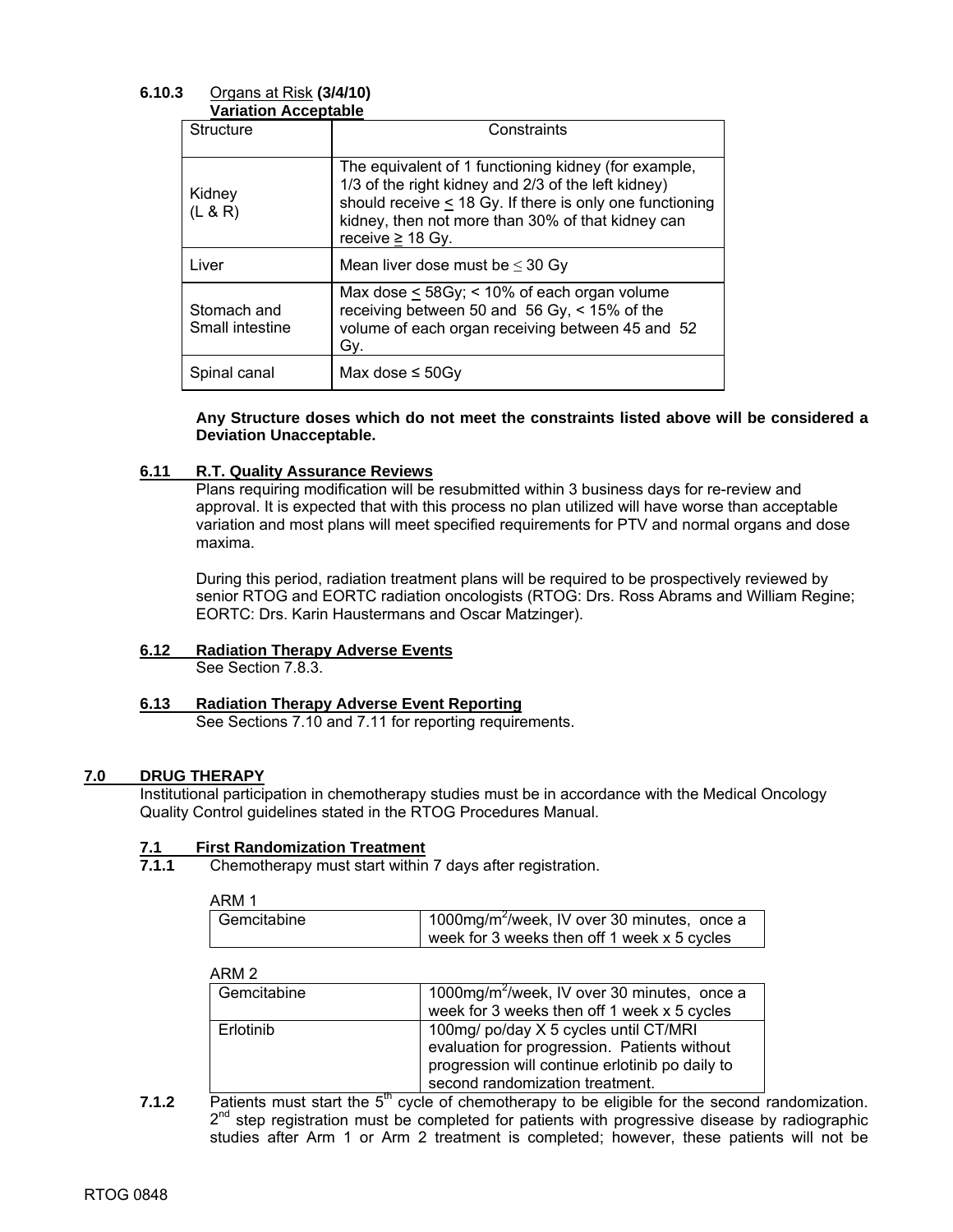#### **6.10.3** Organs at Risk **(3/4/10) Variation Acceptable**

| <b>Valiation Acceptable</b>    |                                                                                                                                                                                                                                                            |
|--------------------------------|------------------------------------------------------------------------------------------------------------------------------------------------------------------------------------------------------------------------------------------------------------|
| <b>Structure</b>               | Constraints                                                                                                                                                                                                                                                |
| Kidney<br>(L & R)              | The equivalent of 1 functioning kidney (for example,<br>1/3 of the right kidney and 2/3 of the left kidney)<br>should receive $\leq$ 18 Gy. If there is only one functioning<br>kidney, then not more than 30% of that kidney can<br>receive $\geq$ 18 Gy. |
| Liver                          | Mean liver dose must be $\leq$ 30 Gy                                                                                                                                                                                                                       |
| Stomach and<br>Small intestine | Max dose $\leq$ 58Gy; < 10% of each organ volume<br>receiving between 50 and 56 Gy, < 15% of the<br>volume of each organ receiving between 45 and 52<br>Gy.                                                                                                |
| Spinal canal                   | Max dose $\leq$ 50Gy                                                                                                                                                                                                                                       |

#### **Any Structure doses which do not meet the constraints listed above will be considered a Deviation Unacceptable.**

# **6.11 R.T. Quality Assurance Reviews**

Plans requiring modification will be resubmitted within 3 business days for re-review and approval. It is expected that with this process no plan utilized will have worse than acceptable variation and most plans will meet specified requirements for PTV and normal organs and dose maxima.

During this period, radiation treatment plans will be required to be prospectively reviewed by senior RTOG and EORTC radiation oncologists (RTOG: Drs. Ross Abrams and William Regine; EORTC: Drs. Karin Haustermans and Oscar Matzinger).

# **6.12 Radiation Therapy Adverse Events**

See Section 7.8.3.

#### **6.13 Radiation Therapy Adverse Event Reporting**

See Sections 7.10 and 7.11 for reporting requirements.

#### **7.0 DRUG THERAPY**

Institutional participation in chemotherapy studies must be in accordance with the Medical Oncology Quality Control guidelines stated in the RTOG Procedures Manual.

#### **7.1 First Randomization Treatment**

**7.1.1** Chemotherapy must start within 7 days after registration.

ARM 1

| Gemcitabine | 1000mg/m <sup>2</sup> /week, IV over 30 minutes, once a |
|-------------|---------------------------------------------------------|
|             | week for 3 weeks then off 1 week x 5 cycles             |

#### ARM 2

| Gemcitabine              | 1000mg/m <sup>2</sup> /week, IV over 30 minutes, once a<br>week for 3 weeks then off 1 week x 5 cycles                                                                      |
|--------------------------|-----------------------------------------------------------------------------------------------------------------------------------------------------------------------------|
| Erlotinib                | 100mg/ po/day X 5 cycles until CT/MRI<br>evaluation for progression. Patients without<br>progression will continue erlotinib po daily to<br>second randomization treatment. |
| $\overline{\phantom{a}}$ |                                                                                                                                                                             |

**7.1.2** Patients must start the 5<sup>th</sup> cycle of chemotherapy to be eligible for the second randomization.  $2^{nd}$  step registration must be completed for patients with progressive disease by radiographic studies after Arm 1 or Arm 2 treatment is completed; however, these patients will not be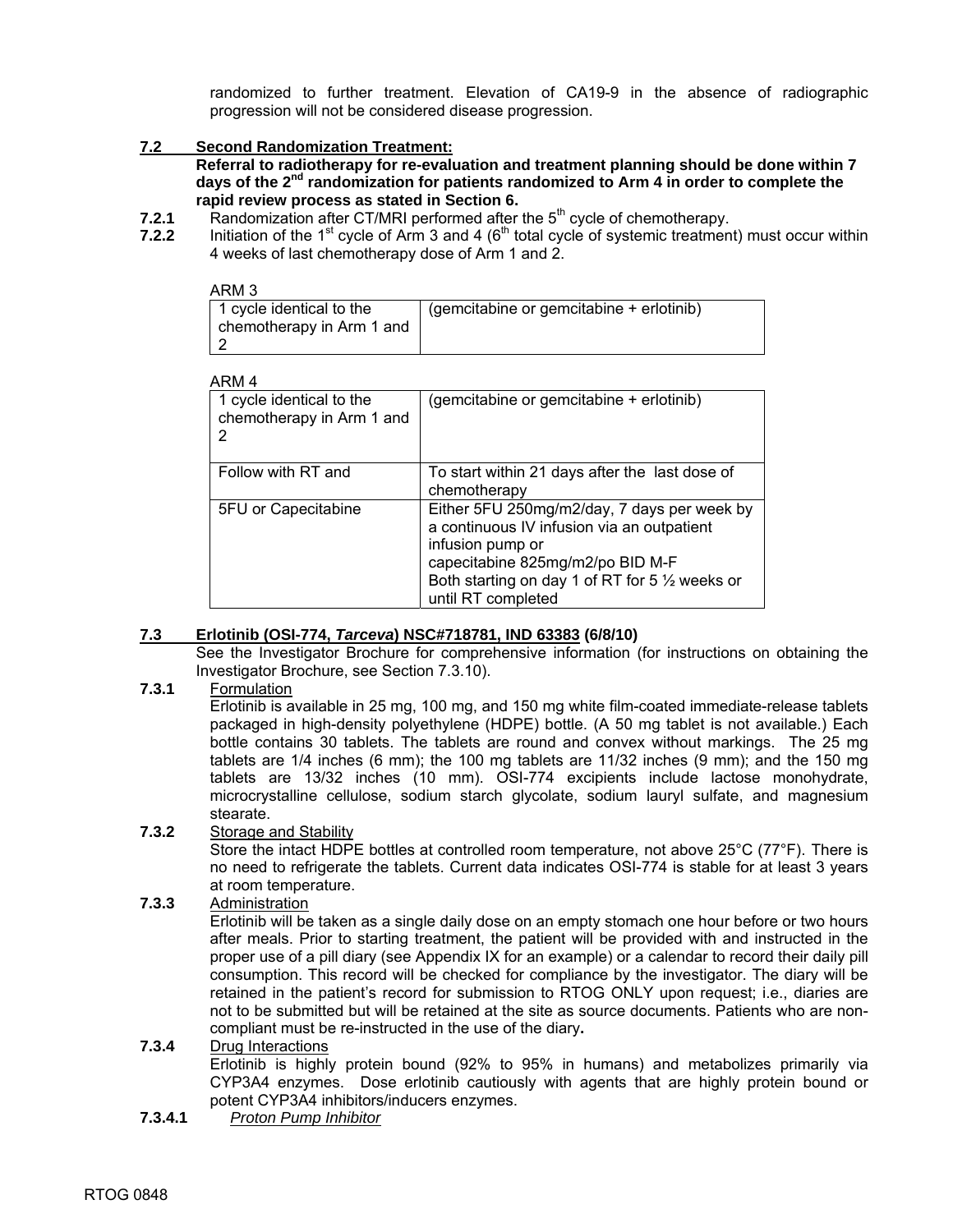randomized to further treatment. Elevation of CA19-9 in the absence of radiographic progression will not be considered disease progression.

### **7.2 Second Randomization Treatment:**

**Referral to radiotherapy for re-evaluation and treatment planning should be done within 7**  days of the 2<sup>nd</sup> randomization for patients randomized to Arm 4 in order to complete the **rapid review process as stated in Section 6.** 

- **7.2.1** Randomization after CT/MRI performed after the 5<sup>th</sup> cycle of chemotherapy.
- **7.2.2** Initiation of the 1<sup>st</sup> cycle of Arm 3 and 4 (6<sup>th</sup> total cycle of systemic treatment) must occur within 4 weeks of last chemotherapy dose of Arm 1 and 2.

#### ARM 3

| . <del>.</del>            |                                          |
|---------------------------|------------------------------------------|
| 1 cycle identical to the  | (gemcitabine or gemcitabine + erlotinib) |
| chemotherapy in Arm 1 and |                                          |
|                           |                                          |

# ARM 4

| $\sqrt{111117}$                                            |                                                                                                               |
|------------------------------------------------------------|---------------------------------------------------------------------------------------------------------------|
| 1 cycle identical to the<br>chemotherapy in Arm 1 and<br>2 | (gemcitabine or gemcitabine + erlotinib)                                                                      |
| Follow with RT and                                         | To start within 21 days after the last dose of                                                                |
|                                                            | chemotherapy                                                                                                  |
| 5FU or Capecitabine                                        | Either 5FU 250mg/m2/day, 7 days per week by<br>a continuous IV infusion via an outpatient<br>infusion pump or |
|                                                            | capecitabine 825mg/m2/po BID M-F                                                                              |
|                                                            | Both starting on day 1 of RT for 5 1/2 weeks or                                                               |
|                                                            | until RT completed                                                                                            |

# **7.3 Erlotinib (OSI-774,** *Tarceva***) NSC#718781, IND 63383 (6/8/10)**

See the Investigator Brochure for comprehensive information (for instructions on obtaining the Investigator Brochure, see Section 7.3.10).

# **7.3.1** Formulation

Erlotinib is available in 25 mg, 100 mg, and 150 mg white film-coated immediate-release tablets packaged in high-density polyethylene (HDPE) bottle. (A 50 mg tablet is not available.) Each bottle contains 30 tablets. The tablets are round and convex without markings. The 25 mg tablets are 1/4 inches (6 mm); the 100 mg tablets are 11/32 inches (9 mm); and the 150 mg tablets are 13/32 inches (10 mm). OSI-774 excipients include lactose monohydrate, microcrystalline cellulose, sodium starch glycolate, sodium lauryl sulfate, and magnesium stearate.

# **7.3.2** Storage and Stability

Store the intact HDPE bottles at controlled room temperature, not above 25°C (77°F). There is no need to refrigerate the tablets. Current data indicates OSI-774 is stable for at least 3 years at room temperature.

# **7.3.3** Administration

Erlotinib will be taken as a single daily dose on an empty stomach one hour before or two hours after meals. Prior to starting treatment, the patient will be provided with and instructed in the proper use of a pill diary (see Appendix IX for an example) or a calendar to record their daily pill consumption. This record will be checked for compliance by the investigator. The diary will be retained in the patient's record for submission to RTOG ONLY upon request; i.e., diaries are not to be submitted but will be retained at the site as source documents. Patients who are noncompliant must be re-instructed in the use of the diary**.** 

# **7.3.4** Drug Interactions Erlotinib is highly protein bound (92% to 95% in humans) and metabolizes primarily via CYP3A4 enzymes. Dose erlotinib cautiously with agents that are highly protein bound or potent CYP3A4 inhibitors/inducers enzymes.

**7.3.4.1** *Proton Pump Inhibitor*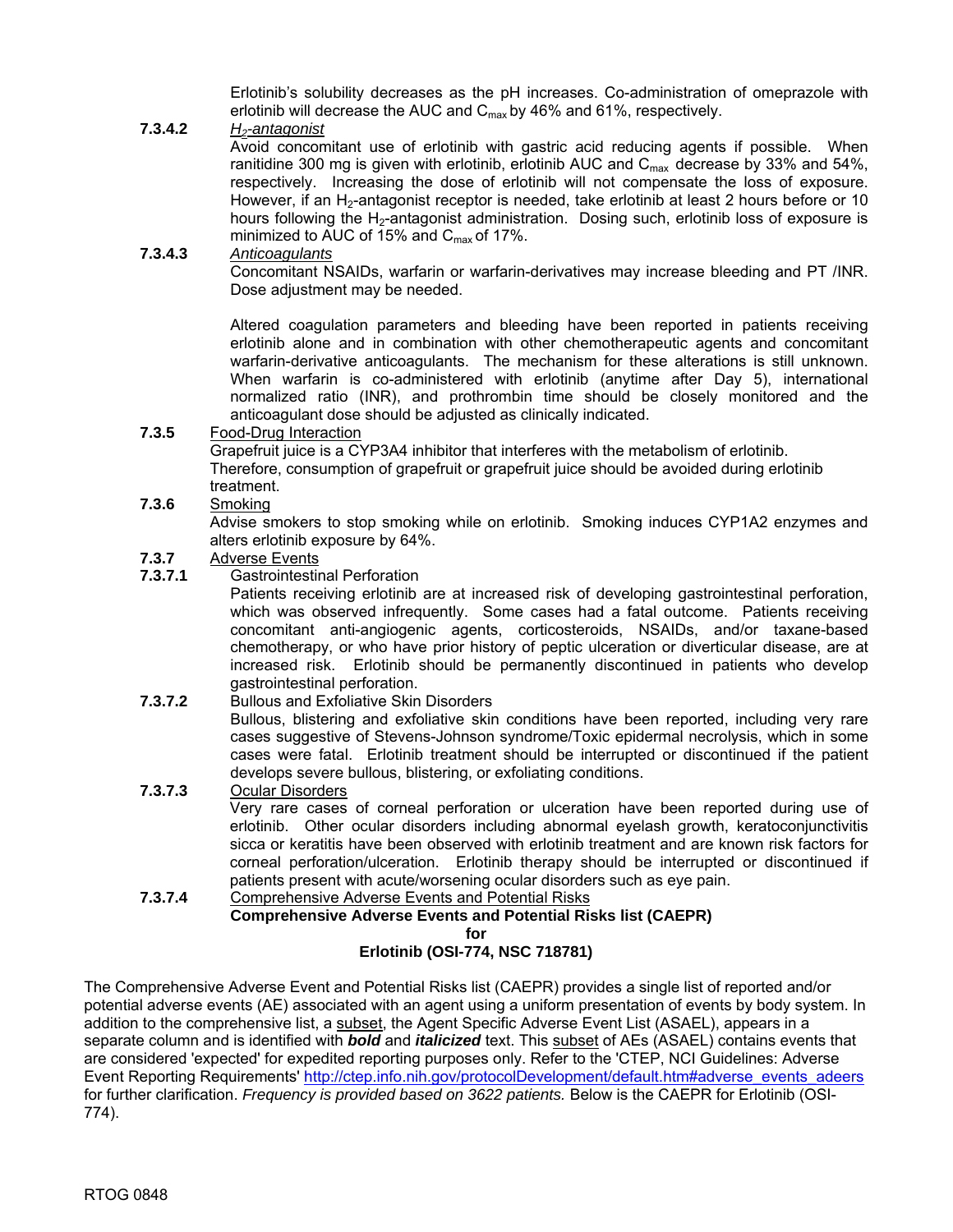Erlotinib's solubility decreases as the pH increases. Co-administration of omeprazole with erlotinib will decrease the AUC and  $C_{\text{max}}$  by 46% and 61%, respectively.

### **7.3.4.2** *H2-antagonist*

Avoid concomitant use of erlotinib with gastric acid reducing agents if possible. When ranitidine 300 mg is given with erlotinib, erlotinib AUC and  $C_{\text{max}}$  decrease by 33% and 54%, respectively. Increasing the dose of erlotinib will not compensate the loss of exposure. However, if an H<sub>2</sub>-antagonist receptor is needed, take erlotinib at least 2 hours before or 10 hours following the  $H_2$ -antagonist administration. Dosing such, erlotinib loss of exposure is minimized to AUC of 15% and  $C_{\text{max}}$  of 17%.

### **7.3.4.3** *Anticoagulants*

Concomitant NSAIDs, warfarin or warfarin-derivatives may increase bleeding and PT /INR. Dose adjustment may be needed.

Altered coagulation parameters and bleeding have been reported in patients receiving erlotinib alone and in combination with other chemotherapeutic agents and concomitant warfarin-derivative anticoagulants. The mechanism for these alterations is still unknown. When warfarin is co-administered with erlotinib (anytime after Day 5), international normalized ratio (INR), and prothrombin time should be closely monitored and the anticoagulant dose should be adjusted as clinically indicated.

#### **7.3.5** Food-Drug Interaction Grapefruit juice is a CYP3A4 inhibitor that interferes with the metabolism of erlotinib. Therefore, consumption of grapefruit or grapefruit juice should be avoided during erlotinib treatment.

#### **7.3.6** Smoking

Advise smokers to stop smoking while on erlotinib. Smoking induces CYP1A2 enzymes and alters erlotinib exposure by 64%.

#### **7.3.7** Adverse Events

#### **7.3.7.1** Gastrointestinal Perforation

Patients receiving erlotinib are at increased risk of developing gastrointestinal perforation, which was observed infrequently. Some cases had a fatal outcome. Patients receiving concomitant anti-angiogenic agents, corticosteroids, NSAIDs, and/or taxane-based chemotherapy, or who have prior history of peptic ulceration or diverticular disease, are at increased risk. Erlotinib should be permanently discontinued in patients who develop gastrointestinal perforation.

# **7.3.7.2** Bullous and Exfoliative Skin Disorders

Bullous, blistering and exfoliative skin conditions have been reported, including very rare cases suggestive of Stevens-Johnson syndrome/Toxic epidermal necrolysis, which in some cases were fatal. Erlotinib treatment should be interrupted or discontinued if the patient develops severe bullous, blistering, or exfoliating conditions.

#### **7.3.7.3** Ocular Disorders

Very rare cases of corneal perforation or ulceration have been reported during use of erlotinib. Other ocular disorders including abnormal eyelash growth, keratoconjunctivitis sicca or keratitis have been observed with erlotinib treatment and are known risk factors for corneal perforation/ulceration. Erlotinib therapy should be interrupted or discontinued if patients present with acute/worsening ocular disorders such as eye pain.

# **7.3.7.4** Comprehensive Adverse Events and Potential Risks

# **Comprehensive Adverse Events and Potential Risks list (CAEPR)**

**for**

# **Erlotinib (OSI-774, NSC 718781)**

The Comprehensive Adverse Event and Potential Risks list (CAEPR) provides a single list of reported and/or potential adverse events (AE) associated with an agent using a uniform presentation of events by body system. In addition to the comprehensive list, a subset, the Agent Specific Adverse Event List (ASAEL), appears in a separate column and is identified with *bold* and *italicized* text. This subset of AEs (ASAEL) contains events that are considered 'expected' for expedited reporting purposes only. Refer to the 'CTEP, NCI Guidelines: Adverse Event Reporting Requirements' http://ctep.info.nih.gov/protocolDevelopment/default.htm#adverse\_events\_adeers for further clarification. *Frequency is provided based on 3622 patients.* Below is the CAEPR for Erlotinib (OSI-774).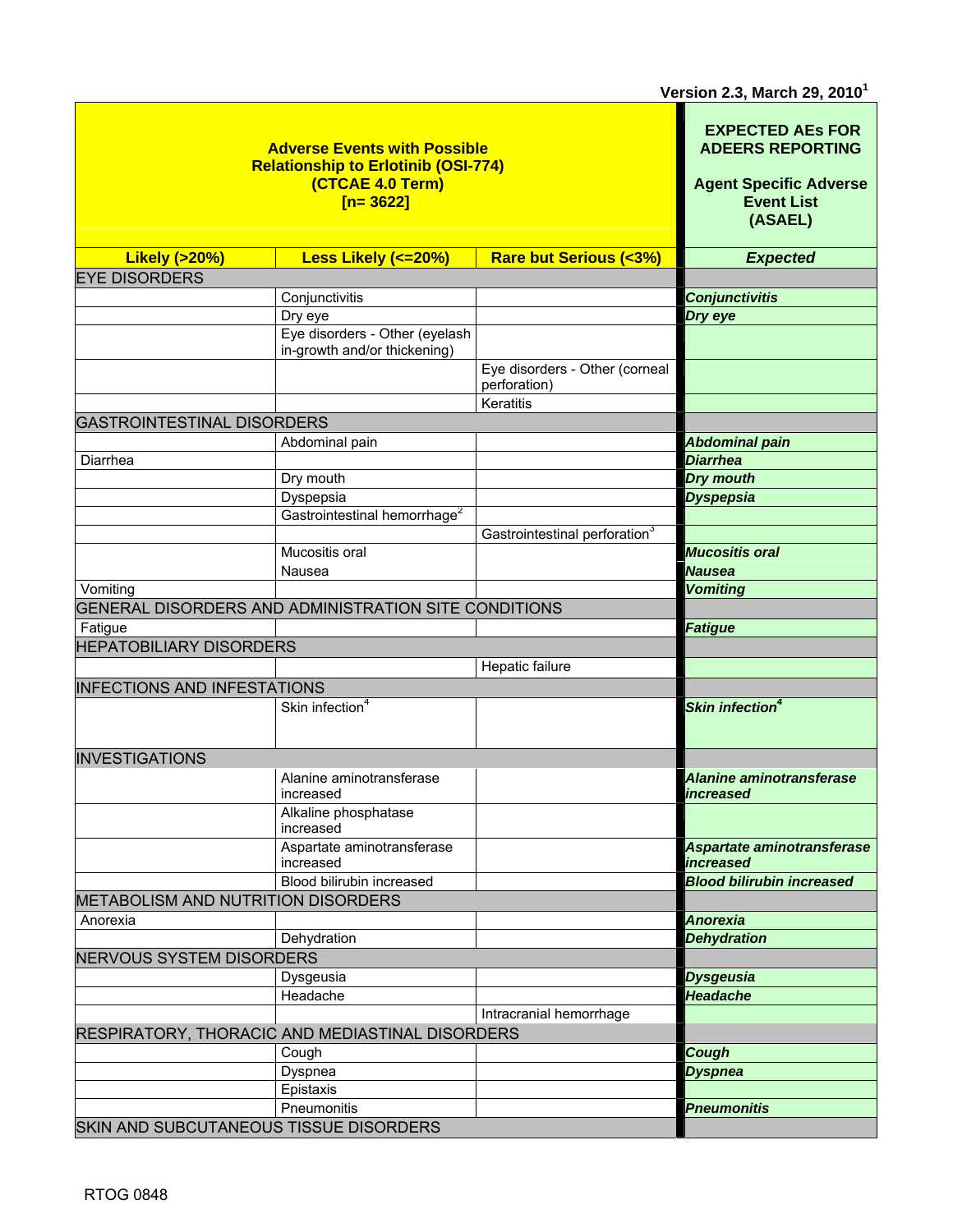|                                                                                                                     |                                                                |                                                             | Version 2.3, March 29, 2010 <sup>1</sup>                                                                            |
|---------------------------------------------------------------------------------------------------------------------|----------------------------------------------------------------|-------------------------------------------------------------|---------------------------------------------------------------------------------------------------------------------|
| <b>Adverse Events with Possible</b><br><b>Relationship to Erlotinib (OSI-774)</b><br>(CTCAE 4.0 Term)<br>$[n=3622]$ |                                                                |                                                             | <b>EXPECTED AES FOR</b><br><b>ADEERS REPORTING</b><br><b>Agent Specific Adverse</b><br><b>Event List</b><br>(ASAEL) |
| <b>Likely (&gt;20%)</b>                                                                                             | Less Likely (<= 20%)                                           | <b>Rare but Serious (&lt;3%)</b>                            | <b>Expected</b>                                                                                                     |
| <b>EYE DISORDERS</b>                                                                                                |                                                                |                                                             |                                                                                                                     |
|                                                                                                                     | Conjunctivitis                                                 |                                                             | <b>Conjunctivitis</b>                                                                                               |
|                                                                                                                     | Dry eye                                                        |                                                             | Dry eye                                                                                                             |
|                                                                                                                     | Eye disorders - Other (eyelash<br>in-growth and/or thickening) |                                                             |                                                                                                                     |
|                                                                                                                     |                                                                | Eye disorders - Other (corneal<br>perforation)<br>Keratitis |                                                                                                                     |
| <b>GASTROINTESTINAL DISORDERS</b>                                                                                   |                                                                |                                                             |                                                                                                                     |
|                                                                                                                     | Abdominal pain                                                 |                                                             | <b>Abdominal pain</b>                                                                                               |
| Diarrhea                                                                                                            |                                                                |                                                             | <b>Diarrhea</b>                                                                                                     |
|                                                                                                                     | Dry mouth                                                      |                                                             | <b>Dry mouth</b>                                                                                                    |
|                                                                                                                     | Dyspepsia                                                      |                                                             | <b>Dyspepsia</b>                                                                                                    |
|                                                                                                                     | Gastrointestinal hemorrhage <sup>2</sup>                       |                                                             |                                                                                                                     |
|                                                                                                                     |                                                                | Gastrointestinal perforation <sup>3</sup>                   |                                                                                                                     |
|                                                                                                                     | Mucositis oral                                                 |                                                             | <b>Mucositis oral</b>                                                                                               |
|                                                                                                                     | Nausea                                                         |                                                             | <b>Nausea</b>                                                                                                       |
| Vomiting                                                                                                            |                                                                |                                                             | <b>Vomiting</b>                                                                                                     |
|                                                                                                                     | GENERAL DISORDERS AND ADMINISTRATION SITE CONDITIONS           |                                                             |                                                                                                                     |
| Fatigue                                                                                                             |                                                                |                                                             | <b>Fatigue</b>                                                                                                      |
| <b>HEPATOBILIARY DISORDERS</b>                                                                                      |                                                                |                                                             |                                                                                                                     |
|                                                                                                                     |                                                                | Hepatic failure                                             |                                                                                                                     |
| <b>INFECTIONS AND INFESTATIONS</b>                                                                                  |                                                                |                                                             |                                                                                                                     |
|                                                                                                                     | Skin infection <sup>4</sup>                                    |                                                             | Skin infection <sup>4</sup>                                                                                         |
| <b>INVESTIGATIONS</b>                                                                                               |                                                                |                                                             |                                                                                                                     |
|                                                                                                                     | Alanine aminotransferase                                       |                                                             | Alanine aminotransferase                                                                                            |
|                                                                                                                     | increased                                                      |                                                             | <i>increased</i>                                                                                                    |
|                                                                                                                     | Alkaline phosphatase<br>increased                              |                                                             |                                                                                                                     |
|                                                                                                                     | Aspartate aminotransferase<br>increased                        |                                                             | Aspartate aminotransferase<br><i><b>increased</b></i>                                                               |
|                                                                                                                     | Blood bilirubin increased                                      |                                                             | <b>Blood bilirubin increased</b>                                                                                    |
| METABOLISM AND NUTRITION DISORDERS                                                                                  |                                                                |                                                             |                                                                                                                     |
| Anorexia                                                                                                            |                                                                |                                                             | <b>Anorexia</b>                                                                                                     |
|                                                                                                                     | Dehydration                                                    |                                                             | <b>Dehydration</b>                                                                                                  |
| <b>NERVOUS SYSTEM DISORDERS</b>                                                                                     |                                                                |                                                             |                                                                                                                     |
|                                                                                                                     | Dysgeusia                                                      |                                                             | <b>Dysgeusia</b>                                                                                                    |
|                                                                                                                     | Headache                                                       |                                                             | <b>Headache</b>                                                                                                     |
|                                                                                                                     |                                                                | Intracranial hemorrhage                                     |                                                                                                                     |
|                                                                                                                     | RESPIRATORY, THORACIC AND MEDIASTINAL DISORDERS                |                                                             |                                                                                                                     |
|                                                                                                                     | Cough                                                          |                                                             | Cough                                                                                                               |
|                                                                                                                     | Dyspnea<br>Epistaxis                                           |                                                             | <b>Dyspnea</b>                                                                                                      |
|                                                                                                                     | Pneumonitis                                                    |                                                             | <b>Pneumonitis</b>                                                                                                  |
| SKIN AND SUBCUTANEOUS TISSUE DISORDERS                                                                              |                                                                |                                                             |                                                                                                                     |
|                                                                                                                     |                                                                |                                                             |                                                                                                                     |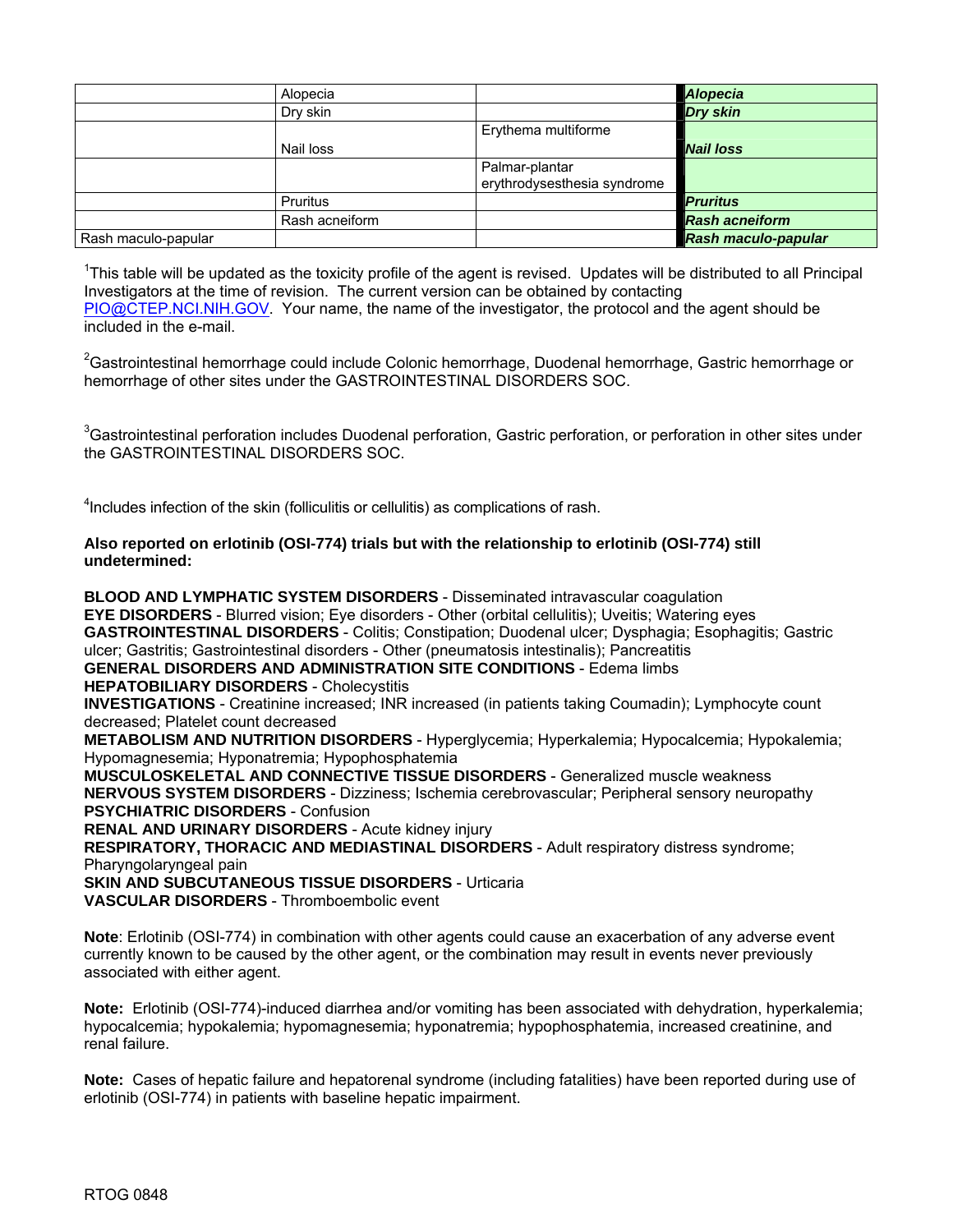|                     | Alopecia        |                                               | <b>Alopecia</b>       |
|---------------------|-----------------|-----------------------------------------------|-----------------------|
|                     | Dry skin        |                                               | <b>Dry skin</b>       |
|                     |                 | Erythema multiforme                           |                       |
|                     | Nail loss       |                                               | <b>Nail loss</b>      |
|                     |                 | Palmar-plantar<br>erythrodysesthesia syndrome |                       |
|                     | <b>Pruritus</b> |                                               | <b>Pruritus</b>       |
|                     | Rash acneiform  |                                               | <b>Rash acneiform</b> |
| Rash maculo-papular |                 |                                               | Rash maculo-papular   |

<sup>1</sup>This table will be updated as the toxicity profile of the agent is revised. Updates will be distributed to all Principal Investigators at the time of revision. The current version can be obtained by contacting [PIO@CTEP.NCI.NIH.GOV.](mailto:PIO@CTEP.NCI.NIH.GOV) Your name, the name of the investigator, the protocol and the agent should be included in the e-mail.

 ${}^{2}$ Gastrointestinal hemorrhage could include Colonic hemorrhage, Duodenal hemorrhage, Gastric hemorrhage or hemorrhage of other sites under the GASTROINTESTINAL DISORDERS SOC.

 ${}^{3}$ Gastrointestinal perforation includes Duodenal perforation, Gastric perforation, or perforation in other sites under the GASTROINTESTINAL DISORDERS SOC.

<sup>4</sup>Includes infection of the skin (folliculitis or cellulitis) as complications of rash.

#### **Also reported on erlotinib (OSI-774) trials but with the relationship to erlotinib (OSI-774) still undetermined:**

**BLOOD AND LYMPHATIC SYSTEM DISORDERS** - Disseminated intravascular coagulation **EYE DISORDERS** - Blurred vision; Eye disorders - Other (orbital cellulitis); Uveitis; Watering eyes **GASTROINTESTINAL DISORDERS** - Colitis; Constipation; Duodenal ulcer; Dysphagia; Esophagitis; Gastric ulcer; Gastritis; Gastrointestinal disorders - Other (pneumatosis intestinalis); Pancreatitis **GENERAL DISORDERS AND ADMINISTRATION SITE CONDITIONS** - Edema limbs **HEPATOBILIARY DISORDERS** - Cholecystitis **INVESTIGATIONS** - Creatinine increased; INR increased (in patients taking Coumadin); Lymphocyte count decreased; Platelet count decreased **METABOLISM AND NUTRITION DISORDERS** - Hyperglycemia; Hyperkalemia; Hypocalcemia; Hypokalemia; Hypomagnesemia; Hyponatremia; Hypophosphatemia **MUSCULOSKELETAL AND CONNECTIVE TISSUE DISORDERS** - Generalized muscle weakness **NERVOUS SYSTEM DISORDERS** - Dizziness; Ischemia cerebrovascular; Peripheral sensory neuropathy **PSYCHIATRIC DISORDERS** - Confusion **RENAL AND URINARY DISORDERS** - Acute kidney injury **RESPIRATORY, THORACIC AND MEDIASTINAL DISORDERS** - Adult respiratory distress syndrome; Pharyngolaryngeal pain **SKIN AND SUBCUTANEOUS TISSUE DISORDERS** - Urticaria **VASCULAR DISORDERS** - Thromboembolic event

**Note**: Erlotinib (OSI-774) in combination with other agents could cause an exacerbation of any adverse event currently known to be caused by the other agent, or the combination may result in events never previously associated with either agent.

**Note:** Erlotinib (OSI-774)-induced diarrhea and/or vomiting has been associated with dehydration, hyperkalemia; hypocalcemia; hypokalemia; hypomagnesemia; hyponatremia; hypophosphatemia, increased creatinine, and renal failure.

**Note:** Cases of hepatic failure and hepatorenal syndrome (including fatalities) have been reported during use of erlotinib (OSI-774) in patients with baseline hepatic impairment.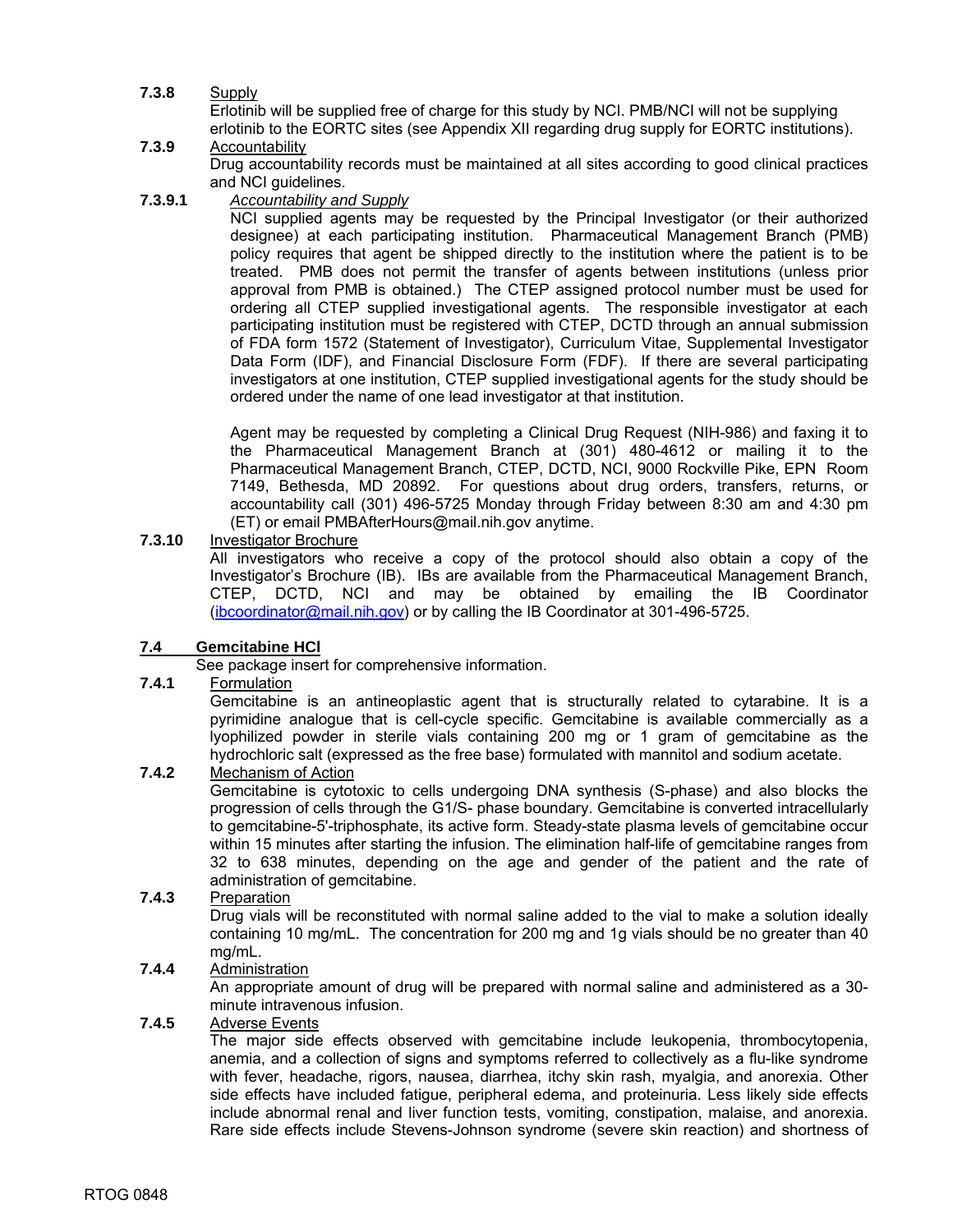# **7.3.8** Supply

Erlotinib will be supplied free of charge for this study by NCI. PMB/NCI will not be supplying erlotinib to the EORTC sites (see Appendix XII regarding drug supply for EORTC institutions).

# **7.3.9** Accountability

Drug accountability records must be maintained at all sites according to good clinical practices and NCI guidelines.

**7.3.9.1** *Accountability and Supply*

 NCI supplied agents may be requested by the Principal Investigator (or their authorized designee) at each participating institution. Pharmaceutical Management Branch (PMB) policy requires that agent be shipped directly to the institution where the patient is to be treated. PMB does not permit the transfer of agents between institutions (unless prior approval from PMB is obtained.) The CTEP assigned protocol number must be used for ordering all CTEP supplied investigational agents. The responsible investigator at each participating institution must be registered with CTEP, DCTD through an annual submission of FDA form 1572 (Statement of Investigator), Curriculum Vitae, Supplemental Investigator Data Form (IDF), and Financial Disclosure Form (FDF). If there are several participating investigators at one institution, CTEP supplied investigational agents for the study should be ordered under the name of one lead investigator at that institution.

Agent may be requested by completing a Clinical Drug Request (NIH-986) and faxing it to the Pharmaceutical Management Branch at (301) 480-4612 or mailing it to the Pharmaceutical Management Branch, CTEP, DCTD, NCI, 9000 Rockville Pike, EPN Room 7149, Bethesda, MD 20892. For questions about drug orders, transfers, returns, or accountability call (301) 496-5725 Monday through Friday between 8:30 am and 4:30 pm (ET) or email [PMBAfterHours@mail.nih.gov an](mailto:PMBAfterHours@mail.nih.gov)ytime.

# **7.3.10** Investigator Brochure

All investigators who receive a copy of the protocol should also obtain a copy of the Investigator's Brochure (IB). IBs are available from the Pharmaceutical Management Branch, CTEP, DCTD, NCI and may be obtained by emailing the IB Coordinator [\(ibcoordinator@mail.nih.gov\)](mailto:ibcoordinator@mail.nih.gov) or by calling the IB Coordinator at 301-496-5725.

# **7.4 Gemcitabine HCl**

See package insert for comprehensive information.

# **7.4.1** Formulation

 Gemcitabine is an antineoplastic agent that is structurally related to cytarabine. It is a pyrimidine analogue that is cell-cycle specific. Gemcitabine is available commercially as a lyophilized powder in sterile vials containing 200 mg or 1 gram of gemcitabine as the hydrochloric salt (expressed as the free base) formulated with mannitol and sodium acetate.

# **7.4.2** Mechanism of Action

 Gemcitabine is cytotoxic to cells undergoing DNA synthesis (S-phase) and also blocks the progression of cells through the G1/S- phase boundary. Gemcitabine is converted intracellularly to gemcitabine-5'-triphosphate, its active form. Steady-state plasma levels of gemcitabine occur within 15 minutes after starting the infusion. The elimination half-life of gemcitabine ranges from 32 to 638 minutes, depending on the age and gender of the patient and the rate of administration of gemcitabine.

#### **7.4.3** Preparation

 Drug vials will be reconstituted with normal saline added to the vial to make a solution ideally containing 10 mg/mL. The concentration for 200 mg and 1g vials should be no greater than 40 mg/mL.

# **7.4.4** Administration

 An appropriate amount of drug will be prepared with normal saline and administered as a 30 minute intravenous infusion.

#### **7.4.5** Adverse Events

 The major side effects observed with gemcitabine include leukopenia, thrombocytopenia, anemia, and a collection of signs and symptoms referred to collectively as a flu-like syndrome with fever, headache, rigors, nausea, diarrhea, itchy skin rash, myalgia, and anorexia. Other side effects have included fatigue, peripheral edema, and proteinuria. Less likely side effects include abnormal renal and liver function tests, vomiting, constipation, malaise, and anorexia. Rare side effects include Stevens-Johnson syndrome (severe skin reaction) and shortness of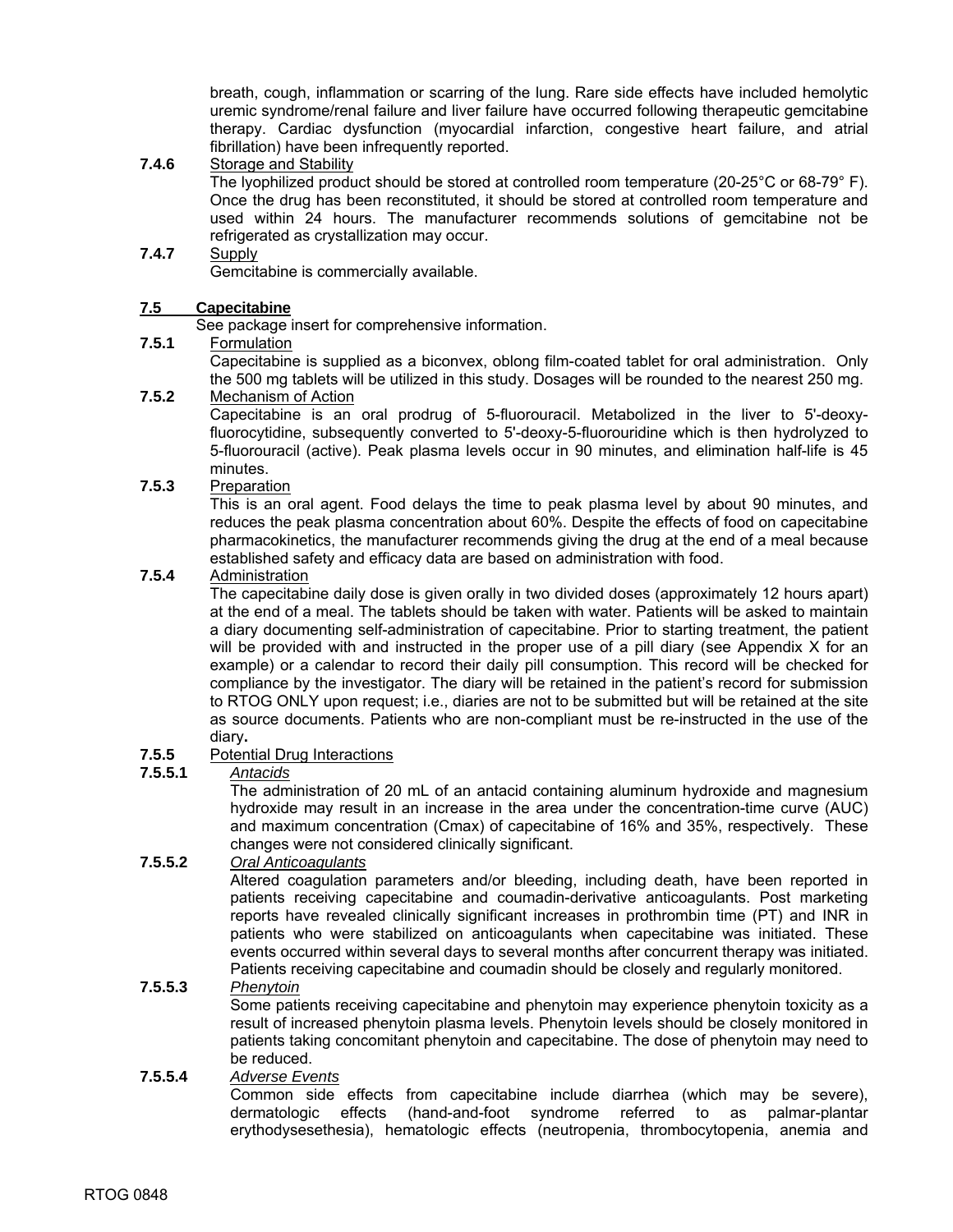breath, cough, inflammation or scarring of the lung. Rare side effects have included hemolytic uremic syndrome/renal failure and liver failure have occurred following therapeutic gemcitabine therapy. Cardiac dysfunction (myocardial infarction, congestive heart failure, and atrial fibrillation) have been infrequently reported.

#### **7.4.6** Storage and Stability

The lyophilized product should be stored at controlled room temperature (20-25°C or 68-79° F). Once the drug has been reconstituted, it should be stored at controlled room temperature and used within 24 hours. The manufacturer recommends solutions of gemcitabine not be refrigerated as crystallization may occur.

**7.4.7** Supply Gemcitabine is commercially available.

### **7.5 Capecitabine**

See package insert for comprehensive information.

# **7.5.1** Formulation

 Capecitabine is supplied as a biconvex, oblong film-coated tablet for oral administration. Only the 500 mg tablets will be utilized in this study. Dosages will be rounded to the nearest 250 mg.

# **7.5.2** Mechanism of Action

 Capecitabine is an oral prodrug of 5-fluorouracil. Metabolized in the liver to 5'-deoxyfluorocytidine, subsequently converted to 5'-deoxy-5-fluorouridine which is then hydrolyzed to 5-fluorouracil (active). Peak plasma levels occur in 90 minutes, and elimination half-life is 45 minutes.

**7.5.3** Preparation

 This is an oral agent. Food delays the time to peak plasma level by about 90 minutes, and reduces the peak plasma concentration about 60%. Despite the effects of food on capecitabine pharmacokinetics, the manufacturer recommends giving the drug at the end of a meal because established safety and efficacy data are based on administration with food.

#### **7.5.4** Administration

 The capecitabine daily dose is given orally in two divided doses (approximately 12 hours apart) at the end of a meal. The tablets should be taken with water. Patients will be asked to maintain a diary documenting self-administration of capecitabine. Prior to starting treatment, the patient will be provided with and instructed in the proper use of a pill diary (see Appendix X for an example) or a calendar to record their daily pill consumption. This record will be checked for compliance by the investigator. The diary will be retained in the patient's record for submission to RTOG ONLY upon request; i.e., diaries are not to be submitted but will be retained at the site as source documents. Patients who are non-compliant must be re-instructed in the use of the diary**.** 

# **7.5.5** Potential Drug Interactions

# **7.5.5.1** *Antacids*

The administration of 20 mL of an antacid containing aluminum hydroxide and magnesium hydroxide may result in an increase in the area under the concentration-time curve (AUC) and maximum concentration (Cmax) of capecitabine of 16% and 35%, respectively. These changes were not considered clinically significant.

# **7.5.5.2** *Oral Anticoagulants*

Altered coagulation parameters and/or bleeding, including death, have been reported in patients receiving capecitabine and coumadin-derivative anticoagulants. Post marketing reports have revealed clinically significant increases in prothrombin time (PT) and INR in patients who were stabilized on anticoagulants when capecitabine was initiated. These events occurred within several days to several months after concurrent therapy was initiated. Patients receiving capecitabine and coumadin should be closely and regularly monitored.

# **7.5.5.3** *Phenytoin*

Some patients receiving capecitabine and phenytoin may experience phenytoin toxicity as a result of increased phenytoin plasma levels. Phenytoin levels should be closely monitored in patients taking concomitant phenytoin and capecitabine. The dose of phenytoin may need to be reduced.

# **7.5.5.4** *Adverse Events*

Common side effects from capecitabine include diarrhea (which may be severe), dermatologic effects (hand-and-foot syndrome referred to as palmar-plantar erythodysesethesia), hematologic effects (neutropenia, thrombocytopenia, anemia and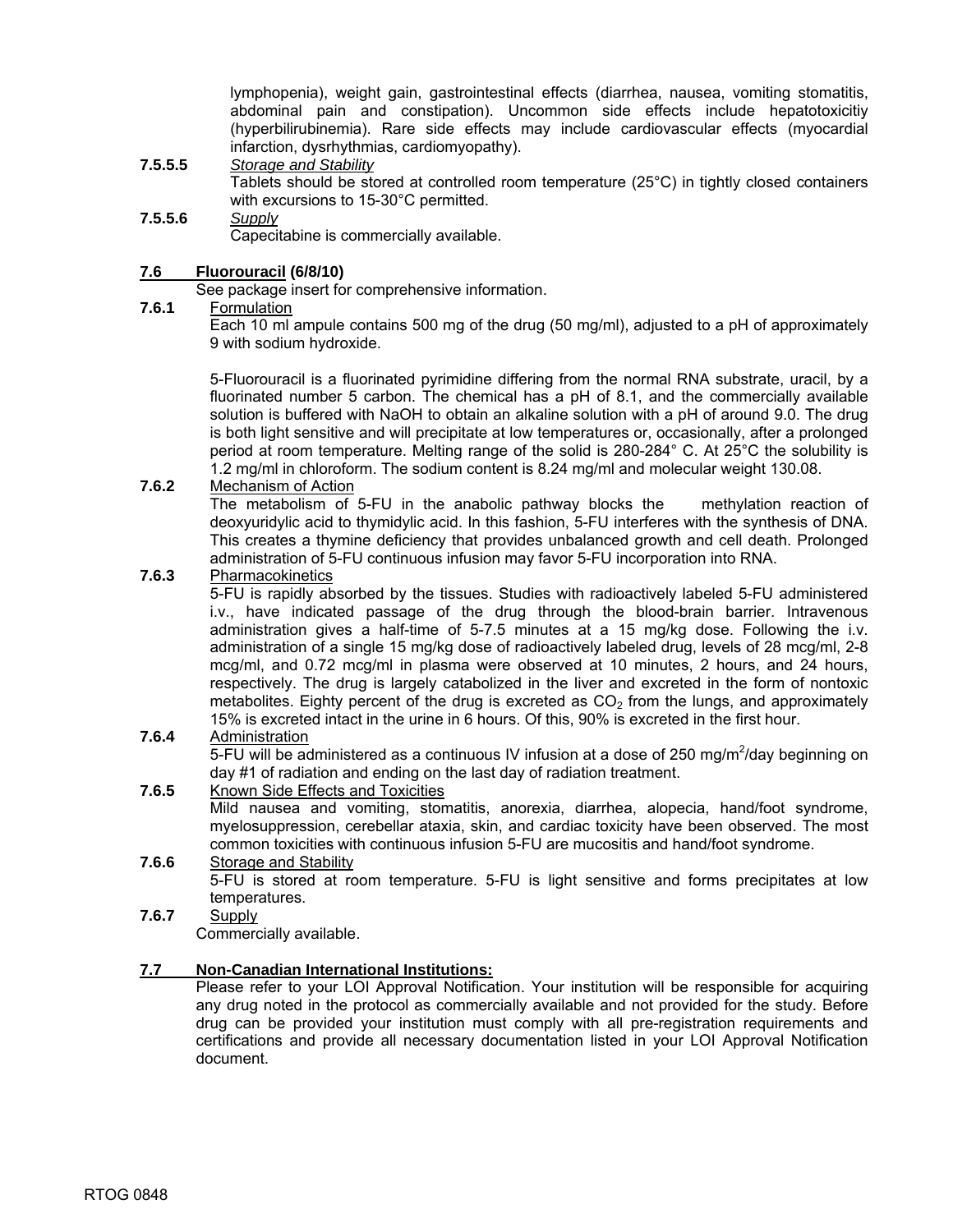lymphopenia), weight gain, gastrointestinal effects (diarrhea, nausea, vomiting stomatitis, abdominal pain and constipation). Uncommon side effects include hepatotoxicitiy (hyperbilirubinemia). Rare side effects may include cardiovascular effects (myocardial infarction, dysrhythmias, cardiomyopathy).

- **7.5.5.5** *Storage and Stability* Tablets should be stored at controlled room temperature (25°C) in tightly closed containers with excursions to 15-30°C permitted.
- **7.5.5.6** *Supply*

Capecitabine is commercially available.

# **7.6 Fluorouracil (6/8/10)**

See package insert for comprehensive information.

# **7.6.1** Formulation

Each 10 ml ampule contains 500 mg of the drug (50 mg/ml), adjusted to a pH of approximately 9 with sodium hydroxide.

5-Fluorouracil is a fluorinated pyrimidine differing from the normal RNA substrate, uracil, by a fluorinated number 5 carbon. The chemical has a pH of 8.1, and the commercially available solution is buffered with NaOH to obtain an alkaline solution with a pH of around 9.0. The drug is both light sensitive and will precipitate at low temperatures or, occasionally, after a prolonged period at room temperature. Melting range of the solid is 280-284° C. At 25°C the solubility is 1.2 mg/ml in chloroform. The sodium content is 8.24 mg/ml and molecular weight 130.08.

**7.6.2** Mechanism of Action

The metabolism of 5-FU in the anabolic pathway blocks the methylation reaction of deoxyuridylic acid to thymidylic acid. In this fashion, 5-FU interferes with the synthesis of DNA. This creates a thymine deficiency that provides unbalanced growth and cell death. Prolonged administration of 5-FU continuous infusion may favor 5-FU incorporation into RNA.

# **7.6.3** Pharmacokinetics

5-FU is rapidly absorbed by the tissues. Studies with radioactively labeled 5-FU administered i.v., have indicated passage of the drug through the blood-brain barrier. Intravenous administration gives a half-time of 5-7.5 minutes at a 15 mg/kg dose. Following the i.v. administration of a single 15 mg/kg dose of radioactively labeled drug, levels of 28 mcg/ml, 2-8 mcg/ml, and 0.72 mcg/ml in plasma were observed at 10 minutes, 2 hours, and 24 hours, respectively. The drug is largely catabolized in the liver and excreted in the form of nontoxic metabolites. Eighty percent of the drug is excreted as  $CO<sub>2</sub>$  from the lungs, and approximately 15% is excreted intact in the urine in 6 hours. Of this, 90% is excreted in the first hour.

# **7.6.4** Administration

 $5$ -FU will be administered as a continuous IV infusion at a dose of 250 mg/m<sup>2</sup>/day beginning on day #1 of radiation and ending on the last day of radiation treatment.

# **7.6.5** Known Side Effects and Toxicities

Mild nausea and vomiting, stomatitis, anorexia, diarrhea, alopecia, hand/foot syndrome, myelosuppression, cerebellar ataxia, skin, and cardiac toxicity have been observed. The most common toxicities with continuous infusion 5-FU are mucositis and hand/foot syndrome.

# **7.6.6** Storage and Stability

5-FU is stored at room temperature. 5-FU is light sensitive and forms precipitates at low temperatures.

#### **7.6.7** Supply

Commercially available.

# **7.7 Non-Canadian International Institutions:**

 Please refer to your LOI Approval Notification. Your institution will be responsible for acquiring any drug noted in the protocol as commercially available and not provided for the study. Before drug can be provided your institution must comply with all pre-registration requirements and certifications and provide all necessary documentation listed in your LOI Approval Notification document.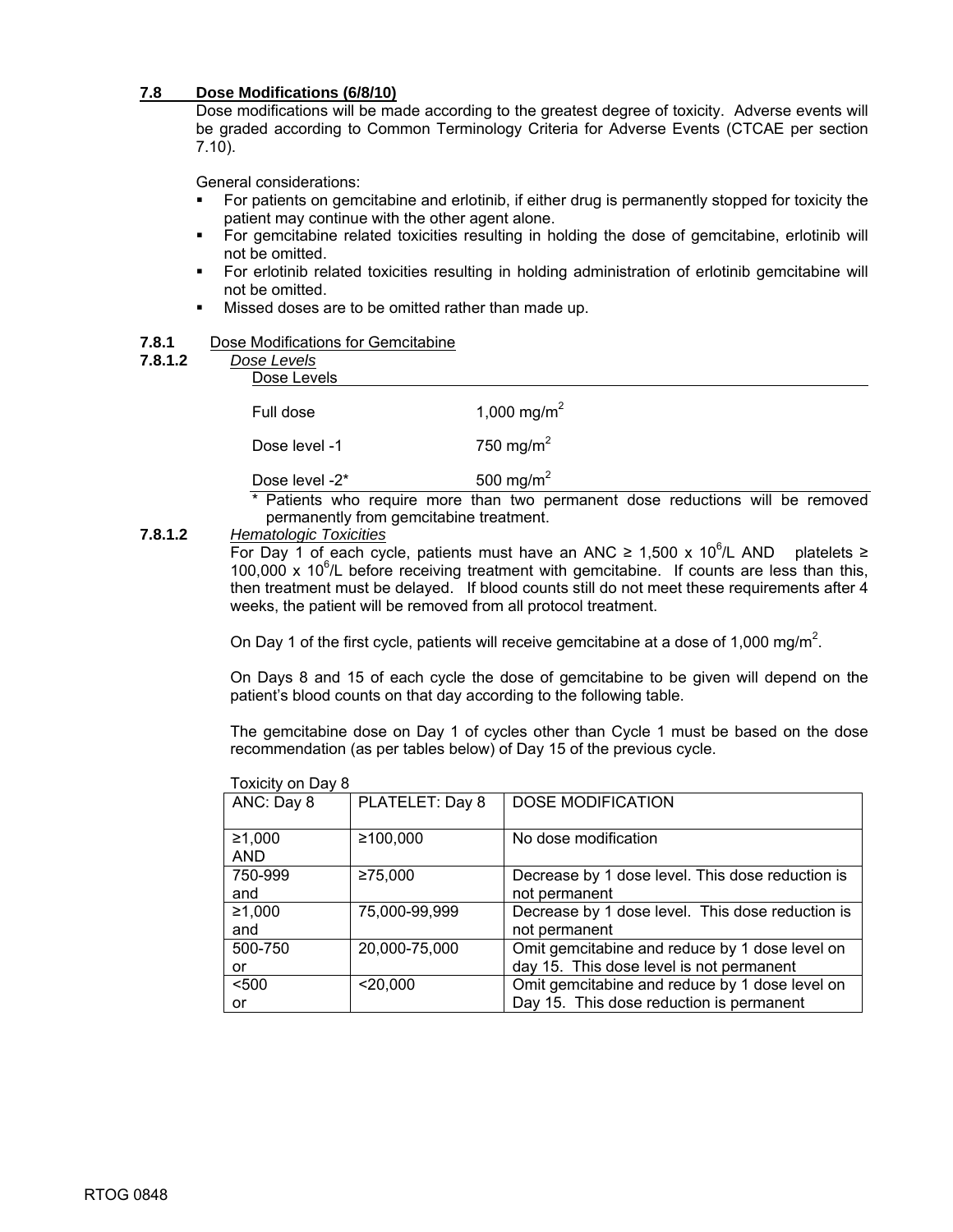#### **7.8 Dose Modifications (6/8/10)**

 Dose modifications will be made according to the greatest degree of toxicity. Adverse events will be graded according to Common Terminology Criteria for Adverse Events (CTCAE per section 7.10).

General considerations:

- For patients on gemcitabine and erlotinib, if either drug is permanently stopped for toxicity the patient may continue with the other agent alone.
- For gemcitabine related toxicities resulting in holding the dose of gemcitabine, erlotinib will not be omitted.
- For erlotinib related toxicities resulting in holding administration of erlotinib gemcitabine will not be omitted.
- **Missed doses are to be omitted rather than made up.**

#### **7.8.1** Dose Modifications for Gemcitabine

**7.8.1.2** *Dose Levels*

| DUJG LUVUIJ<br>Dose Levels |                                                                                |  |
|----------------------------|--------------------------------------------------------------------------------|--|
| Full dose                  | 1,000 mg/m <sup>2</sup>                                                        |  |
| Dose level -1              | 750 mg/m <sup>2</sup>                                                          |  |
| Dose level -2*             | 500 mg/m <sup>2</sup>                                                          |  |
|                            | * Patients who require more than two permanent dose reductions will be removed |  |

permanently from gemcitabine treatment.

#### **7.8.1.2** *Hematologic Toxicities*

For Day 1 of each cycle, patients must have an ANC ≥ 1,500 x 10<sup>6</sup>/L AND platelets ≥ 100,000 x 10<sup>6</sup>/L before receiving treatment with gemcitabine. If counts are less than this, then treatment must be delayed. If blood counts still do not meet these requirements after 4 weeks, the patient will be removed from all protocol treatment.

On Day 1 of the first cycle, patients will receive gemcitabine at a dose of 1,000 mg/m<sup>2</sup>.

On Days 8 and 15 of each cycle the dose of gemcitabine to be given will depend on the patient's blood counts on that day according to the following table.

The gemcitabine dose on Day 1 of cycles other than Cycle 1 must be based on the dose recommendation (as per tables below) of Day 15 of the previous cycle.

| l oxicity on Day 8 |                 |                                                  |  |
|--------------------|-----------------|--------------------------------------------------|--|
| ANC: Day 8         | PLATELET: Day 8 | <b>DOSE MODIFICATION</b>                         |  |
|                    |                 |                                                  |  |
| ≥1,000             | ≥100,000        | No dose modification                             |  |
| <b>AND</b>         |                 |                                                  |  |
| 750-999            | ≥75,000         | Decrease by 1 dose level. This dose reduction is |  |
| and                |                 | not permanent                                    |  |
| ≥1,000             | 75,000-99,999   | Decrease by 1 dose level. This dose reduction is |  |
| and                |                 | not permanent                                    |  |
| 500-750            | 20,000-75,000   | Omit gemcitabine and reduce by 1 dose level on   |  |
| or                 |                 | day 15. This dose level is not permanent         |  |
| $500$              | $<$ 20,000      | Omit gemcitabine and reduce by 1 dose level on   |  |
| or                 |                 | Day 15. This dose reduction is permanent         |  |

Toxicity on Day 8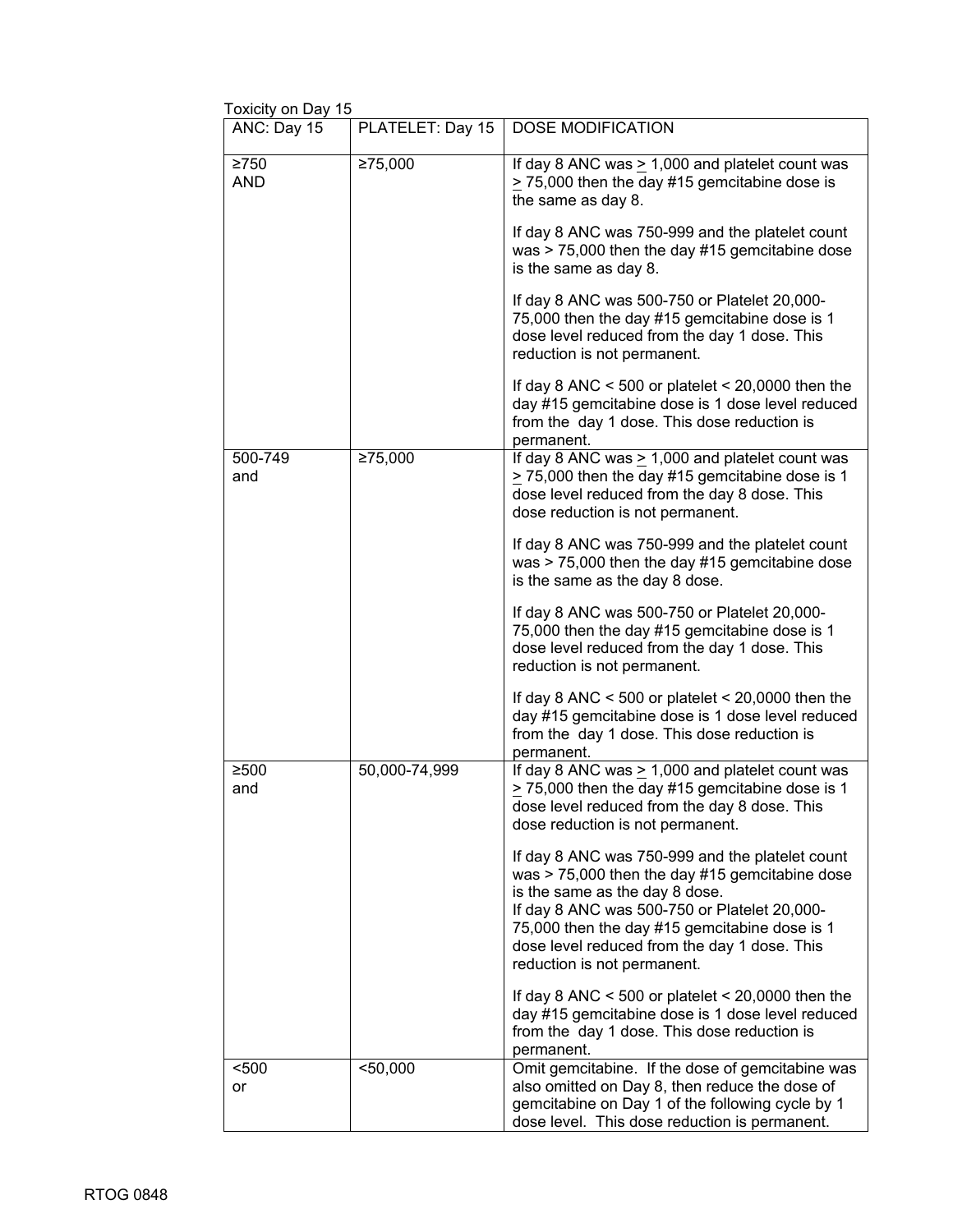| UAIGILY UIT DAY TU<br>ANC: Day 15 | PLATELET: Day 15 | <b>DOSE MODIFICATION</b>                                                                                                                                                                                                                                                                                              |
|-----------------------------------|------------------|-----------------------------------------------------------------------------------------------------------------------------------------------------------------------------------------------------------------------------------------------------------------------------------------------------------------------|
| $\geq 750$<br><b>AND</b>          | ≥75,000          | If day 8 ANC was $\geq$ 1,000 and platelet count was<br>$\geq$ 75,000 then the day #15 gemcitabine dose is<br>the same as day 8.                                                                                                                                                                                      |
|                                   |                  | If day 8 ANC was 750-999 and the platelet count<br>was $> 75,000$ then the day #15 gemcitabine dose<br>is the same as day 8.                                                                                                                                                                                          |
|                                   |                  | If day 8 ANC was 500-750 or Platelet 20,000-<br>75,000 then the day #15 gemcitabine dose is 1<br>dose level reduced from the day 1 dose. This<br>reduction is not permanent.                                                                                                                                          |
|                                   |                  | If day 8 ANC $<$ 500 or platelet $<$ 20,0000 then the<br>day #15 gemcitabine dose is 1 dose level reduced<br>from the day 1 dose. This dose reduction is<br>permanent.                                                                                                                                                |
| 500-749<br>and                    | ≥75,000          | If day 8 ANC was $\geq$ 1,000 and platelet count was<br>$\geq$ 75,000 then the day #15 gemcitabine dose is 1<br>dose level reduced from the day 8 dose. This<br>dose reduction is not permanent.                                                                                                                      |
|                                   |                  | If day 8 ANC was 750-999 and the platelet count<br>was $> 75,000$ then the day #15 gemcitabine dose<br>is the same as the day 8 dose.                                                                                                                                                                                 |
|                                   |                  | If day 8 ANC was 500-750 or Platelet 20,000-<br>75,000 then the day #15 gemcitabine dose is 1<br>dose level reduced from the day 1 dose. This<br>reduction is not permanent.                                                                                                                                          |
|                                   |                  | If day 8 ANC $<$ 500 or platelet $<$ 20,0000 then the<br>day #15 gemcitabine dose is 1 dose level reduced<br>from the day 1 dose. This dose reduction is<br>permanent.                                                                                                                                                |
| ≥500<br>and                       | 50,000-74,999    | If day 8 ANC was $\geq$ 1,000 and platelet count was<br>$\geq$ 75,000 then the day #15 gemcitabine dose is 1<br>dose level reduced from the day 8 dose. This<br>dose reduction is not permanent.                                                                                                                      |
|                                   |                  | If day 8 ANC was 750-999 and the platelet count<br>was $> 75,000$ then the day #15 gemcitabine dose<br>is the same as the day 8 dose.<br>If day 8 ANC was 500-750 or Platelet 20,000-<br>75,000 then the day #15 gemcitabine dose is 1<br>dose level reduced from the day 1 dose. This<br>reduction is not permanent. |
|                                   |                  | If day 8 ANC $<$ 500 or platelet $<$ 20,0000 then the<br>day #15 gemcitabine dose is 1 dose level reduced<br>from the day 1 dose. This dose reduction is<br>permanent.                                                                                                                                                |
| $500$<br>or                       | $50,000$         | Omit gemcitabine. If the dose of gemcitabine was<br>also omitted on Day 8, then reduce the dose of<br>gemcitabine on Day 1 of the following cycle by 1<br>dose level. This dose reduction is permanent.                                                                                                               |

Toxicity on Day 15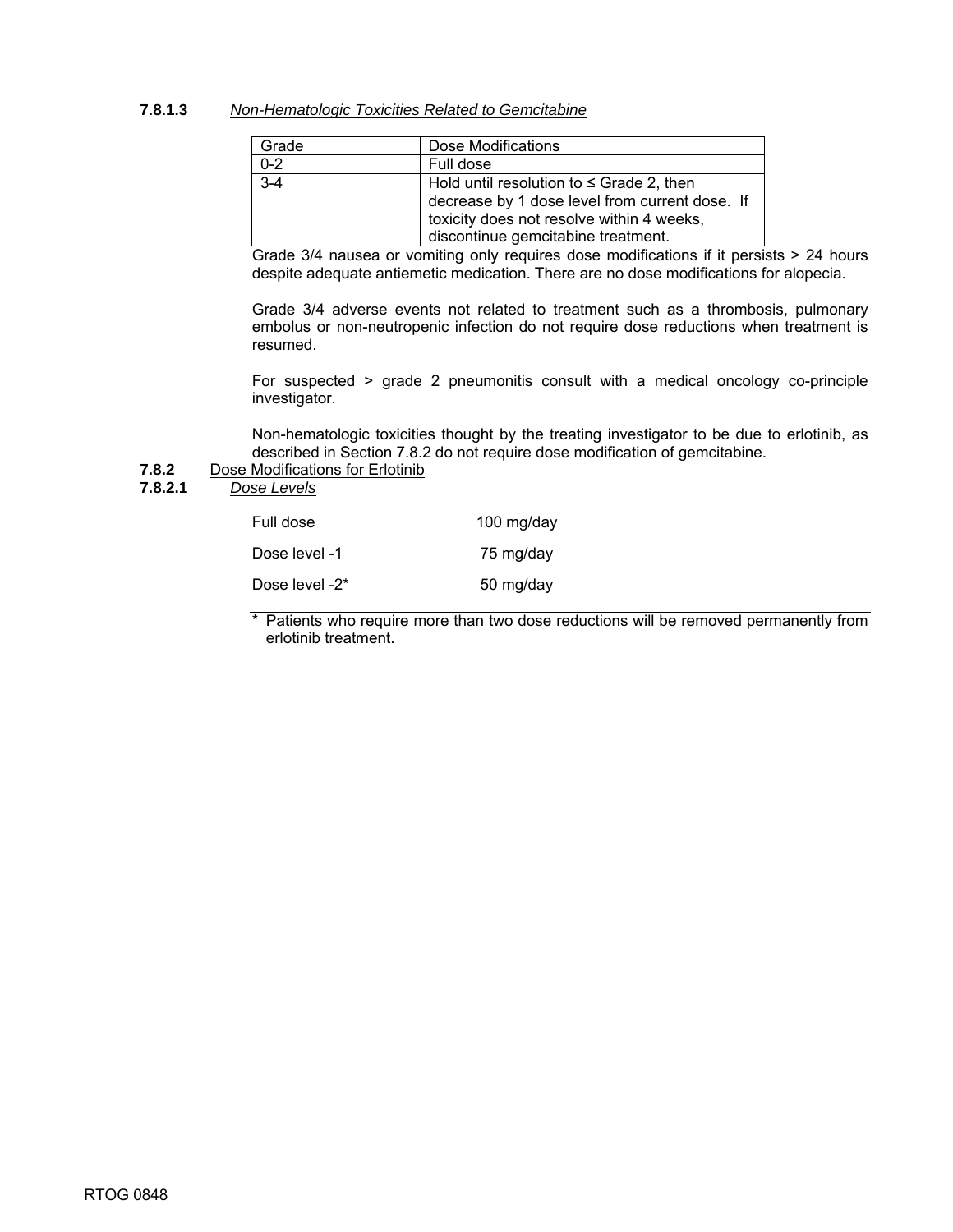## **7.8.1.3** *Non-Hematologic Toxicities Related to Gemcitabine*

| Grade   | Dose Modifications                                                                                                                                                                 |
|---------|------------------------------------------------------------------------------------------------------------------------------------------------------------------------------------|
| $0 - 2$ | Full dose                                                                                                                                                                          |
| $3-4$   | Hold until resolution to $\leq$ Grade 2, then<br>decrease by 1 dose level from current dose. If<br>toxicity does not resolve within 4 weeks,<br>discontinue gemcitabine treatment. |

Grade 3/4 nausea or vomiting only requires dose modifications if it persists > 24 hours despite adequate antiemetic medication. There are no dose modifications for alopecia.

Grade 3/4 adverse events not related to treatment such as a thrombosis, pulmonary embolus or non-neutropenic infection do not require dose reductions when treatment is resumed.

For suspected > grade 2 pneumonitis consult with a medical oncology co-principle investigator.

Non-hematologic toxicities thought by the treating investigator to be due to erlotinib, as described in Section 7.8.2 do not require dose modification of gemcitabine.

**7.8.2** Dose Modifications for Erlotinib<br>**7.8.2.1** Dose Levels

**7.8.2.1** *Dose Levels*

| Full dose      | 100 mg/day |
|----------------|------------|
| Dose level -1  | 75 mg/day  |
| Dose level -2* | 50 mg/day  |

\* Patients who require more than two dose reductions will be removed permanently from erlotinib treatment.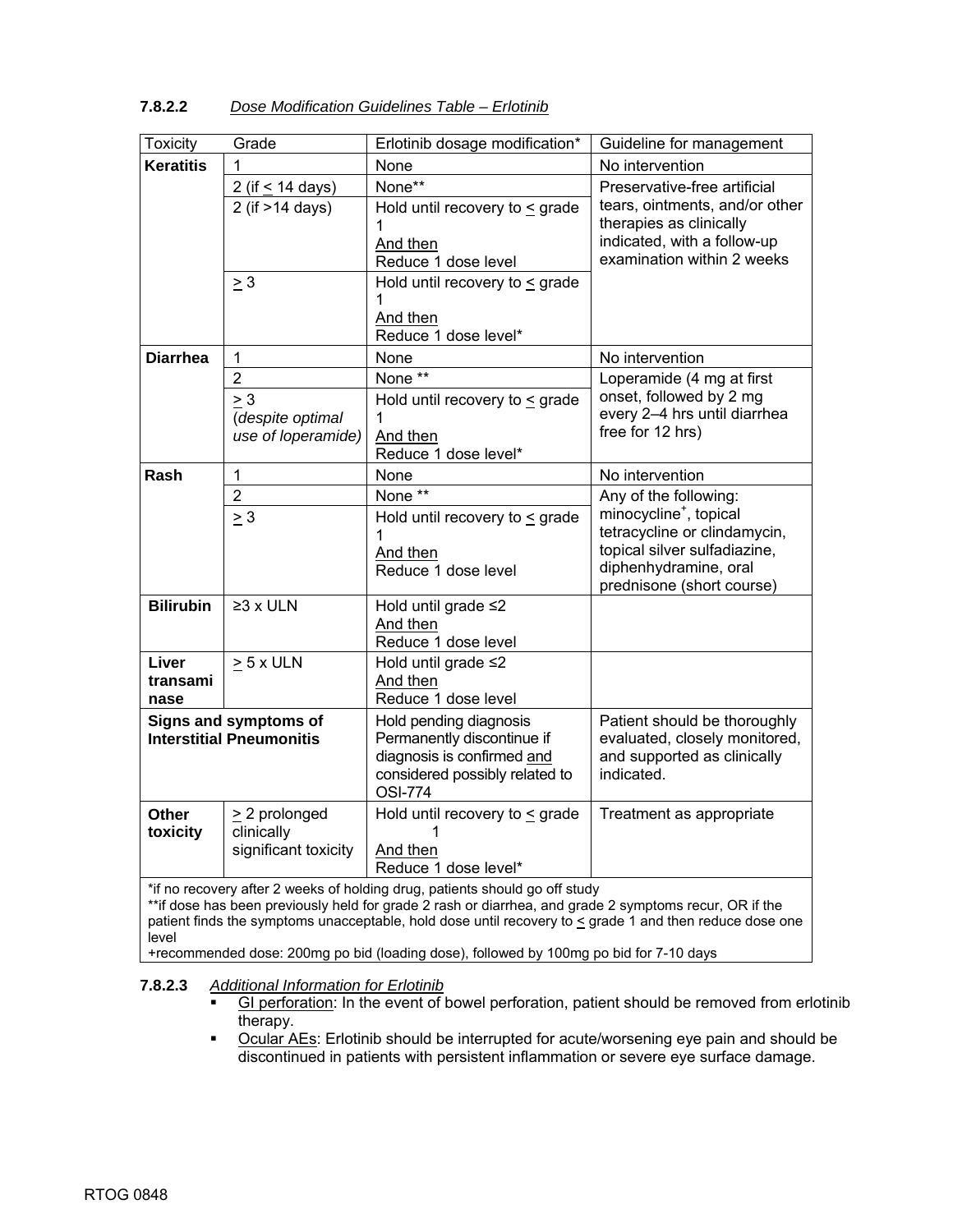| <b>Toxicity</b>           | Grade                                                           | Erlotinib dosage modification*                                                                                                         | Guideline for management                                                                                                                                                          |  |
|---------------------------|-----------------------------------------------------------------|----------------------------------------------------------------------------------------------------------------------------------------|-----------------------------------------------------------------------------------------------------------------------------------------------------------------------------------|--|
| <b>Keratitis</b>          | 1                                                               | None                                                                                                                                   | No intervention                                                                                                                                                                   |  |
|                           | 2 (if $\leq$ 14 days)<br>2 (if >14 days)                        | None**<br>Hold until recovery to $\leq$ grade<br>And then<br>Reduce 1 dose level                                                       | Preservative-free artificial<br>tears, ointments, and/or other<br>therapies as clinically<br>indicated, with a follow-up<br>examination within 2 weeks                            |  |
|                           | $\geq 3$                                                        | Hold until recovery to < grade<br>1<br>And then<br>Reduce 1 dose level*                                                                |                                                                                                                                                                                   |  |
| <b>Diarrhea</b>           | 1                                                               | None                                                                                                                                   | No intervention                                                                                                                                                                   |  |
|                           | $\overline{2}$<br>> 3<br>(despite optimal<br>use of loperamide) | None **<br>Hold until recovery to $\leq$ grade<br>1<br>And then<br>Reduce 1 dose level*                                                | Loperamide (4 mg at first<br>onset, followed by 2 mg<br>every 2-4 hrs until diarrhea<br>free for 12 hrs)                                                                          |  |
| <b>Rash</b>               | 1                                                               | None                                                                                                                                   | No intervention                                                                                                                                                                   |  |
|                           | $\overline{2}$<br>$\geq 3$                                      | None **<br>Hold until recovery to $\leq$ grade<br>1<br>And then<br>Reduce 1 dose level                                                 | Any of the following:<br>minocycline <sup>+</sup> , topical<br>tetracycline or clindamycin,<br>topical silver sulfadiazine,<br>diphenhydramine, oral<br>prednisone (short course) |  |
| <b>Bilirubin</b>          | $\geq 3 \times$ ULN                                             | Hold until grade ≤2<br>And then<br>Reduce 1 dose level                                                                                 |                                                                                                                                                                                   |  |
| Liver<br>transami<br>nase | $> 5x$ ULN                                                      | Hold until grade $\leq 2$<br>And then<br>Reduce 1 dose level                                                                           |                                                                                                                                                                                   |  |
|                           | Signs and symptoms of<br><b>Interstitial Pneumonitis</b>        | Hold pending diagnosis<br>Permanently discontinue if<br>diagnosis is confirmed and<br>considered possibly related to<br><b>OSI-774</b> | Patient should be thoroughly<br>evaluated, closely monitored,<br>and supported as clinically<br>indicated.                                                                        |  |
| Other<br>toxicity         | $\geq$ 2 prolonged<br>clinically<br>significant toxicity        | Hold until recovery to $\leq$ grade<br>And then<br>Reduce 1 dose level*                                                                | Treatment as appropriate                                                                                                                                                          |  |

# **7.8.2.2** *Dose Modification Guidelines Table – Erlotinib*

\*if no recovery after 2 weeks of holding drug, patients should go off study

\*\*if dose has been previously held for grade 2 rash or diarrhea, and grade 2 symptoms recur, OR if the patient finds the symptoms unacceptable, hold dose until recovery to  $\leq$  grade 1 and then reduce dose one level

+recommended dose: 200mg po bid (loading dose), followed by 100mg po bid for 7-10 days

## **7.8.2.3** *Additional Information for Erlotinib*

- GI perforation: In the event of bowel perforation, patient should be removed from erlotinib therapy.
- **Dcular AEs:** Erlotinib should be interrupted for acute/worsening eye pain and should be discontinued in patients with persistent inflammation or severe eye surface damage.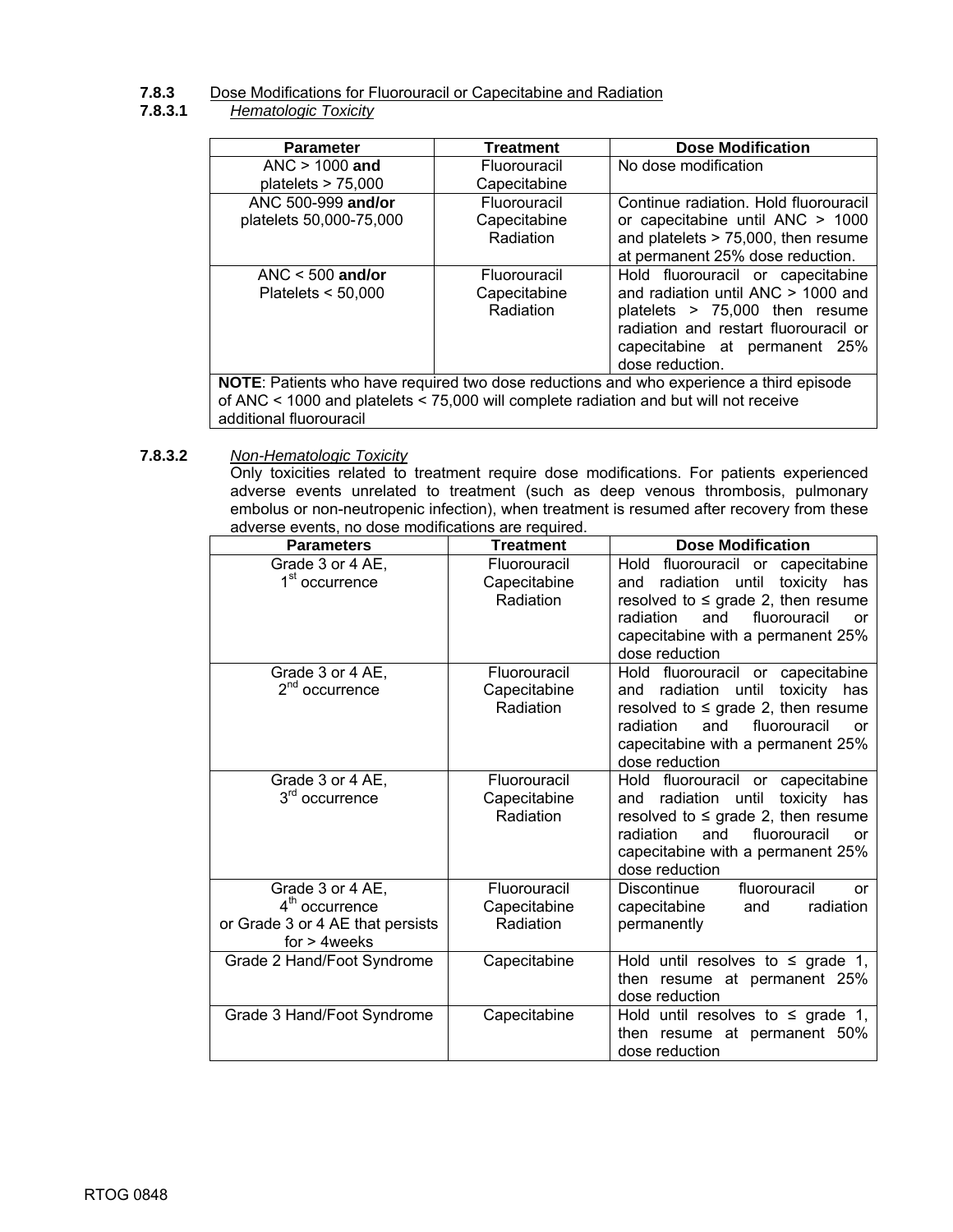## **7.8.3** Dose Modifications for Fluorouracil or Capecitabine and Radiation

**7.8.3.1** *Hematologic Toxicity*

| <b>Parameter</b>                                                                        | <b>Treatment</b>                              | <b>Dose Modification</b>               |  |  |  |  |
|-----------------------------------------------------------------------------------------|-----------------------------------------------|----------------------------------------|--|--|--|--|
| $ANC > 1000$ and                                                                        | Fluorouracil                                  | No dose modification                   |  |  |  |  |
| platelets $> 75,000$                                                                    | Capecitabine                                  |                                        |  |  |  |  |
| ANC 500-999 and/or                                                                      | Fluorouracil                                  | Continue radiation. Hold fluorouracil  |  |  |  |  |
| platelets 50,000-75,000                                                                 | Capecitabine                                  | or capecitabine until ANC > 1000       |  |  |  |  |
|                                                                                         | Radiation                                     | and platelets $> 75,000$ , then resume |  |  |  |  |
|                                                                                         |                                               | at permanent 25% dose reduction.       |  |  |  |  |
| $ANC < 500$ and/or                                                                      | Fluorouracil                                  | Hold fluorouracil or capecitabine      |  |  |  |  |
| Platelets $<$ 50,000                                                                    | Capecitabine                                  | and radiation until ANC $>$ 1000 and   |  |  |  |  |
|                                                                                         | Radiation<br>platelets $> 75,000$ then resume |                                        |  |  |  |  |
|                                                                                         |                                               | radiation and restart fluorouracil or  |  |  |  |  |
|                                                                                         |                                               | capecitabine at permanent 25%          |  |  |  |  |
|                                                                                         |                                               | dose reduction.                        |  |  |  |  |
| NOTE: Patients who have required two dose reductions and who experience a third episode |                                               |                                        |  |  |  |  |
| of ANC < 1000 and platelets < 75,000 will complete radiation and but will not receive   |                                               |                                        |  |  |  |  |
| additional fluorouracil                                                                 |                                               |                                        |  |  |  |  |

# **7.8.3.2** *Non-Hematologic Toxicity*

 Only toxicities related to treatment require dose modifications. For patients experienced adverse events unrelated to treatment (such as deep venous thrombosis, pulmonary embolus or non-neutropenic infection), when treatment is resumed after recovery from these adverse events, no dose modifications are required.

| <b>Parameters</b>                | Treatment    | <b>Dose Modification</b>                            |
|----------------------------------|--------------|-----------------------------------------------------|
| Grade 3 or 4 AE,                 | Fluorouracil | fluorouracil or capecitabine<br>Hold                |
| 1 <sup>st</sup> occurrence       | Capecitabine | radiation until<br>toxicity has<br>and              |
|                                  | Radiation    | resolved to $\leq$ grade 2, then resume             |
|                                  |              | fluorouracil<br>radiation<br>and<br>or              |
|                                  |              | capecitabine with a permanent 25%                   |
|                                  |              | dose reduction                                      |
| Grade 3 or 4 AE,                 | Fluorouracil | Hold fluorouracil or capecitabine                   |
| 2 <sup>nd</sup> occurrence       | Capecitabine | radiation until<br>toxicity has<br>and              |
|                                  | Radiation    | resolved to $\leq$ grade 2, then resume             |
|                                  |              | radiation<br>and<br>fluorouracil<br>or              |
|                                  |              | capecitabine with a permanent 25%<br>dose reduction |
| Grade 3 or 4 AE,                 | Fluorouracil | Hold fluorouracil or capecitabine                   |
| 3 <sup>rd</sup> occurrence       | Capecitabine | radiation until<br>toxicity has<br>and              |
|                                  | Radiation    | resolved to $\leq$ grade 2, then resume             |
|                                  |              | radiation<br>and<br>fluorouracil<br>or              |
|                                  |              | capecitabine with a permanent 25%                   |
|                                  |              | dose reduction                                      |
| Grade 3 or 4 AE,                 | Fluorouracil | fluorouracil<br>Discontinue<br>or                   |
| $4th$ occurrence                 | Capecitabine | radiation<br>capecitabine<br>and                    |
| or Grade 3 or 4 AE that persists | Radiation    | permanently                                         |
| $for > 4$ weeks                  |              |                                                     |
| Grade 2 Hand/Foot Syndrome       | Capecitabine | Hold until resolves to $\leq$ grade 1,              |
|                                  |              | then resume at permanent 25%                        |
|                                  |              | dose reduction                                      |
| Grade 3 Hand/Foot Syndrome       | Capecitabine | Hold until resolves to $\leq$ grade 1,              |
|                                  |              | then resume at permanent 50%                        |
|                                  |              | dose reduction                                      |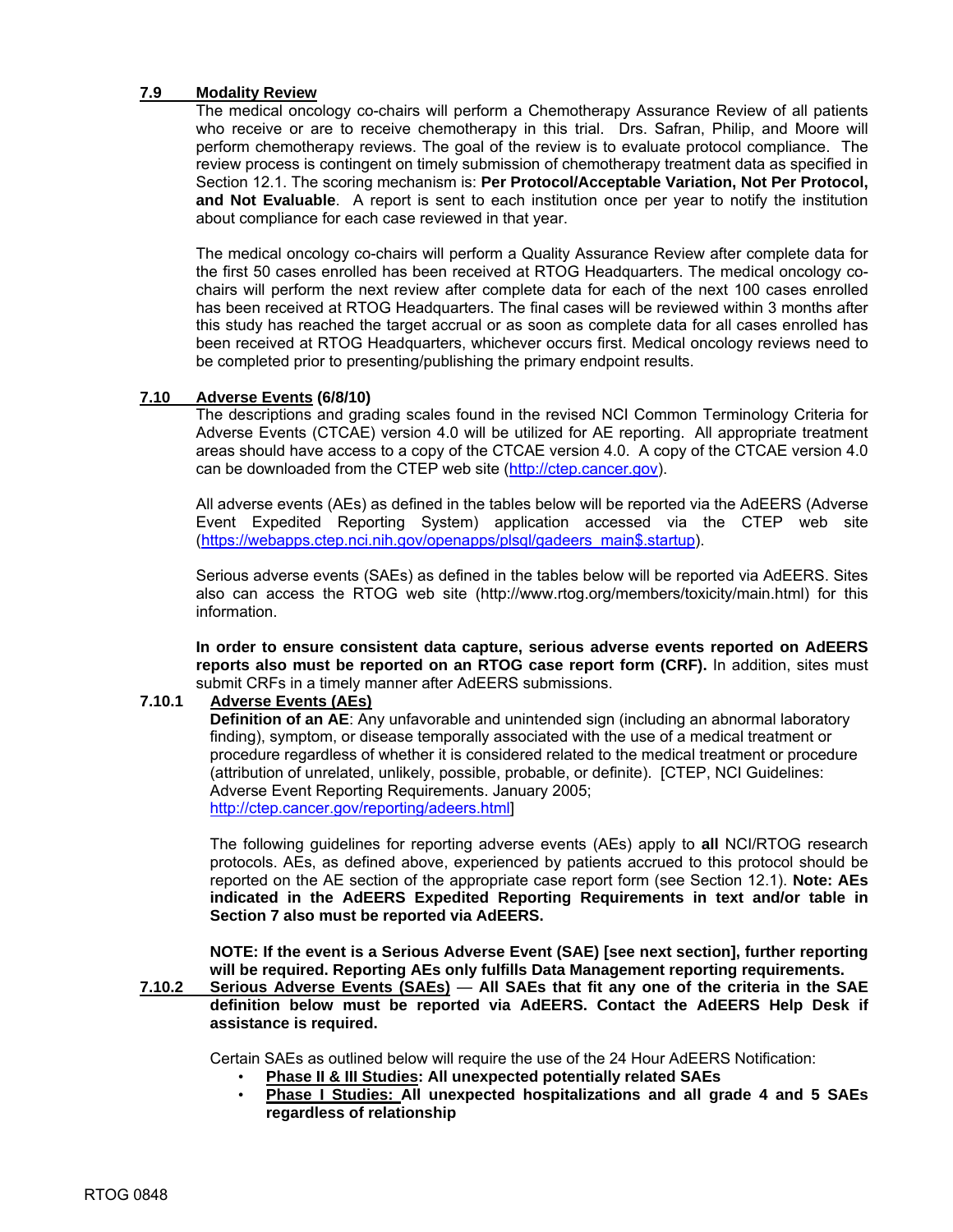### **7.9 Modality Review**

 The medical oncology co-chairs will perform a Chemotherapy Assurance Review of all patients who receive or are to receive chemotherapy in this trial. Drs. Safran, Philip, and Moore will perform chemotherapy reviews. The goal of the review is to evaluate protocol compliance. The review process is contingent on timely submission of chemotherapy treatment data as specified in Section 12.1. The scoring mechanism is: **Per Protocol/Acceptable Variation, Not Per Protocol, and Not Evaluable**. A report is sent to each institution once per year to notify the institution about compliance for each case reviewed in that year.

 The medical oncology co-chairs will perform a Quality Assurance Review after complete data for the first 50 cases enrolled has been received at RTOG Headquarters. The medical oncology cochairs will perform the next review after complete data for each of the next 100 cases enrolled has been received at RTOG Headquarters. The final cases will be reviewed within 3 months after this study has reached the target accrual or as soon as complete data for all cases enrolled has been received at RTOG Headquarters, whichever occurs first. Medical oncology reviews need to be completed prior to presenting/publishing the primary endpoint results.

### **7.10 Adverse Events (6/8/10)**

 The descriptions and grading scales found in the revised NCI Common Terminology Criteria for Adverse Events (CTCAE) version 4.0 will be utilized for AE reporting. All appropriate treatment areas should have access to a copy of the CTCAE version 4.0. A copy of the CTCAE version 4.0 can be downloaded from the CTEP web site (http://ctep.cancer.gov).

 All adverse events (AEs) as defined in the tables below will be reported via the AdEERS (Adverse Event Expedited Reporting System) application accessed via the CTEP web site [\(https://webapps.ctep.nci.nih.gov/openapps/plsql/gadeers\\_main\\$.startup\).](https://webapps.ctep.nci.nih.gov/openapps/plsql/gadeers_main$.startup) 

 Serious adverse events (SAEs) as defined in the tables below will be reported via AdEERS. Sites also can access the RTOG web site ([http://www.rtog.org/members/toxicity/main.html\)](http://www.rtog.org/members/toxicity/main.html) for this information.

**In order to ensure consistent data capture, serious adverse events reported on AdEERS reports also must be reported on an RTOG case report form (CRF).** In addition, sites must submit CRFs in a timely manner after AdEERS submissions.

### **7.10.1 Adverse Events (AEs)**

**Definition of an AE**: Any unfavorable and unintended sign (including an abnormal laboratory finding), symptom, or disease temporally associated with the use of a medical treatment or procedure regardless of whether it is considered related to the medical treatment or procedure (attribution of unrelated, unlikely, possible, probable, or definite). [CTEP, NCI Guidelines: Adverse Event Reporting Requirements. January 2005; [http://ctep.cancer.gov/reporting/adeers.html\]](http://ctep.cancer.gov/reporting/adeers.html) 

 The following guidelines for reporting adverse events (AEs) apply to **all** NCI/RTOG research protocols. AEs, as defined above, experienced by patients accrued to this protocol should be reported on the AE section of the appropriate case report form (see Section 12.1). **Note: AEs indicated in the AdEERS Expedited Reporting Requirements in text and/or table in Section 7 also must be reported via AdEERS.** 

**NOTE: If the event is a Serious Adverse Event (SAE) [see next section], further reporting will be required. Reporting AEs only fulfills Data Management reporting requirements.** 

**7.10.2 Serious Adverse Events (SAEs)** — **All SAEs that fit any one of the criteria in the SAE definition below must be reported via AdEERS. Contact the AdEERS Help Desk if assistance is required.** 

Certain SAEs as outlined below will require the use of the 24 Hour AdEERS Notification:

- **Phase II & III Studies: All unexpected potentially related SAEs**
- **Phase I Studies: All unexpected hospitalizations and all grade 4 and 5 SAEs regardless of relationship**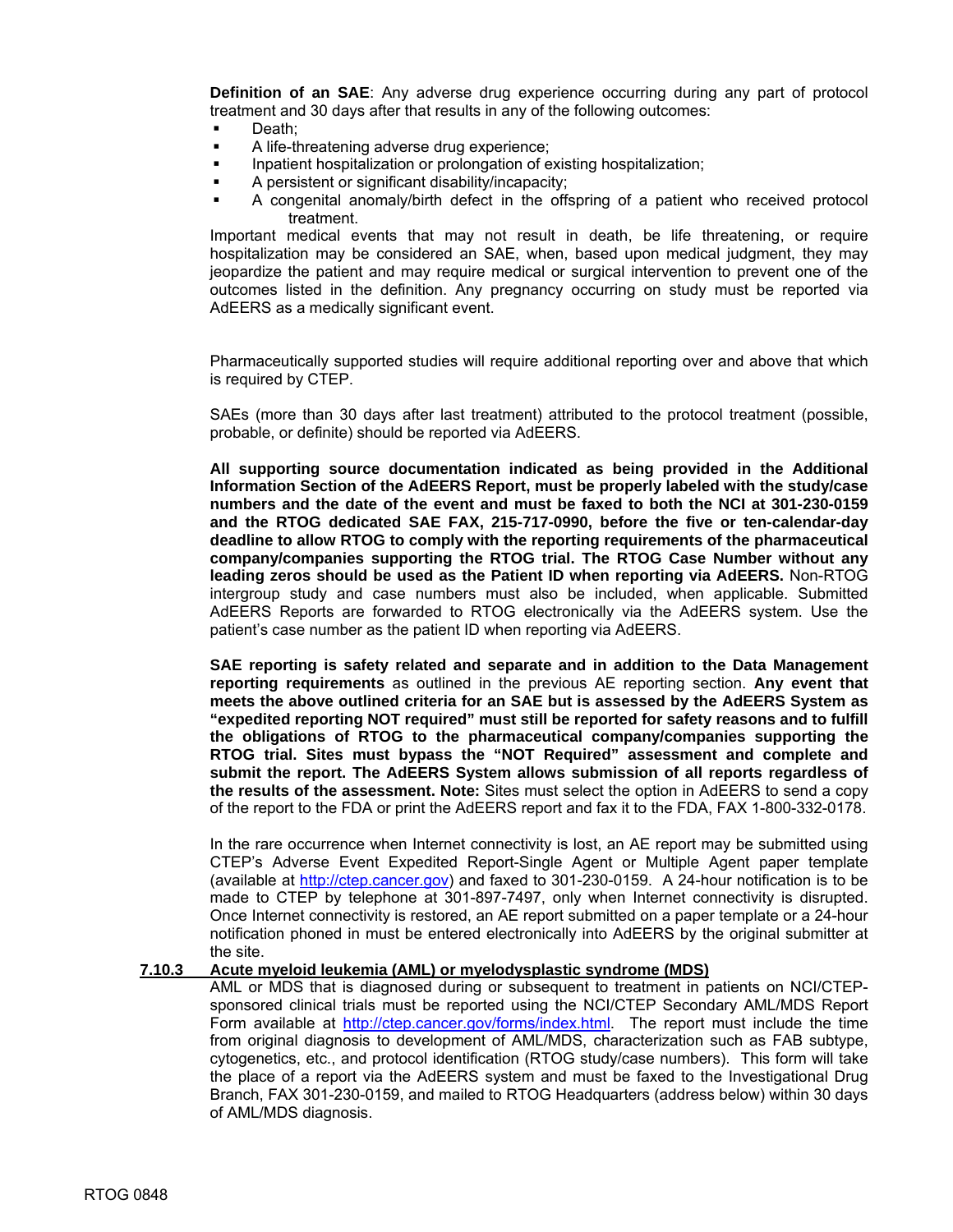**Definition of an SAE**: Any adverse drug experience occurring during any part of protocol treatment and 30 days after that results in any of the following outcomes:

- Death;
- A life-threatening adverse drug experience;
- Inpatient hospitalization or prolongation of existing hospitalization;
- A persistent or significant disability/incapacity;
- A congenital anomaly/birth defect in the offspring of a patient who received protocol treatment.

 Important medical events that may not result in death, be life threatening, or require hospitalization may be considered an SAE, when, based upon medical judgment, they may jeopardize the patient and may require medical or surgical intervention to prevent one of the outcomes listed in the definition. Any pregnancy occurring on study must be reported via AdEERS as a medically significant event.

Pharmaceutically supported studies will require additional reporting over and above that which is required by CTEP.

 SAEs (more than 30 days after last treatment) attributed to the protocol treatment (possible, probable, or definite) should be reported via AdEERS.

**All supporting source documentation indicated as being provided in the Additional Information Section of the AdEERS Report, must be properly labeled with the study/case numbers and the date of the event and must be faxed to both the NCI at 301-230-0159 and the RTOG dedicated SAE FAX, 215-717-0990, before the five or ten-calendar-day deadline to allow RTOG to comply with the reporting requirements of the pharmaceutical company/companies supporting the RTOG trial. The RTOG Case Number without any leading zeros should be used as the Patient ID when reporting via AdEERS.** Non-RTOG intergroup study and case numbers must also be included, when applicable. Submitted AdEERS Reports are forwarded to RTOG electronically via the AdEERS system. Use the patient's case number as the patient ID when reporting via AdEERS.

 **SAE reporting is safety related and separate and in addition to the Data Management reporting requirements** as outlined in the previous AE reporting section. **Any event that meets the above outlined criteria for an SAE but is assessed by the AdEERS System as "expedited reporting NOT required" must still be reported for safety reasons and to fulfill the obligations of RTOG to the pharmaceutical company/companies supporting the RTOG trial. Sites must bypass the "NOT Required" assessment and complete and submit the report. The AdEERS System allows submission of all reports regardless of the results of the assessment. Note:** Sites must select the option in AdEERS to send a copy of the report to the FDA or print the AdEERS report and fax it to the FDA, FAX 1-800-332-0178.

In the rare occurrence when Internet connectivity is lost, an AE report may be submitted using CTEP's Adverse Event Expedited Report-Single Agent or Multiple Agent paper template (available at [http://ctep.cancer.gov\)](http://ctep.cancer.gov) and faxed to 301-230-0159. A 24-hour notification is to be made to CTEP by telephone at 301-897-7497, only when Internet connectivity is disrupted. Once Internet connectivity is restored, an AE report submitted on a paper template or a 24-hour notification phoned in must be entered electronically into AdEERS by the original submitter at the site.

### **7.10.3 Acute myeloid leukemia (AML) or myelodysplastic syndrome (MDS)**

 AML or MDS that is diagnosed during or subsequent to treatment in patients on NCI/CTEPsponsored clinical trials must be reported using the NCI/CTEP Secondary AML/MDS Report Form available at [http://ctep.cancer.gov/forms/index.html.](http://ctep.cancer.gov/forms/index.html) The report must include the time from original diagnosis to development of AML/MDS, characterization such as FAB subtype, cytogenetics, etc., and protocol identification (RTOG study/case numbers). This form will take the place of a report via the AdEERS system and must be faxed to the Investigational Drug Branch, FAX 301-230-0159, and mailed to RTOG Headquarters (address below) within 30 days of AML/MDS diagnosis.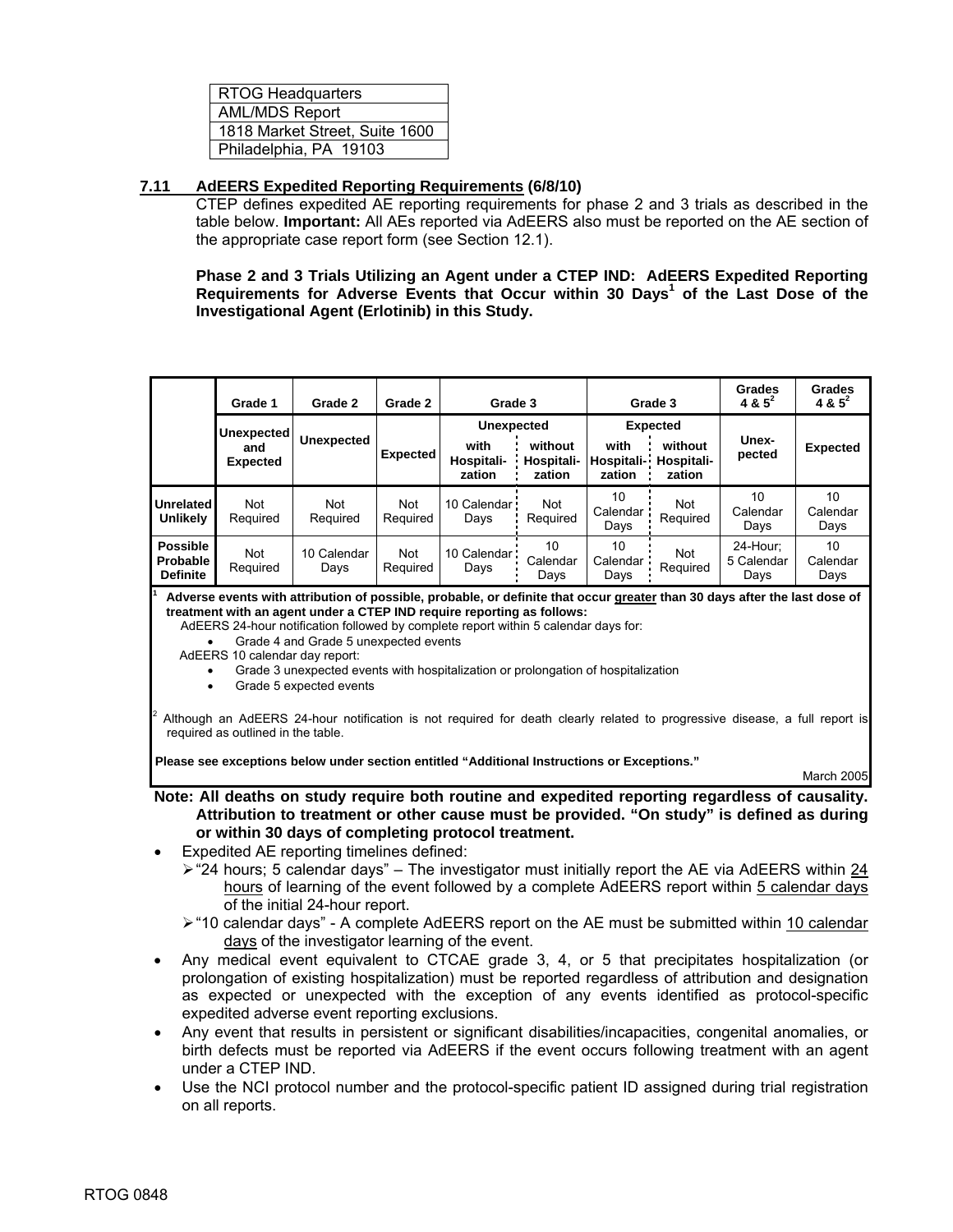

### **7.11 AdEERS Expedited Reporting Requirements (6/8/10)**

CTEP defines expedited AE reporting requirements for phase 2 and 3 trials as described in the table below. **Important:** All AEs reported via AdEERS also must be reported on the AE section of the appropriate case report form (see Section 12.1).

### **Phase 2 and 3 Trials Utilizing an Agent under a CTEP IND: AdEERS Expedited Reporting Requirements for Adverse Events that Occur within 30 Days<sup>1</sup> of the Last Dose of the Investigational Agent (Erlotinib) in this Study.**

|                                                | Grade 1                | Grade 2                  | Grade 2                | Grade 3                      |                                 |                              | Grade 3                         | <b>Grades</b><br>4 & $5^2$     | Grades<br>4 & $5^2$    |
|------------------------------------------------|------------------------|--------------------------|------------------------|------------------------------|---------------------------------|------------------------------|---------------------------------|--------------------------------|------------------------|
|                                                | Unexpected             | <b>Unexpected</b><br>and | <b>Unexpected</b>      |                              | <b>Expected</b>                 |                              |                                 | Unex-                          |                        |
|                                                | <b>Expected</b>        |                          | <b>Expected</b>        | with<br>Hospitali-<br>zation | without<br>Hospitali-<br>zation | with<br>Hospitali-<br>zation | without<br>Hospitali-<br>zation | pected                         | <b>Expected</b>        |
| <b>Unrelated</b><br><b>Unlikely</b>            | Not<br>Required        | Not<br>Required          | Not<br>Required        | 10 Calendar<br>Days          | Not<br>Required                 | 10<br>Calendar<br>Days       | Not<br>Required                 | 10<br>Calendar<br>Days         | 10<br>Calendar<br>Days |
| <b>Possible</b><br>Probable<br><b>Definite</b> | <b>Not</b><br>Required | 10 Calendar<br>Days      | <b>Not</b><br>Required | 10 Calendar<br>Days          | 10<br>Calendar<br>Days          | 10<br>Calendar<br>Days       | Not<br>Required                 | 24-Hour:<br>5 Calendar<br>Days | 10<br>Calendar<br>Days |

**1 Adverse events with attribution of possible, probable, or definite that occur greater than 30 days after the last dose of treatment with an agent under a CTEP IND require reporting as follows:** 

AdEERS 24-hour notification followed by complete report within 5 calendar days for:

• Grade 4 and Grade 5 unexpected events

AdEERS 10 calendar day report:

- Grade 3 unexpected events with hospitalization or prolongation of hospitalization
- Grade 5 expected events

 Although an AdEERS 24-hour notification is not required for death clearly related to progressive disease, a full report is required as outlined in the table.

**Please see exceptions below under section entitled "Additional Instructions or Exceptions."** 

March 2005

**Note: All deaths on study require both routine and expedited reporting regardless of causality. Attribution to treatment or other cause must be provided. "On study" is defined as during or within 30 days of completing protocol treatment.** 

- Expedited AE reporting timelines defined:
	- $\ge$  "24 hours; 5 calendar days" The investigator must initially report the AE via AdEERS within 24 hours of learning of the event followed by a complete AdEERS report within 5 calendar days of the initial 24-hour report.
	- ¾ "10 calendar days" A complete AdEERS report on the AE must be submitted within 10 calendar days of the investigator learning of the event.
- Any medical event equivalent to CTCAE grade 3, 4, or 5 that precipitates hospitalization (or prolongation of existing hospitalization) must be reported regardless of attribution and designation as expected or unexpected with the exception of any events identified as protocol-specific expedited adverse event reporting exclusions.
- Any event that results in persistent or significant disabilities/incapacities, congenital anomalies, or birth defects must be reported via AdEERS if the event occurs following treatment with an agent under a CTEP IND.
- Use the NCI protocol number and the protocol-specific patient ID assigned during trial registration on all reports.

2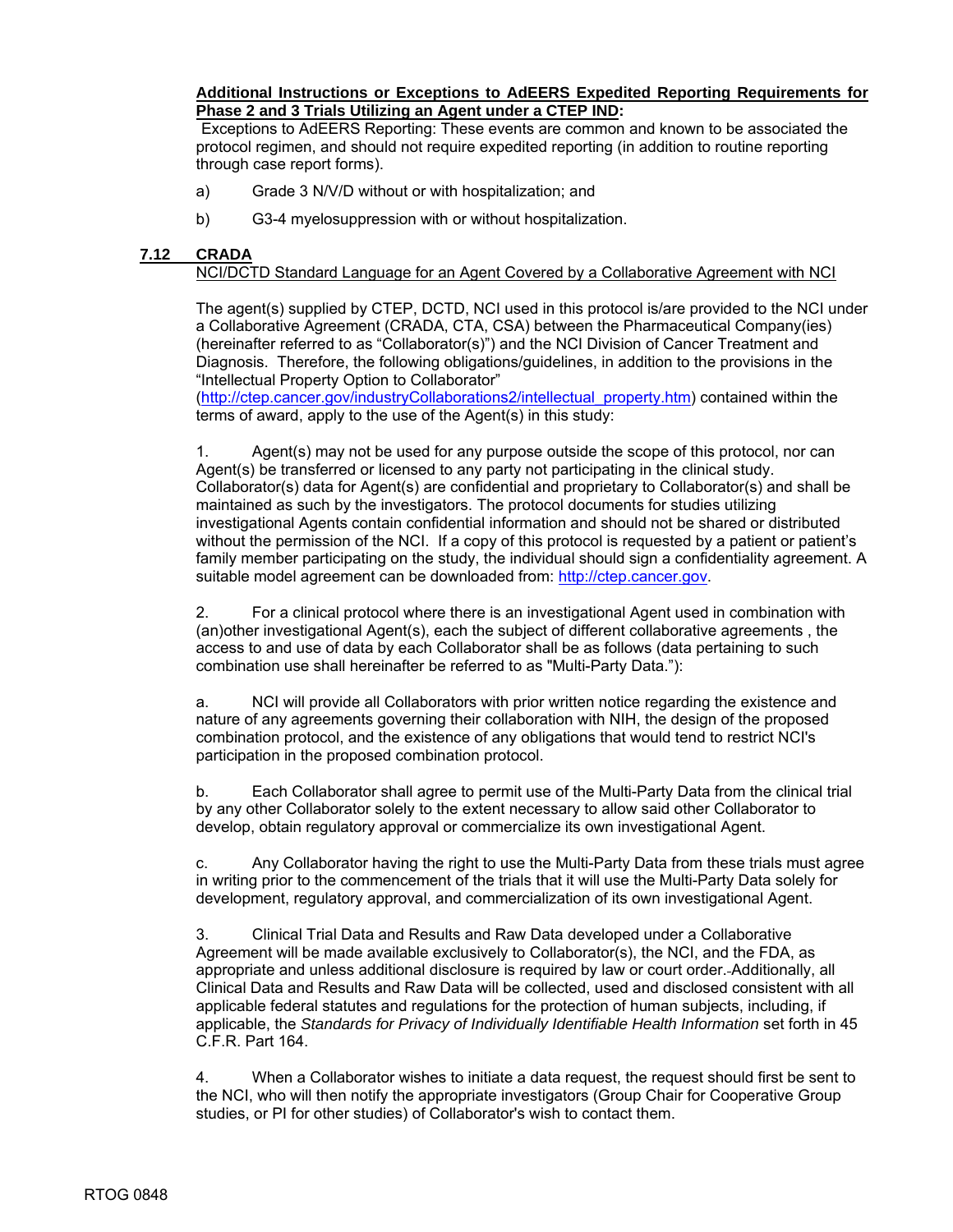### **Additional Instructions or Exceptions to AdEERS Expedited Reporting Requirements for Phase 2 and 3 Trials Utilizing an Agent under a CTEP IND:**

Exceptions to AdEERS Reporting: These events are common and known to be associated the protocol regimen, and should not require expedited reporting (in addition to routine reporting through case report forms).

- a) Grade 3 N/V/D without or with hospitalization; and
- b) G3-4 myelosuppression with or without hospitalization.

## **7.12 CRADA**

NCI/DCTD Standard Language for an Agent Covered by a Collaborative Agreement with NCI

The agent(s) supplied by CTEP, DCTD, NCI used in this protocol is/are provided to the NCI under a Collaborative Agreement (CRADA, CTA, CSA) between the Pharmaceutical Company(ies) (hereinafter referred to as "Collaborator(s)") and the NCI Division of Cancer Treatment and Diagnosis. Therefore, the following obligations/guidelines, in addition to the provisions in the "Intellectual Property Option to Collaborator"

[\(http://ctep.cancer.gov/industryCollaborations2/intellectual\\_property.htm\)](http://ctep.cancer.gov/industryCollaborations2/intellectual_property.htm) contained within the terms of award, apply to the use of the Agent(s) in this study:

1. Agent(s) may not be used for any purpose outside the scope of this protocol, nor can Agent(s) be transferred or licensed to any party not participating in the clinical study. Collaborator(s) data for Agent(s) are confidential and proprietary to Collaborator(s) and shall be maintained as such by the investigators. The protocol documents for studies utilizing investigational Agents contain confidential information and should not be shared or distributed without the permission of the NCI. If a copy of this protocol is requested by a patient or patient's family member participating on the study, the individual should sign a confidentiality agreement. A suitable model agreement can be downloaded from: [http://ctep.cancer.gov.](http://ctep.cancer.gov)

2. For a clinical protocol where there is an investigational Agent used in combination with (an)other investigational Agent(s), each the subject of different collaborative agreements , the access to and use of data by each Collaborator shall be as follows (data pertaining to such combination use shall hereinafter be referred to as "Multi-Party Data."):

a. NCI will provide all Collaborators with prior written notice regarding the existence and nature of any agreements governing their collaboration with NIH, the design of the proposed combination protocol, and the existence of any obligations that would tend to restrict NCI's participation in the proposed combination protocol.

b. Each Collaborator shall agree to permit use of the Multi-Party Data from the clinical trial by any other Collaborator solely to the extent necessary to allow said other Collaborator to develop, obtain regulatory approval or commercialize its own investigational Agent.

c. Any Collaborator having the right to use the Multi-Party Data from these trials must agree in writing prior to the commencement of the trials that it will use the Multi-Party Data solely for development, regulatory approval, and commercialization of its own investigational Agent.

3. Clinical Trial Data and Results and Raw Data developed under a Collaborative Agreement will be made available exclusively to Collaborator(s), the NCI, and the FDA, as appropriate and unless additional disclosure is required by law or court order. Additionally, all Clinical Data and Results and Raw Data will be collected, used and disclosed consistent with all applicable federal statutes and regulations for the protection of human subjects, including, if applicable, the *Standards for Privacy of Individually Identifiable Health Information* set forth in 45 C.F.R. Part 164.

4. When a Collaborator wishes to initiate a data request, the request should first be sent to the NCI, who will then notify the appropriate investigators (Group Chair for Cooperative Group studies, or PI for other studies) of Collaborator's wish to contact them.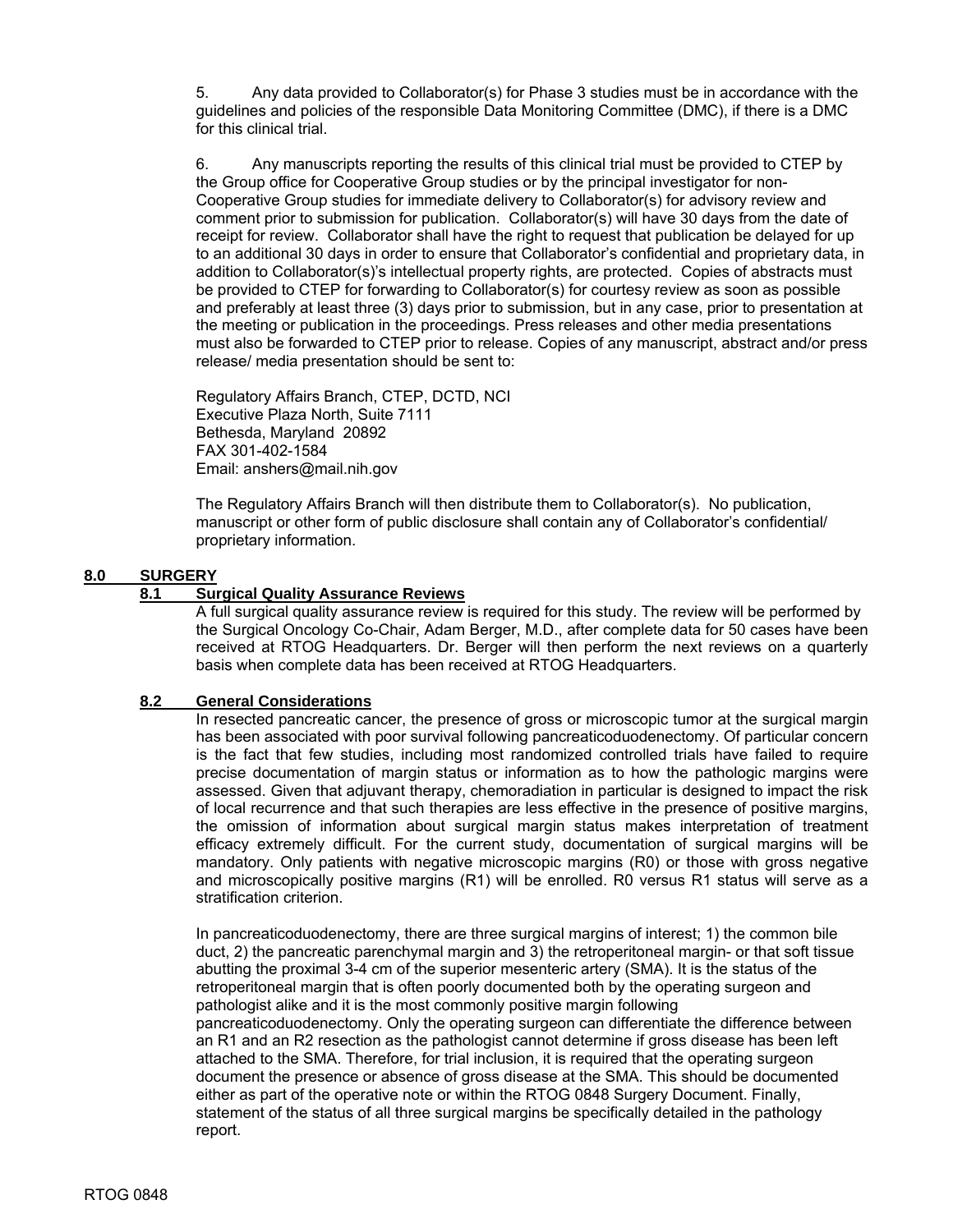5. Any data provided to Collaborator(s) for Phase 3 studies must be in accordance with the guidelines and policies of the responsible Data Monitoring Committee (DMC), if there is a DMC for this clinical trial.

6. Any manuscripts reporting the results of this clinical trial must be provided to CTEP by the Group office for Cooperative Group studies or by the principal investigator for non-Cooperative Group studies for immediate delivery to Collaborator(s) for advisory review and comment prior to submission for publication. Collaborator(s) will have 30 days from the date of receipt for review. Collaborator shall have the right to request that publication be delayed for up to an additional 30 days in order to ensure that Collaborator's confidential and proprietary data, in addition to Collaborator(s)'s intellectual property rights, are protected. Copies of abstracts must be provided to CTEP for forwarding to Collaborator(s) for courtesy review as soon as possible and preferably at least three (3) days prior to submission, but in any case, prior to presentation at the meeting or publication in the proceedings. Press releases and other media presentations must also be forwarded to CTEP prior to release. Copies of any manuscript, abstract and/or press release/ media presentation should be sent to:

Regulatory Affairs Branch, CTEP, DCTD, NCI Executive Plaza North, Suite 7111 Bethesda, Maryland 20892 FAX 301-402-1584 Email: [anshers@mail.nih.gov](mailto:anshers@mail.nih.gov) 

The Regulatory Affairs Branch will then distribute them to Collaborator(s). No publication, manuscript or other form of public disclosure shall contain any of Collaborator's confidential/ proprietary information.

## **8.0 SURGERY**

## **8.1 Surgical Quality Assurance Reviews**

A full surgical quality assurance review is required for this study. The review will be performed by the Surgical Oncology Co-Chair, Adam Berger, M.D., after complete data for 50 cases have been received at RTOG Headquarters. Dr. Berger will then perform the next reviews on a quarterly basis when complete data has been received at RTOG Headquarters.

### **8.2 General Considerations**

In resected pancreatic cancer, the presence of gross or microscopic tumor at the surgical margin has been associated with poor survival following pancreaticoduodenectomy. Of particular concern is the fact that few studies, including most randomized controlled trials have failed to require precise documentation of margin status or information as to how the pathologic margins were assessed. Given that adjuvant therapy, chemoradiation in particular is designed to impact the risk of local recurrence and that such therapies are less effective in the presence of positive margins, the omission of information about surgical margin status makes interpretation of treatment efficacy extremely difficult. For the current study, documentation of surgical margins will be mandatory. Only patients with negative microscopic margins (R0) or those with gross negative and microscopically positive margins (R1) will be enrolled. R0 versus R1 status will serve as a stratification criterion.

In pancreaticoduodenectomy, there are three surgical margins of interest; 1) the common bile duct, 2) the pancreatic parenchymal margin and 3) the retroperitoneal margin- or that soft tissue abutting the proximal 3-4 cm of the superior mesenteric artery (SMA). It is the status of the retroperitoneal margin that is often poorly documented both by the operating surgeon and pathologist alike and it is the most commonly positive margin following pancreaticoduodenectomy. Only the operating surgeon can differentiate the difference between an R1 and an R2 resection as the pathologist cannot determine if gross disease has been left attached to the SMA. Therefore, for trial inclusion, it is required that the operating surgeon document the presence or absence of gross disease at the SMA. This should be documented either as part of the operative note or within the RTOG 0848 Surgery Document. Finally, statement of the status of all three surgical margins be specifically detailed in the pathology report.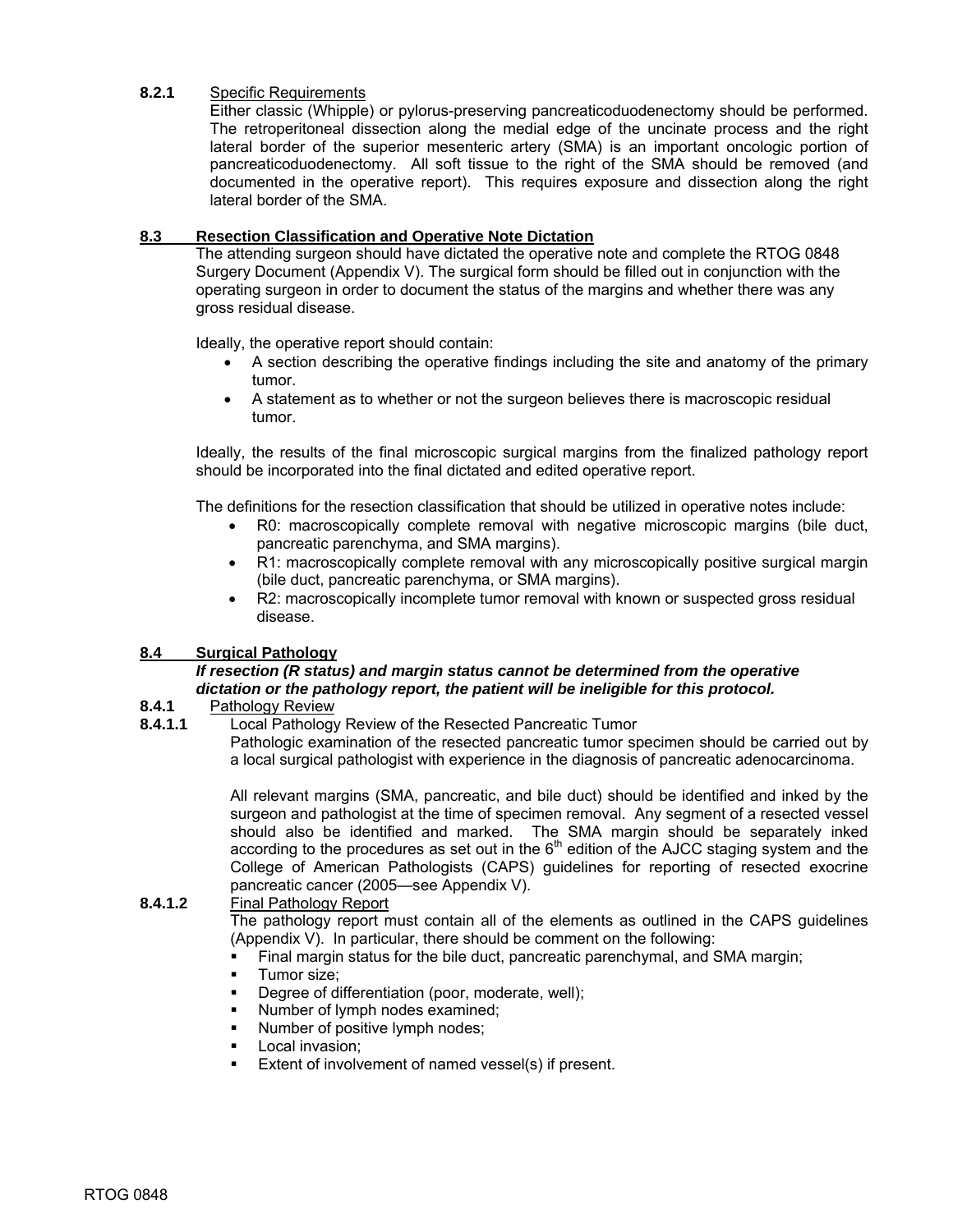## **8.2.1** Specific Requirements

Either classic (Whipple) or pylorus-preserving pancreaticoduodenectomy should be performed. The retroperitoneal dissection along the medial edge of the uncinate process and the right lateral border of the superior mesenteric artery (SMA) is an important oncologic portion of pancreaticoduodenectomy. All soft tissue to the right of the SMA should be removed (and documented in the operative report). This requires exposure and dissection along the right lateral border of the SMA.

## **8.3 Resection Classification and Operative Note Dictation**

The attending surgeon should have dictated the operative note and complete the RTOG 0848 Surgery Document (Appendix V). The surgical form should be filled out in conjunction with the operating surgeon in order to document the status of the margins and whether there was any gross residual disease.

Ideally, the operative report should contain:

- A section describing the operative findings including the site and anatomy of the primary tumor.
- A statement as to whether or not the surgeon believes there is macroscopic residual tumor.

Ideally, the results of the final microscopic surgical margins from the finalized pathology report should be incorporated into the final dictated and edited operative report.

The definitions for the resection classification that should be utilized in operative notes include:

- R0: macroscopically complete removal with negative microscopic margins (bile duct, pancreatic parenchyma, and SMA margins).
- R1: macroscopically complete removal with any microscopically positive surgical margin (bile duct, pancreatic parenchyma, or SMA margins).
- R2: macroscopically incomplete tumor removal with known or suspected gross residual disease.

# **8.4 Surgical Pathology**

# *If resection (R status) and margin status cannot be determined from the operative dictation or the pathology report, the patient will be ineligible for this protocol.*

## **8.4.1** Pathology Review

**8.4.1.1** Local Pathology Review of the Resected Pancreatic Tumor

Pathologic examination of the resected pancreatic tumor specimen should be carried out by a local surgical pathologist with experience in the diagnosis of pancreatic adenocarcinoma.

All relevant margins (SMA, pancreatic, and bile duct) should be identified and inked by the surgeon and pathologist at the time of specimen removal. Any segment of a resected vessel should also be identified and marked. The SMA margin should be separately inked according to the procedures as set out in the  $6<sup>th</sup>$  edition of the AJCC staging system and the College of American Pathologists (CAPS) guidelines for reporting of resected exocrine pancreatic cancer (2005—see Appendix V).

# **8.4.1.2** Final Pathology Report

The pathology report must contain all of the elements as outlined in the CAPS guidelines (Appendix V). In particular, there should be comment on the following:

- Final margin status for the bile duct, pancreatic parenchymal, and SMA margin;
- Tumor size;
- Degree of differentiation (poor, moderate, well);
- Number of lymph nodes examined;
- Number of positive lymph nodes;
- **Local invasion;**
- Extent of involvement of named vessel(s) if present.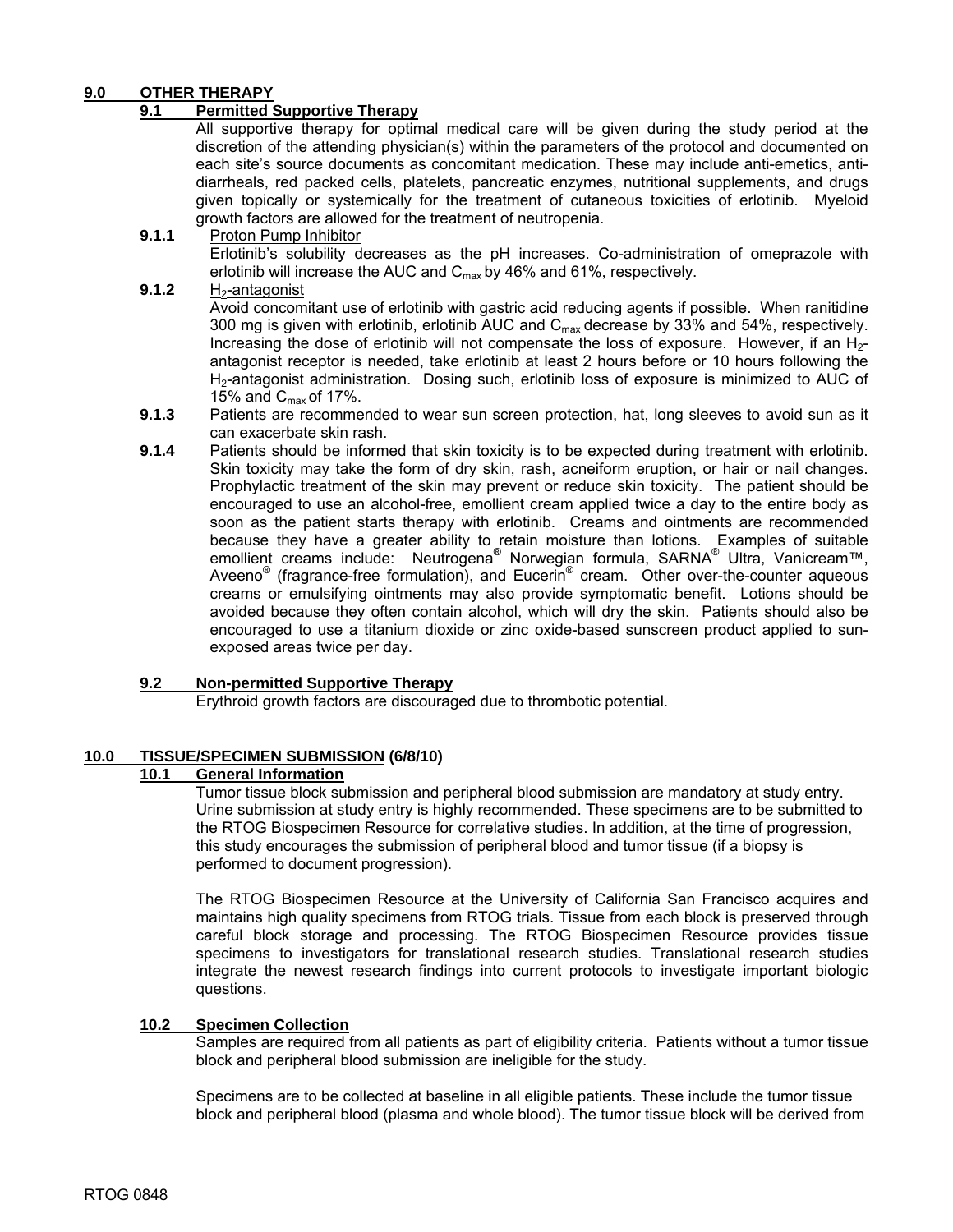## **9.0 OTHER THERAPY**

## **9.1 Permitted Supportive Therapy**

 All supportive therapy for optimal medical care will be given during the study period at the discretion of the attending physician(s) within the parameters of the protocol and documented on each site's source documents as concomitant medication. These may include anti-emetics, antidiarrheals, red packed cells, platelets, pancreatic enzymes, nutritional supplements, and drugs given topically or systemically for the treatment of cutaneous toxicities of erlotinib. Myeloid growth factors are allowed for the treatment of neutropenia.

**9.1.1** Proton Pump Inhibitor Erlotinib's solubility decreases as the pH increases. Co-administration of omeprazole with erlotinib will increase the AUC and  $C_{\text{max}}$  by 46% and 61%, respectively.

## **9.1.2** H<sub>2</sub>-antagonist

Avoid concomitant use of erlotinib with gastric acid reducing agents if possible. When ranitidine 300 mg is given with erlotinib, erlotinib AUC and  $C_{\text{max}}$  decrease by 33% and 54%, respectively. Increasing the dose of erlotinib will not compensate the loss of exposure. However, if an  $H_{2-}$ antagonist receptor is needed, take erlotinib at least 2 hours before or 10 hours following the H<sub>2</sub>-antagonist administration. Dosing such, erlotinib loss of exposure is minimized to AUC of 15% and  $C_{\text{max}}$  of 17%.

- **9.1.3** Patients are recommended to wear sun screen protection, hat, long sleeves to avoid sun as it can exacerbate skin rash.
- **9.1.4** Patients should be informed that skin toxicity is to be expected during treatment with erlotinib. Skin toxicity may take the form of dry skin, rash, acneiform eruption, or hair or nail changes. Prophylactic treatment of the skin may prevent or reduce skin toxicity. The patient should be encouraged to use an alcohol-free, emollient cream applied twice a day to the entire body as soon as the patient starts therapy with erlotinib. Creams and ointments are recommended because they have a greater ability to retain moisture than lotions. Examples of suitable emollient creams include: Neutrogena® Norwegian formula, SARNA® Ultra, Vanicream™, Aveeno<sup>®</sup> (fragrance-free formulation), and Eucerin<sup>®</sup> cream. Other over-the-counter aqueous creams or emulsifying ointments may also provide symptomatic benefit. Lotions should be avoided because they often contain alcohol, which will dry the skin. Patients should also be encouraged to use a titanium dioxide or zinc oxide-based sunscreen product applied to sunexposed areas twice per day.

### **9.2 Non-permitted Supportive Therapy**

Erythroid growth factors are discouraged due to thrombotic potential.

### **10.0 TISSUE/SPECIMEN SUBMISSION (6/8/10)**

## **10.1 General Information**

Tumor tissue block submission and peripheral blood submission are mandatory at study entry. Urine submission at study entry is highly recommended. These specimens are to be submitted to the RTOG Biospecimen Resource for correlative studies. In addition, at the time of progression, this study encourages the submission of peripheral blood and tumor tissue (if a biopsy is performed to document progression).

 The RTOG Biospecimen Resource at the University of California San Francisco acquires and maintains high quality specimens from RTOG trials. Tissue from each block is preserved through careful block storage and processing. The RTOG Biospecimen Resource provides tissue specimens to investigators for translational research studies. Translational research studies integrate the newest research findings into current protocols to investigate important biologic questions.

### **10.2 Specimen Collection**

Samples are required from all patients as part of eligibility criteria. Patients without a tumor tissue block and peripheral blood submission are ineligible for the study.

Specimens are to be collected at baseline in all eligible patients. These include the tumor tissue block and peripheral blood (plasma and whole blood). The tumor tissue block will be derived from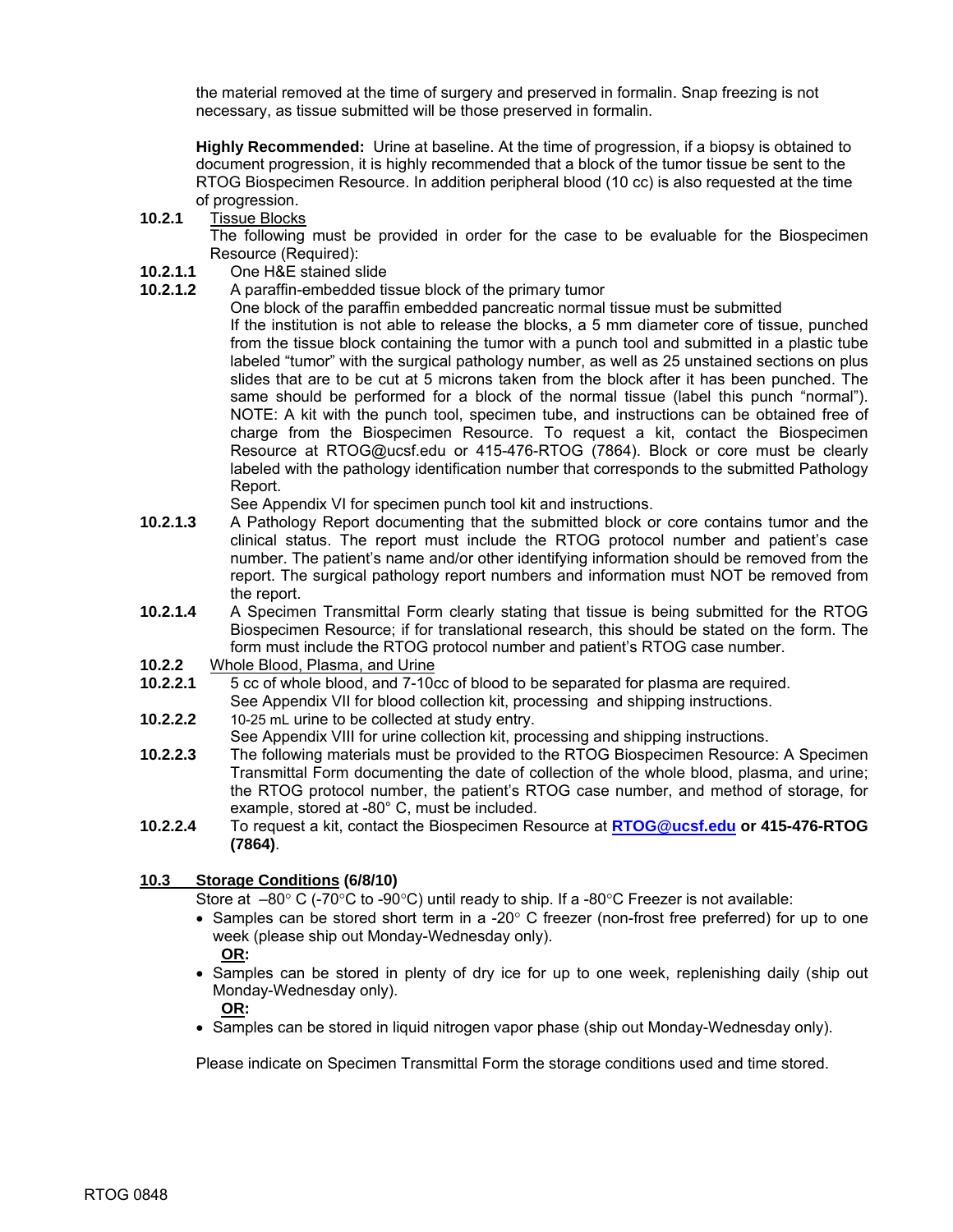the material removed at the time of surgery and preserved in formalin. Snap freezing is not necessary, as tissue submitted will be those preserved in formalin.

**Highly Recommended:** Urine at baseline. At the time of progression, if a biopsy is obtained to document progression, it is highly recommended that a block of the tumor tissue be sent to the RTOG Biospecimen Resource. In addition peripheral blood (10 cc) is also requested at the time of progression.

**10.2.1** Tissue Blocks

The following must be provided in order for the case to be evaluable for the Biospecimen Resource (Required):

- **10.2.1.1** One H&E stained slide<br>**10.2.1.2** A paraffin-embedded tis
- **10.2.1.2** A paraffin-embedded tissue block of the primary tumor

One block of the paraffin embedded pancreatic normal tissue must be submitted If the institution is not able to release the blocks, a 5 mm diameter core of tissue, punched from the tissue block containing the tumor with a punch tool and submitted in a plastic tube labeled "tumor" with the surgical pathology number, as well as 25 unstained sections on plus slides that are to be cut at 5 microns taken from the block after it has been punched. The same should be performed for a block of the normal tissue (label this punch "normal"). NOTE: A kit with the punch tool, specimen tube, and instructions can be obtained free of charge from the Biospecimen Resource. To request a kit, contact the Biospecimen Resource at [RTOG@ucsf.edu o](mailto:RTOG@ucsf.edu)r 415-476-RTOG (7864). Block or core must be clearly labeled with the pathology identification number that corresponds to the submitted Pathology Report.

See Appendix VI for specimen punch tool kit and instructions.

- **10.2.1.3** A Pathology Report documenting that the submitted block or core contains tumor and the clinical status. The report must include the RTOG protocol number and patient's case number. The patient's name and/or other identifying information should be removed from the report. The surgical pathology report numbers and information must NOT be removed from the report.
- **10.2.1.4** A Specimen Transmittal Form clearly stating that tissue is being submitted for the RTOG Biospecimen Resource; if for translational research, this should be stated on the form. The form must include the RTOG protocol number and patient's RTOG case number.
- **10.2.2** Whole Blood, Plasma, and Urine
- **10.2.2.1** 5 cc of whole blood, and 7-10cc of blood to be separated for plasma are required. See Appendix VII for blood collection kit, processing and shipping instructions.
- **10.2.2.2** 10-25 mL urine to be collected at study entry.
- See Appendix VIII for urine collection kit, processing and shipping instructions.
- **10.2.2.3** The following materials must be provided to the RTOG Biospecimen Resource: A Specimen Transmittal Form documenting the date of collection of the whole blood, plasma, and urine; the RTOG protocol number, the patient's RTOG case number, and method of storage, for example, stored at -80° C, must be included.
- **10.2.2.4** To request a kit, contact the Biospecimen Resource at **[RTOG@ucsf.edu](mailto:RTOG@ucsf.edu) or 415-476-RTOG (7864)**.

# **10.3 Storage Conditions (6/8/10)**

Store at  $-80^{\circ}$  C (-70°C to -90°C) until ready to ship. If a -80°C Freezer is not available:

- Samples can be stored short term in a -20 $^{\circ}$  C freezer (non-frost free preferred) for up to one week (please ship out Monday-Wednesday only). **OR:**
- Samples can be stored in plenty of dry ice for up to one week, replenishing daily (ship out Monday-Wednesday only). **OR:**
- Samples can be stored in liquid nitrogen vapor phase (ship out Monday-Wednesday only).

Please indicate on Specimen Transmittal Form the storage conditions used and time stored.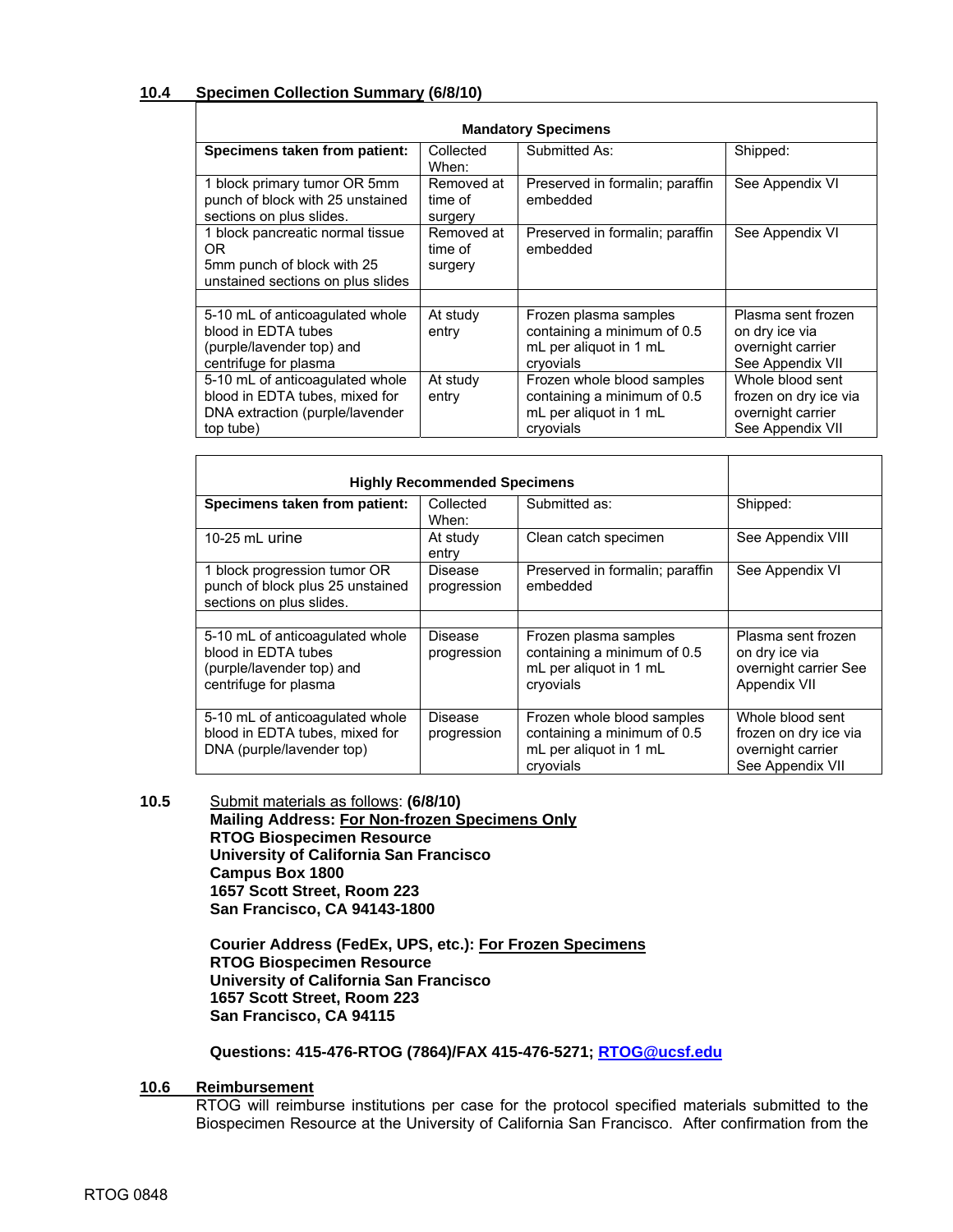### **10.4 Specimen Collection Summary (6/8/10)**

| <b>Mandatory Specimens</b>                                                                                        |                                  |                                                                                                  |                                                                                    |  |  |  |
|-------------------------------------------------------------------------------------------------------------------|----------------------------------|--------------------------------------------------------------------------------------------------|------------------------------------------------------------------------------------|--|--|--|
| Specimens taken from patient:                                                                                     | Collected<br>When:               | Submitted As:                                                                                    | Shipped:                                                                           |  |  |  |
| 1 block primary tumor OR 5mm<br>punch of block with 25 unstained<br>sections on plus slides.                      | Removed at<br>time of<br>surgery | Preserved in formalin; paraffin<br>embedded                                                      | See Appendix VI                                                                    |  |  |  |
| 1 block pancreatic normal tissue<br>OR.<br>5mm punch of block with 25<br>unstained sections on plus slides        | Removed at<br>time of<br>surgery | Preserved in formalin; paraffin<br>embedded                                                      | See Appendix VI                                                                    |  |  |  |
|                                                                                                                   |                                  |                                                                                                  |                                                                                    |  |  |  |
| 5-10 mL of anticoagulated whole<br>blood in EDTA tubes<br>(purple/lavender top) and<br>centrifuge for plasma      | At study<br>entry                | Frozen plasma samples<br>containing a minimum of 0.5<br>mL per aliquot in 1 mL<br>cryovials      | Plasma sent frozen<br>on dry ice via<br>overnight carrier<br>See Appendix VII      |  |  |  |
| 5-10 mL of anticoagulated whole<br>blood in EDTA tubes, mixed for<br>DNA extraction (purple/lavender<br>top tube) | At study<br>entry                | Frozen whole blood samples<br>containing a minimum of 0.5<br>mL per aliquot in 1 mL<br>cryovials | Whole blood sent<br>frozen on dry ice via<br>overnight carrier<br>See Appendix VII |  |  |  |

| <b>Highly Recommended Specimens</b>                                                                          |                               |                                                                                                  |                                                                                    |
|--------------------------------------------------------------------------------------------------------------|-------------------------------|--------------------------------------------------------------------------------------------------|------------------------------------------------------------------------------------|
| Specimens taken from patient:                                                                                | Collected<br>When:            | Submitted as:                                                                                    | Shipped:                                                                           |
| 10-25 $mL$ urine                                                                                             | At study<br>entry             | Clean catch specimen                                                                             | See Appendix VIII                                                                  |
| 1 block progression tumor OR<br>punch of block plus 25 unstained<br>sections on plus slides.                 | <b>Disease</b><br>progression | Preserved in formalin; paraffin<br>embedded                                                      | See Appendix VI                                                                    |
|                                                                                                              |                               |                                                                                                  |                                                                                    |
| 5-10 mL of anticoagulated whole<br>blood in EDTA tubes<br>(purple/lavender top) and<br>centrifuge for plasma | <b>Disease</b><br>progression | Frozen plasma samples<br>containing a minimum of 0.5<br>mL per aliquot in 1 mL<br>cryovials      | Plasma sent frozen<br>on dry ice via<br>overnight carrier See<br>Appendix VII      |
| 5-10 mL of anticoagulated whole<br>blood in EDTA tubes, mixed for<br>DNA (purple/lavender top)               | <b>Disease</b><br>progression | Frozen whole blood samples<br>containing a minimum of 0.5<br>mL per aliquot in 1 mL<br>cryovials | Whole blood sent<br>frozen on dry ice via<br>overnight carrier<br>See Appendix VII |

**10.5** Submit materials as follows: **(6/8/10) Mailing Address: For Non-frozen Specimens Only RTOG Biospecimen Resource University of California San Francisco Campus Box 1800 1657 Scott Street, Room 223 San Francisco, CA 94143-1800** 

> **Courier Address (FedEx, UPS, etc.): For Frozen Specimens RTOG Biospecimen Resource University of California San Francisco 1657 Scott Street, Room 223 San Francisco, CA 94115**

### **Questions: 415-476-RTOG (7864)/FAX 415-476-5271; [RTOG@ucsf.edu](mailto:RTOG@ucsf.edu)**

## **10.6 Reimbursement**

 RTOG will reimburse institutions per case for the protocol specified materials submitted to the Biospecimen Resource at the University of California San Francisco. After confirmation from the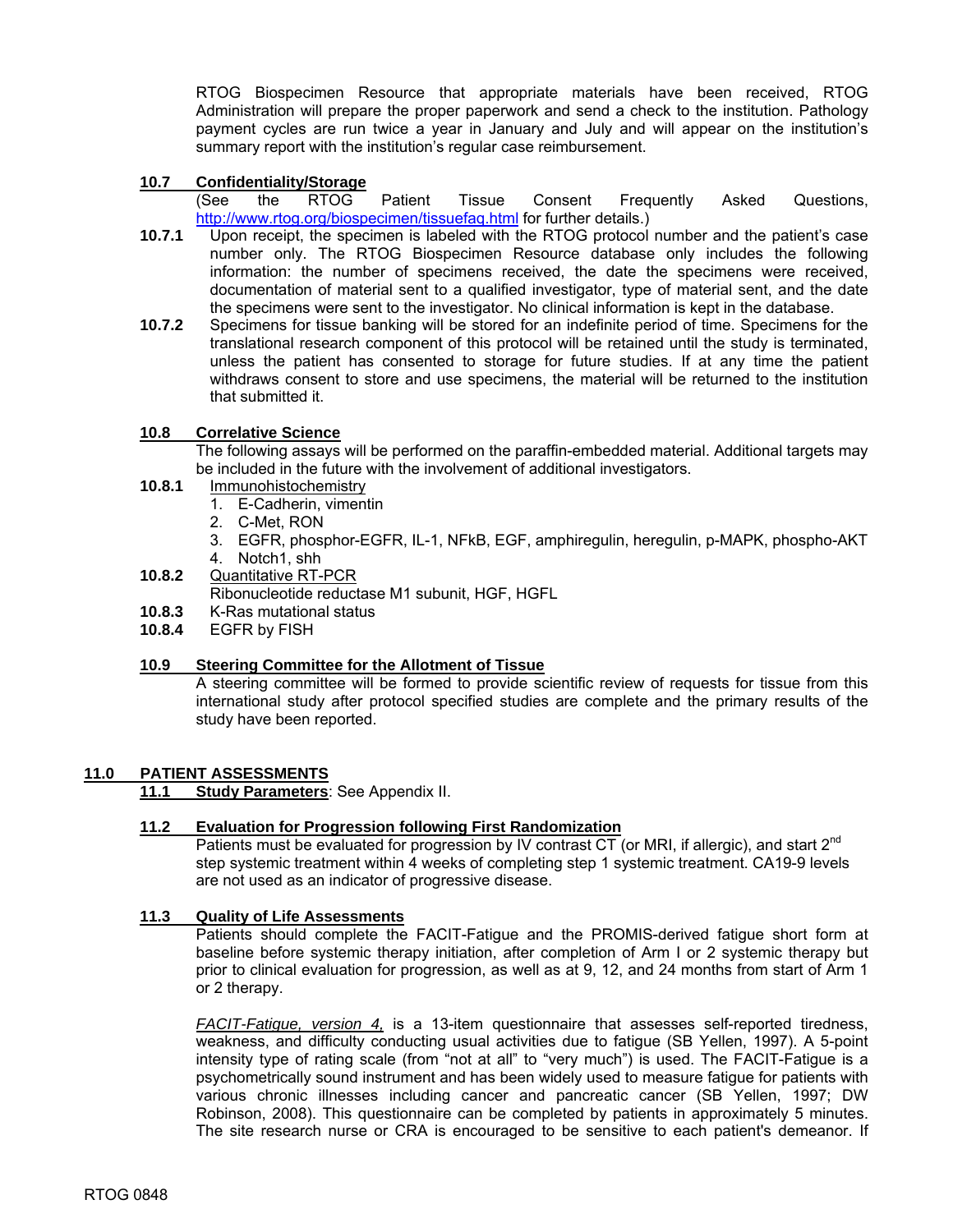RTOG Biospecimen Resource that appropriate materials have been received, RTOG Administration will prepare the proper paperwork and send a check to the institution. Pathology payment cycles are run twice a year in January and July and will appear on the institution's summary report with the institution's regular case reimbursement.

## **10.7 Confidentiality/Storage**

 (See the RTOG Patient Tissue Consent Frequently Asked Questions, [http://www.rtog.org/biospecimen/tissuefaq.html fo](http://www.rtog.org/biospecimen/tissuefaq.html)r further details.)

- **10.7.1** Upon receipt, the specimen is labeled with the RTOG protocol number and the patient's case number only. The RTOG Biospecimen Resource database only includes the following information: the number of specimens received, the date the specimens were received, documentation of material sent to a qualified investigator, type of material sent, and the date the specimens were sent to the investigator. No clinical information is kept in the database.
- **10.7.2** Specimens for tissue banking will be stored for an indefinite period of time. Specimens for the translational research component of this protocol will be retained until the study is terminated, unless the patient has consented to storage for future studies. If at any time the patient withdraws consent to store and use specimens, the material will be returned to the institution that submitted it.

### **10.8 Correlative Science**

 The following assays will be performed on the paraffin-embedded material. Additional targets may be included in the future with the involvement of additional investigators.

- **10.8.1** Immunohistochemistry
	- 1. E-Cadherin, vimentin
	- 2. C-Met, RON
	- 3. EGFR, phosphor-EGFR, IL-1, NFkB, EGF, amphiregulin, heregulin, p-MAPK, phospho-AKT
	- 4. Notch1, shh
- **10.8.2** Quantitative RT-PCR
	- Ribonucleotide reductase M1 subunit, HGF, HGFL
- **10.8.3** K-Ras mutational status
- **10.8.4** EGFR by FISH

### **10.9 Steering Committee for the Allotment of Tissue**

A steering committee will be formed to provide scientific review of requests for tissue from this international study after protocol specified studies are complete and the primary results of the study have been reported.

### **11.0 PATIENT ASSESSMENTS**

 **11.1 Study Parameters**: See Appendix II.

### **11.2 Evaluation for Progression following First Randomization**

Patients must be evaluated for progression by IV contrast CT (or MRI, if allergic), and start  $2^{nd}$ step systemic treatment within 4 weeks of completing step 1 systemic treatment. CA19-9 levels are not used as an indicator of progressive disease.

### **11.3 Quality of Life Assessments**

Patients should complete the FACIT-Fatigue and the PROMIS-derived fatigue short form at baseline before systemic therapy initiation, after completion of Arm I or 2 systemic therapy but prior to clinical evaluation for progression, as well as at 9, 12, and 24 months from start of Arm 1 or 2 therapy.

*FACIT-Fatigue, version 4,* is a 13-item questionnaire that assesses self-reported tiredness, weakness, and difficulty conducting usual activities due to fatigue (SB Yellen, 1997). A 5-point intensity type of rating scale (from "not at all" to "very much") is used. The FACIT-Fatigue is a psychometrically sound instrument and has been widely used to measure fatigue for patients with various chronic illnesses including cancer and pancreatic cancer (SB Yellen, 1997; DW Robinson, 2008). This questionnaire can be completed by patients in approximately 5 minutes. The site research nurse or CRA is encouraged to be sensitive to each patient's demeanor. If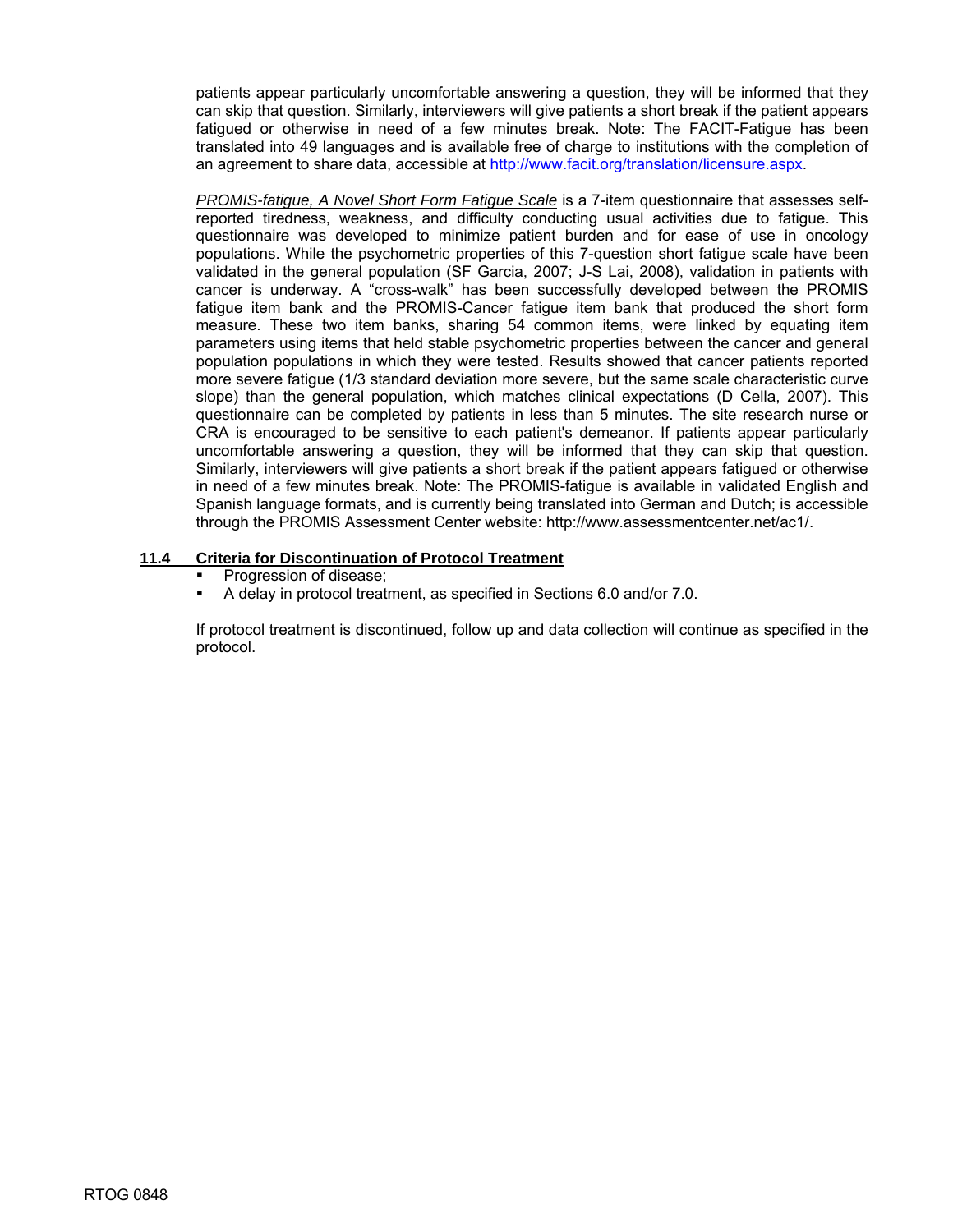patients appear particularly uncomfortable answering a question, they will be informed that they can skip that question. Similarly, interviewers will give patients a short break if the patient appears fatigued or otherwise in need of a few minutes break. Note: The FACIT-Fatigue has been translated into 49 languages and is available free of charge to institutions with the completion of an agreement to share data, accessible at [http://www.facit.org/translation/licensure.aspx.](http://www.facit.org/translation/licensure.aspx) 

*PROMIS-fatigue, A Novel Short Form Fatigue Scale* is a 7-item questionnaire that assesses selfreported tiredness, weakness, and difficulty conducting usual activities due to fatigue. This questionnaire was developed to minimize patient burden and for ease of use in oncology populations. While the psychometric properties of this 7-question short fatigue scale have been validated in the general population (SF Garcia, 2007; J-S Lai, 2008), validation in patients with cancer is underway. A "cross-walk" has been successfully developed between the PROMIS fatigue item bank and the PROMIS-Cancer fatigue item bank that produced the short form measure. These two item banks, sharing 54 common items, were linked by equating item parameters using items that held stable psychometric properties between the cancer and general population populations in which they were tested. Results showed that cancer patients reported more severe fatigue (1/3 standard deviation more severe, but the same scale characteristic curve slope) than the general population, which matches clinical expectations (D Cella, 2007). This questionnaire can be completed by patients in less than 5 minutes. The site research nurse or CRA is encouraged to be sensitive to each patient's demeanor. If patients appear particularly uncomfortable answering a question, they will be informed that they can skip that question. Similarly, interviewers will give patients a short break if the patient appears fatigued or otherwise in need of a few minutes break. Note: The PROMIS-fatigue is available in validated English and Spanish language formats, and is currently being translated into German and Dutch; is accessible through the PROMIS Assessment Center website: [http://www.assessmentcenter.net/ac1/.](http://www.assessmentcenter.net/ac1) 

## **11.4 Criteria for Discontinuation of Protocol Treatment**

- Progression of disease;
- A delay in protocol treatment, as specified in Sections 6.0 and/or 7.0.

 If protocol treatment is discontinued, follow up and data collection will continue as specified in the protocol.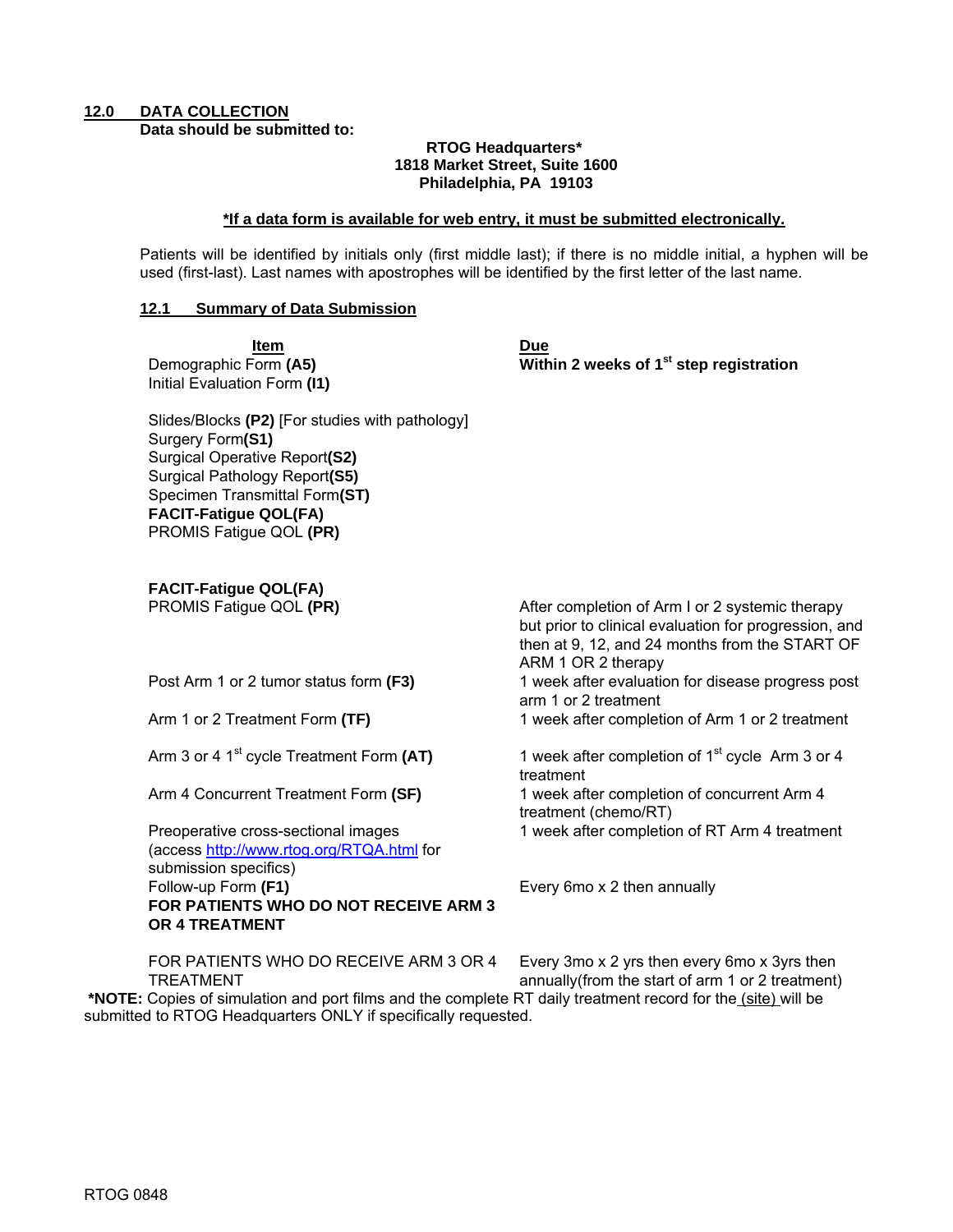#### **12.0 DATA COLLECTION Data should be submitted to:**

**RTOG Headquarters\* 1818 Market Street, Suite 1600 Philadelphia, PA 19103**

# **\*If a data form is available for web entry, it must be submitted electronically.**

Patients will be identified by initials only (first middle last); if there is no middle initial, a hyphen will be used (first-last). Last names with apostrophes will be identified by the first letter of the last name.

# **12.1 Summary of Data Submission**

**Item Due** Initial Evaluation Form **(I1)**

Demographic Form **(A5) Within 2 weeks of 1st step registration** 

Slides/Blocks **(P2)** [For studies with pathology] Surgery Form**(S1)** Surgical Operative Report**(S2)**  Surgical Pathology Report**(S5)** Specimen Transmittal Form**(ST) FACIT-Fatigue QOL(FA)**  PROMIS Fatigue QOL **(PR)** 

**FACIT-Fatigue QOL(FA)** 

Preoperative cross-sectional images (access [http://www.rtog.org/RTQA.html fo](http://www.rtog.org/RTQA.html)r submission specifics) Follow-up Form **(F1) FOR PATIENTS WHO DO NOT RECEIVE ARM 3 OR 4 TREATMENT** 

PROMIS Fatigue QOL (PR) After completion of Arm I or 2 systemic therapy but prior to clinical evaluation for progression, and then at 9, 12, and 24 months from the START OF ARM 1 OR 2 therapy Post Arm 1 or 2 tumor status form (F3) 1 week after evaluation for disease progress post arm 1 or 2 treatment Arm 1 or 2 Treatment Form **(TF)** 1 week after completion of Arm 1 or 2 treatment Arm 3 or 4 1<sup>st</sup> cycle Treatment Form (AT) 1 week after completion of 1<sup>st</sup> cycle Arm 3 or 4 treatment Arm 4 Concurrent Treatment Form **(SF)** 1 week after completion of concurrent Arm 4 treatment (chemo/RT)

1 week after completion of RT Arm 4 treatment

Every 3mo x 2 yrs then every 6mo x 3yrs then annually(from the start of arm 1 or 2 treatment)

Every 6mo x 2 then annually

FOR PATIENTS WHO DO RECEIVE ARM 3 OR 4 TREATMENT

**\*NOTE:** Copies of simulation and port films and the complete RT daily treatment record for the (site) will be submitted to RTOG Headquarters ONLY if specifically requested.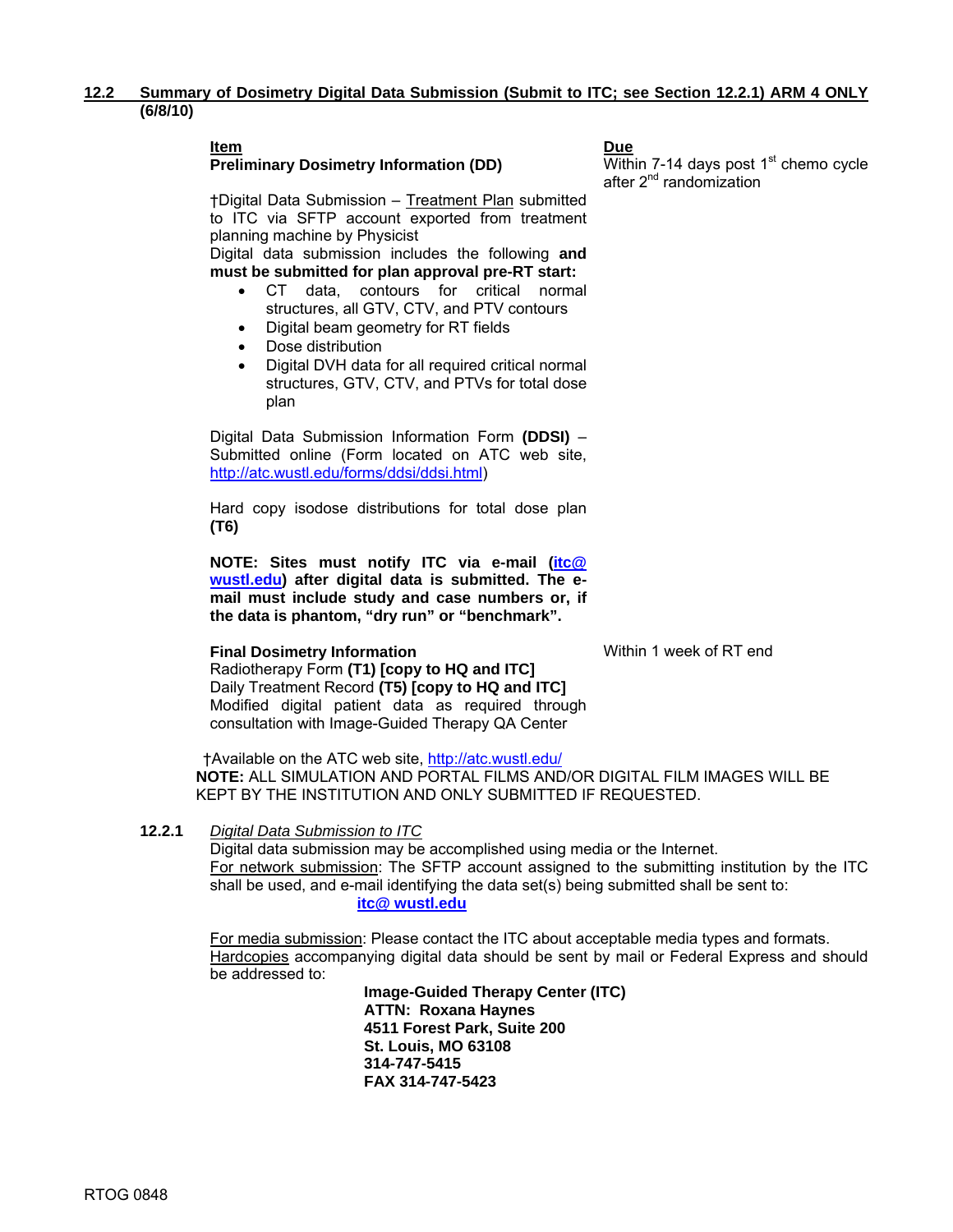## **12.2 Summary of Dosimetry Digital Data Submission (Submit to ITC; see Section 12.2.1) ARM 4 ONLY (6/8/10)**

### **Item Due**

# **Preliminary Dosimetry Information (DD)** Within 7-14 days post 1<sup>st</sup> chemo cycle

†Digital Data Submission – Treatment Plan submitted to ITC via SFTP account exported from treatment planning machine by Physicist Digital data submission includes the following **and** 

**must be submitted for plan approval pre-RT start:**

- CT data, contours for critical normal structures, all GTV, CTV, and PTV contours
- Digital beam geometry for RT fields
- Dose distribution
- Digital DVH data for all required critical normal structures, GTV, CTV, and PTVs for total dose plan

Digital Data Submission Information Form **(DDSI)** – Submitted online (Form located on ATC web site, [http://atc.wustl.edu/forms/ddsi/ddsi.html\)](http://atc.wustl.edu/forms/ddsi/ddsi.html)

Hard copy isodose distributions for total dose plan **(T6)** 

**NOTE: Sites must notify ITC via e-mail (itc@ wustl.edu) after digital data is submitted. The email must include study and case numbers or, if the data is phantom, "dry run" or "benchmark".** 

# **Final Dosimetry Information Example 20 and ST** Within 1 week of RT end

Radiotherapy Form **(T1) [copy to HQ and ITC]** Daily Treatment Record **(T5) [copy to HQ and ITC]**  Modified digital patient data as required through consultation with Image-Guided Therapy QA Center

after 2<sup>nd</sup> randomization

 †Available on the ATC web site, [http://atc.wustl.edu/](http://atc.wustl.edu) **NOTE:** ALL SIMULATION AND PORTAL FILMS AND/OR DIGITAL FILM IMAGES WILL BE KEPT BY THE INSTITUTION AND ONLY SUBMITTED IF REQUESTED.

## **12.2.1** *Digital Data Submission to ITC*

Digital data submission may be accomplished using media or the Internet. For network submission: The SFTP account assigned to the submitting institution by the ITC shall be used, and e-mail identifying the data set(s) being submitted shall be sent to: **itc@ wustl.edu**

For media submission: Please contact the ITC about acceptable media types and formats. Hardcopies accompanying digital data should be sent by mail or Federal Express and should be addressed to:

> **Image-Guided Therapy Center (ITC) ATTN: Roxana Haynes 4511 Forest Park, Suite 200 St. Louis, MO 63108 314-747-5415 FAX 314-747-5423**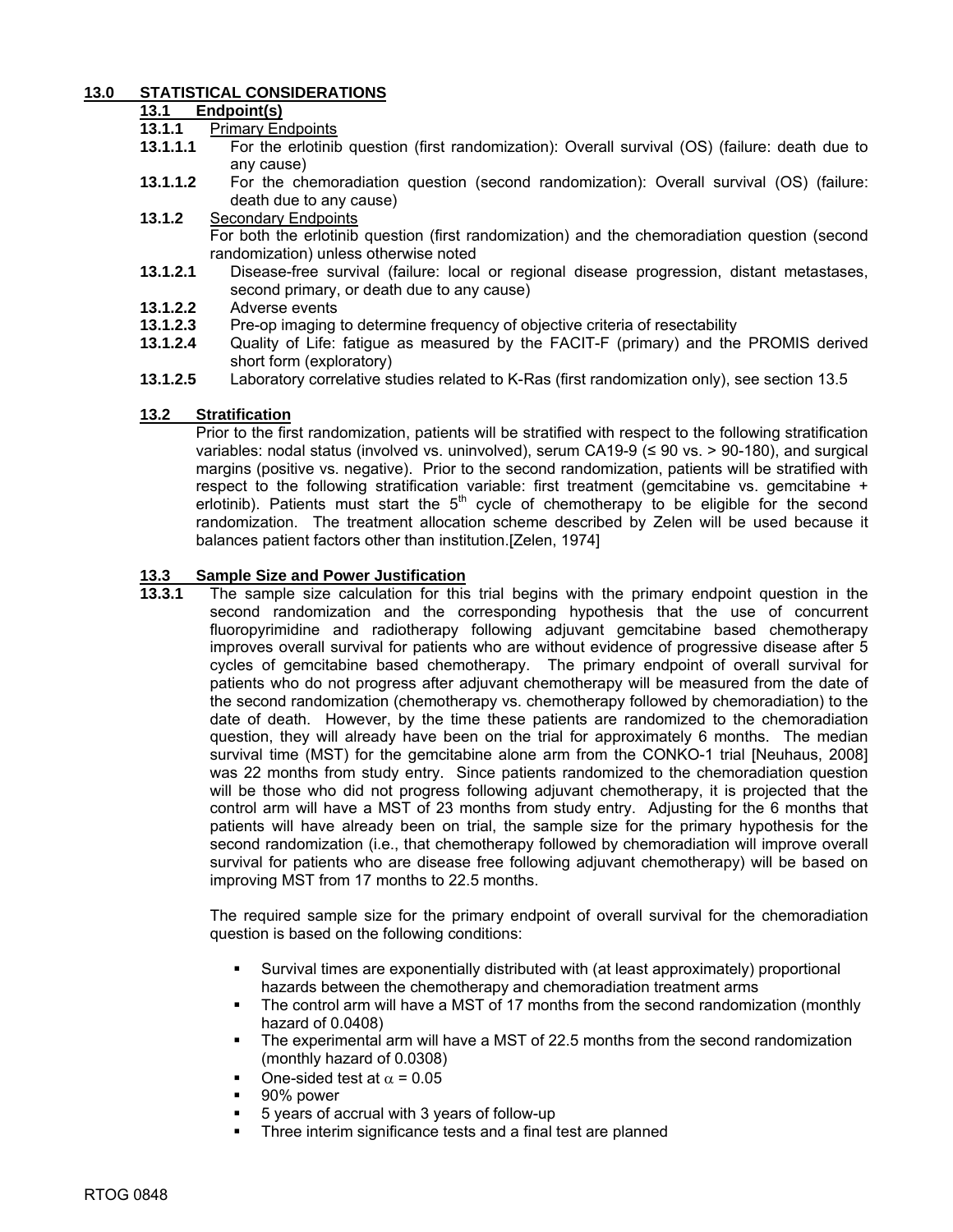# **13.0 STATISTICAL CONSIDERATIONS**

## **13.1 Endpoint(s)**

- 13.1.1 Primary Endpoints<br>13.1.1.1 For the erlotinib
- **13.1.1.1** For the erlotinib question (first randomization): Overall survival (OS) (failure: death due to any cause)
- **13.1.1.2** For the chemoradiation question (second randomization): Overall survival (OS) (failure: death due to any cause)
- **13.1.2** Secondary Endpoints For both the erlotinib question (first randomization) and the chemoradiation question (second randomization) unless otherwise noted
- **13.1.2.1** Disease-free survival (failure: local or regional disease progression, distant metastases, second primary, or death due to any cause)
- **13.1.2.2** Adverse events
- **13.1.2.3** Pre-op imaging to determine frequency of objective criteria of resectability<br>**13.1.2.4** Quality of Life: fatigue as measured by the FACIT-F (primary) and the
- **13.1.2.4** Quality of Life: fatigue as measured by the FACIT-F (primary) and the PROMIS derived short form (exploratory)
- **13.1.2.5** Laboratory correlative studies related to K-Ras (first randomization only), see section 13.5

## **13.2 Stratification**

Prior to the first randomization, patients will be stratified with respect to the following stratification variables: nodal status (involved vs. uninvolved), serum CA19-9 (≤ 90 vs. > 90-180), and surgical margins (positive vs. negative). Prior to the second randomization, patients will be stratified with respect to the following stratification variable: first treatment (gemcitabine vs. gemcitabine + erlotinib). Patients must start the  $5<sup>th</sup>$  cycle of chemotherapy to be eligible for the second randomization. The treatment allocation scheme described by Zelen will be used because it balances patient factors other than institution.[Zelen, 1974]

## **13.3 Sample Size and Power Justification**

**13.3.1** The sample size calculation for this trial begins with the primary endpoint question in the second randomization and the corresponding hypothesis that the use of concurrent fluoropyrimidine and radiotherapy following adjuvant gemcitabine based chemotherapy improves overall survival for patients who are without evidence of progressive disease after 5 cycles of gemcitabine based chemotherapy. The primary endpoint of overall survival for patients who do not progress after adjuvant chemotherapy will be measured from the date of the second randomization (chemotherapy vs. chemotherapy followed by chemoradiation) to the date of death. However, by the time these patients are randomized to the chemoradiation question, they will already have been on the trial for approximately 6 months. The median survival time (MST) for the gemcitabine alone arm from the CONKO-1 trial [Neuhaus, 2008] was 22 months from study entry. Since patients randomized to the chemoradiation question will be those who did not progress following adjuvant chemotherapy, it is projected that the control arm will have a MST of 23 months from study entry. Adjusting for the 6 months that patients will have already been on trial, the sample size for the primary hypothesis for the second randomization (i.e., that chemotherapy followed by chemoradiation will improve overall survival for patients who are disease free following adjuvant chemotherapy) will be based on improving MST from 17 months to 22.5 months.

The required sample size for the primary endpoint of overall survival for the chemoradiation question is based on the following conditions:

- Survival times are exponentially distributed with (at least approximately) proportional hazards between the chemotherapy and chemoradiation treatment arms
- The control arm will have a MST of 17 months from the second randomization (monthly hazard of 0.0408)
- The experimental arm will have a MST of 22.5 months from the second randomization (monthly hazard of 0.0308)
- One-sided test at  $\alpha$  = 0.05
- 90% power
- 5 years of accrual with 3 years of follow-up
- Three interim significance tests and a final test are planned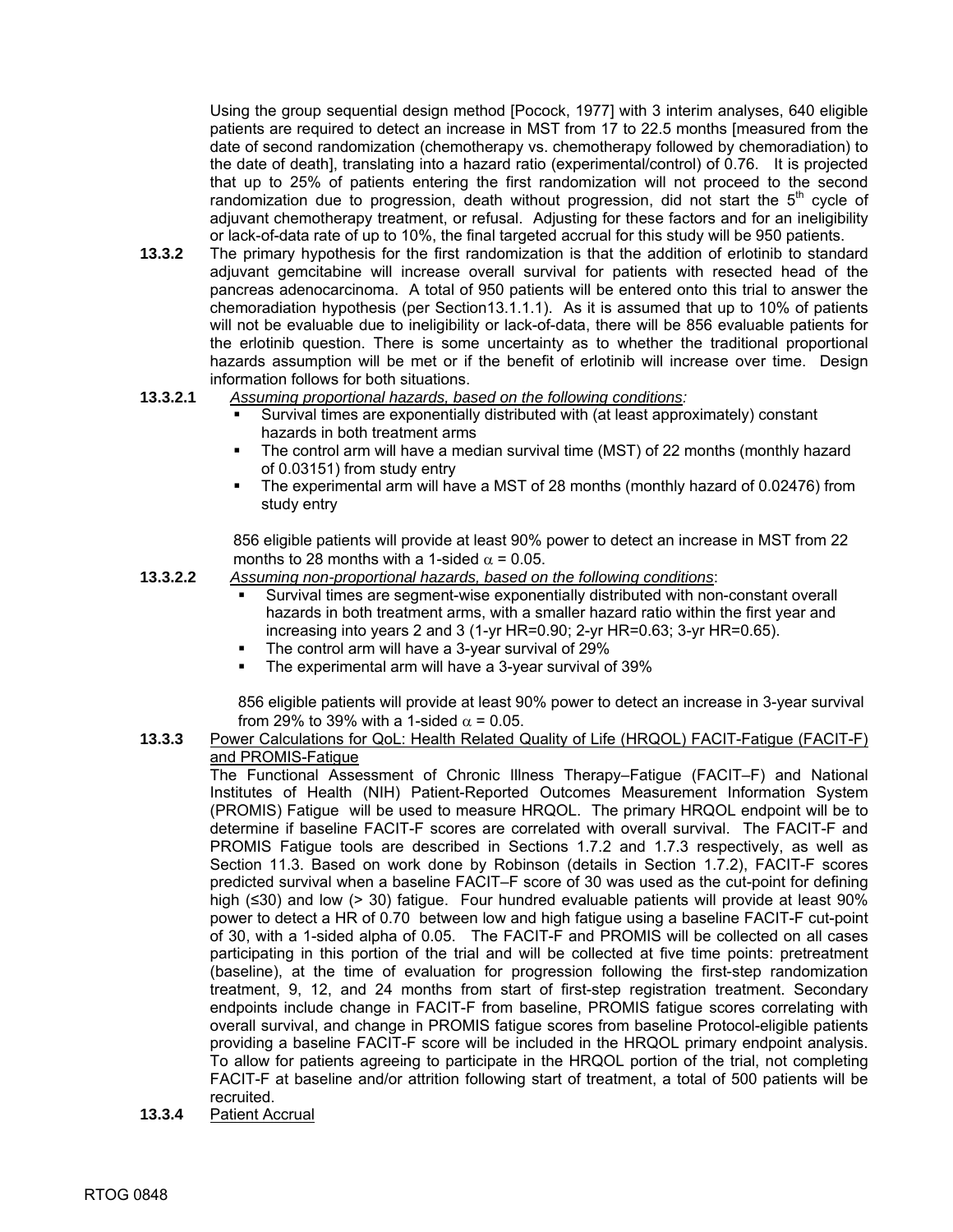Using the group sequential design method [Pocock, 1977] with 3 interim analyses, 640 eligible patients are required to detect an increase in MST from 17 to 22.5 months [measured from the date of second randomization (chemotherapy vs. chemotherapy followed by chemoradiation) to the date of death], translating into a hazard ratio (experimental/control) of 0.76. It is projected that up to 25% of patients entering the first randomization will not proceed to the second randomization due to progression, death without progression, did not start the  $5<sup>th</sup>$  cycle of adjuvant chemotherapy treatment, or refusal. Adjusting for these factors and for an ineligibility or lack-of-data rate of up to 10%, the final targeted accrual for this study will be 950 patients.

- **13.3.2** The primary hypothesis for the first randomization is that the addition of erlotinib to standard adjuvant gemcitabine will increase overall survival for patients with resected head of the pancreas adenocarcinoma. A total of 950 patients will be entered onto this trial to answer the chemoradiation hypothesis (per Section13.1.1.1). As it is assumed that up to 10% of patients will not be evaluable due to ineligibility or lack-of-data, there will be 856 evaluable patients for the erlotinib question. There is some uncertainty as to whether the traditional proportional hazards assumption will be met or if the benefit of erlotinib will increase over time. Design information follows for both situations.
- **13.3.2.1** *Assuming proportional hazards, based on the following conditions:*
	- Survival times are exponentially distributed with (at least approximately) constant hazards in both treatment arms
	- The control arm will have a median survival time (MST) of 22 months (monthly hazard of 0.03151) from study entry
	- The experimental arm will have a MST of 28 months (monthly hazard of 0.02476) from study entry

856 eligible patients will provide at least 90% power to detect an increase in MST from 22 months to 28 months with a 1-sided  $\alpha$  = 0.05.

- **13.3.2.2** *Assuming non-proportional hazards, based on the following conditions*:
	- Survival times are segment-wise exponentially distributed with non-constant overall hazards in both treatment arms, with a smaller hazard ratio within the first year and increasing into years 2 and 3 (1-yr HR=0.90; 2-yr HR=0.63; 3-yr HR=0.65).
	- The control arm will have a 3-year survival of 29%
	- The experimental arm will have a 3-year survival of 39%

856 eligible patients will provide at least 90% power to detect an increase in 3-year survival from 29% to 39% with a 1-sided  $\alpha$  = 0.05.

**13.3.3** Power Calculations for QoL: Health Related Quality of Life (HRQOL) FACIT-Fatigue (FACIT-F) and PROMIS-Fatigue

The Functional Assessment of Chronic Illness Therapy–Fatigue (FACIT–F) and National Institutes of Health (NIH) Patient-Reported Outcomes Measurement Information System (PROMIS) Fatigue will be used to measure HRQOL. The primary HRQOL endpoint will be to determine if baseline FACIT-F scores are correlated with overall survival. The FACIT-F and PROMIS Fatigue tools are described in Sections 1.7.2 and 1.7.3 respectively, as well as Section 11.3. Based on work done by Robinson (details in Section 1.7.2), FACIT-F scores predicted survival when a baseline FACIT–F score of 30 was used as the cut-point for defining high (≤30) and low (> 30) fatigue. Four hundred evaluable patients will provide at least 90% power to detect a HR of 0.70 between low and high fatigue using a baseline FACIT-F cut-point of 30, with a 1-sided alpha of 0.05. The FACIT-F and PROMIS will be collected on all cases participating in this portion of the trial and will be collected at five time points: pretreatment (baseline), at the time of evaluation for progression following the first-step randomization treatment, 9, 12, and 24 months from start of first-step registration treatment. Secondary endpoints include change in FACIT-F from baseline, PROMIS fatigue scores correlating with overall survival, and change in PROMIS fatigue scores from baseline Protocol-eligible patients providing a baseline FACIT-F score will be included in the HRQOL primary endpoint analysis. To allow for patients agreeing to participate in the HRQOL portion of the trial, not completing FACIT-F at baseline and/or attrition following start of treatment, a total of 500 patients will be recruited.

**13.3.4** Patient Accrual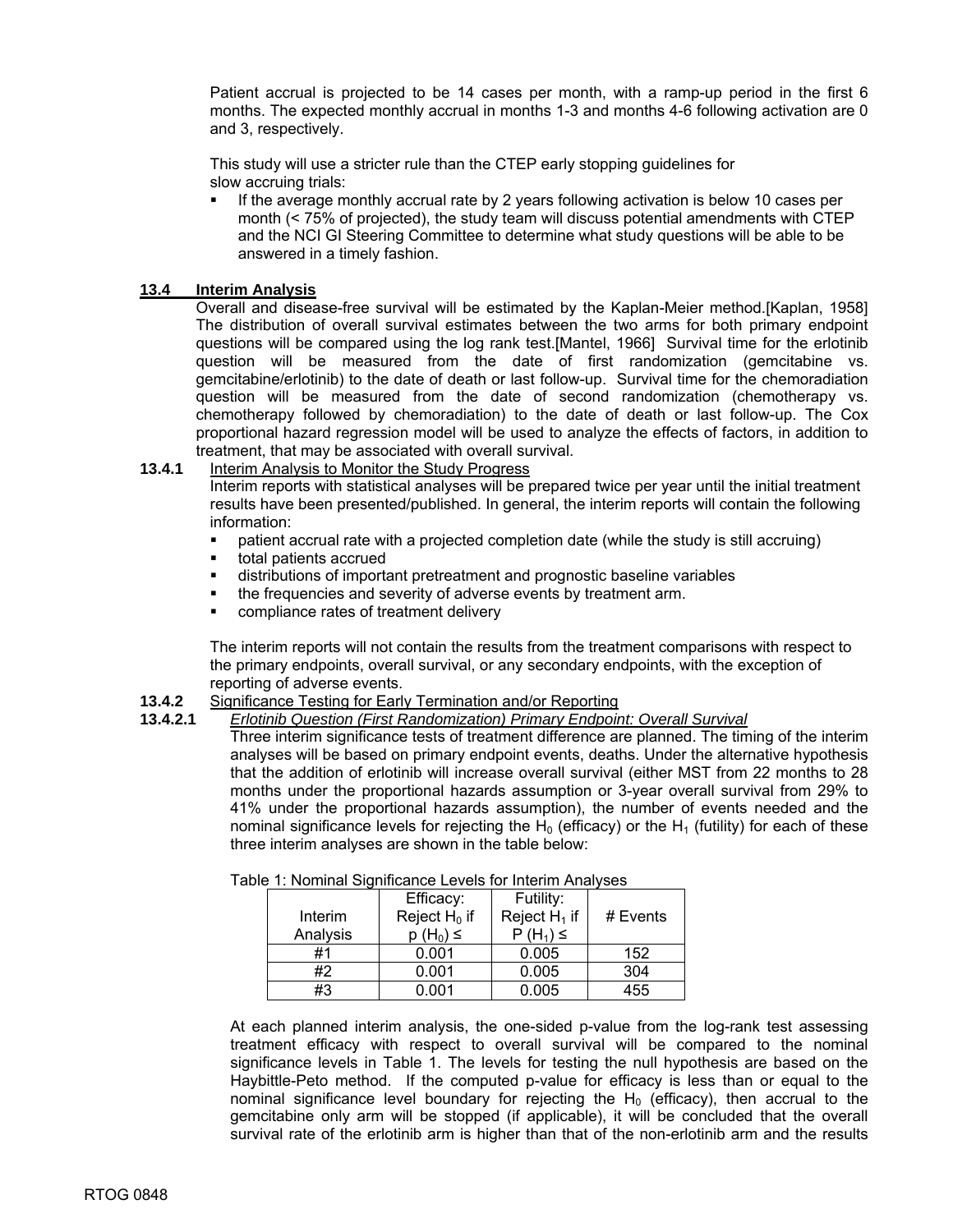Patient accrual is projected to be 14 cases per month, with a ramp-up period in the first 6 months. The expected monthly accrual in months 1-3 and months 4-6 following activation are 0 and 3, respectively.

This study will use a stricter rule than the CTEP early stopping guidelines for slow accruing trials:

If the average monthly accrual rate by 2 years following activation is below 10 cases per month (< 75% of projected), the study team will discuss potential amendments with CTEP and the NCI GI Steering Committee to determine what study questions will be able to be answered in a timely fashion.

## **13.4 Interim Analysis**

Overall and disease-free survival will be estimated by the Kaplan-Meier method.[Kaplan, 1958] The distribution of overall survival estimates between the two arms for both primary endpoint questions will be compared using the log rank test.[Mantel, 1966] Survival time for the erlotinib question will be measured from the date of first randomization (gemcitabine vs. gemcitabine/erlotinib) to the date of death or last follow-up. Survival time for the chemoradiation question will be measured from the date of second randomization (chemotherapy vs. chemotherapy followed by chemoradiation) to the date of death or last follow-up. The Cox proportional hazard regression model will be used to analyze the effects of factors, in addition to treatment, that may be associated with overall survival.

## **13.4.1** Interim Analysis to Monitor the Study Progress

Interim reports with statistical analyses will be prepared twice per year until the initial treatment results have been presented/published. In general, the interim reports will contain the following information:

- patient accrual rate with a projected completion date (while the study is still accruing)
- total patients accrued
- distributions of important pretreatment and prognostic baseline variables
- the frequencies and severity of adverse events by treatment arm.
- compliance rates of treatment delivery

The interim reports will not contain the results from the treatment comparisons with respect to the primary endpoints, overall survival, or any secondary endpoints, with the exception of reporting of adverse events.

### **13.4.2** Significance Testing for Early Termination and/or Reporting

### **13.4.2.1** *Erlotinib Question (First Randomization) Primary Endpoint: Overall Survival*

Three interim significance tests of treatment difference are planned. The timing of the interim analyses will be based on primary endpoint events, deaths. Under the alternative hypothesis that the addition of erlotinib will increase overall survival (either MST from 22 months to 28 months under the proportional hazards assumption or 3-year overall survival from 29% to 41% under the proportional hazards assumption), the number of events needed and the nominal significance levels for rejecting the H<sub>0</sub> (efficacy) or the H<sub>1</sub> (futility) for each of these three interim analyses are shown in the table below:

| C T. Normial Organication Loveis for internal Analyses |                 |                 |          |  |  |
|--------------------------------------------------------|-----------------|-----------------|----------|--|--|
|                                                        | Efficacy:       | Futility:       |          |  |  |
| Interim                                                | Reject $H_0$ if | Reject $H_1$ if | # Events |  |  |
| Analysis                                               | $p(H_0) \leq$   | $P(H_1) \leq$   |          |  |  |
| #1                                                     | 0.001           | 0.005           | 152      |  |  |
| #2                                                     | 0.001           | 0.005           | 304      |  |  |
| #3                                                     | 0.001           | 0.005           | 455      |  |  |

Table 1: Nominal Significance Levels for Interim Analyses

At each planned interim analysis, the one-sided p-value from the log-rank test assessing treatment efficacy with respect to overall survival will be compared to the nominal significance levels in Table 1. The levels for testing the null hypothesis are based on the Haybittle-Peto method. If the computed p-value for efficacy is less than or equal to the nominal significance level boundary for rejecting the  $H_0$  (efficacy), then accrual to the gemcitabine only arm will be stopped (if applicable), it will be concluded that the overall survival rate of the erlotinib arm is higher than that of the non-erlotinib arm and the results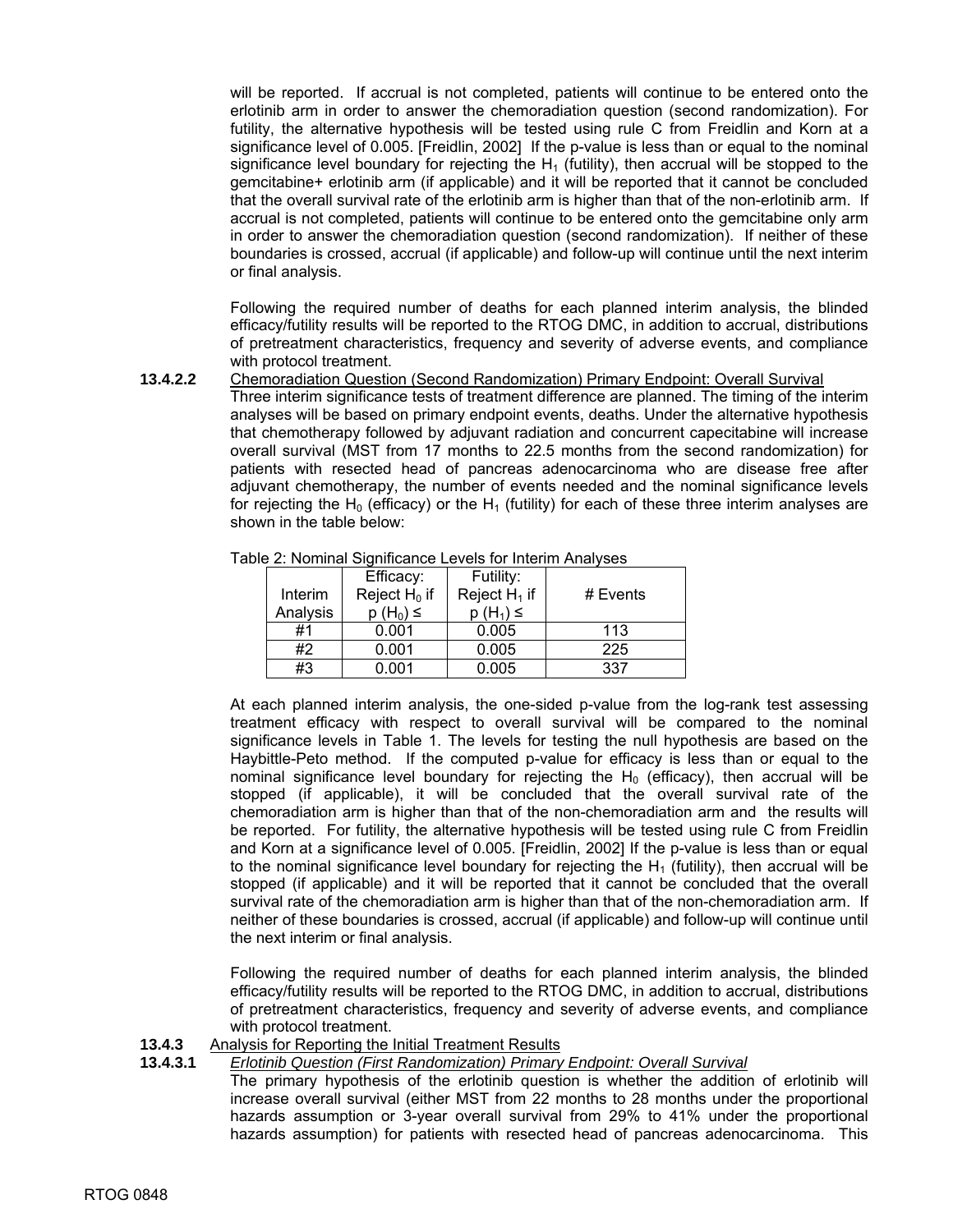will be reported. If accrual is not completed, patients will continue to be entered onto the erlotinib arm in order to answer the chemoradiation question (second randomization). For futility, the alternative hypothesis will be tested using rule C from Freidlin and Korn at a significance level of 0.005. [Freidlin, 2002] If the p-value is less than or equal to the nominal significance level boundary for rejecting the  $H_1$  (futility), then accrual will be stopped to the gemcitabine+ erlotinib arm (if applicable) and it will be reported that it cannot be concluded that the overall survival rate of the erlotinib arm is higher than that of the non-erlotinib arm. If accrual is not completed, patients will continue to be entered onto the gemcitabine only arm in order to answer the chemoradiation question (second randomization). If neither of these boundaries is crossed, accrual (if applicable) and follow-up will continue until the next interim or final analysis.

Following the required number of deaths for each planned interim analysis, the blinded efficacy/futility results will be reported to the RTOG DMC, in addition to accrual, distributions of pretreatment characteristics, frequency and severity of adverse events, and compliance with protocol treatment.

**13.4.2.2** Chemoradiation Question (Second Randomization) Primary Endpoint: Overall Survival

Three interim significance tests of treatment difference are planned. The timing of the interim analyses will be based on primary endpoint events, deaths. Under the alternative hypothesis that chemotherapy followed by adjuvant radiation and concurrent capecitabine will increase overall survival (MST from 17 months to 22.5 months from the second randomization) for patients with resected head of pancreas adenocarcinoma who are disease free after adjuvant chemotherapy, the number of events needed and the nominal significance levels for rejecting the H<sub>0</sub> (efficacy) or the H<sub>1</sub> (futility) for each of these three interim analyses are shown in the table below:

|          | Efficacy:       | Futility:       |          |
|----------|-----------------|-----------------|----------|
| Interim  | Reject $H_0$ if | Reject $H_1$ if | # Events |
| Analysis | $p(H_0) \leq$   | $p(H_1) \leq$   |          |
| #1       | 0.001           | 0.005           | 113      |
| #2       | 0.001           | 0.005           | 225      |
| #3       | 0.001           | 0.005           | 337      |

Table 2: Nominal Significance Levels for Interim Analyses

At each planned interim analysis, the one-sided p-value from the log-rank test assessing treatment efficacy with respect to overall survival will be compared to the nominal significance levels in Table 1. The levels for testing the null hypothesis are based on the Haybittle-Peto method. If the computed p-value for efficacy is less than or equal to the nominal significance level boundary for rejecting the  $H_0$  (efficacy), then accrual will be stopped (if applicable), it will be concluded that the overall survival rate of the chemoradiation arm is higher than that of the non-chemoradiation arm and the results will be reported. For futility, the alternative hypothesis will be tested using rule C from Freidlin and Korn at a significance level of 0.005. [Freidlin, 2002] If the p-value is less than or equal to the nominal significance level boundary for rejecting the  $H_1$  (futility), then accrual will be stopped (if applicable) and it will be reported that it cannot be concluded that the overall survival rate of the chemoradiation arm is higher than that of the non-chemoradiation arm. If neither of these boundaries is crossed, accrual (if applicable) and follow-up will continue until the next interim or final analysis.

Following the required number of deaths for each planned interim analysis, the blinded efficacy/futility results will be reported to the RTOG DMC, in addition to accrual, distributions of pretreatment characteristics, frequency and severity of adverse events, and compliance with protocol treatment.

- **13.4.3** Analysis for Reporting the Initial Treatment Results
- **13.4.3.1** *Erlotinib Question (First Randomization) Primary Endpoint: Overall Survival*

The primary hypothesis of the erlotinib question is whether the addition of erlotinib will increase overall survival (either MST from 22 months to 28 months under the proportional hazards assumption or 3-year overall survival from 29% to 41% under the proportional hazards assumption) for patients with resected head of pancreas adenocarcinoma. This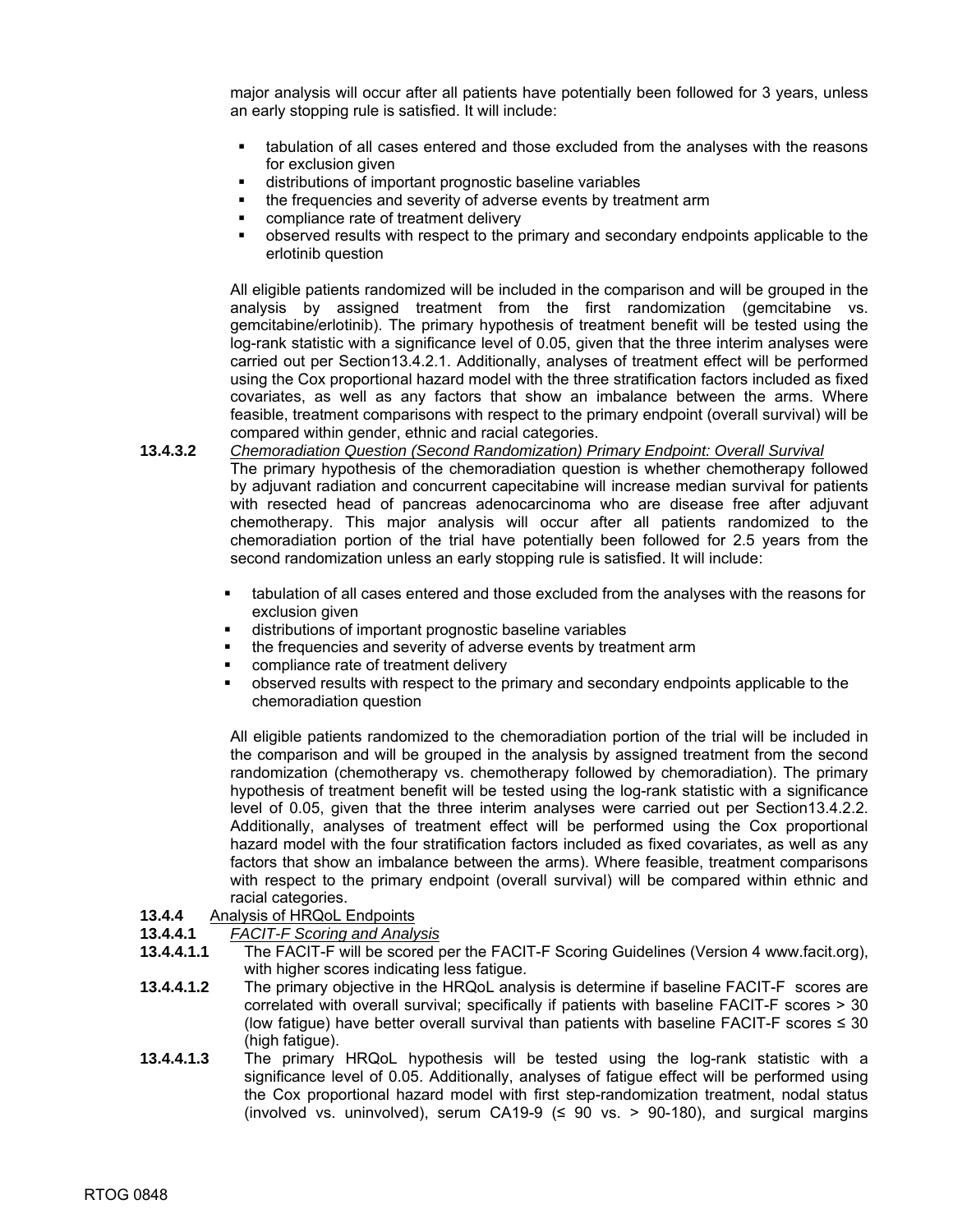major analysis will occur after all patients have potentially been followed for 3 years, unless an early stopping rule is satisfied. It will include:

- tabulation of all cases entered and those excluded from the analyses with the reasons for exclusion given
- distributions of important prognostic baseline variables
- the frequencies and severity of adverse events by treatment arm
- compliance rate of treatment delivery
- observed results with respect to the primary and secondary endpoints applicable to the erlotinib question

All eligible patients randomized will be included in the comparison and will be grouped in the analysis by assigned treatment from the first randomization (gemcitabine vs. gemcitabine/erlotinib). The primary hypothesis of treatment benefit will be tested using the log-rank statistic with a significance level of 0.05, given that the three interim analyses were carried out per Section13.4.2.1. Additionally, analyses of treatment effect will be performed using the Cox proportional hazard model with the three stratification factors included as fixed covariates, as well as any factors that show an imbalance between the arms. Where feasible, treatment comparisons with respect to the primary endpoint (overall survival) will be compared within gender, ethnic and racial categories.

- **13.4.3.2** *Chemoradiation Question (Second Randomization) Primary Endpoint: Overall Survival* The primary hypothesis of the chemoradiation question is whether chemotherapy followed by adjuvant radiation and concurrent capecitabine will increase median survival for patients with resected head of pancreas adenocarcinoma who are disease free after adjuvant chemotherapy. This major analysis will occur after all patients randomized to the chemoradiation portion of the trial have potentially been followed for 2.5 years from the second randomization unless an early stopping rule is satisfied. It will include:
	- tabulation of all cases entered and those excluded from the analyses with the reasons for exclusion given
	- distributions of important prognostic baseline variables
	- the frequencies and severity of adverse events by treatment arm
	- compliance rate of treatment delivery
	- observed results with respect to the primary and secondary endpoints applicable to the chemoradiation question

All eligible patients randomized to the chemoradiation portion of the trial will be included in the comparison and will be grouped in the analysis by assigned treatment from the second randomization (chemotherapy vs. chemotherapy followed by chemoradiation). The primary hypothesis of treatment benefit will be tested using the log-rank statistic with a significance level of 0.05, given that the three interim analyses were carried out per Section13.4.2.2. Additionally, analyses of treatment effect will be performed using the Cox proportional hazard model with the four stratification factors included as fixed covariates, as well as any factors that show an imbalance between the arms). Where feasible, treatment comparisons with respect to the primary endpoint (overall survival) will be compared within ethnic and racial categories.

- **13.4.4** Analysis of HRQoL Endpoints
- **13.4.4.1** *FACIT-F Scoring and Analysis*
- **13.4.4.1.1** The FACIT-F will be scored per the FACIT-F Scoring Guidelines (Version 4 [www.facit.org](http://www.facit.org)), with higher scores indicating less fatigue.
- **13.4.4.1.2** The primary objective in the HRQoL analysis is determine if baseline FACIT-F scores are correlated with overall survival; specifically if patients with baseline FACIT-F scores > 30 (low fatigue) have better overall survival than patients with baseline FACIT-F scores  $\leq 30$ (high fatigue).
- **13.4.4.1.3** The primary HRQoL hypothesis will be tested using the log-rank statistic with a significance level of 0.05. Additionally, analyses of fatigue effect will be performed using the Cox proportional hazard model with first step-randomization treatment, nodal status (involved vs. uninvolved), serum CA19-9 (≤ 90 vs. > 90-180), and surgical margins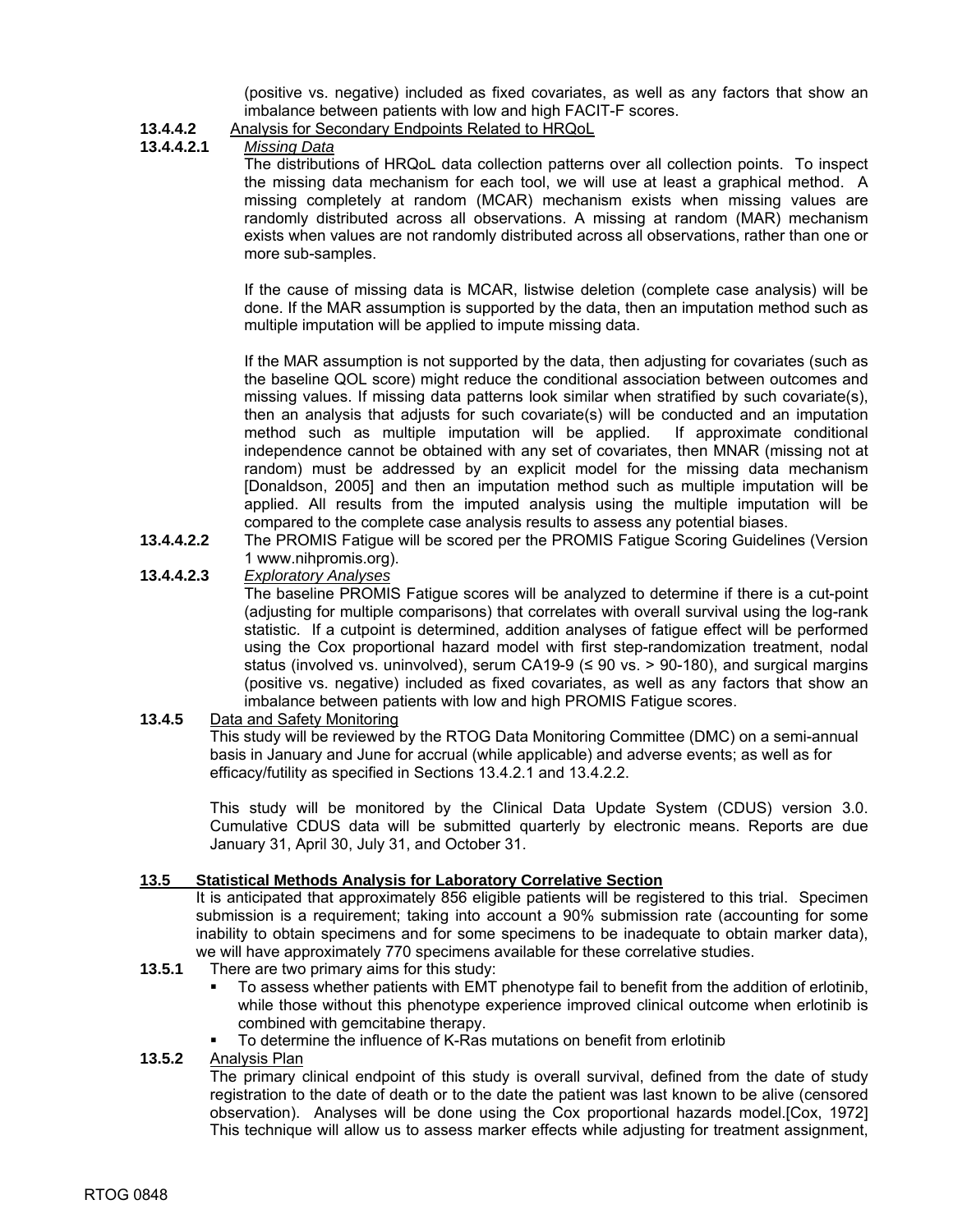(positive vs. negative) included as fixed covariates, as well as any factors that show an imbalance between patients with low and high FACIT-F scores.

# 13.4.4.2 Analysis for Secondary Endpoints Related to HRQoL<br>13.4.4.2.1 Missing Data

## **13.4.4.2.1** *Missing Data*

The distributions of HRQoL data collection patterns over all collection points. To inspect the missing data mechanism for each tool, we will use at least a graphical method. A missing completely at random (MCAR) mechanism exists when missing values are randomly distributed across all observations. A missing at random (MAR) mechanism exists when values are not randomly distributed across all observations, rather than one or more sub-samples.

If the cause of missing data is MCAR, listwise deletion (complete case analysis) will be done. If the MAR assumption is supported by the data, then an imputation method such as multiple imputation will be applied to impute missing data.

If the MAR assumption is not supported by the data, then adjusting for covariates (such as the baseline QOL score) might reduce the conditional association between outcomes and missing values. If missing data patterns look similar when stratified by such covariate(s), then an analysis that adjusts for such covariate(s) will be conducted and an imputation method such as multiple imputation will be applied. If approximate conditional independence cannot be obtained with any set of covariates, then MNAR (missing not at random) must be addressed by an explicit model for the missing data mechanism [Donaldson, 2005] and then an imputation method such as multiple imputation will be applied. All results from the imputed analysis using the multiple imputation will be compared to the complete case analysis results to assess any potential biases.

- **13.4.4.2.2** The PROMIS Fatigue will be scored per the PROMIS Fatigue Scoring Guidelines (Version 1 [www.nihpromis.org\).](http://www.nihpromis.org)
- **13.4.4.2.3** *Exploratory Analyses*

The baseline PROMIS Fatigue scores will be analyzed to determine if there is a cut-point (adjusting for multiple comparisons) that correlates with overall survival using the log-rank statistic. If a cutpoint is determined, addition analyses of fatigue effect will be performed using the Cox proportional hazard model with first step-randomization treatment, nodal status (involved vs. uninvolved), serum CA19-9 ( $\leq$  90 vs. > 90-180), and surgical margins (positive vs. negative) included as fixed covariates, as well as any factors that show an imbalance between patients with low and high PROMIS Fatigue scores.

### **13.4.5** Data and Safety Monitoring

This study will be reviewed by the RTOG Data Monitoring Committee (DMC) on a semi-annual basis in January and June for accrual (while applicable) and adverse events; as well as for efficacy/futility as specified in Sections 13.4.2.1 and 13.4.2.2.

This study will be monitored by the Clinical Data Update System (CDUS) version 3.0. Cumulative CDUS data will be submitted quarterly by electronic means. Reports are due January 31, April 30, July 31, and October 31.

# **13.5 Statistical Methods Analysis for Laboratory Correlative Section**

It is anticipated that approximately 856 eligible patients will be registered to this trial. Specimen submission is a requirement; taking into account a 90% submission rate (accounting for some inability to obtain specimens and for some specimens to be inadequate to obtain marker data), we will have approximately 770 specimens available for these correlative studies.

- **13.5.1** There are two primary aims for this study:
	- To assess whether patients with EMT phenotype fail to benefit from the addition of erlotinib, while those without this phenotype experience improved clinical outcome when erlotinib is combined with gemcitabine therapy.
	- To determine the influence of K-Ras mutations on benefit from erlotinib

### **13.5.2** Analysis Plan

 The primary clinical endpoint of this study is overall survival, defined from the date of study registration to the date of death or to the date the patient was last known to be alive (censored observation). Analyses will be done using the Cox proportional hazards model.[Cox, 1972] This technique will allow us to assess marker effects while adjusting for treatment assignment,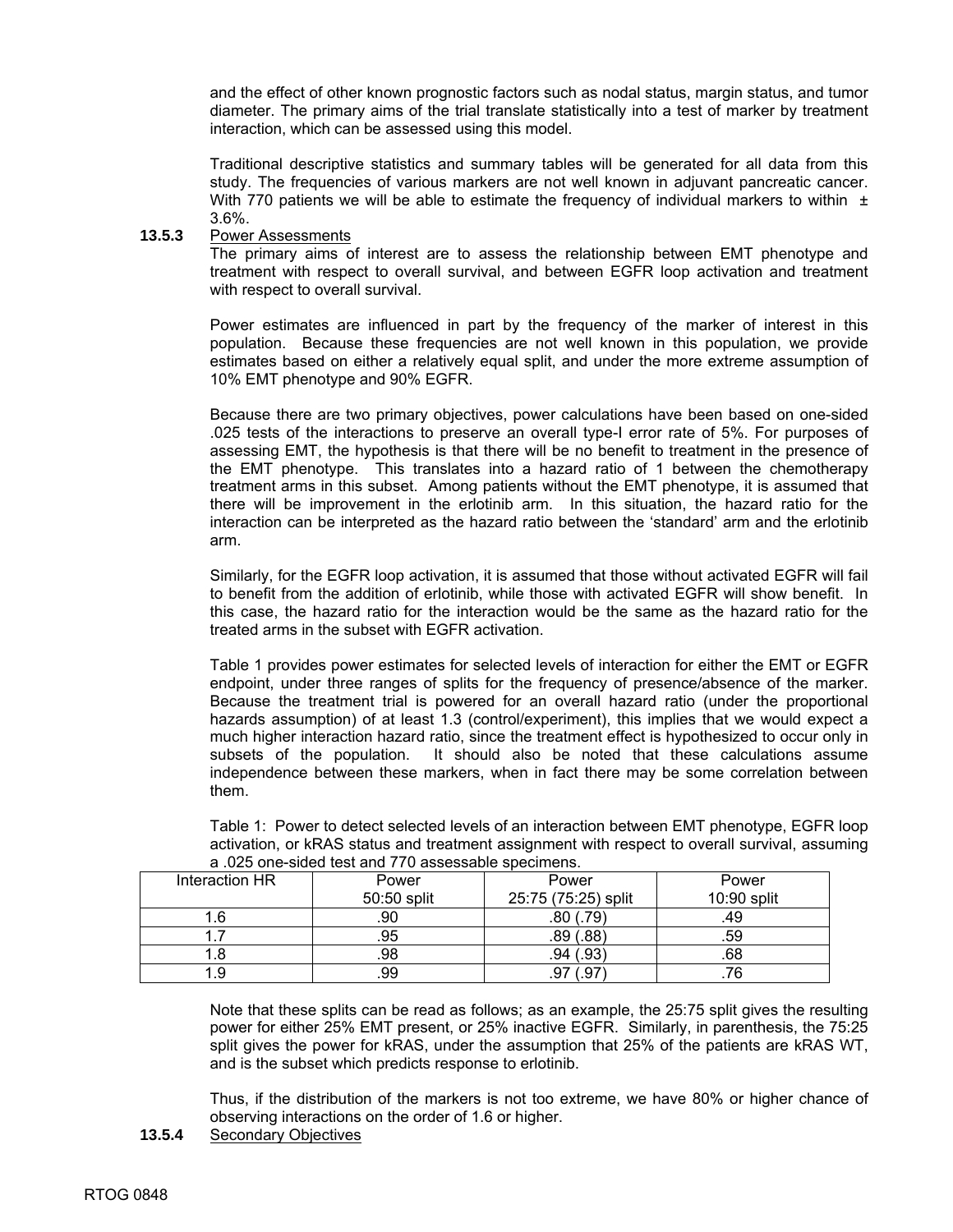and the effect of other known prognostic factors such as nodal status, margin status, and tumor diameter. The primary aims of the trial translate statistically into a test of marker by treatment interaction, which can be assessed using this model.

 Traditional descriptive statistics and summary tables will be generated for all data from this study. The frequencies of various markers are not well known in adjuvant pancreatic cancer. With 770 patients we will be able to estimate the frequency of individual markers to within  $\pm$ 3.6%.

### **13.5.3** Power Assessments

 The primary aims of interest are to assess the relationship between EMT phenotype and treatment with respect to overall survival, and between EGFR loop activation and treatment with respect to overall survival.

 Power estimates are influenced in part by the frequency of the marker of interest in this population. Because these frequencies are not well known in this population, we provide estimates based on either a relatively equal split, and under the more extreme assumption of 10% EMT phenotype and 90% EGFR.

 Because there are two primary objectives, power calculations have been based on one-sided .025 tests of the interactions to preserve an overall type-I error rate of 5%. For purposes of assessing EMT, the hypothesis is that there will be no benefit to treatment in the presence of the EMT phenotype. This translates into a hazard ratio of 1 between the chemotherapy treatment arms in this subset. Among patients without the EMT phenotype, it is assumed that there will be improvement in the erlotinib arm. In this situation, the hazard ratio for the interaction can be interpreted as the hazard ratio between the 'standard' arm and the erlotinib arm.

 Similarly, for the EGFR loop activation, it is assumed that those without activated EGFR will fail to benefit from the addition of erlotinib, while those with activated EGFR will show benefit. In this case, the hazard ratio for the interaction would be the same as the hazard ratio for the treated arms in the subset with EGFR activation.

 Table 1 provides power estimates for selected levels of interaction for either the EMT or EGFR endpoint, under three ranges of splits for the frequency of presence/absence of the marker. Because the treatment trial is powered for an overall hazard ratio (under the proportional hazards assumption) of at least 1.3 (control/experiment), this implies that we would expect a much higher interaction hazard ratio, since the treatment effect is hypothesized to occur only in subsets of the population. It should also be noted that these calculations assume independence between these markers, when in fact there may be some correlation between them.

| a .uzb une-sided lest and TTU assessable specifiens. |             |                     |             |  |  |  |
|------------------------------------------------------|-------------|---------------------|-------------|--|--|--|
| Interaction HR                                       | Power       | Power               | Power       |  |  |  |
|                                                      | 50:50 split | 25:75 (75:25) split | 10:90 split |  |  |  |
| .6                                                   | .90         | .80(0.79)           | .49         |  |  |  |
|                                                      | .95         | .89(.88)            | .59         |  |  |  |
| .8                                                   | .98         | .94 (.93)           | .68         |  |  |  |
| 1.9                                                  | .99         | (.97)               | 76          |  |  |  |

Table 1: Power to detect selected levels of an interaction between EMT phenotype, EGFR loop activation, or kRAS status and treatment assignment with respect to overall survival, assuming a .025 one-sided test and 770 assessable specim

Note that these splits can be read as follows; as an example, the 25:75 split gives the resulting power for either 25% EMT present, or 25% inactive EGFR. Similarly, in parenthesis, the 75:25 split gives the power for kRAS, under the assumption that 25% of the patients are kRAS WT, and is the subset which predicts response to erlotinib.

 Thus, if the distribution of the markers is not too extreme, we have 80% or higher chance of observing interactions on the order of 1.6 or higher.

**13.5.4** Secondary Objectives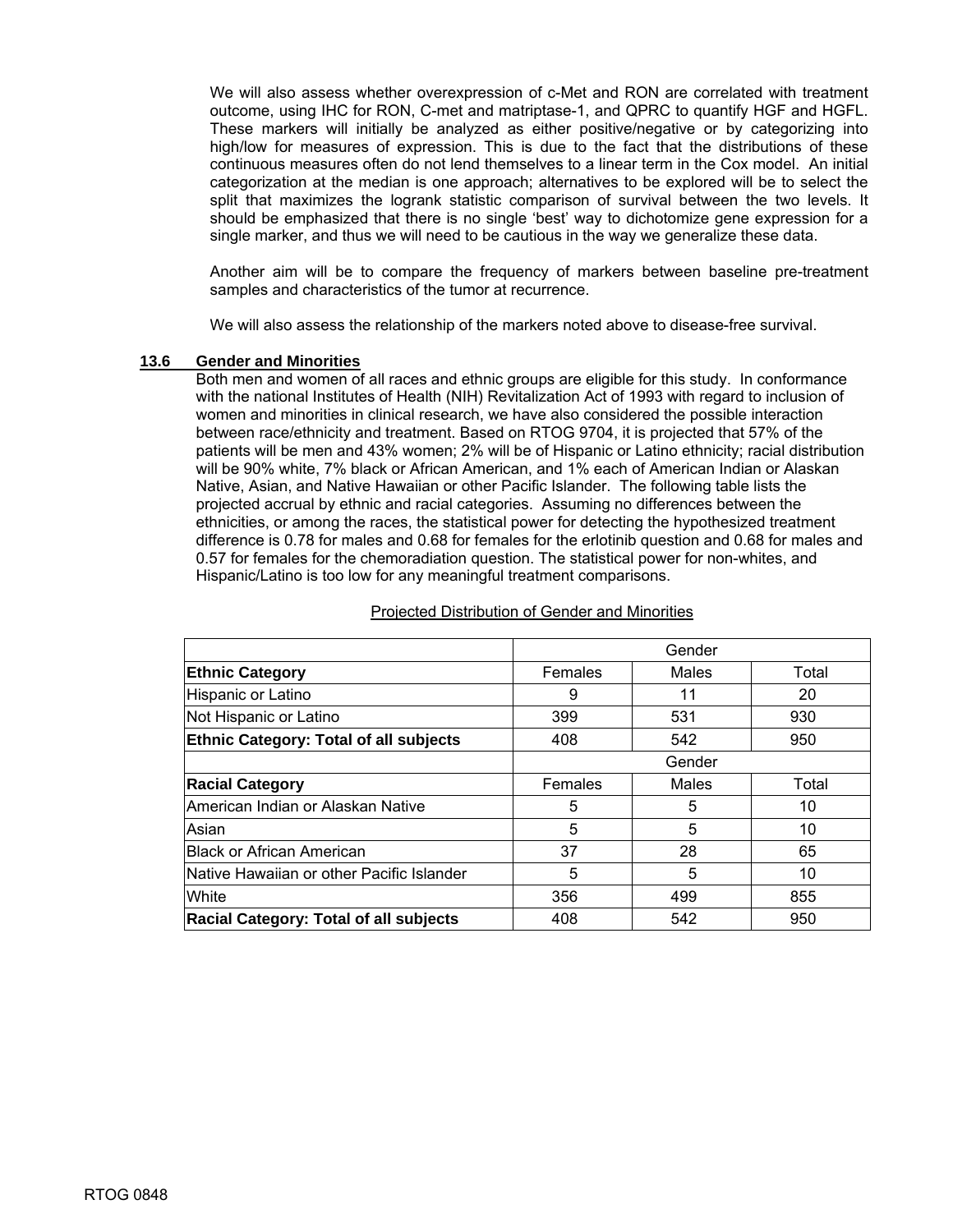We will also assess whether overexpression of c-Met and RON are correlated with treatment outcome, using IHC for RON, C-met and matriptase-1, and QPRC to quantify HGF and HGFL. These markers will initially be analyzed as either positive/negative or by categorizing into high/low for measures of expression. This is due to the fact that the distributions of these continuous measures often do not lend themselves to a linear term in the Cox model. An initial categorization at the median is one approach; alternatives to be explored will be to select the split that maximizes the logrank statistic comparison of survival between the two levels. It should be emphasized that there is no single 'best' way to dichotomize gene expression for a single marker, and thus we will need to be cautious in the way we generalize these data.

 Another aim will be to compare the frequency of markers between baseline pre-treatment samples and characteristics of the tumor at recurrence.

We will also assess the relationship of the markers noted above to disease-free survival.

### **13.6 Gender and Minorities**

Both men and women of all races and ethnic groups are eligible for this study. In conformance with the national Institutes of Health (NIH) Revitalization Act of 1993 with regard to inclusion of women and minorities in clinical research, we have also considered the possible interaction between race/ethnicity and treatment. Based on RTOG 9704, it is projected that 57% of the patients will be men and 43% women; 2% will be of Hispanic or Latino ethnicity; racial distribution will be 90% white, 7% black or African American, and 1% each of American Indian or Alaskan Native, Asian, and Native Hawaiian or other Pacific Islander. The following table lists the projected accrual by ethnic and racial categories. Assuming no differences between the ethnicities, or among the races, the statistical power for detecting the hypothesized treatment difference is 0.78 for males and 0.68 for females for the erlotinib question and 0.68 for males and 0.57 for females for the chemoradiation question. The statistical power for non-whites, and Hispanic/Latino is too low for any meaningful treatment comparisons.

|                                               | Gender  |       |       |
|-----------------------------------------------|---------|-------|-------|
| <b>Ethnic Category</b>                        | Females | Males | Total |
| Hispanic or Latino                            | 9       | 11    | 20    |
| Not Hispanic or Latino                        | 399     | 531   | 930   |
| <b>Ethnic Category: Total of all subjects</b> | 408     | 542   | 950   |
|                                               | Gender  |       |       |
| <b>Racial Category</b>                        | Females | Males | Total |
| American Indian or Alaskan Native             | 5       | 5     | 10    |
| Asian                                         | 5       | 5     | 10    |
| lBlack or African American                    | 37      | 28    | 65    |
| lNative Hawaiian or other Pacific Islander    | 5       | 5     | 10    |
| <b>White</b>                                  | 356     | 499   | 855   |
| <b>Racial Category: Total of all subjects</b> | 408     | 542   | 950   |

### Projected Distribution of Gender and Minorities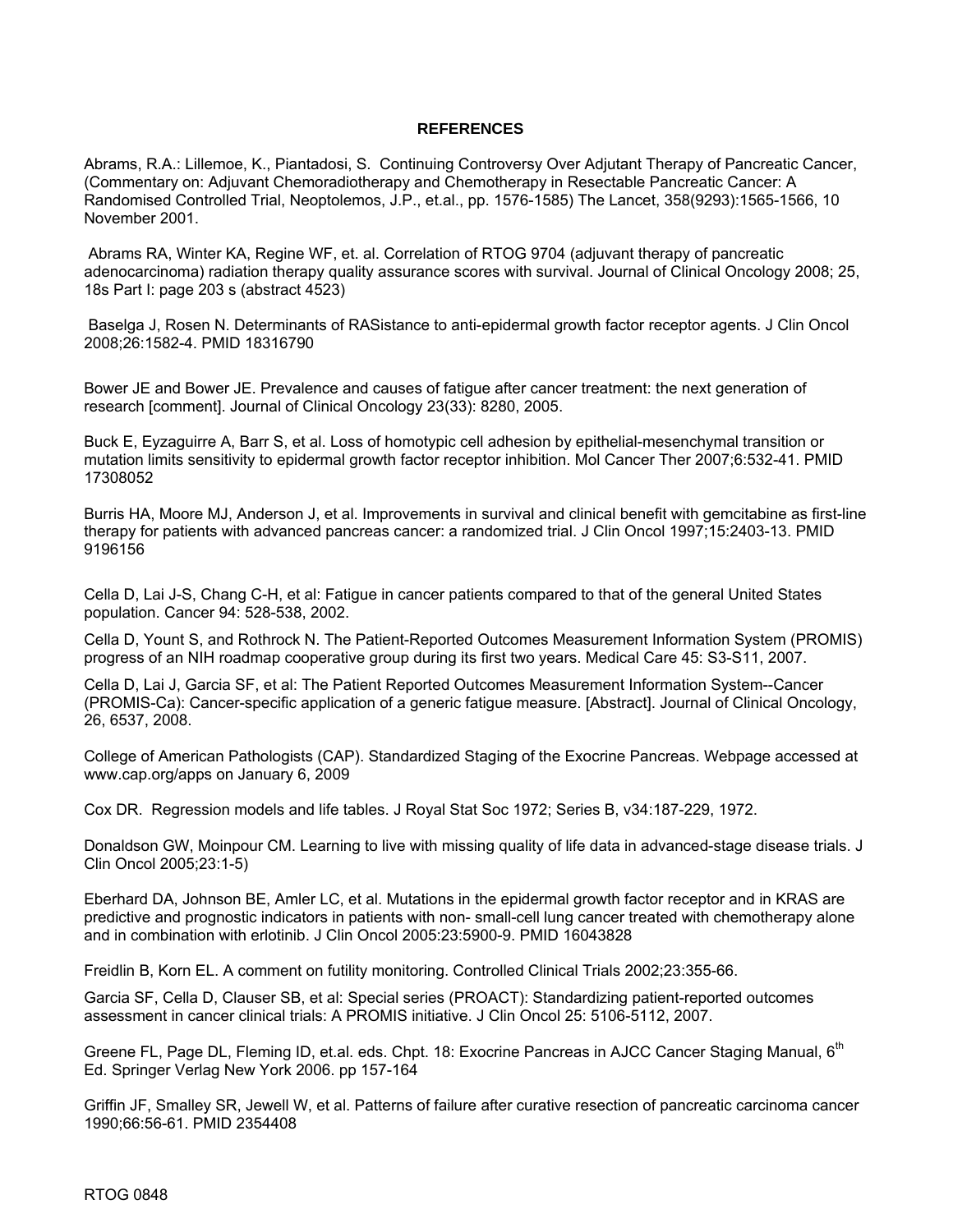### **REFERENCES**

Abrams, R.A.: Lillemoe, K., Piantadosi, S. Continuing Controversy Over Adjutant Therapy of Pancreatic Cancer, (Commentary on: Adjuvant Chemoradiotherapy and Chemotherapy in Resectable Pancreatic Cancer: A Randomised Controlled Trial, Neoptolemos, J.P., et.al., pp. 1576-1585) The Lancet, 358(9293):1565-1566, 10 November 2001.

 Abrams RA, Winter KA, Regine WF, et. al. Correlation of RTOG 9704 (adjuvant therapy of pancreatic adenocarcinoma) radiation therapy quality assurance scores with survival. Journal of Clinical Oncology 2008; 25, 18s Part I: page 203 s (abstract 4523)

 Baselga J, Rosen N. Determinants of RASistance to anti-epidermal growth factor receptor agents. J Clin Oncol 2008;26:1582-4. PMID 18316790

Bower JE and Bower JE. Prevalence and causes of fatigue after cancer treatment: the next generation of research [comment]. Journal of Clinical Oncology 23(33): 8280, 2005.

Buck E, Eyzaguirre A, Barr S, et al. Loss of homotypic cell adhesion by epithelial-mesenchymal transition or mutation limits sensitivity to epidermal growth factor receptor inhibition. Mol Cancer Ther 2007;6:532-41. PMID 17308052

Burris HA, Moore MJ, Anderson J, et al. Improvements in survival and clinical benefit with gemcitabine as first-line therapy for patients with advanced pancreas cancer: a randomized trial. J Clin Oncol 1997;15:2403-13. PMID 9196156

Cella D, Lai J-S, Chang C-H, et al: Fatigue in cancer patients compared to that of the general United States population. Cancer 94: 528-538, 2002.

Cella D, Yount S, and Rothrock N. The Patient-Reported Outcomes Measurement Information System (PROMIS) progress of an NIH roadmap cooperative group during its first two years. Medical Care 45: S3-S11, 2007.

Cella D, Lai J, Garcia SF, et al: The Patient Reported Outcomes Measurement Information System--Cancer (PROMIS-Ca): Cancer-specific application of a generic fatigue measure. [Abstract]. Journal of Clinical Oncology, 26, 6537, 2008.

College of American Pathologists (CAP). Standardized Staging of the Exocrine Pancreas. Webpage accessed at [www.cap.org/apps on](http://www.cap.org/apps) January 6, 2009

Cox DR. Regression models and life tables. J Royal Stat Soc 1972; Series B, v34:187-229, 1972.

Donaldson GW, Moinpour CM. Learning to live with missing quality of life data in advanced-stage disease trials. J Clin Oncol 2005;23:1-5)

Eberhard DA, Johnson BE, Amler LC, et al. Mutations in the epidermal growth factor receptor and in KRAS are predictive and prognostic indicators in patients with non- small-cell lung cancer treated with chemotherapy alone and in combination with erlotinib. J Clin Oncol 2005:23:5900-9. PMID 16043828

Freidlin B, Korn EL. A comment on futility monitoring. Controlled Clinical Trials 2002;23:355-66.

Garcia SF, Cella D, Clauser SB, et al: Special series (PROACT): Standardizing patient-reported outcomes assessment in cancer clinical trials: A PROMIS initiative. J Clin Oncol 25: 5106-5112, 2007.

Greene FL, Page DL, Fleming ID, et.al. eds. Chpt. 18: Exocrine Pancreas in AJCC Cancer Staging Manual, 6<sup>th</sup> Ed. Springer Verlag New York 2006. pp 157-164

Griffin JF, Smalley SR, Jewell W, et al. Patterns of failure after curative resection of pancreatic carcinoma cancer 1990;66:56-61. PMID 2354408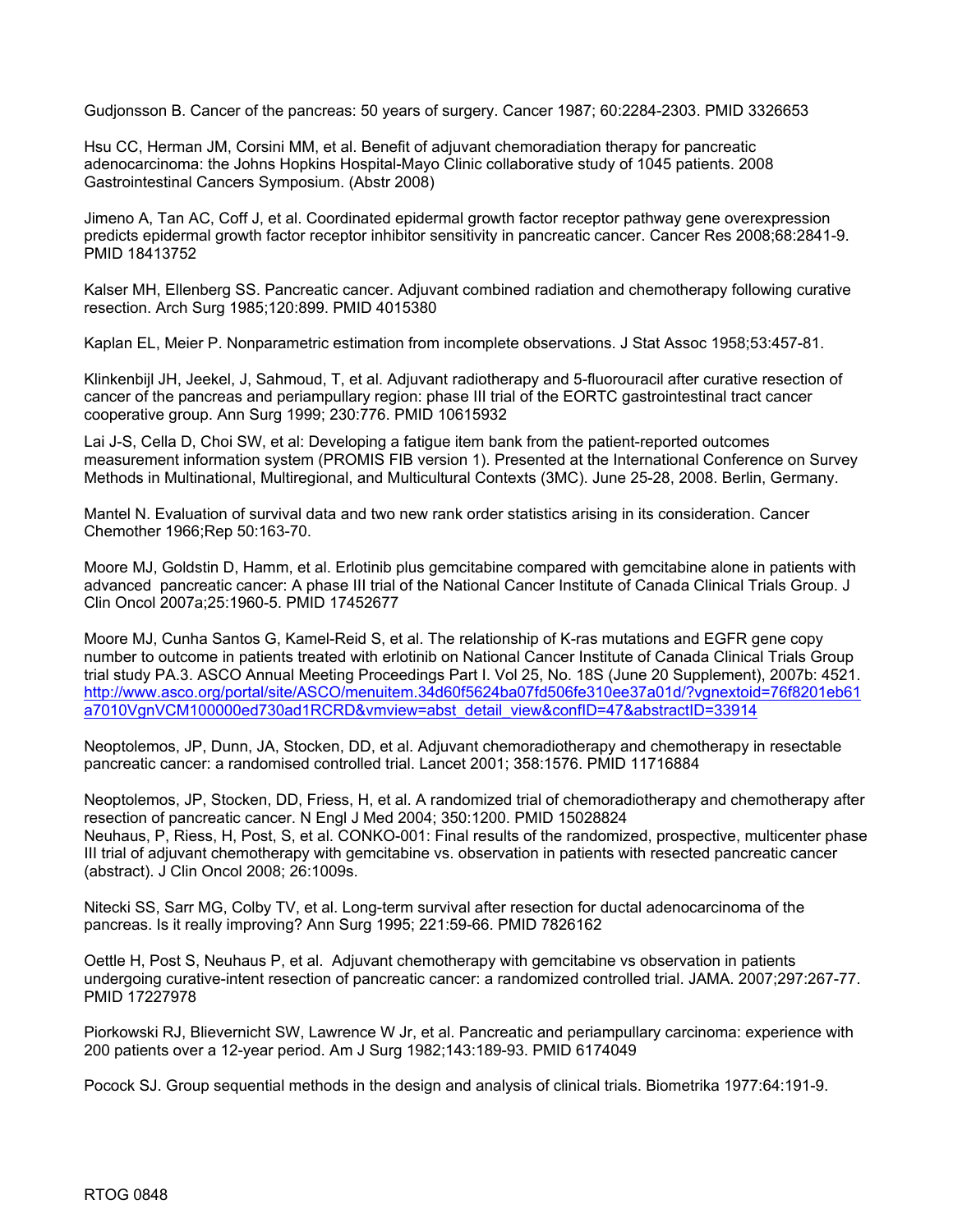Gudjonsson B. Cancer of the pancreas: 50 years of surgery. Cancer 1987; 60:2284-2303. PMID 3326653

Hsu CC, Herman JM, Corsini MM, et al. Benefit of adjuvant chemoradiation therapy for pancreatic adenocarcinoma: the Johns Hopkins Hospital-Mayo Clinic collaborative study of 1045 patients. 2008 Gastrointestinal Cancers Symposium. (Abstr 2008)

Jimeno A, Tan AC, Coff J, et al. Coordinated epidermal growth factor receptor pathway gene overexpression predicts epidermal growth factor receptor inhibitor sensitivity in pancreatic cancer. Cancer Res 2008;68:2841-9. PMID 18413752

Kalser MH, Ellenberg SS. Pancreatic cancer. Adjuvant combined radiation and chemotherapy following curative resection. Arch Surg 1985;120:899. PMID 4015380

Kaplan EL, Meier P. Nonparametric estimation from incomplete observations. J Stat Assoc 1958;53:457-81.

Klinkenbijl JH, Jeekel, J, Sahmoud, T, et al. Adjuvant radiotherapy and 5-fluorouracil after curative resection of cancer of the pancreas and periampullary region: phase III trial of the EORTC gastrointestinal tract cancer cooperative group. Ann Surg 1999; 230:776. PMID 10615932

Lai J-S, Cella D, Choi SW, et al: Developing a fatigue item bank from the patient-reported outcomes measurement information system (PROMIS FIB version 1). Presented at the International Conference on Survey Methods in Multinational, Multiregional, and Multicultural Contexts (3MC). June 25-28, 2008. Berlin, Germany.

Mantel N. Evaluation of survival data and two new rank order statistics arising in its consideration. Cancer Chemother 1966;Rep 50:163-70.

Moore MJ, Goldstin D, Hamm, et al. Erlotinib plus gemcitabine compared with gemcitabine alone in patients with advanced pancreatic cancer: A phase III trial of the National Cancer Institute of Canada Clinical Trials Group. J Clin Oncol 2007a;25:1960-5. PMID 17452677

Moore MJ, Cunha Santos G, Kamel-Reid S, et al. The relationship of K-ras mutations and EGFR gene copy number to outcome in patients treated with erlotinib on National Cancer Institute of Canada Clinical Trials Group trial study PA.3. ASCO Annual Meeting Proceedings Part I. Vol 25, No. 18S (June 20 Supplement), 2007b: 4521. <http://www.asco.org/portal/site/ASCO/menuitem.34d60f5624ba07fd506fe310ee37a01d/?vgnextoid=76f8201eb61> a7010VgnVCM100000ed730ad1RCRD&vmview=abst\_detail\_view&confID=47&abstractID=33914

Neoptolemos, JP, Dunn, JA, Stocken, DD, et al. Adjuvant chemoradiotherapy and chemotherapy in resectable pancreatic cancer: a randomised controlled trial. Lancet 2001; 358:1576. PMID 11716884

Neoptolemos, JP, Stocken, DD, Friess, H, et al. A randomized trial of chemoradiotherapy and chemotherapy after resection of pancreatic cancer. N Engl J Med 2004; 350:1200. PMID 15028824 Neuhaus, P, Riess, H, Post, S, et al. CONKO-001: Final results of the randomized, prospective, multicenter phase III trial of adjuvant chemotherapy with gemcitabine vs. observation in patients with resected pancreatic cancer (abstract). J Clin Oncol 2008; 26:1009s.

Nitecki SS, Sarr MG, Colby TV, et al. Long-term survival after resection for ductal adenocarcinoma of the pancreas. Is it really improving? Ann Surg 1995; 221:59-66. PMID 7826162

Oettle H, Post S, Neuhaus P, et al. Adjuvant chemotherapy with gemcitabine vs observation in patients undergoing curative-intent resection of pancreatic cancer: a randomized controlled trial. JAMA. 2007;297:267-77. PMID 17227978

Piorkowski RJ, Blievernicht SW, Lawrence W Jr, et al. Pancreatic and periampullary carcinoma: experience with 200 patients over a 12-year period. Am J Surg 1982;143:189-93. PMID 6174049

Pocock SJ. Group sequential methods in the design and analysis of clinical trials. Biometrika 1977:64:191-9.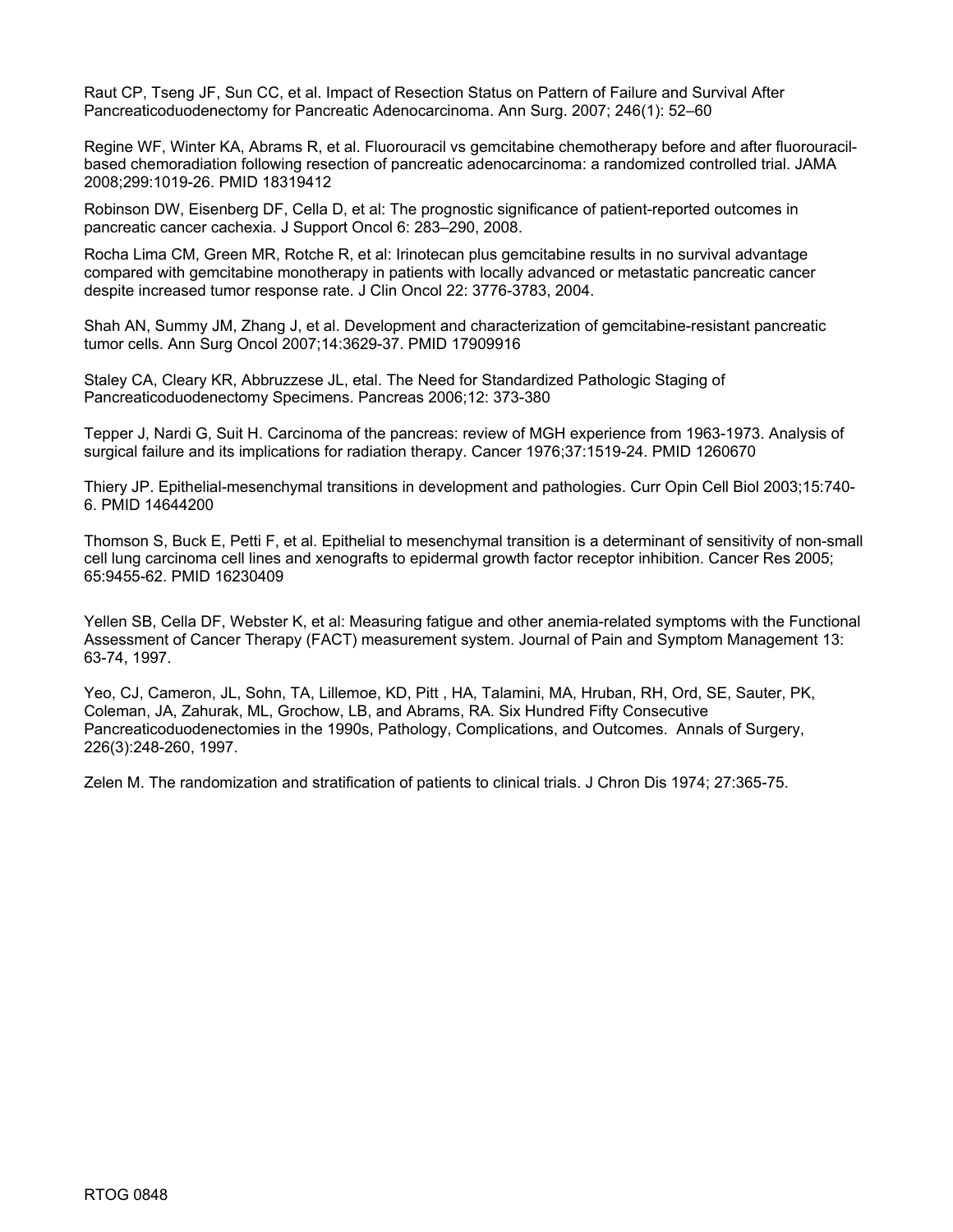Raut CP, Tseng JF, Sun CC, et al. Impact of Resection Status on Pattern of Failure and Survival After Pancreaticoduodenectomy for Pancreatic Adenocarcinoma. Ann Surg. 2007; 246(1): 52–60

Regine WF, Winter KA, Abrams R, et al. Fluorouracil vs gemcitabine chemotherapy before and after fluorouracilbased chemoradiation following resection of pancreatic adenocarcinoma: a randomized controlled trial. JAMA 2008;299:1019-26. PMID 18319412

Robinson DW, Eisenberg DF, Cella D, et al: The prognostic significance of patient-reported outcomes in pancreatic cancer cachexia. J Support Oncol 6: 283–290, 2008.

Rocha Lima CM, Green MR, Rotche R, et al: Irinotecan plus gemcitabine results in no survival advantage compared with gemcitabine monotherapy in patients with locally advanced or metastatic pancreatic cancer despite increased tumor response rate. J Clin Oncol 22: 3776-3783, 2004.

Shah AN, Summy JM, Zhang J, et al. Development and characterization of gemcitabine-resistant pancreatic tumor cells. Ann Surg Oncol 2007;14:3629-37. PMID 17909916

Staley CA, Cleary KR, Abbruzzese JL, etal. The Need for Standardized Pathologic Staging of Pancreaticoduodenectomy Specimens. Pancreas 2006;12: 373-380

Tepper J, Nardi G, Suit H. Carcinoma of the pancreas: review of MGH experience from 1963-1973. Analysis of surgical failure and its implications for radiation therapy. Cancer 1976;37:1519-24. PMID 1260670

Thiery JP. Epithelial-mesenchymal transitions in development and pathologies. Curr Opin Cell Biol 2003;15:740- 6. PMID 14644200

Thomson S, Buck E, Petti F, et al. Epithelial to mesenchymal transition is a determinant of sensitivity of non-small cell lung carcinoma cell lines and xenografts to epidermal growth factor receptor inhibition. Cancer Res 2005; 65:9455-62. PMID 16230409

Yellen SB, Cella DF, Webster K, et al: Measuring fatigue and other anemia-related symptoms with the Functional Assessment of Cancer Therapy (FACT) measurement system. Journal of Pain and Symptom Management 13: 63-74, 1997.

Yeo, CJ, Cameron, JL, Sohn, TA, Lillemoe, KD, Pitt , HA, Talamini, MA, Hruban, RH, Ord, SE, Sauter, PK, Coleman, JA, Zahurak, ML, Grochow, LB, and Abrams, RA. Six Hundred Fifty Consecutive Pancreaticoduodenectomies in the 1990s, Pathology, Complications, and Outcomes. Annals of Surgery, 226(3):248-260, 1997.

Zelen M. The randomization and stratification of patients to clinical trials. J Chron Dis 1974; 27:365-75.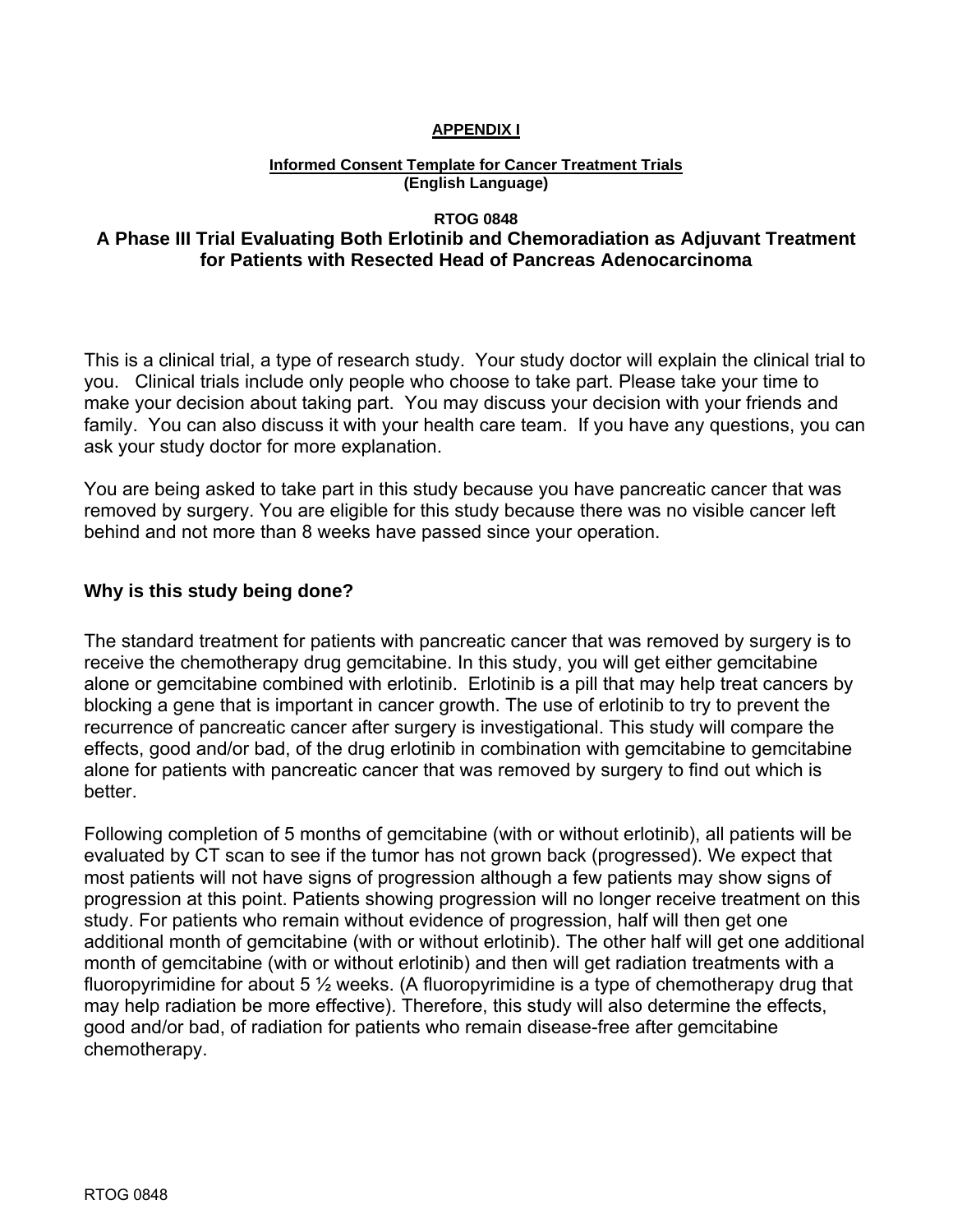# **APPENDIX I**

# **Informed Consent Template for Cancer Treatment Trials (English Language)**

# **RTOG 0848**

# **A Phase III Trial Evaluating Both Erlotinib and Chemoradiation as Adjuvant Treatment for Patients with Resected Head of Pancreas Adenocarcinoma**

This is a clinical trial, a type of research study. Your study doctor will explain the clinical trial to you. Clinical trials include only people who choose to take part. Please take your time to make your decision about taking part. You may discuss your decision with your friends and family. You can also discuss it with your health care team. If you have any questions, you can ask your study doctor for more explanation.

You are being asked to take part in this study because you have pancreatic cancer that was removed by surgery. You are eligible for this study because there was no visible cancer left behind and not more than 8 weeks have passed since your operation.

# **Why is this study being done?**

The standard treatment for patients with pancreatic cancer that was removed by surgery is to receive the chemotherapy drug gemcitabine. In this study, you will get either gemcitabine alone or gemcitabine combined with erlotinib. Erlotinib is a pill that may help treat cancers by blocking a gene that is important in cancer growth. The use of erlotinib to try to prevent the recurrence of pancreatic cancer after surgery is investigational. This study will compare the effects, good and/or bad, of the drug erlotinib in combination with gemcitabine to gemcitabine alone for patients with pancreatic cancer that was removed by surgery to find out which is better.

Following completion of 5 months of gemcitabine (with or without erlotinib), all patients will be evaluated by CT scan to see if the tumor has not grown back (progressed). We expect that most patients will not have signs of progression although a few patients may show signs of progression at this point. Patients showing progression will no longer receive treatment on this study. For patients who remain without evidence of progression, half will then get one additional month of gemcitabine (with or without erlotinib). The other half will get one additional month of gemcitabine (with or without erlotinib) and then will get radiation treatments with a fluoropyrimidine for about 5  $\frac{1}{2}$  weeks. (A fluoropyrimidine is a type of chemotherapy drug that may help radiation be more effective). Therefore, this study will also determine the effects, good and/or bad, of radiation for patients who remain disease-free after gemcitabine chemotherapy.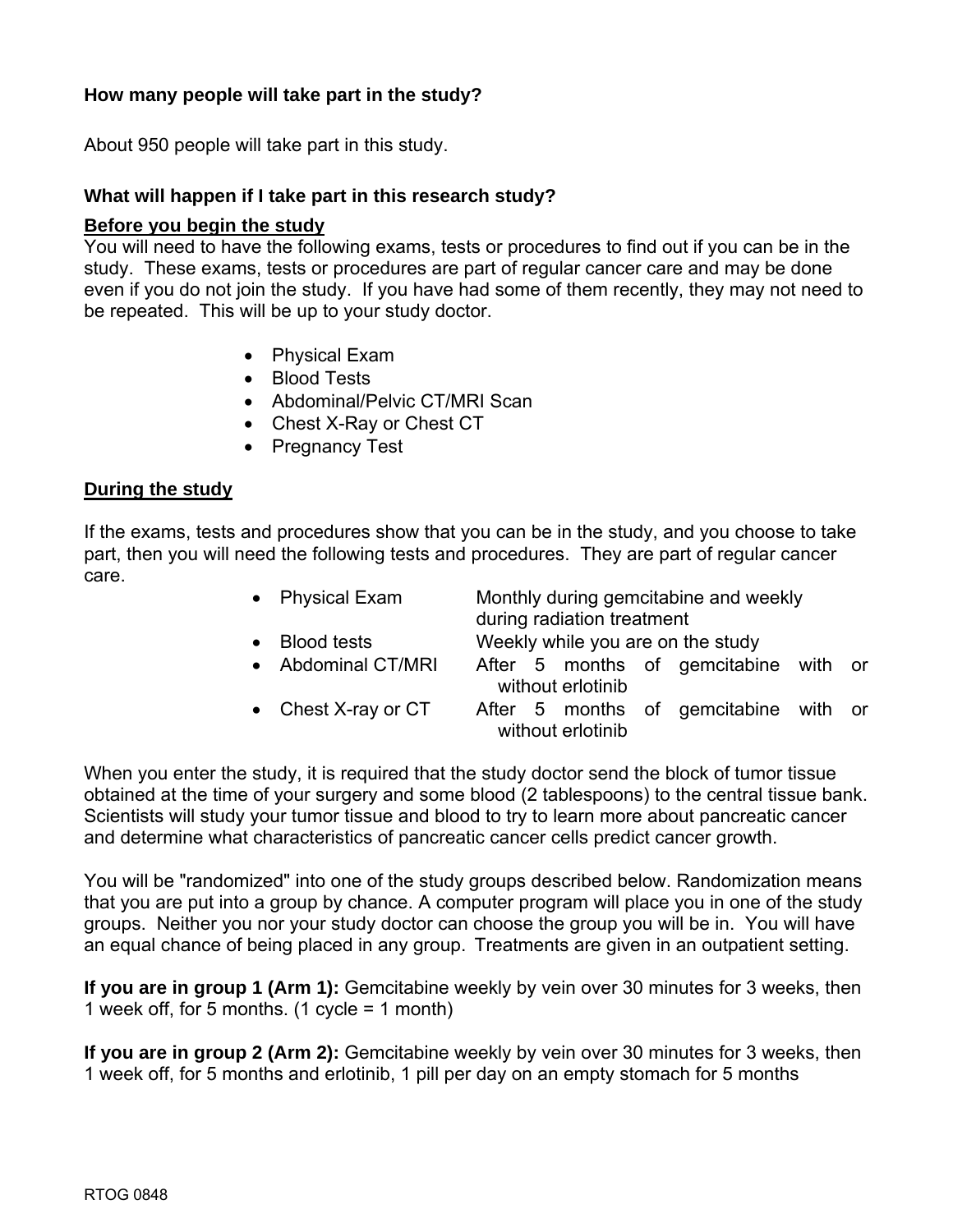# **How many people will take part in the study?**

About 950 people will take part in this study.

# **What will happen if I take part in this research study?**

# **Before you begin the study**

You will need to have the following exams, tests or procedures to find out if you can be in the study. These exams, tests or procedures are part of regular cancer care and may be done even if you do not join the study. If you have had some of them recently, they may not need to be repeated. This will be up to your study doctor.

- Physical Exam
- Blood Tests
- Abdominal/Pelvic CT/MRI Scan
- Chest X-Ray or Chest CT
- Pregnancy Test

# **During the study**

If the exams, tests and procedures show that you can be in the study, and you choose to take part, then you will need the following tests and procedures. They are part of regular cancer care.

|                   | • Physical Exam       | Monthly during gemcitabine and weekly<br>during radiation treatment |  |  |  |                                       |  |  |
|-------------------|-----------------------|---------------------------------------------------------------------|--|--|--|---------------------------------------|--|--|
|                   | • Blood tests         | Weekly while you are on the study                                   |  |  |  |                                       |  |  |
|                   | • Abdominal CT/MRI    |                                                                     |  |  |  | After 5 months of gemcitabine with or |  |  |
| without erlotinib |                       |                                                                     |  |  |  |                                       |  |  |
|                   | • Chest X-ray or $CT$ |                                                                     |  |  |  | After 5 months of gemcitabine with or |  |  |
| without erlotinib |                       |                                                                     |  |  |  |                                       |  |  |

When you enter the study, it is required that the study doctor send the block of tumor tissue obtained at the time of your surgery and some blood (2 tablespoons) to the central tissue bank. Scientists will study your tumor tissue and blood to try to learn more about pancreatic cancer and determine what characteristics of pancreatic cancer cells predict cancer growth.

You will be "randomized" into one of the study groups described below. Randomization means that you are put into a group by chance. A computer program will place you in one of the study groups. Neither you nor your study doctor can choose the group you will be in. You will have an equal chance of being placed in any group. Treatments are given in an outpatient setting.

**If you are in group 1 (Arm 1):** Gemcitabine weekly by vein over 30 minutes for 3 weeks, then 1 week off, for 5 months. (1 cycle = 1 month)

**If you are in group 2 (Arm 2):** Gemcitabine weekly by vein over 30 minutes for 3 weeks, then 1 week off, for 5 months and erlotinib, 1 pill per day on an empty stomach for 5 months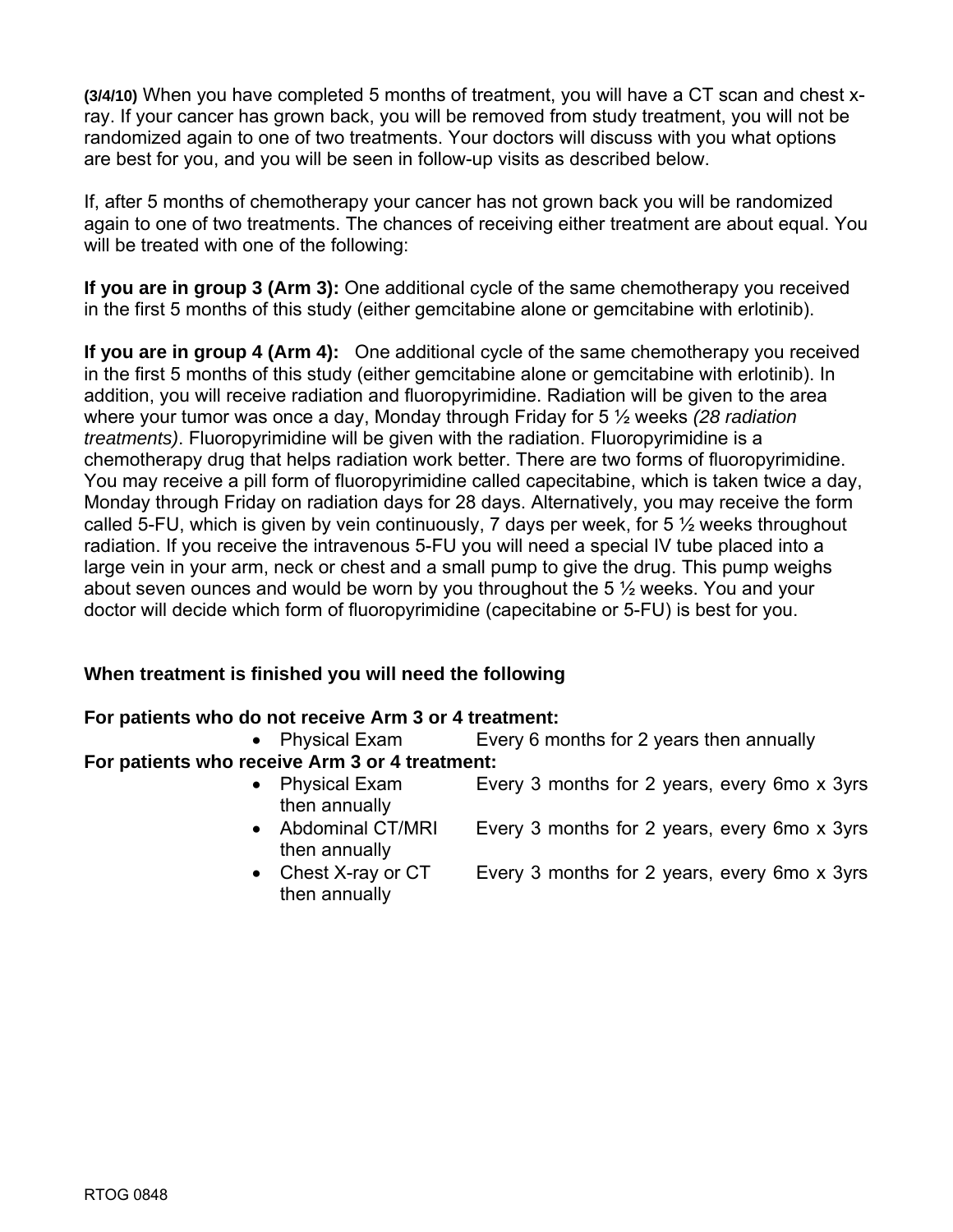**(3/4/10)** When you have completed 5 months of treatment, you will have a CT scan and chest xray. If your cancer has grown back, you will be removed from study treatment, you will not be randomized again to one of two treatments. Your doctors will discuss with you what options are best for you, and you will be seen in follow-up visits as described below.

If, after 5 months of chemotherapy your cancer has not grown back you will be randomized again to one of two treatments. The chances of receiving either treatment are about equal. You will be treated with one of the following:

**If you are in group 3 (Arm 3):** One additional cycle of the same chemotherapy you received in the first 5 months of this study (either gemcitabine alone or gemcitabine with erlotinib).

**If you are in group 4 (Arm 4):** One additional cycle of the same chemotherapy you received in the first 5 months of this study (either gemcitabine alone or gemcitabine with erlotinib). In addition, you will receive radiation and fluoropyrimidine. Radiation will be given to the area where your tumor was once a day, Monday through Friday for 5 ½ weeks *(28 radiation treatments)*. Fluoropyrimidine will be given with the radiation. Fluoropyrimidine is a chemotherapy drug that helps radiation work better. There are two forms of fluoropyrimidine. You may receive a pill form of fluoropyrimidine called capecitabine, which is taken twice a day, Monday through Friday on radiation days for 28 days. Alternatively, you may receive the form called 5-FU, which is given by vein continuously, 7 days per week, for 5  $\frac{1}{2}$  weeks throughout radiation. If you receive the intravenous 5-FU you will need a special IV tube placed into a large vein in your arm, neck or chest and a small pump to give the drug. This pump weighs about seven ounces and would be worn by you throughout the  $5\frac{1}{2}$  weeks. You and your doctor will decide which form of fluoropyrimidine (capecitabine or 5-FU) is best for you.

# **When treatment is finished you will need the following**

# **For patients who do not receive Arm 3 or 4 treatment:**

• Physical Exam Every 6 months for 2 years then annually

# **For patients who receive Arm 3 or 4 treatment:**

- Physical Exam Every 3 months for 2 years, every 6mo x 3yrs then annually
- Abdominal CT/MRI Every 3 months for 2 years, every 6mo x 3yrs then annually
- Chest X-ray or CT Every 3 months for 2 years, every 6mo x 3yrs then annually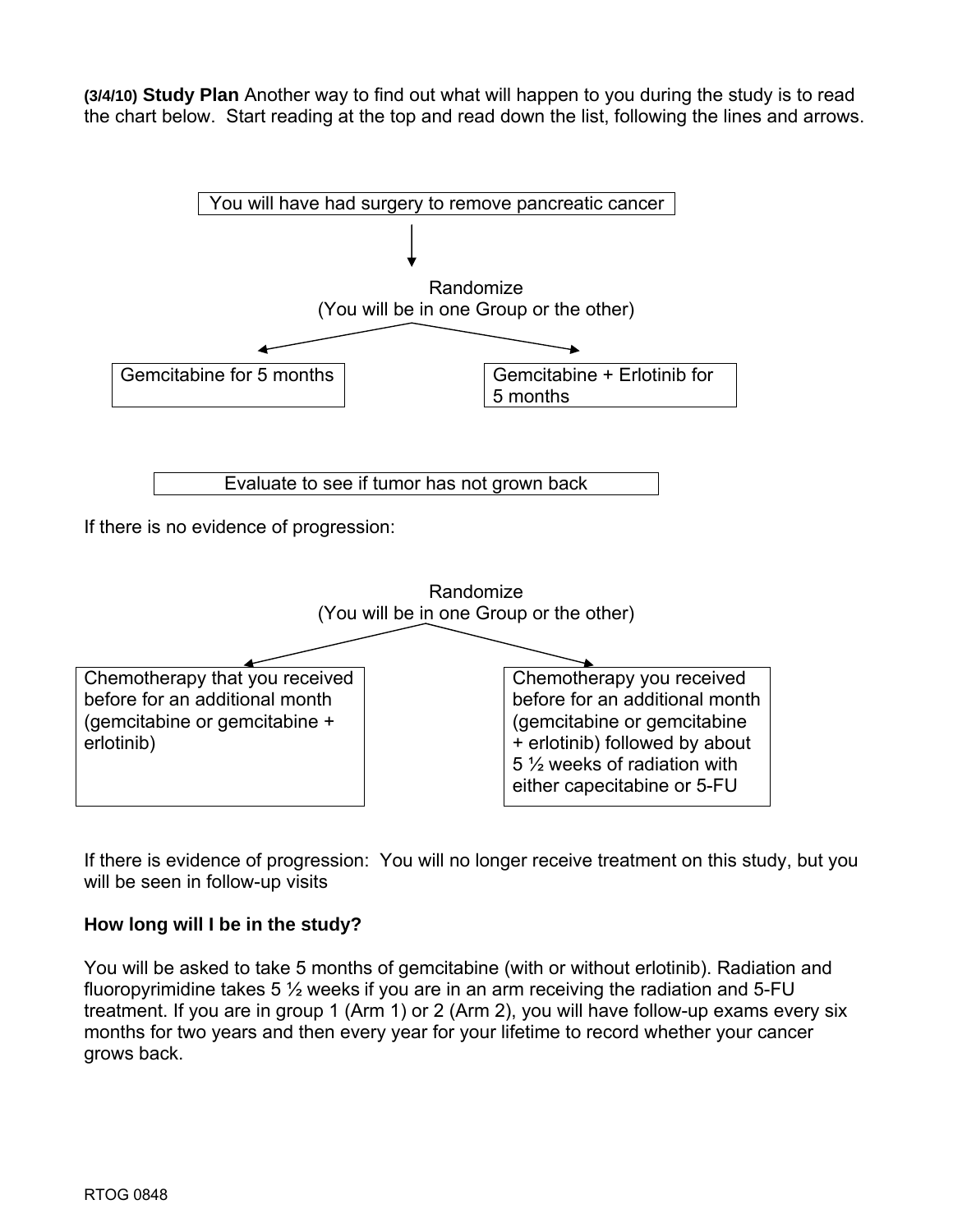**(3/4/10) Study Plan** Another way to find out what will happen to you during the study is to read the chart below. Start reading at the top and read down the list, following the lines and arrows.



If there is evidence of progression: You will no longer receive treatment on this study, but you will be seen in follow-up visits

# **How long will I be in the study?**

You will be asked to take 5 months of gemcitabine (with or without erlotinib). Radiation and fluoropyrimidine takes  $5\frac{1}{2}$  weeks if you are in an arm receiving the radiation and  $5-FU$ treatment. If you are in group 1 (Arm 1) or 2 (Arm 2), you will have follow-up exams every six months for two years and then every year for your lifetime to record whether your cancer grows back.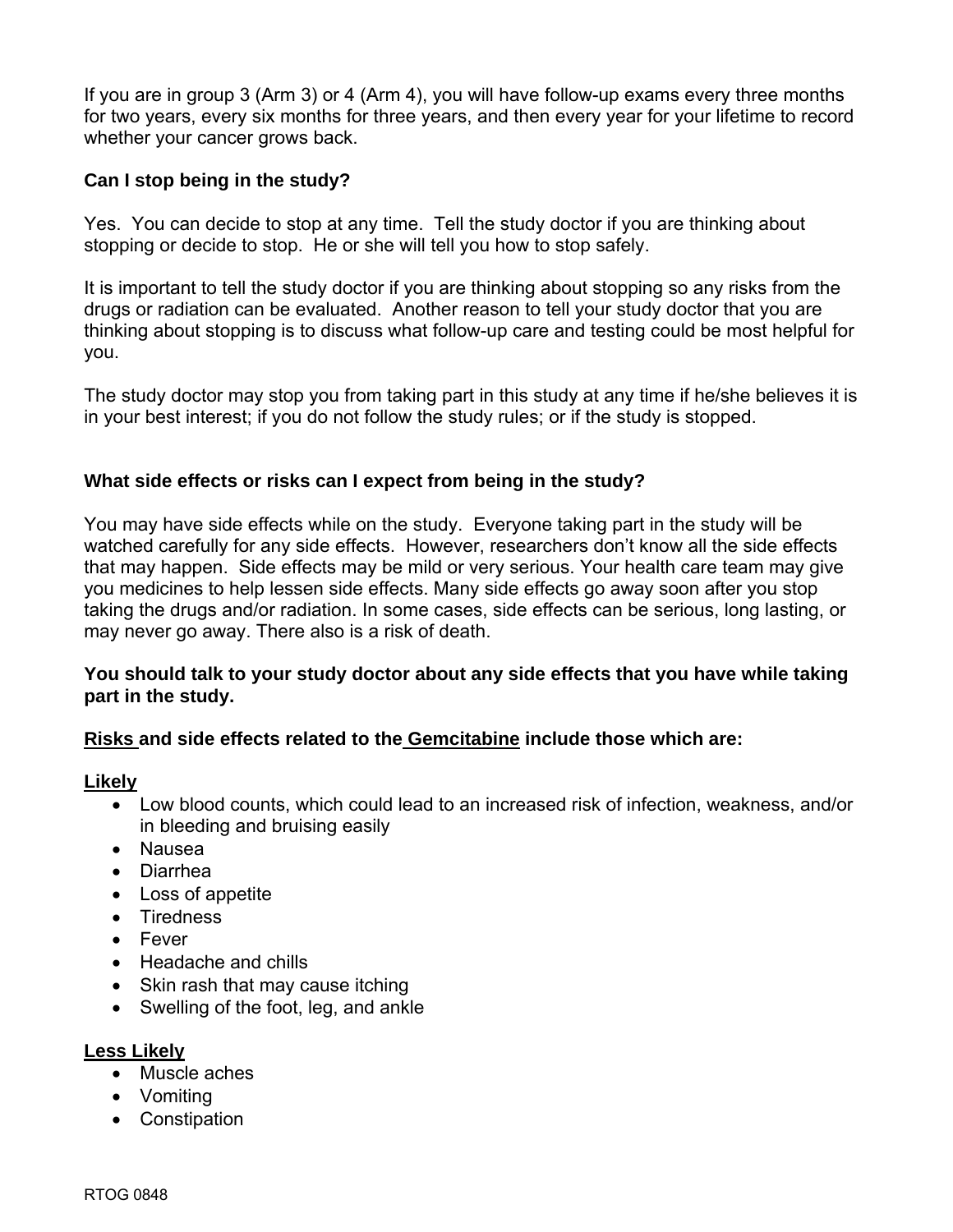If you are in group 3 (Arm 3) or 4 (Arm 4), you will have follow-up exams every three months for two years, every six months for three years, and then every year for your lifetime to record whether your cancer grows back.

# **Can I stop being in the study?**

Yes. You can decide to stop at any time. Tell the study doctor if you are thinking about stopping or decide to stop. He or she will tell you how to stop safely.

It is important to tell the study doctor if you are thinking about stopping so any risks from the drugs or radiation can be evaluated. Another reason to tell your study doctor that you are thinking about stopping is to discuss what follow-up care and testing could be most helpful for you.

The study doctor may stop you from taking part in this study at any time if he/she believes it is in your best interest; if you do not follow the study rules; or if the study is stopped.

# **What side effects or risks can I expect from being in the study?**

You may have side effects while on the study. Everyone taking part in the study will be watched carefully for any side effects. However, researchers don't know all the side effects that may happen. Side effects may be mild or very serious. Your health care team may give you medicines to help lessen side effects. Many side effects go away soon after you stop taking the drugs and/or radiation. In some cases, side effects can be serious, long lasting, or may never go away. There also is a risk of death.

# **You should talk to your study doctor about any side effects that you have while taking part in the study.**

# **Risks and side effects related to the Gemcitabine include those which are:**

# **Likely**

- Low blood counts, which could lead to an increased risk of infection, weakness, and/or in bleeding and bruising easily
- Nausea
- Diarrhea
- Loss of appetite
- Tiredness
- Fever
- Headache and chills
- Skin rash that may cause itching
- Swelling of the foot, leg, and ankle

# **Less Likely**

- Muscle aches
- Vomiting
- Constipation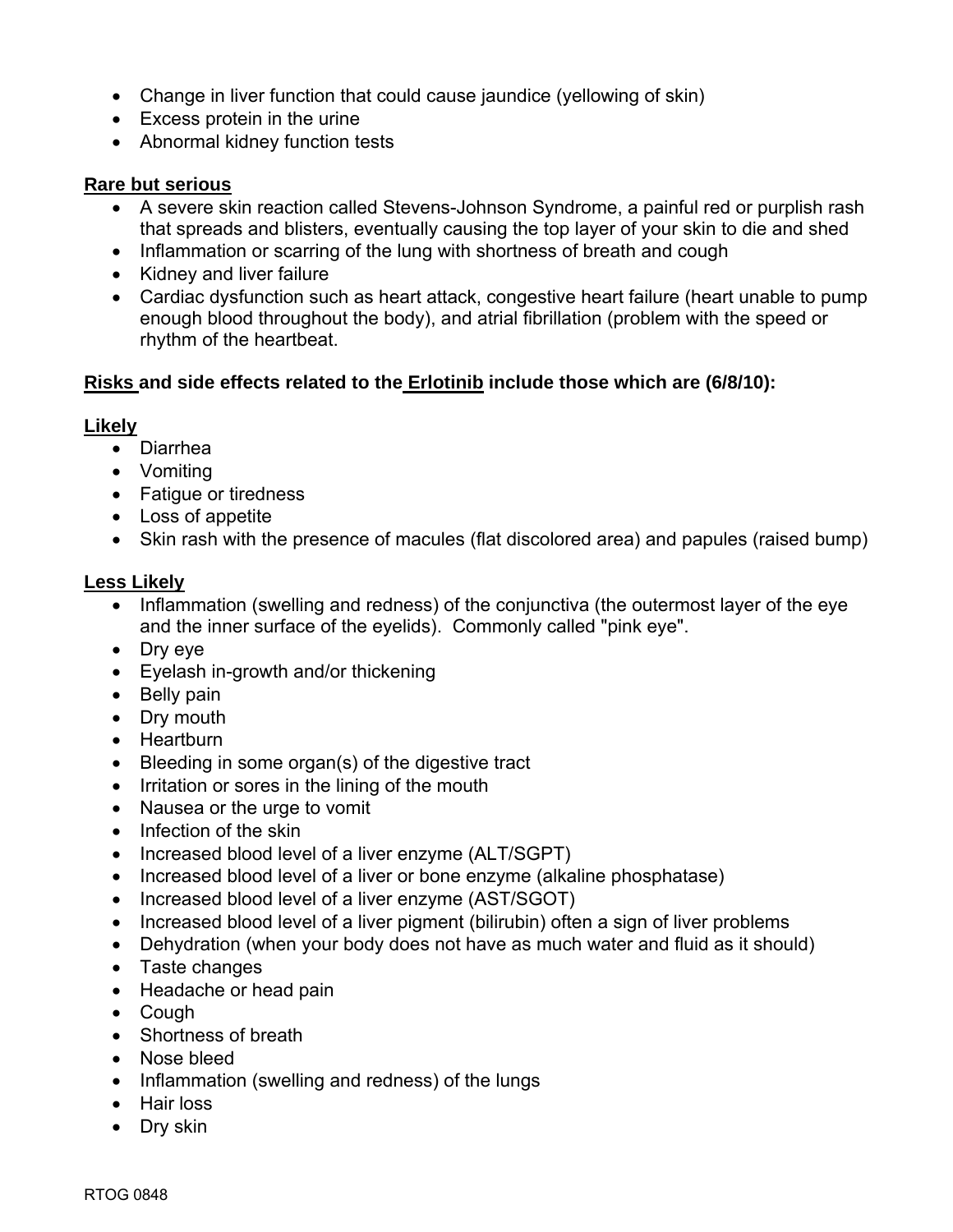- Change in liver function that could cause jaundice (yellowing of skin)
- Excess protein in the urine
- Abnormal kidney function tests

# **Rare but serious**

- A severe skin reaction called Stevens-Johnson Syndrome, a painful red or purplish rash that spreads and blisters, eventually causing the top layer of your skin to die and shed
- Inflammation or scarring of the lung with shortness of breath and cough
- Kidney and liver failure
- Cardiac dysfunction such as heart attack, congestive heart failure (heart unable to pump enough blood throughout the body), and atrial fibrillation (problem with the speed or rhythm of the heartbeat.

# **Risks and side effects related to the Erlotinib include those which are (6/8/10):**

# **Likely**

- Diarrhea
- Vomiting
- Fatigue or tiredness
- Loss of appetite
- Skin rash with the presence of macules (flat discolored area) and papules (raised bump)

# **Less Likely**

- Inflammation (swelling and redness) of the conjunctiva (the outermost layer of the eye and the inner surface of the eyelids). Commonly called "pink eye".
- Dry eye
- Eyelash in-growth and/or thickening
- Belly pain
- Dry mouth
- Heartburn
- Bleeding in some organ(s) of the digestive tract
- Irritation or sores in the lining of the mouth
- Nausea or the urge to vomit
- Infection of the skin
- Increased blood level of a liver enzyme (ALT/SGPT)
- Increased blood level of a liver or bone enzyme (alkaline phosphatase)
- Increased blood level of a liver enzyme (AST/SGOT)
- Increased blood level of a liver pigment (bilirubin) often a sign of liver problems
- Dehydration (when your body does not have as much water and fluid as it should)
- Taste changes
- Headache or head pain
- Cough
- Shortness of breath
- Nose bleed
- Inflammation (swelling and redness) of the lungs
- Hair loss
- Dry skin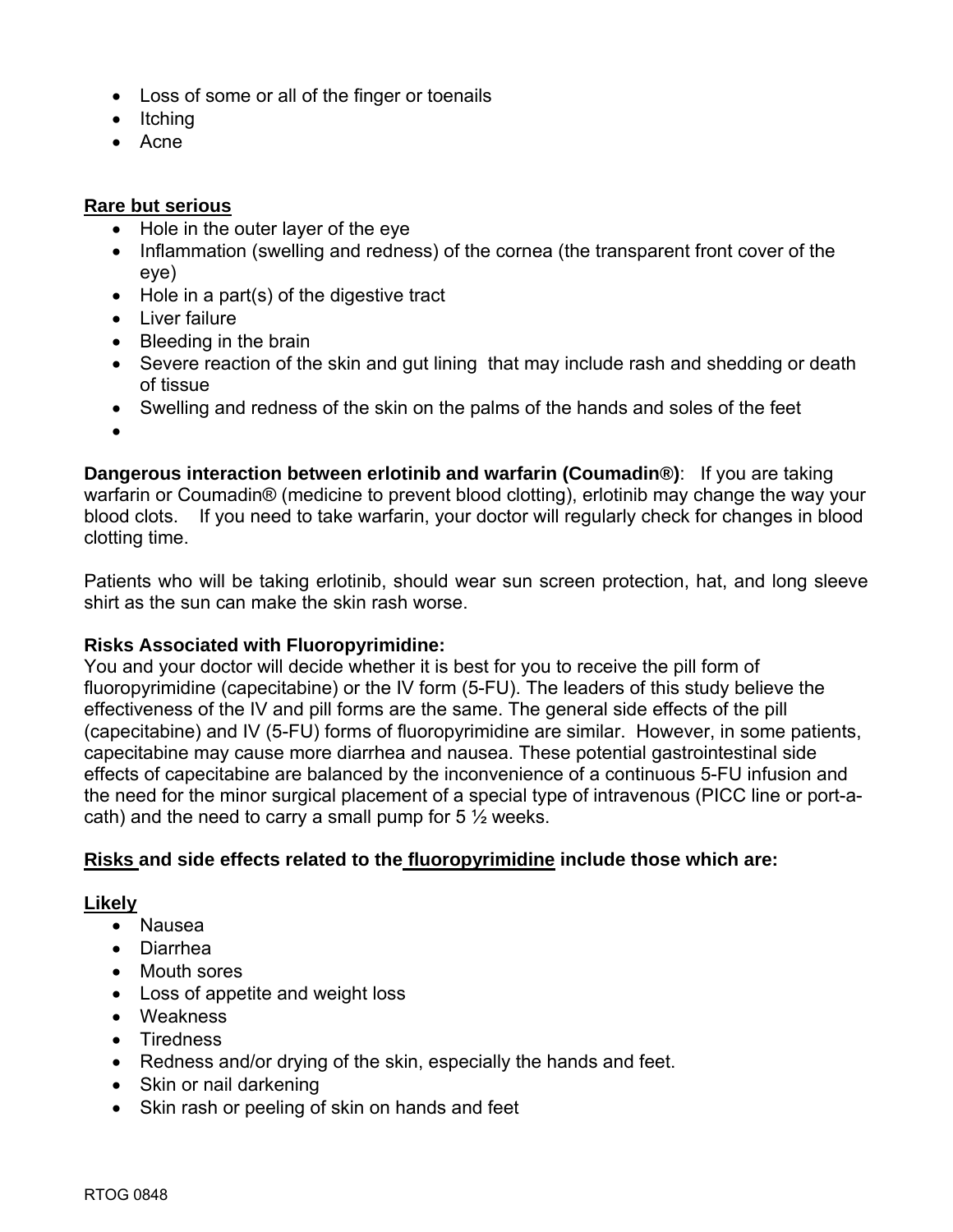- Loss of some or all of the finger or toenails
- Itching
- Acne

# **Rare but serious**

- Hole in the outer layer of the eye
- Inflammation (swelling and redness) of the cornea (the transparent front cover of the eye)
- Hole in a part(s) of the digestive tract
- Liver failure
- Bleeding in the brain
- Severe reaction of the skin and gut lining that may include rash and shedding or death of tissue
- Swelling and redness of the skin on the palms of the hands and soles of the feet
- •

**Dangerous interaction between erlotinib and warfarin (Coumadin®)**: If you are taking warfarin or Coumadin® (medicine to prevent blood clotting), erlotinib may change the way your blood clots. If you need to take warfarin, your doctor will regularly check for changes in blood clotting time.

Patients who will be taking erlotinib, should wear sun screen protection, hat, and long sleeve shirt as the sun can make the skin rash worse.

# **Risks Associated with Fluoropyrimidine:**

You and your doctor will decide whether it is best for you to receive the pill form of fluoropyrimidine (capecitabine) or the IV form (5-FU). The leaders of this study believe the effectiveness of the IV and pill forms are the same. The general side effects of the pill (capecitabine) and IV (5-FU) forms of fluoropyrimidine are similar. However, in some patients, capecitabine may cause more diarrhea and nausea. These potential gastrointestinal side effects of capecitabine are balanced by the inconvenience of a continuous 5-FU infusion and the need for the minor surgical placement of a special type of intravenous (PICC line or port-acath) and the need to carry a small pump for  $5\frac{1}{2}$  weeks.

# **Risks and side effects related to the fluoropyrimidine include those which are:**

# **Likely**

- Nausea
- Diarrhea
- Mouth sores
- Loss of appetite and weight loss
- Weakness
- Tiredness
- Redness and/or drying of the skin, especially the hands and feet.
- Skin or nail darkening
- Skin rash or peeling of skin on hands and feet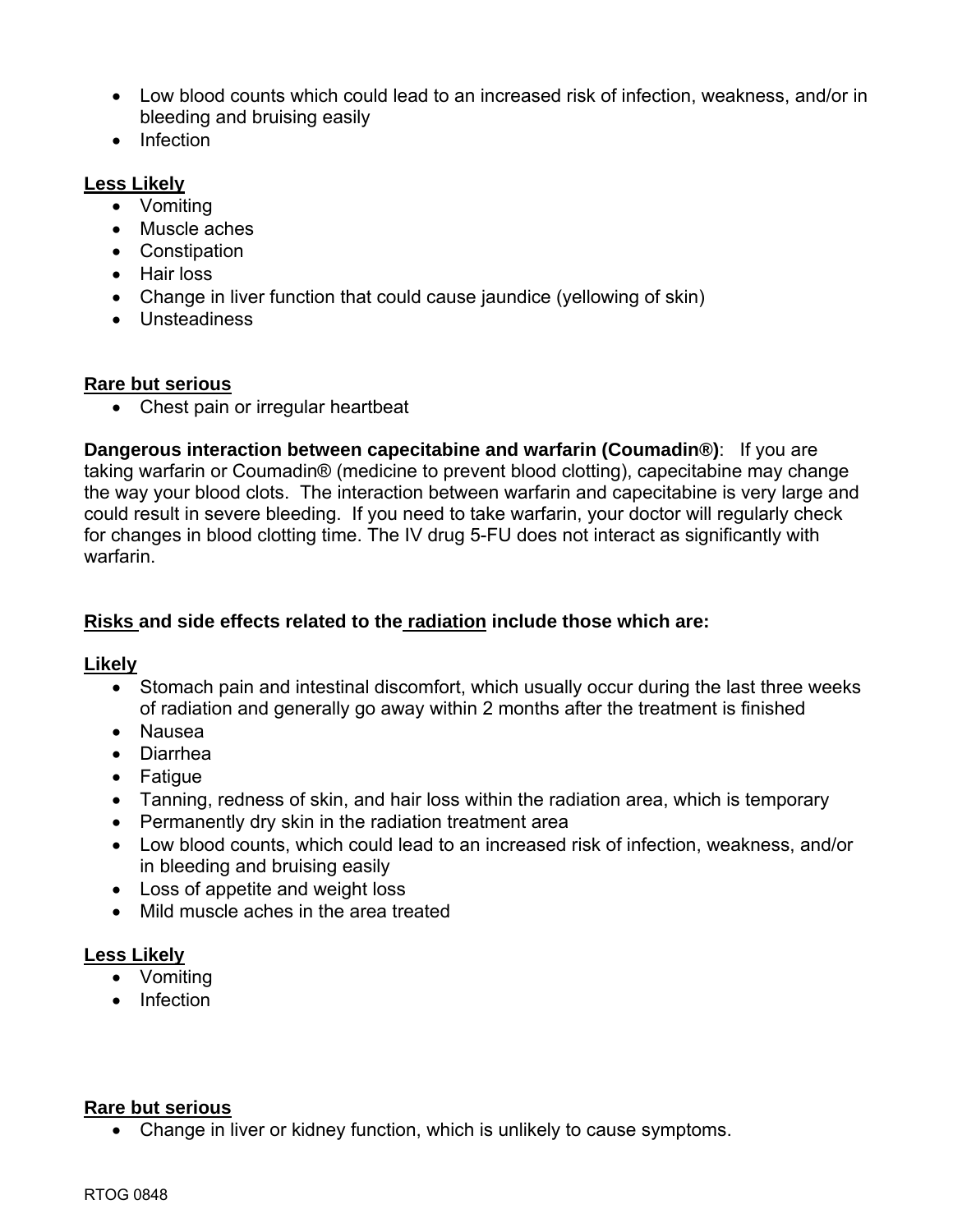- Low blood counts which could lead to an increased risk of infection, weakness, and/or in bleeding and bruising easily
- Infection

# **Less Likely**

- Vomiting
- Muscle aches
- Constipation
- Hair loss
- Change in liver function that could cause jaundice (yellowing of skin)
- Unsteadiness

# **Rare but serious**

• Chest pain or irregular heartbeat

**Dangerous interaction between capecitabine and warfarin (Coumadin®)**: If you are taking warfarin or Coumadin® (medicine to prevent blood clotting), capecitabine may change the way your blood clots. The interaction between warfarin and capecitabine is very large and could result in severe bleeding. If you need to take warfarin, your doctor will regularly check for changes in blood clotting time. The IV drug 5-FU does not interact as significantly with warfarin.

# **Risks and side effects related to the radiation include those which are:**

# **Likely**

- Stomach pain and intestinal discomfort, which usually occur during the last three weeks of radiation and generally go away within 2 months after the treatment is finished
- Nausea
- Diarrhea
- Fatigue
- Tanning, redness of skin, and hair loss within the radiation area, which is temporary
- Permanently dry skin in the radiation treatment area
- Low blood counts, which could lead to an increased risk of infection, weakness, and/or in bleeding and bruising easily
- Loss of appetite and weight loss
- Mild muscle aches in the area treated

# **Less Likely**

- Vomiting
- Infection

# **Rare but serious**

• Change in liver or kidney function, which is unlikely to cause symptoms.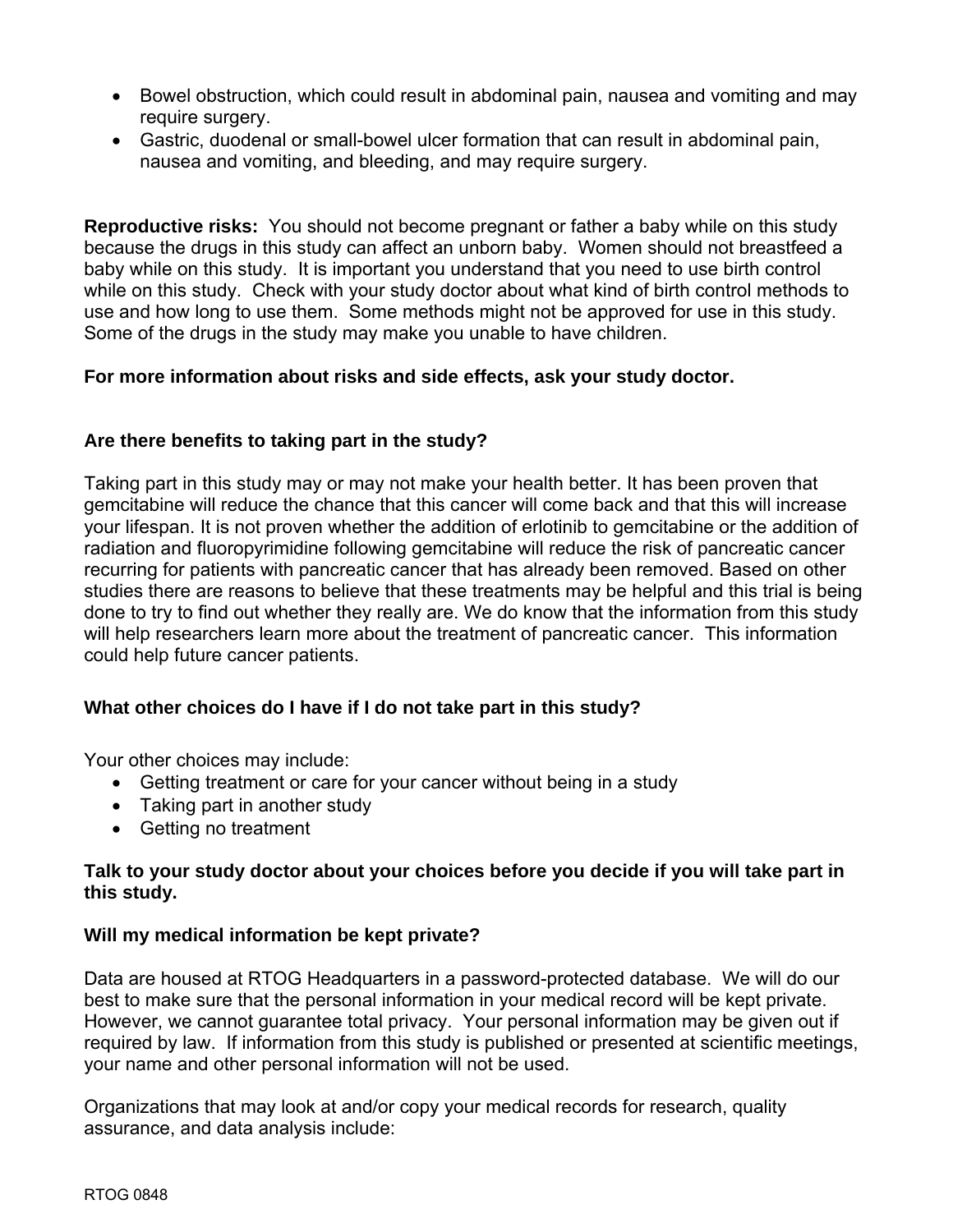- Bowel obstruction, which could result in abdominal pain, nausea and vomiting and may require surgery.
- Gastric, duodenal or small-bowel ulcer formation that can result in abdominal pain, nausea and vomiting, and bleeding, and may require surgery.

**Reproductive risks:** You should not become pregnant or father a baby while on this study because the drugs in this study can affect an unborn baby. Women should not breastfeed a baby while on this study. It is important you understand that you need to use birth control while on this study. Check with your study doctor about what kind of birth control methods to use and how long to use them. Some methods might not be approved for use in this study. Some of the drugs in the study may make you unable to have children.

# **For more information about risks and side effects, ask your study doctor.**

# **Are there benefits to taking part in the study?**

Taking part in this study may or may not make your health better. It has been proven that gemcitabine will reduce the chance that this cancer will come back and that this will increase your lifespan. It is not proven whether the addition of erlotinib to gemcitabine or the addition of radiation and fluoropyrimidine following gemcitabine will reduce the risk of pancreatic cancer recurring for patients with pancreatic cancer that has already been removed. Based on other studies there are reasons to believe that these treatments may be helpful and this trial is being done to try to find out whether they really are. We do know that the information from this study will help researchers learn more about the treatment of pancreatic cancer. This information could help future cancer patients.

# **What other choices do I have if I do not take part in this study?**

Your other choices may include:

- Getting treatment or care for your cancer without being in a study
- Taking part in another study
- Getting no treatment

# **Talk to your study doctor about your choices before you decide if you will take part in this study.**

# **Will my medical information be kept private?**

Data are housed at RTOG Headquarters in a password-protected database. We will do our best to make sure that the personal information in your medical record will be kept private. However, we cannot guarantee total privacy. Your personal information may be given out if required by law. If information from this study is published or presented at scientific meetings, your name and other personal information will not be used.

Organizations that may look at and/or copy your medical records for research, quality assurance, and data analysis include: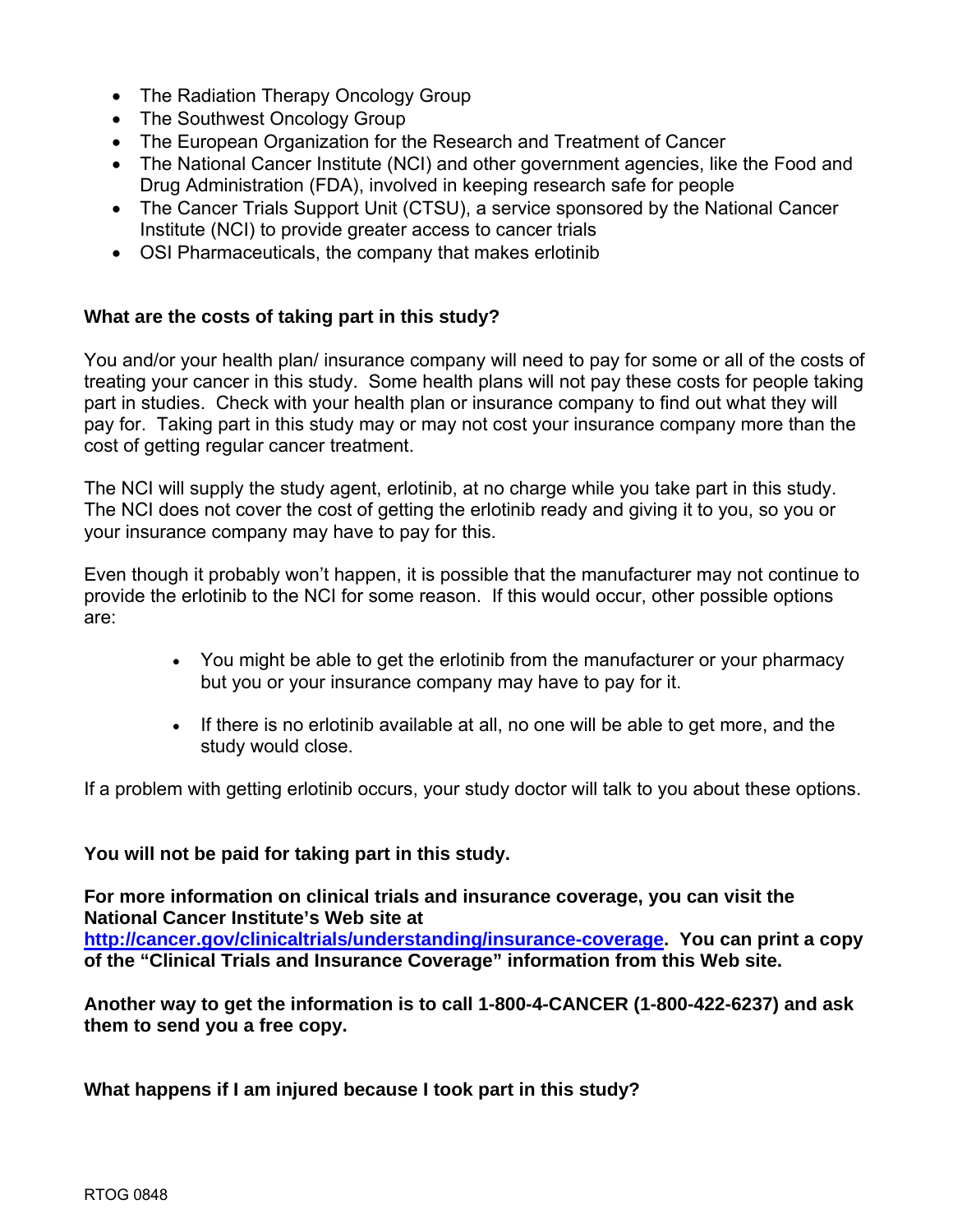- The Radiation Therapy Oncology Group
- The Southwest Oncology Group
- The European Organization for the Research and Treatment of Cancer
- The National Cancer Institute (NCI) and other government agencies, like the Food and Drug Administration (FDA), involved in keeping research safe for people
- The Cancer Trials Support Unit (CTSU), a service sponsored by the National Cancer Institute (NCI) to provide greater access to cancer trials
- OSI Pharmaceuticals, the company that makes erlotinib

# **What are the costs of taking part in this study?**

You and/or your health plan/ insurance company will need to pay for some or all of the costs of treating your cancer in this study. Some health plans will not pay these costs for people taking part in studies. Check with your health plan or insurance company to find out what they will pay for. Taking part in this study may or may not cost your insurance company more than the cost of getting regular cancer treatment.

The NCI will supply the study agent, erlotinib, at no charge while you take part in this study. The NCI does not cover the cost of getting the erlotinib ready and giving it to you, so you or your insurance company may have to pay for this.

Even though it probably won't happen, it is possible that the manufacturer may not continue to provide the erlotinib to the NCI for some reason. If this would occur, other possible options are:

- You might be able to get the erlotinib from the manufacturer or your pharmacy but you or your insurance company may have to pay for it.
- If there is no erlotinib available at all, no one will be able to get more, and the study would close.

If a problem with getting erlotinib occurs, your study doctor will talk to you about these options.

# **You will not be paid for taking part in this study.**

**For more information on clinical trials and insurance coverage, you can visit the National Cancer Institute's Web site at [http://cancer.gov/clinicaltrials/understanding/insurance-coverage.](http://cancer.gov/clinicaltrials/understanding/insurance-coverage) You can print a copy of the "Clinical Trials and Insurance Coverage" information from this Web site.** 

**Another way to get the information is to call 1-800-4-CANCER (1-800-422-6237) and ask them to send you a free copy.**

**What happens if I am injured because I took part in this study?**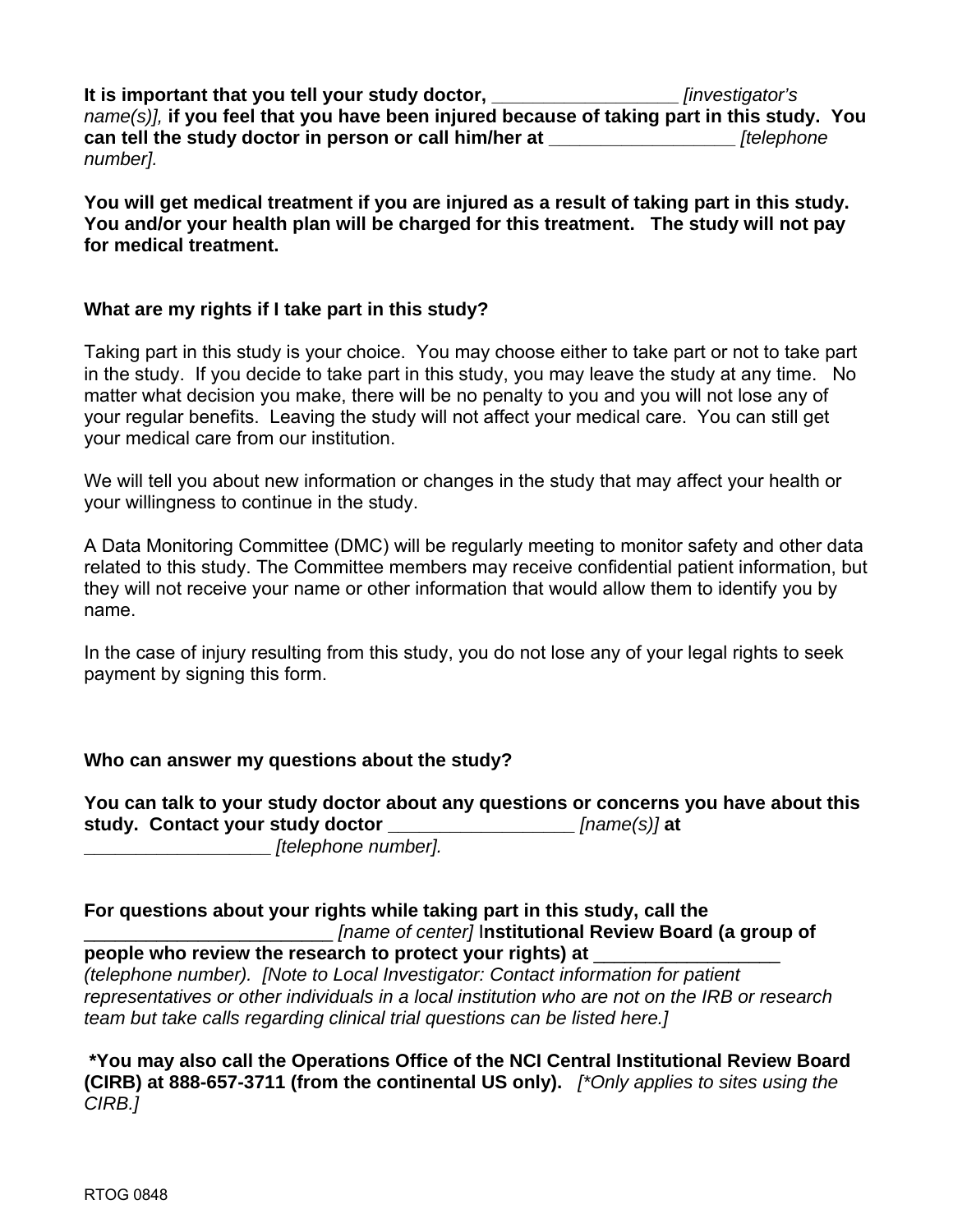**It is important that you tell your study doctor, \_\_\_\_\_\_\_\_\_\_\_\_\_\_\_\_\_\_** *[investigator's name(s)],* **if you feel that you have been injured because of taking part in this study. You can tell the study doctor in person or call him/her at \_\_\_\_\_\_\_\_\_\_\_\_\_\_\_\_\_\_** *[telephone number].*

**You will get medical treatment if you are injured as a result of taking part in this study. You and/or your health plan will be charged for this treatment. The study will not pay for medical treatment.** 

# **What are my rights if I take part in this study?**

Taking part in this study is your choice. You may choose either to take part or not to take part in the study. If you decide to take part in this study, you may leave the study at any time. No matter what decision you make, there will be no penalty to you and you will not lose any of your regular benefits. Leaving the study will not affect your medical care. You can still get your medical care from our institution.

We will tell you about new information or changes in the study that may affect your health or your willingness to continue in the study.

A Data Monitoring Committee (DMC) will be regularly meeting to monitor safety and other data related to this study. The Committee members may receive confidential patient information, but they will not receive your name or other information that would allow them to identify you by name.

In the case of injury resulting from this study, you do not lose any of your legal rights to seek payment by signing this form.

# **Who can answer my questions about the study?**

**You can talk to your study doctor about any questions or concerns you have about this study. Contact your study doctor \_\_\_\_\_\_\_\_\_\_\_\_\_\_\_\_\_\_** *[name(s)]* **at** 

**\_\_\_\_\_\_\_\_\_\_\_\_\_\_\_\_\_\_** *[telephone number].*

# **For questions about your rights while taking part in this study, call the**

\_\_\_\_\_\_\_\_\_\_\_\_\_\_\_\_\_\_\_\_\_\_\_\_ *[name of center]* I**nstitutional Review Board (a group of** 

**people who review the research to protect your rights) at** \_\_\_\_\_\_\_\_\_\_\_\_\_\_\_\_\_\_

*(telephone number). [Note to Local Investigator: Contact information for patient representatives or other individuals in a local institution who are not on the IRB or research team but take calls regarding clinical trial questions can be listed here.]* 

**\*You may also call the Operations Office of the NCI Central Institutional Review Board (CIRB) at 888-657-3711 (from the continental US only).** *[\*Only applies to sites using the CIRB.]*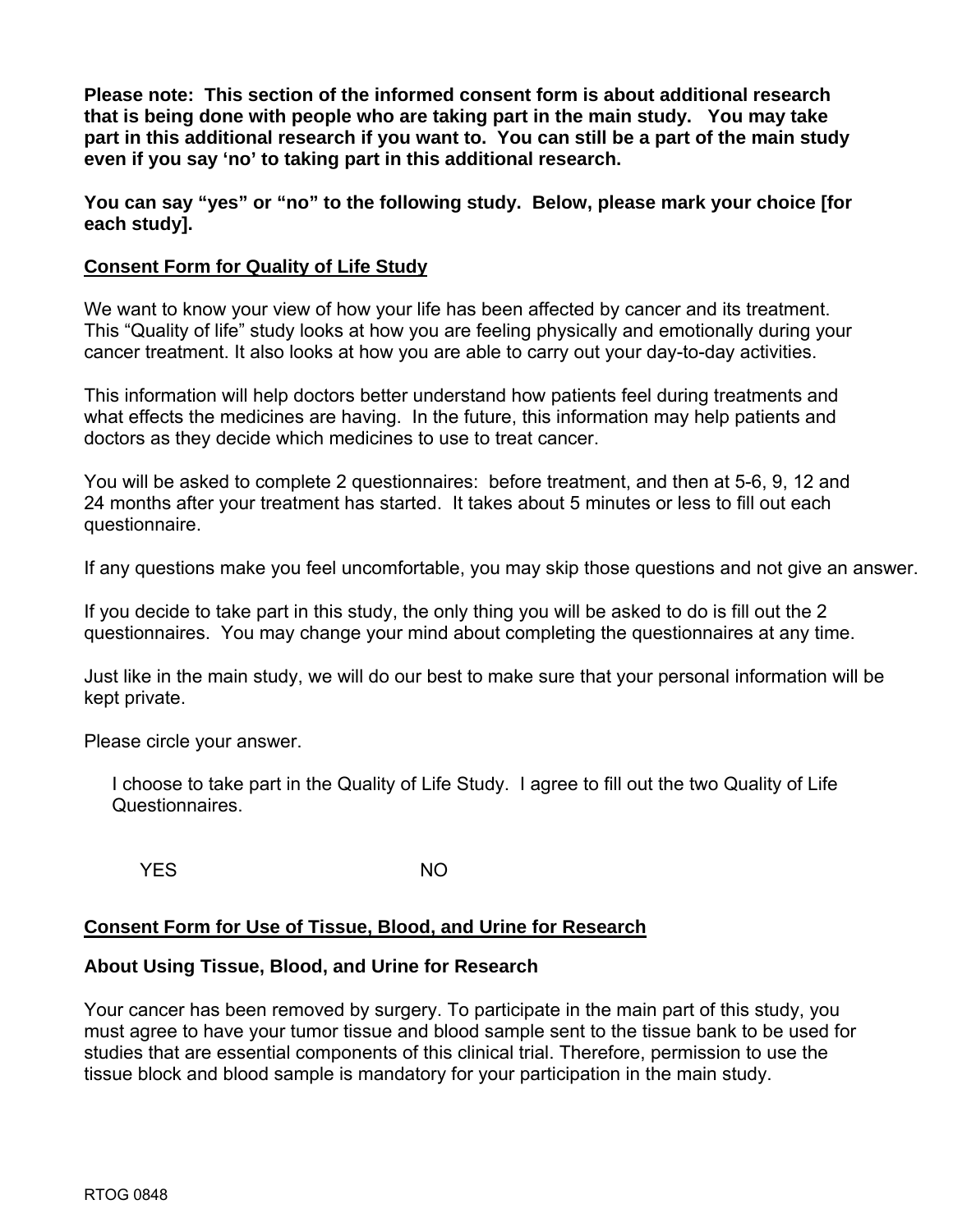**Please note: This section of the informed consent form is about additional research that is being done with people who are taking part in the main study. You may take part in this additional research if you want to. You can still be a part of the main study even if you say 'no' to taking part in this additional research.** 

**You can say "yes" or "no" to the following study. Below, please mark your choice [for each study].** 

# **Consent Form for Quality of Life Study**

We want to know your view of how your life has been affected by cancer and its treatment. This "Quality of life" study looks at how you are feeling physically and emotionally during your cancer treatment. It also looks at how you are able to carry out your day-to-day activities.

This information will help doctors better understand how patients feel during treatments and what effects the medicines are having. In the future, this information may help patients and doctors as they decide which medicines to use to treat cancer.

You will be asked to complete 2 questionnaires: before treatment, and then at 5-6, 9, 12 and 24 months after your treatment has started. It takes about 5 minutes or less to fill out each questionnaire.

If any questions make you feel uncomfortable, you may skip those questions and not give an answer.

If you decide to take part in this study, the only thing you will be asked to do is fill out the 2 questionnaires. You may change your mind about completing the questionnaires at any time.

Just like in the main study, we will do our best to make sure that your personal information will be kept private.

Please circle your answer.

I choose to take part in the Quality of Life Study. I agree to fill out the two Quality of Life Questionnaires.

**YES** NO

## **Consent Form for Use of Tissue, Blood, and Urine for Research**

## **About Using Tissue, Blood, and Urine for Research**

Your cancer has been removed by surgery. To participate in the main part of this study, you must agree to have your tumor tissue and blood sample sent to the tissue bank to be used for studies that are essential components of this clinical trial. Therefore, permission to use the tissue block and blood sample is mandatory for your participation in the main study.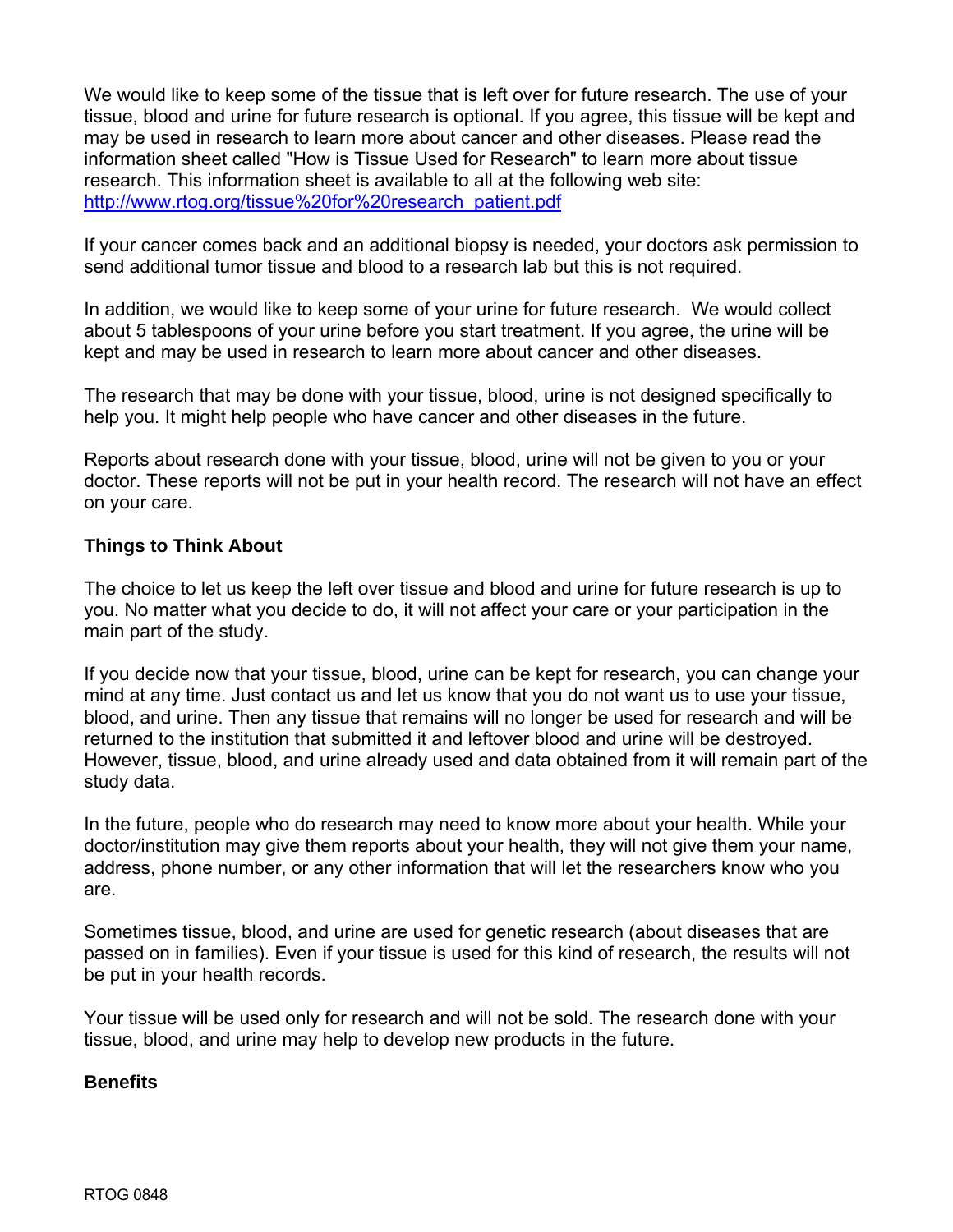We would like to keep some of the tissue that is left over for future research. The use of your tissue, blood and urine for future research is optional. If you agree, this tissue will be kept and may be used in research to learn more about cancer and other diseases. Please read the information sheet called "How is Tissue Used for Research" to learn more about tissue research. This information sheet is available to all at the following web site: [http://www.rtog.org/tissue%20for%20research\\_patient.pdf](http://www.rtog.org/tissue%20for%20research_patient.pdf)

If your cancer comes back and an additional biopsy is needed, your doctors ask permission to send additional tumor tissue and blood to a research lab but this is not required.

In addition, we would like to keep some of your urine for future research. We would collect about 5 tablespoons of your urine before you start treatment. If you agree, the urine will be kept and may be used in research to learn more about cancer and other diseases.

The research that may be done with your tissue, blood, urine is not designed specifically to help you. It might help people who have cancer and other diseases in the future.

Reports about research done with your tissue, blood, urine will not be given to you or your doctor. These reports will not be put in your health record. The research will not have an effect on your care.

# **Things to Think About**

The choice to let us keep the left over tissue and blood and urine for future research is up to you. No matter what you decide to do, it will not affect your care or your participation in the main part of the study.

If you decide now that your tissue, blood, urine can be kept for research, you can change your mind at any time. Just contact us and let us know that you do not want us to use your tissue, blood, and urine. Then any tissue that remains will no longer be used for research and will be returned to the institution that submitted it and leftover blood and urine will be destroyed. However, tissue, blood, and urine already used and data obtained from it will remain part of the study data.

In the future, people who do research may need to know more about your health. While your doctor/institution may give them reports about your health, they will not give them your name, address, phone number, or any other information that will let the researchers know who you are.

Sometimes tissue, blood, and urine are used for genetic research (about diseases that are passed on in families). Even if your tissue is used for this kind of research, the results will not be put in your health records.

Your tissue will be used only for research and will not be sold. The research done with your tissue, blood, and urine may help to develop new products in the future.

# **Benefits**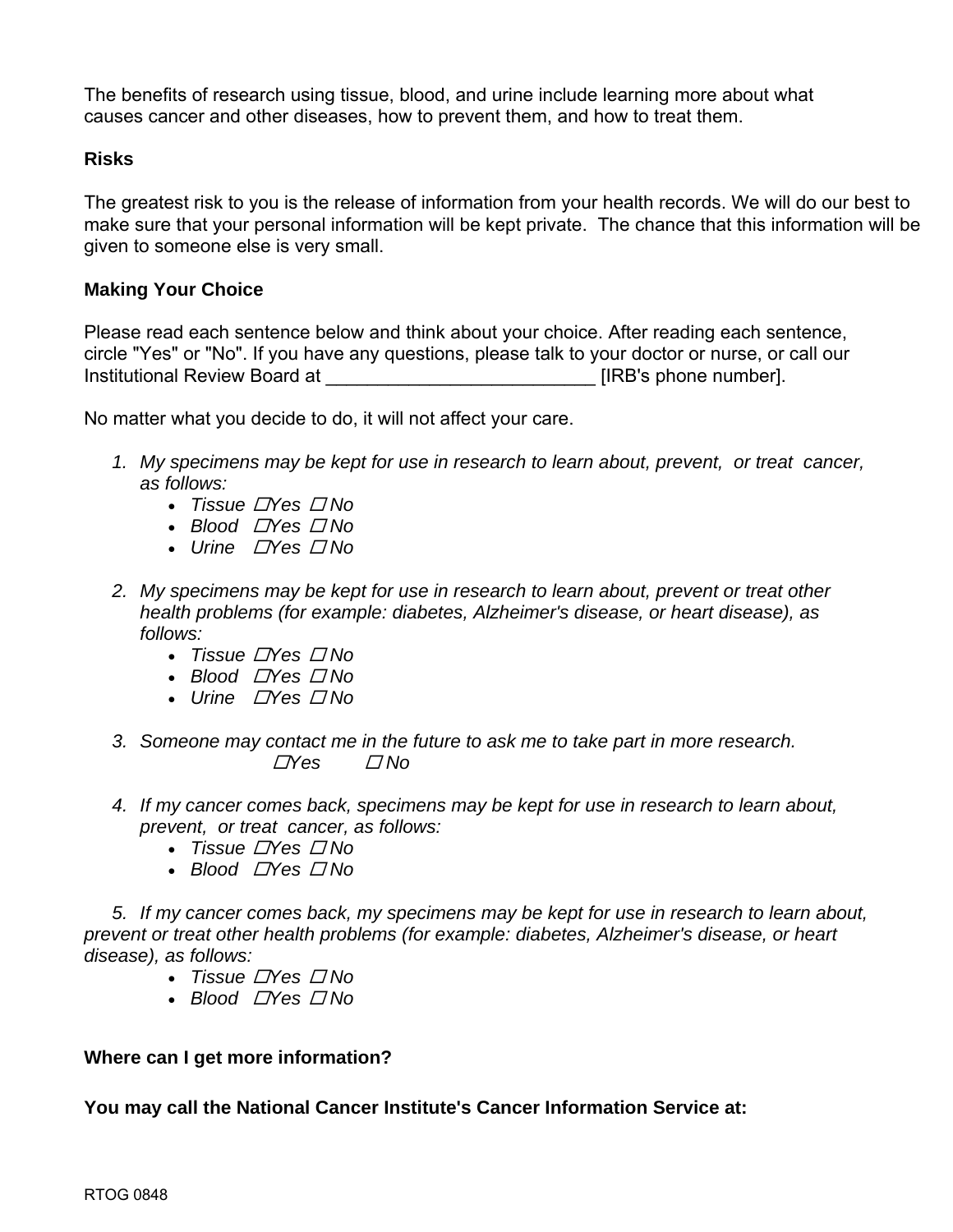The benefits of research using tissue, blood, and urine include learning more about what causes cancer and other diseases, how to prevent them, and how to treat them.

# **Risks**

The greatest risk to you is the release of information from your health records. We will do our best to make sure that your personal information will be kept private. The chance that this information will be given to someone else is very small.

# **Making Your Choice**

Please read each sentence below and think about your choice. After reading each sentence, circle "Yes" or "No". If you have any questions, please talk to your doctor or nurse, or call our Institutional Review Board at \_\_\_\_\_\_\_\_\_\_\_\_\_\_\_\_\_\_\_\_\_\_\_\_\_\_ [IRB's phone number].

No matter what you decide to do, it will not affect your care.

- *1. My specimens may be kept for use in research to learn about, prevent, or treat cancer, as follows:* 
	- *Tissue*  $\Box$ *Yes*  $\Box$ *No*
	- *Blood*  $\Box$ *Yes*  $\Box$  *No*
	- *Urine*  $\Box$ *Yes*  $\Box$  No
- *2. My specimens may be kept for use in research to learn about, prevent or treat other health problems (for example: diabetes, Alzheimer's disease, or heart disease), as follows:* 
	- *Tissue*  $\Box$ *Yes*  $\Box$ *No*
	- *Blood*  $\Box$ *Yes*  $\Box$  No
	- *Urine*  $\Box$  *Yes*  $\Box$  *No*
- *3. Someone may contact me in the future to ask me to take part in more research. Yes No*
- *4. If my cancer comes back, specimens may be kept for use in research to learn about, prevent, or treat cancer, as follows:* 
	- *Tissue*  $\Box$ *Yes*  $\Box$  *No*
	- *Blood*  $\Box$ *Yes*  $\Box$  No

*5. If my cancer comes back, my specimens may be kept for use in research to learn about, prevent or treat other health problems (for example: diabetes, Alzheimer's disease, or heart disease), as follows:*

- *Tissue*  $\Box$ *Yes*  $\Box$  *No*
- *Blood □Yes □No*

# **Where can I get more information?**

**You may call the National Cancer Institute's Cancer Information Service at:**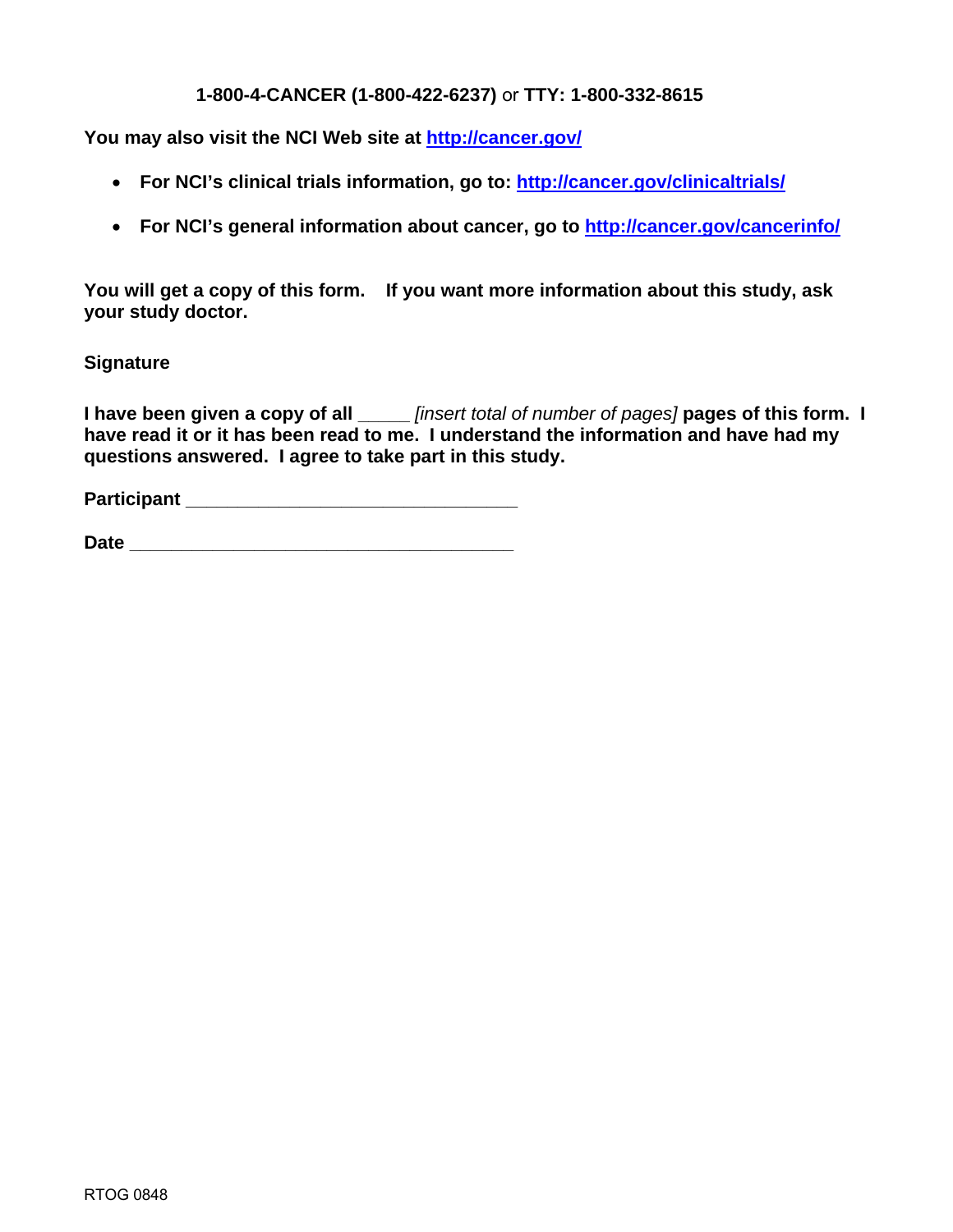# **1-800-4-CANCER (1-800-422-6237)** or **TTY: 1-800-332-8615**

**You may also visit the NCI Web site at [http://cancer.gov/](http://cancer.gov)**

- **For NCI's clinical trials information, go to: [http://cancer.gov/clinicaltrials/](http://cancer.gov/clinicaltrials)**
- **For NCI's general information about cancer, go to [http://cancer.gov/cancerinfo/](http://cancer.gov/cancerinfo)**

**You will get a copy of this form. If you want more information about this study, ask your study doctor.**

**Signature** 

**I have been given a copy of all \_\_\_\_\_** *[insert total of number of pages]* **pages of this form. I have read it or it has been read to me. I understand the information and have had my questions answered. I agree to take part in this study.** 

**Participant \_\_\_\_\_\_\_\_\_\_\_\_\_\_\_\_\_\_\_\_\_\_\_\_\_\_\_\_\_\_\_\_** 

**Date \_\_\_\_\_\_\_\_\_\_\_\_\_\_\_\_\_\_\_\_\_\_\_\_\_\_\_\_\_\_\_\_\_\_\_\_\_**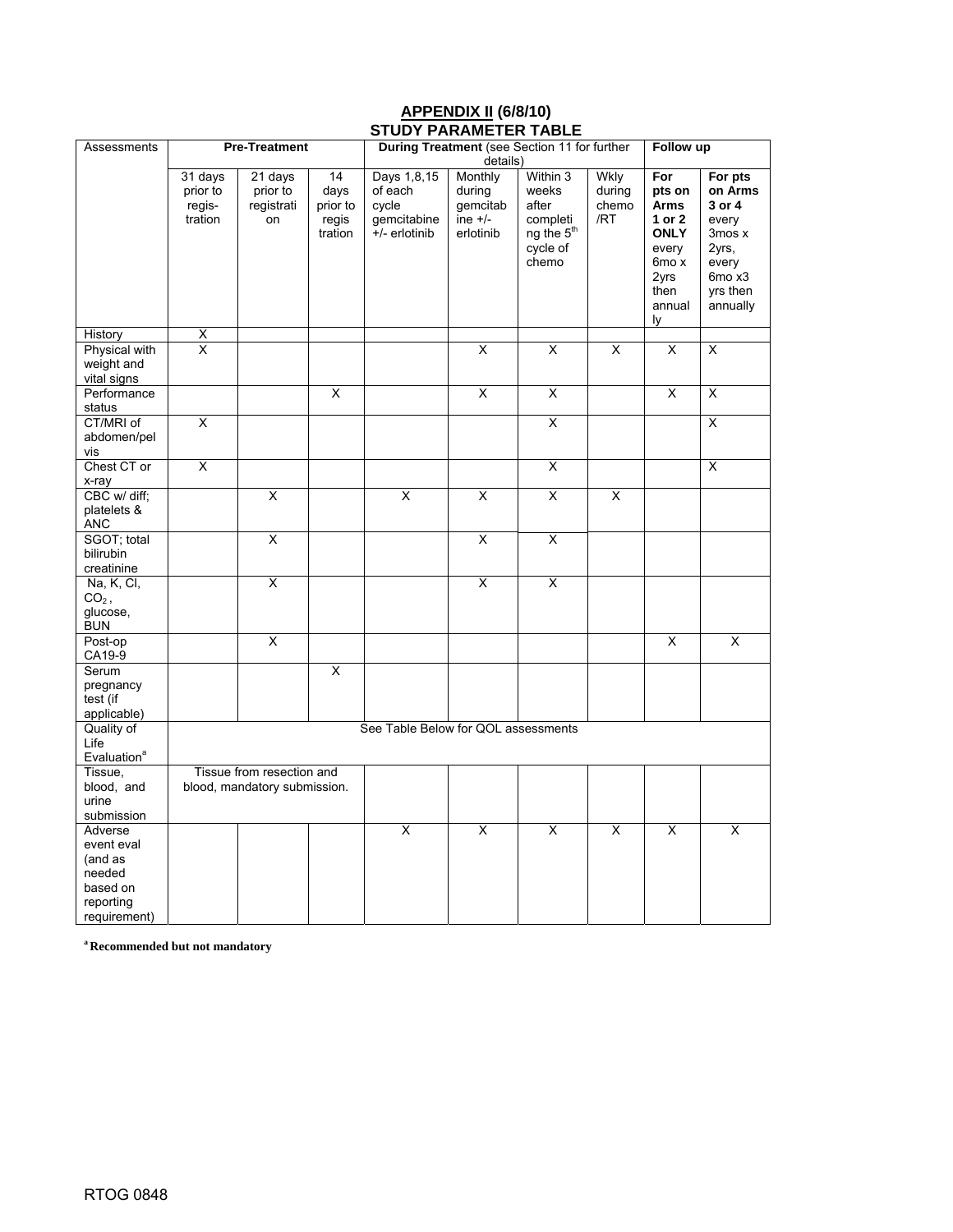#### **APPENDIX II (6/8/10) STUDY PARAMETER TABLE**

|                         |                                     |                              |            |                                              | 91961 LANAMEILN LABLE |                         |                         |                         |                         |
|-------------------------|-------------------------------------|------------------------------|------------|----------------------------------------------|-----------------------|-------------------------|-------------------------|-------------------------|-------------------------|
| Assessments             |                                     | <b>Pre-Treatment</b>         |            | During Treatment (see Section 11 for further |                       |                         |                         | Follow up               |                         |
|                         |                                     |                              |            | details)                                     |                       |                         |                         |                         |                         |
|                         | 31 days<br>prior to                 | 21 days<br>prior to          | 14<br>days | Days 1,8,15<br>of each                       | Monthly<br>during     | Within 3<br>weeks       | Wkly<br>during          | For<br>pts on           | For pts<br>on Arms      |
|                         | regis-                              | registrati                   | prior to   | cycle                                        | gemcitab              | after                   | chemo                   | <b>Arms</b>             | 3 or 4                  |
|                         | tration                             | on                           | regis      | gemcitabine                                  | ine $+/-$             | completi                | /RT                     | 1 or 2                  | every                   |
|                         |                                     |                              | tration    | +/- erlotinib                                | erlotinib             | ng the 5 <sup>th</sup>  |                         | <b>ONLY</b>             | 3mos x                  |
|                         |                                     |                              |            |                                              |                       | cycle of                |                         | every                   | 2yrs,                   |
|                         |                                     |                              |            |                                              |                       | chemo                   |                         | 6mo x                   | every                   |
|                         |                                     |                              |            |                                              |                       |                         |                         | 2yrs                    | 6mo x3                  |
|                         |                                     |                              |            |                                              |                       |                         |                         | then                    | yrs then                |
|                         |                                     |                              |            |                                              |                       |                         |                         | annual                  | annually                |
|                         |                                     |                              |            |                                              |                       |                         |                         | ly                      |                         |
| History                 | $\overline{\mathsf{x}}$             |                              |            |                                              |                       |                         |                         |                         |                         |
| Physical with           | $\overline{\mathsf{x}}$             |                              |            |                                              | X                     | $\overline{\mathsf{x}}$ | $\overline{\mathsf{x}}$ | $\overline{\mathsf{x}}$ | $\overline{\mathsf{x}}$ |
| weight and              |                                     |                              |            |                                              |                       |                         |                         |                         |                         |
| vital signs             |                                     |                              |            |                                              |                       |                         |                         |                         |                         |
| Performance             |                                     |                              | X          |                                              | X                     | X                       |                         | X                       | X                       |
| status                  |                                     |                              |            |                                              |                       |                         |                         |                         |                         |
| CT/MRI of               | X                                   |                              |            |                                              |                       | X                       |                         |                         | $\overline{\mathsf{X}}$ |
| abdomen/pel             |                                     |                              |            |                                              |                       |                         |                         |                         |                         |
| vis<br>Chest CT or      | $\overline{\mathsf{x}}$             |                              |            |                                              |                       | $\overline{\mathsf{x}}$ |                         |                         | $\overline{\mathsf{x}}$ |
|                         |                                     |                              |            |                                              |                       |                         |                         |                         |                         |
| x-ray<br>CBC w/ diff;   |                                     | X                            |            | X                                            | X                     | X                       | X                       |                         |                         |
| platelets &             |                                     |                              |            |                                              |                       |                         |                         |                         |                         |
| <b>ANC</b>              |                                     |                              |            |                                              |                       |                         |                         |                         |                         |
| SGOT; total             |                                     | X                            |            |                                              | X                     | X                       |                         |                         |                         |
| bilirubin               |                                     |                              |            |                                              |                       |                         |                         |                         |                         |
| creatinine              |                                     |                              |            |                                              |                       |                         |                         |                         |                         |
| Na, K, Cl,              |                                     | $\overline{\mathsf{x}}$      |            |                                              | X                     | X                       |                         |                         |                         |
| $CO2$ ,                 |                                     |                              |            |                                              |                       |                         |                         |                         |                         |
| glucose,                |                                     |                              |            |                                              |                       |                         |                         |                         |                         |
| <b>BUN</b>              |                                     |                              |            |                                              |                       |                         |                         |                         |                         |
| Post-op                 |                                     | X                            |            |                                              |                       |                         |                         | X                       | X                       |
| CA19-9                  |                                     |                              |            |                                              |                       |                         |                         |                         |                         |
| Serum                   |                                     |                              | X          |                                              |                       |                         |                         |                         |                         |
| pregnancy               |                                     |                              |            |                                              |                       |                         |                         |                         |                         |
| test (if                |                                     |                              |            |                                              |                       |                         |                         |                         |                         |
| applicable)             |                                     |                              |            |                                              |                       |                         |                         |                         |                         |
| Quality of              | See Table Below for QOL assessments |                              |            |                                              |                       |                         |                         |                         |                         |
| Life                    |                                     |                              |            |                                              |                       |                         |                         |                         |                         |
| Evaluation <sup>a</sup> |                                     |                              |            |                                              |                       |                         |                         |                         |                         |
| Tissue,                 |                                     | Tissue from resection and    |            |                                              |                       |                         |                         |                         |                         |
| blood, and              |                                     | blood, mandatory submission. |            |                                              |                       |                         |                         |                         |                         |
| urine<br>submission     |                                     |                              |            |                                              |                       |                         |                         |                         |                         |
| Adverse                 |                                     |                              |            | X                                            | X                     | X                       | X                       | X                       | X                       |
| event eval              |                                     |                              |            |                                              |                       |                         |                         |                         |                         |
| (and as                 |                                     |                              |            |                                              |                       |                         |                         |                         |                         |
| needed                  |                                     |                              |            |                                              |                       |                         |                         |                         |                         |
| based on                |                                     |                              |            |                                              |                       |                         |                         |                         |                         |
| reporting               |                                     |                              |            |                                              |                       |                         |                         |                         |                         |
| requirement)            |                                     |                              |            |                                              |                       |                         |                         |                         |                         |

**a Recommended but not mandatory**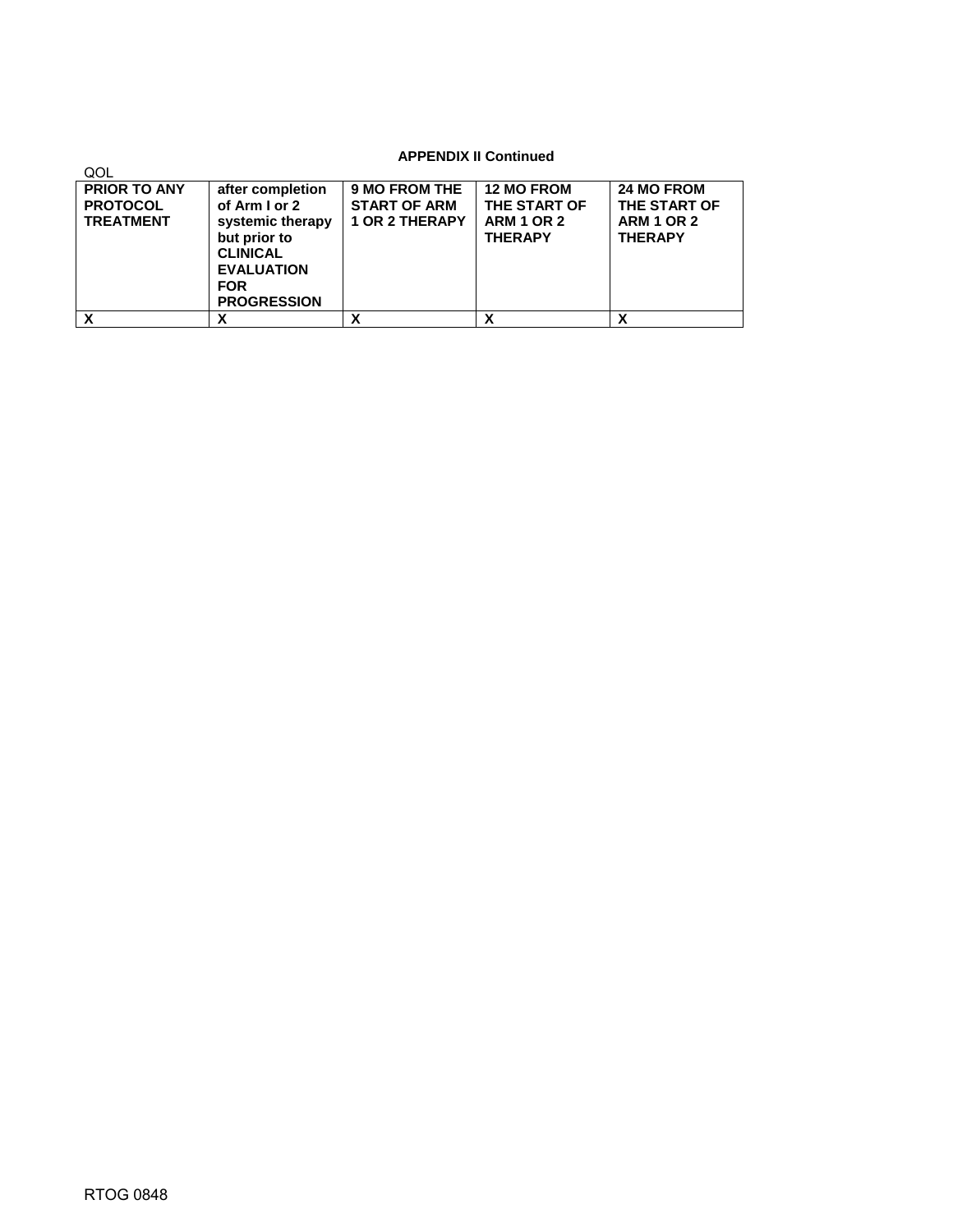## **APPENDIX II Continued**

|                                                            |                                                                                                                                                   |                                                                      | ALL LIDIA II CONNICCI                                                    |                                                                          |
|------------------------------------------------------------|---------------------------------------------------------------------------------------------------------------------------------------------------|----------------------------------------------------------------------|--------------------------------------------------------------------------|--------------------------------------------------------------------------|
| QOL                                                        |                                                                                                                                                   |                                                                      |                                                                          |                                                                          |
| <b>PRIOR TO ANY</b><br><b>PROTOCOL</b><br><b>TREATMENT</b> | after completion<br>of Arm I or 2<br>systemic therapy<br>but prior to<br><b>CLINICAL</b><br><b>EVALUATION</b><br><b>FOR</b><br><b>PROGRESSION</b> | <b>9 MO FROM THE</b><br><b>START OF ARM</b><br><b>1 OR 2 THERAPY</b> | <b>12 MO FROM</b><br>THE START OF<br><b>ARM 1 OR 2</b><br><b>THERAPY</b> | <b>24 MO FROM</b><br>THE START OF<br><b>ARM 1 OR 2</b><br><b>THERAPY</b> |
| X                                                          | χ                                                                                                                                                 |                                                                      | Х                                                                        | χ                                                                        |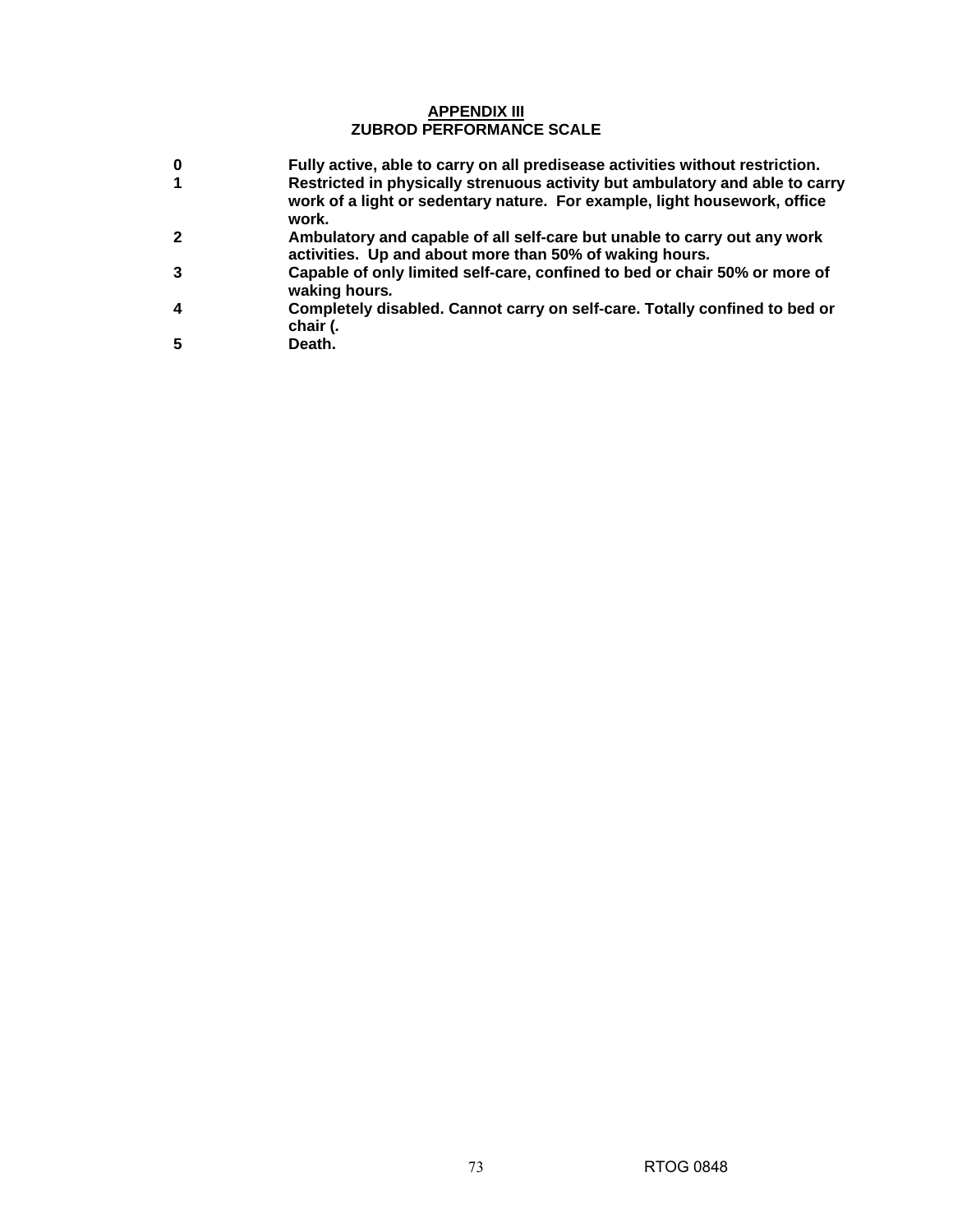### **APPENDIX III ZUBROD PERFORMANCE SCALE**

- **0 Fully active, able to carry on all predisease activities without restriction.**
- **1 Restricted in physically strenuous activity but ambulatory and able to carry work of a light or sedentary nature. For example, light housework, office work.**
- **2 Ambulatory and capable of all self-care but unable to carry out any work activities. Up and about more than 50% of waking hours***.*
- **3 Capable of only limited self-care, confined to bed or chair 50% or more of waking hours***.*
- **4 Completely disabled. Cannot carry on self-care. Totally confined to bed or chair (***.*
- **5 Death.**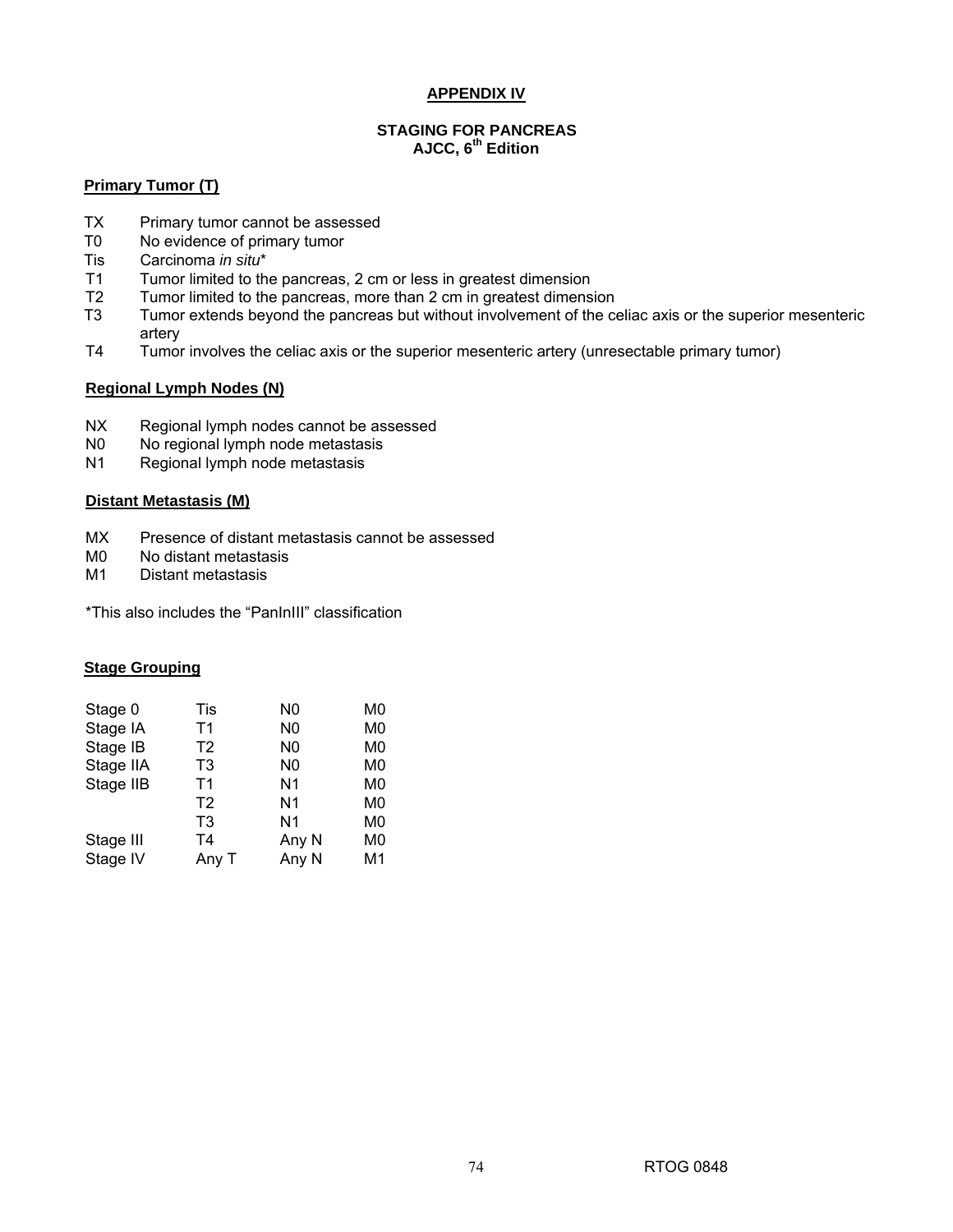## **APPENDIX IV**

## **STAGING FOR PANCREAS AJCC, 6th Edition**

### **Primary Tumor (T)**

- TX Primary tumor cannot be assessed<br>T0 No evidence of primary tumor
- No evidence of primary tumor
- Tis Carcinoma *in situ*\*
- T1 Tumor limited to the pancreas, 2 cm or less in greatest dimension
- T2 Tumor limited to the pancreas, more than 2 cm in greatest dimension
- T3 Tumor extends beyond the pancreas but without involvement of the celiac axis or the superior mesenteric artery
- T4 Tumor involves the celiac axis or the superior mesenteric artery (unresectable primary tumor)

## **Regional Lymph Nodes (N)**

- NX Regional lymph nodes cannot be assessed
- N0 No regional lymph node metastasis
- N1 Regional lymph node metastasis

### **Distant Metastasis (M)**

- MX Presence of distant metastasis cannot be assessed
- M0 No distant metastasis
- M1 Distant metastasis

\*This also includes the "PanInIII" classification

## **Stage Grouping**

| Stage 0   | Tis            | N <sub>0</sub> | M <sub>0</sub> |
|-----------|----------------|----------------|----------------|
| Stage IA  | T <sub>1</sub> | N <sub>0</sub> | M <sub>0</sub> |
| Stage IB  | T <sub>2</sub> | N <sub>0</sub> | M <sub>0</sub> |
| Stage IIA | T <sub>3</sub> | N <sub>0</sub> | M <sub>0</sub> |
| Stage IIB | T <sub>1</sub> | N <sub>1</sub> | M <sub>0</sub> |
|           | T <sub>2</sub> | N <sub>1</sub> | M <sub>0</sub> |
|           | T <sub>3</sub> | N <sub>1</sub> | M <sub>0</sub> |
| Stage III | T <sub>4</sub> | Any N          | M <sub>0</sub> |
| Stage IV  | Any T          | Any N          | M <sub>1</sub> |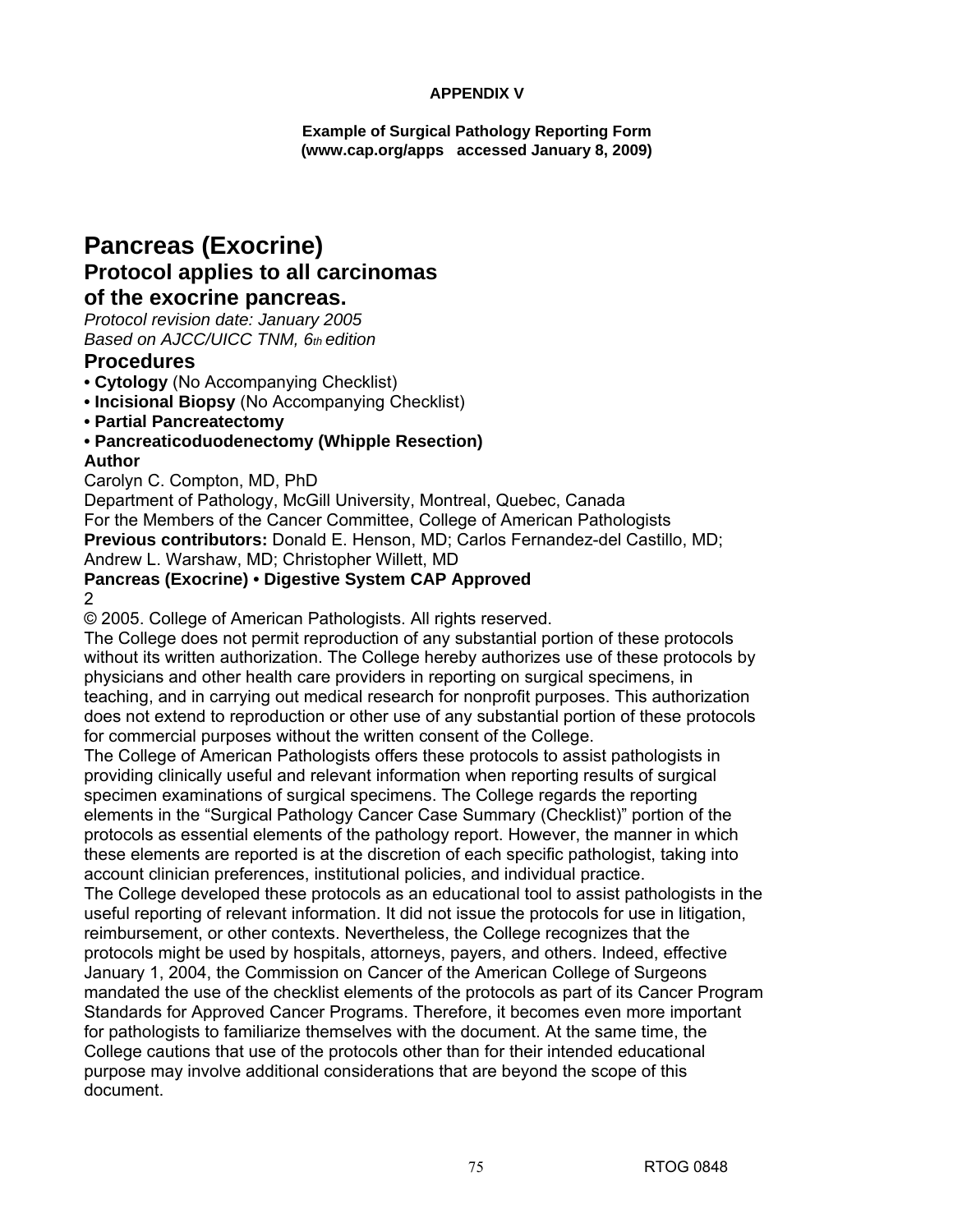## **APPENDIX V**

**Example of Surgical Pathology Reporting Form ([www.cap.org/apps accessed January 8,](http://www.cap.org/appsaccessedJanuary8) 2009)** 

# **Pancreas (Exocrine) Protocol applies to all carcinomas**

# **of the exocrine pancreas.**

*Protocol revision date: January 2005 Based on AJCC/UICC TNM, 6th edition* 

# **Procedures**

- **Cytology** (No Accompanying Checklist)
- **Incisional Biopsy** (No Accompanying Checklist)
- **Partial Pancreatectomy**
- **Pancreaticoduodenectomy (Whipple Resection)**

## **Author**

Carolyn C. Compton, MD, PhD

Department of Pathology, McGill University, Montreal, Quebec, Canada For the Members of the Cancer Committee, College of American Pathologists **Previous contributors:** Donald E. Henson, MD; Carlos Fernandez-del Castillo, MD; Andrew L. Warshaw, MD; Christopher Willett, MD

# **Pancreas (Exocrine) • Digestive System CAP Approved**

2

© 2005. College of American Pathologists. All rights reserved.

The College does not permit reproduction of any substantial portion of these protocols without its written authorization. The College hereby authorizes use of these protocols by physicians and other health care providers in reporting on surgical specimens, in teaching, and in carrying out medical research for nonprofit purposes. This authorization does not extend to reproduction or other use of any substantial portion of these protocols for commercial purposes without the written consent of the College.

The College of American Pathologists offers these protocols to assist pathologists in providing clinically useful and relevant information when reporting results of surgical specimen examinations of surgical specimens. The College regards the reporting elements in the "Surgical Pathology Cancer Case Summary (Checklist)" portion of the protocols as essential elements of the pathology report. However, the manner in which these elements are reported is at the discretion of each specific pathologist, taking into account clinician preferences, institutional policies, and individual practice.

The College developed these protocols as an educational tool to assist pathologists in the useful reporting of relevant information. It did not issue the protocols for use in litigation, reimbursement, or other contexts. Nevertheless, the College recognizes that the protocols might be used by hospitals, attorneys, payers, and others. Indeed, effective January 1, 2004, the Commission on Cancer of the American College of Surgeons mandated the use of the checklist elements of the protocols as part of its Cancer Program Standards for Approved Cancer Programs. Therefore, it becomes even more important for pathologists to familiarize themselves with the document. At the same time, the College cautions that use of the protocols other than for their intended educational purpose may involve additional considerations that are beyond the scope of this document.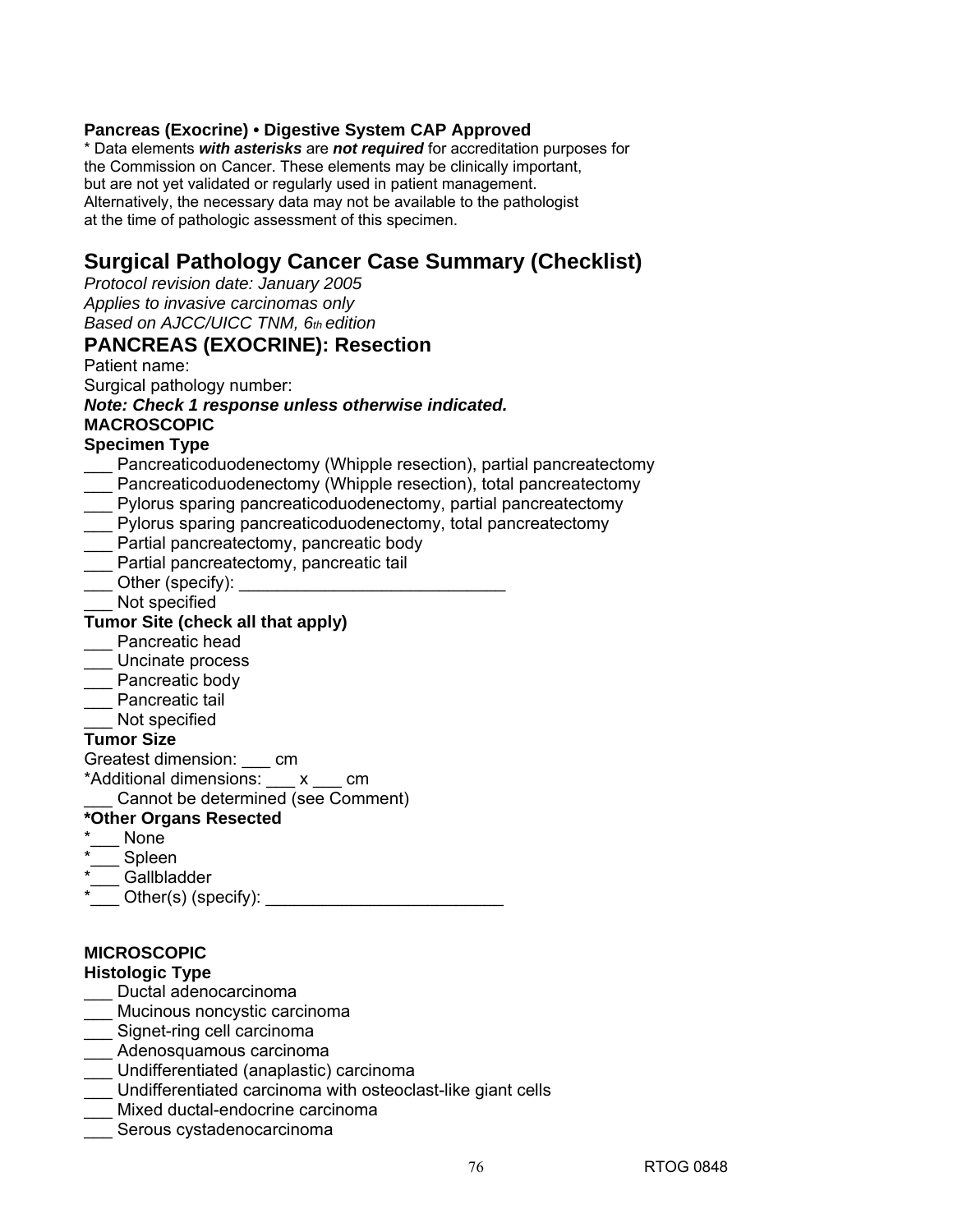## **Pancreas (Exocrine) • Digestive System CAP Approved**

\* Data elements *with asterisks* are *not required* for accreditation purposes for the Commission on Cancer. These elements may be clinically important, but are not yet validated or regularly used in patient management. Alternatively, the necessary data may not be available to the pathologist at the time of pathologic assessment of this specimen.

# **Surgical Pathology Cancer Case Summary (Checklist)**

*Protocol revision date: January 2005 Applies to invasive carcinomas only Based on AJCC/UICC TNM, 6th edition* 

# **PANCREAS (EXOCRINE): Resection**

Patient name:

Surgical pathology number:

*Note: Check 1 response unless otherwise indicated.* 

# **MACROSCOPIC**

## **Specimen Type**

- Pancreaticoduodenectomy (Whipple resection), partial pancreatectomy
- \_\_\_ Pancreaticoduodenectomy (Whipple resection), total pancreatectomy
- \_\_\_ Pylorus sparing pancreaticoduodenectomy, partial pancreatectomy
- \_\_\_ Pylorus sparing pancreaticoduodenectomy, total pancreatectomy
- Partial pancreatectomy, pancreatic body
- Partial pancreatectomy, pancreatic tail
- $\Box$  Other (specify):
- Not specified

# **Tumor Site (check all that apply)**

- Pancreatic head
- \_\_\_ Uncinate process
- Pancreatic body
- Pancreatic tail
- Not specified

# **Tumor Size**

Greatest dimension: \_\_\_ cm \*Additional dimensions: \_\_\_ x \_\_\_ cm

Cannot be determined (see Comment)

## **\*Other Organs Resected**

- \*\_\_\_ None
- Spleen
- Gallbladder
- $\_$  Other(s) (specify):  $\_$

# **MICROSCOPIC**

## **Histologic Type**

- Ductal adenocarcinoma
- Mucinous noncystic carcinoma
- Signet-ring cell carcinoma
- \_\_\_ Adenosquamous carcinoma
- \_\_\_ Undifferentiated (anaplastic) carcinoma
- Undifferentiated carcinoma with osteoclast-like giant cells
- Mixed ductal-endocrine carcinoma
- Serous cystadenocarcinoma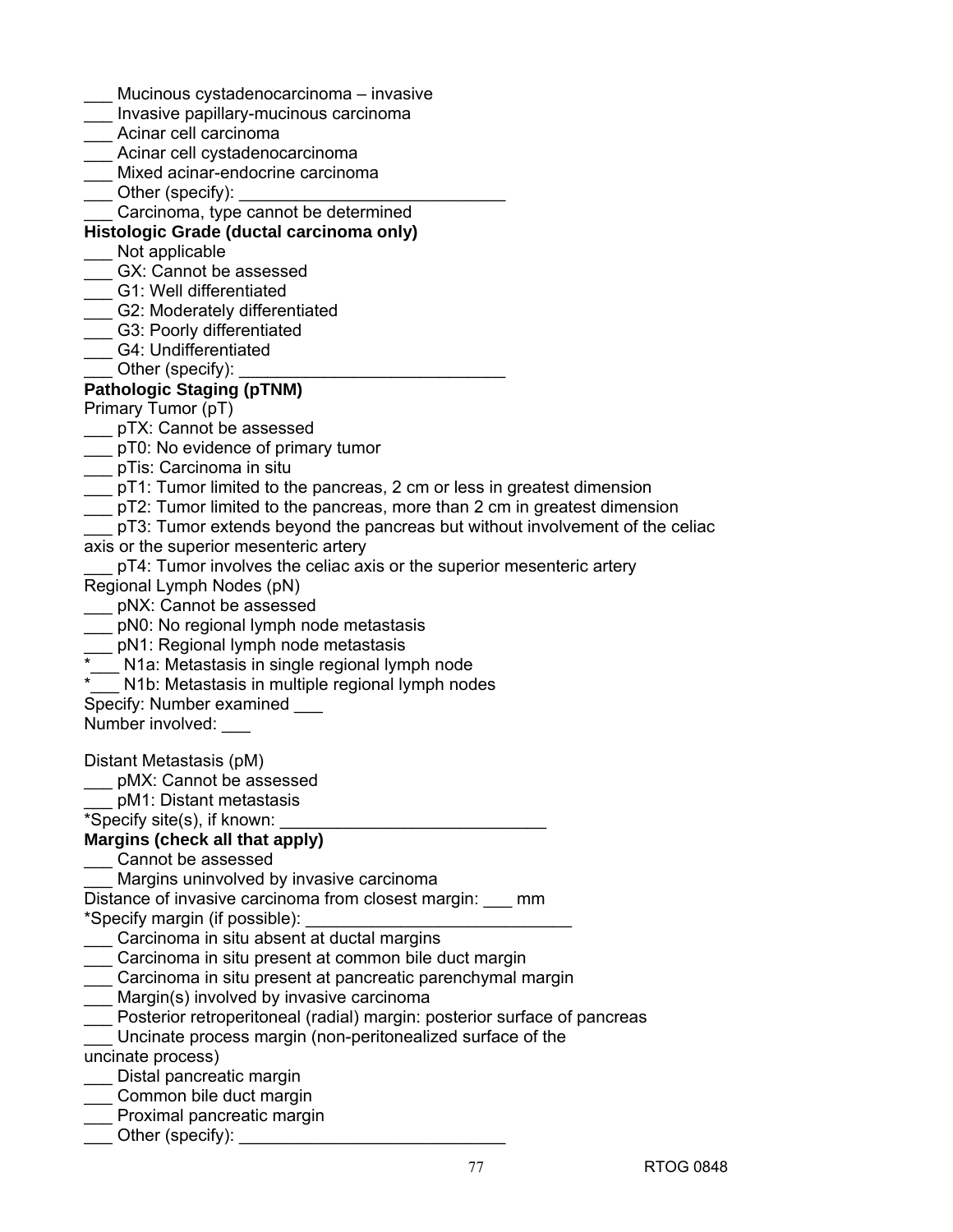| Mucinous cystadenocarcinoma - invasive                                       |
|------------------------------------------------------------------------------|
| Invasive papillary-mucinous carcinoma                                        |
| Acinar cell carcinoma                                                        |
| __ Acinar cell cystadenocarcinoma                                            |
| Mixed acinar-endocrine carcinoma                                             |
| Other (specify):                                                             |
| Carcinoma, type cannot be determined                                         |
| Histologic Grade (ductal carcinoma only)                                     |
| Not applicable                                                               |
| GX: Cannot be assessed                                                       |
| G1: Well differentiated                                                      |
| _ G2: Moderately differentiated                                              |
| G3: Poorly differentiated                                                    |
| G4: Undifferentiated                                                         |
| Other (specify):                                                             |
| <b>Pathologic Staging (pTNM)</b>                                             |
| Primary Tumor (pT)                                                           |
| pTX: Cannot be assessed                                                      |
| pT0: No evidence of primary tumor<br>__ pTis: Carcinoma in situ              |
| pT1: Tumor limited to the pancreas, 2 cm or less in greatest dimension       |
| pT2: Tumor limited to the pancreas, more than 2 cm in greatest dimension     |
| pT3: Tumor extends beyond the pancreas but without involvement of the celiac |
| axis or the superior mesenteric artery                                       |
| pT4: Tumor involves the celiac axis or the superior mesenteric artery        |
| Regional Lymph Nodes (pN)                                                    |
| pNX: Cannot be assessed                                                      |
| pN0: No regional lymph node metastasis                                       |
| pN1: Regional lymph node metastasis                                          |
| N1a: Metastasis in single regional lymph node                                |
| N1b: Metastasis in multiple regional lymph nodes                             |
| Specify: Number examined                                                     |
| Number involved:                                                             |
|                                                                              |
| Distant Metastasis (pM)<br>pMX: Cannot be assessed                           |
| pM1: Distant metastasis                                                      |
| *Specify site(s), if known:                                                  |
| Margins (check all that apply)                                               |
| Cannot be assessed                                                           |
| Margins uninvolved by invasive carcinoma                                     |
| Distance of invasive carcinoma from closest margin: ___ mm                   |
| *Specify margin (if possible):                                               |
| Carcinoma in situ absent at ductal margins                                   |
| Carcinoma in situ present at common bile duct margin                         |
| Carcinoma in situ present at pancreatic parenchymal margin                   |
|                                                                              |

- Margin(s) involved by invasive carcinoma
- \_\_\_ Posterior retroperitoneal (radial) margin: posterior surface of pancreas
- \_\_\_ Uncinate process margin (non-peritonealized surface of the

uncinate process)

- \_\_\_ Distal pancreatic margin
- Common bile duct margin
- **The Proximal pancreatic margin**
- $\boxed{\phantom{a}}$  Other (specify):  $\phantom{a} \phantom{a}$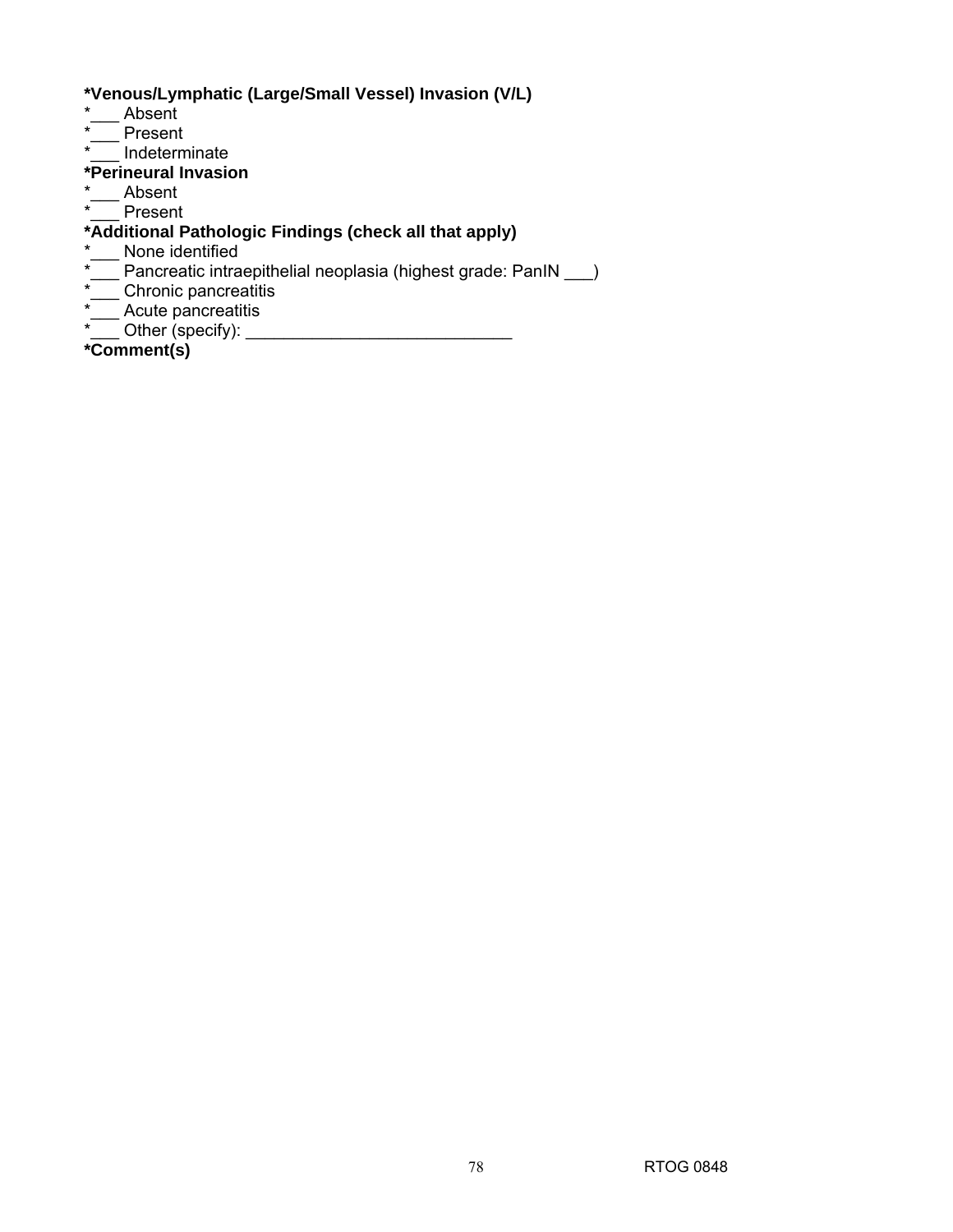# **\*Venous/Lymphatic (Large/Small Vessel) Invasion (V/L)**

- Absent
- \*\_\_\_ Present
- \*\_\_\_ Indeterminate
- **\*Perineural Invasion**
- Absent
- Present

# **\*Additional Pathologic Findings (check all that apply)**

- \*\_\_\_ None identified
- $\equiv$  Pancreatic intraepithelial neoplasia (highest grade: PanIN  $\equiv$  )
- \*\_\_\_ Chronic pancreatitis
- \***\_\_\_** Acute pancreatitis
- \*\_\_\_ Other (specify): \_\_\_\_\_\_\_\_\_\_\_\_\_\_\_\_\_\_\_\_\_\_\_\_\_\_\_\_
- **\*Comment(s)**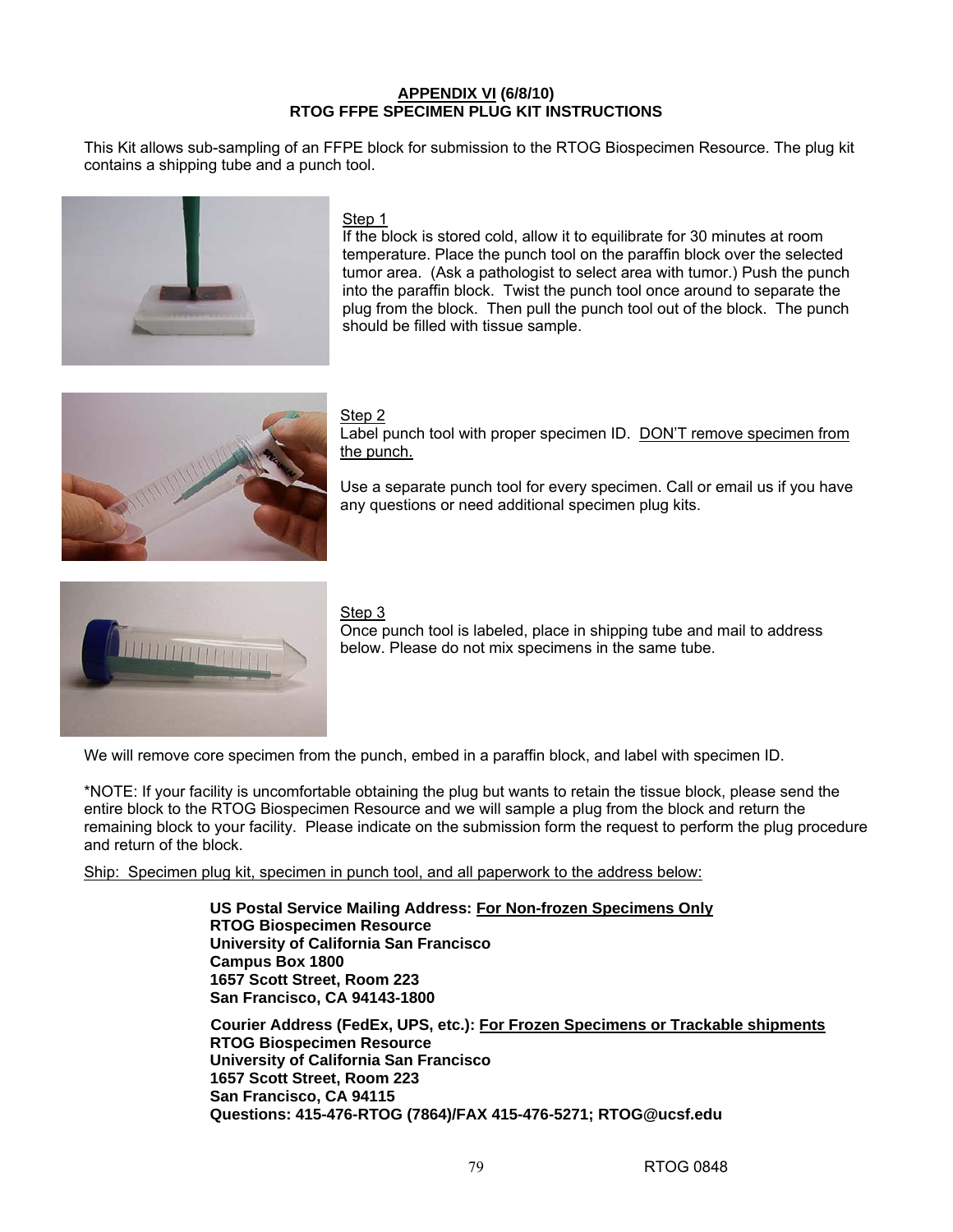#### **APPENDIX VI (6/8/10) RTOG FFPE SPECIMEN PLUG KIT INSTRUCTIONS**

This Kit allows sub-sampling of an FFPE block for submission to the RTOG Biospecimen Resource. The plug kit contains a shipping tube and a punch tool.



## Step 1

If the block is stored cold, allow it to equilibrate for 30 minutes at room temperature. Place the punch tool on the paraffin block over the selected tumor area. (Ask a pathologist to select area with tumor.) Push the punch into the paraffin block. Twist the punch tool once around to separate the plug from the block. Then pull the punch tool out of the block. The punch should be filled with tissue sample.



## Step 2

Label punch tool with proper specimen ID. DON'T remove specimen from the punch.

Use a separate punch tool for every specimen. Call or email us if you have any questions or need additional specimen plug kits.



## Step 3

Once punch tool is labeled, place in shipping tube and mail to address below. Please do not mix specimens in the same tube.

We will remove core specimen from the punch, embed in a paraffin block, and label with specimen ID.

\*NOTE: If your facility is uncomfortable obtaining the plug but wants to retain the tissue block, please send the entire block to the RTOG Biospecimen Resource and we will sample a plug from the block and return the remaining block to your facility. Please indicate on the submission form the request to perform the plug procedure and return of the block.

Ship: Specimen plug kit, specimen in punch tool, and all paperwork to the address below:

**US Postal Service Mailing Address: For Non-frozen Specimens Only RTOG Biospecimen Resource University of California San Francisco Campus Box 1800 1657 Scott Street, Room 223 San Francisco, CA 94143-1800** 

**Courier Address (FedEx, UPS, etc.): For Frozen Specimens or Trackable shipments RTOG Biospecimen Resource University of California San Francisco 1657 Scott Street, Room 223 San Francisco, CA 94115 Questions: 415-476-RTOG (7864)/FAX 415-476-5271; [RTOG@ucsf.edu](mailto:RTOG@ucsf.edu)**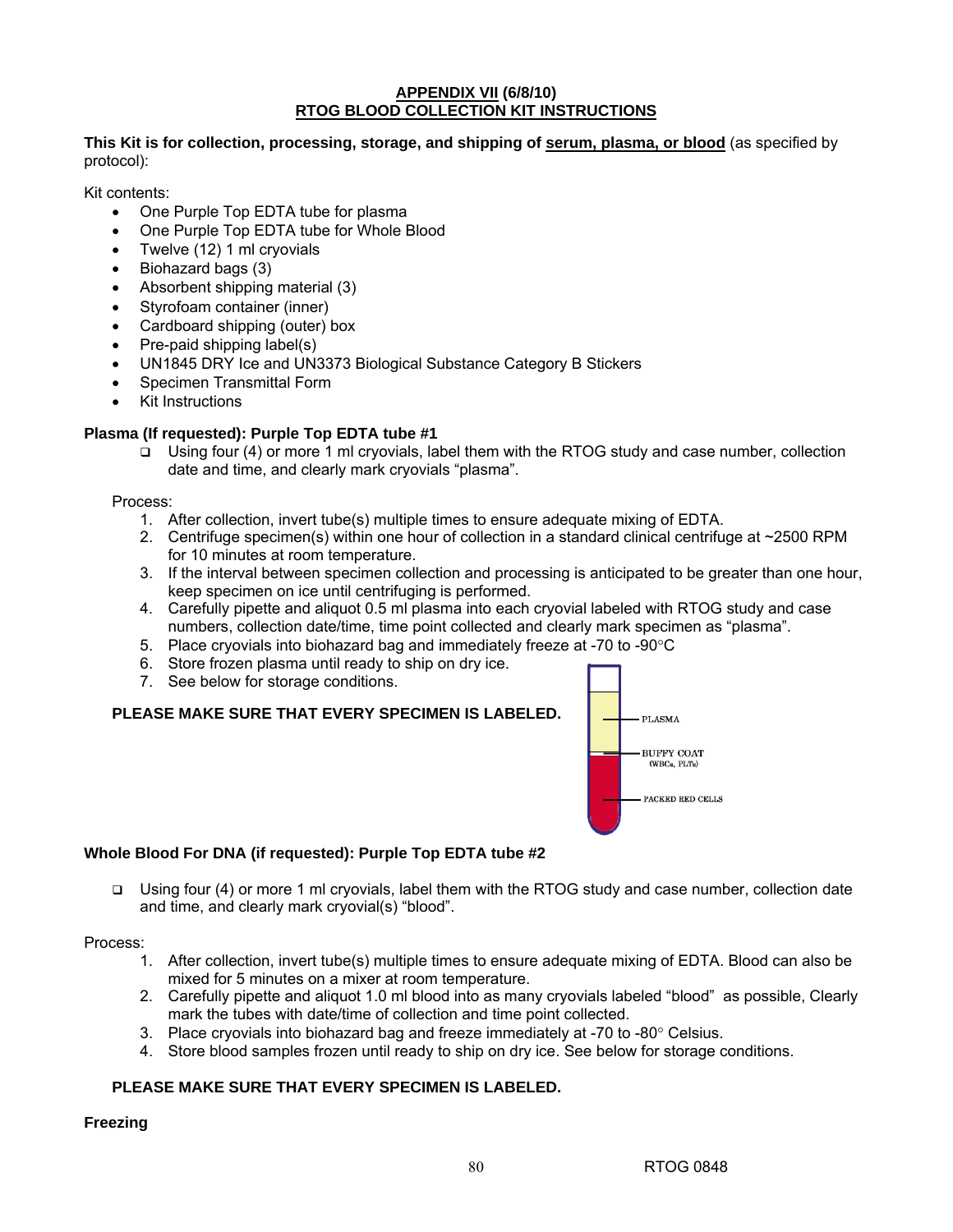### **APPENDIX VII (6/8/10) RTOG BLOOD COLLECTION KIT INSTRUCTIONS**

## **This Kit is for collection, processing, storage, and shipping of serum, plasma, or blood** (as specified by protocol):

Kit contents:

- One Purple Top EDTA tube for plasma
- One Purple Top EDTA tube for Whole Blood
- Twelve (12) 1 ml cryovials
- Biohazard bags (3)
- Absorbent shipping material (3)
- Styrofoam container (inner)
- Cardboard shipping (outer) box
- Pre-paid shipping label(s)
- UN1845 DRY Ice and UN3373 Biological Substance Category B Stickers
- Specimen Transmittal Form
- **Kit Instructions**

## **Plasma (If requested): Purple Top EDTA tube #1**

□ Using four (4) or more 1 ml cryovials, label them with the RTOG study and case number, collection date and time, and clearly mark cryovials "plasma".

Process:

- 1. After collection, invert tube(s) multiple times to ensure adequate mixing of EDTA.
- 2. Centrifuge specimen(s) within one hour of collection in a standard clinical centrifuge at ~2500 RPM for 10 minutes at room temperature.
- 3. If the interval between specimen collection and processing is anticipated to be greater than one hour, keep specimen on ice until centrifuging is performed.
- 4. Carefully pipette and aliquot 0.5 ml plasma into each cryovial labeled with RTOG study and case numbers, collection date/time, time point collected and clearly mark specimen as "plasma".
- 5. Place cryovials into biohazard bag and immediately freeze at -70 to -90 °C
- 6. Store frozen plasma until ready to ship on dry ice.
- 7. See below for storage conditions.

## **PLEASE MAKE SURE THAT EVERY SPECIMEN IS LABELED.**



## **Whole Blood For DNA (if requested): Purple Top EDTA tube #2**

 Using four (4) or more 1 ml cryovials, label them with the RTOG study and case number, collection date and time, and clearly mark cryovial(s) "blood".

## Process:

- 1. After collection, invert tube(s) multiple times to ensure adequate mixing of EDTA. Blood can also be mixed for 5 minutes on a mixer at room temperature.
- 2. Carefully pipette and aliquot 1.0 ml blood into as many cryovials labeled "blood" as possible, Clearly mark the tubes with date/time of collection and time point collected.
- 3. Place cryovials into biohazard bag and freeze immediately at -70 to -80 $^{\circ}$  Celsius.
- 4. Store blood samples frozen until ready to ship on dry ice. See below for storage conditions.

## **PLEASE MAKE SURE THAT EVERY SPECIMEN IS LABELED.**

#### **Freezing**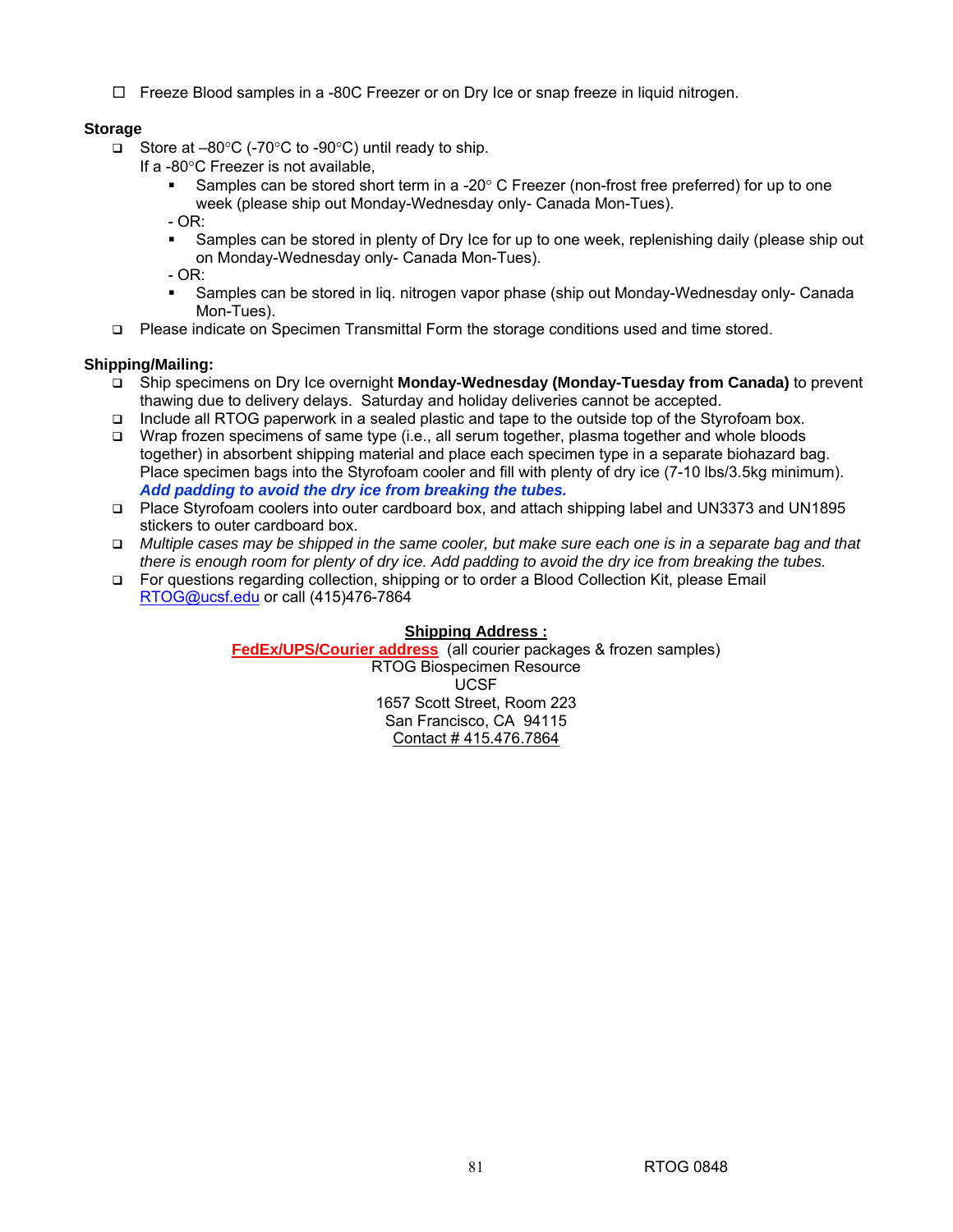$\Box$  Freeze Blood samples in a -80C Freezer or on Dry Ice or snap freeze in liquid nitrogen.

## **Storage**

- Store at –80°C (-70°C to -90°C) until ready to ship.
	- If a -80°C Freezer is not available,
		- Samples can be stored short term in a -20° C Freezer (non-frost free preferred) for up to one week (please ship out Monday-Wednesday only- Canada Mon-Tues).
		- OR:
		- Samples can be stored in plenty of Dry Ice for up to one week, replenishing daily (please ship out on Monday-Wednesday only- Canada Mon-Tues).
		- OR:
		- Samples can be stored in liq. nitrogen vapor phase (ship out Monday-Wednesday only- Canada Mon-Tues).
- Please indicate on Specimen Transmittal Form the storage conditions used and time stored.

### **Shipping/Mailing:**

- Ship specimens on Dry Ice overnight **Monday-Wednesday (Monday-Tuesday from Canada)** to prevent thawing due to delivery delays. Saturday and holiday deliveries cannot be accepted.
- Include all RTOG paperwork in a sealed plastic and tape to the outside top of the Styrofoam box.
- □ Wrap frozen specimens of same type (i.e., all serum together, plasma together and whole bloods together) in absorbent shipping material and place each specimen type in a separate biohazard bag. Place specimen bags into the Styrofoam cooler and fill with plenty of dry ice (7-10 lbs/3.5kg minimum). *Add padding to avoid the dry ice from breaking the tubes.*
- Place Styrofoam coolers into outer cardboard box, and attach shipping label and UN3373 and UN1895 stickers to outer cardboard box.
- *Multiple cases may be shipped in the same cooler, but make sure each one is in a separate bag and that there is enough room for plenty of dry ice. Add padding to avoid the dry ice from breaking the tubes.*
- For questions regarding collection, shipping or to order a Blood Collection Kit, please Email [RTOG@ucsf.edu or](mailto:RTOG@ucsf.edu) call (415)476-7864

#### **Shipping Address :**

**FedEx/UPS/Courier address** (all courier packages & frozen samples) RTOG Biospecimen Resource **UCSF** 1657 Scott Street, Room 223 San Francisco, CA 94115 Contact # 415.476.7864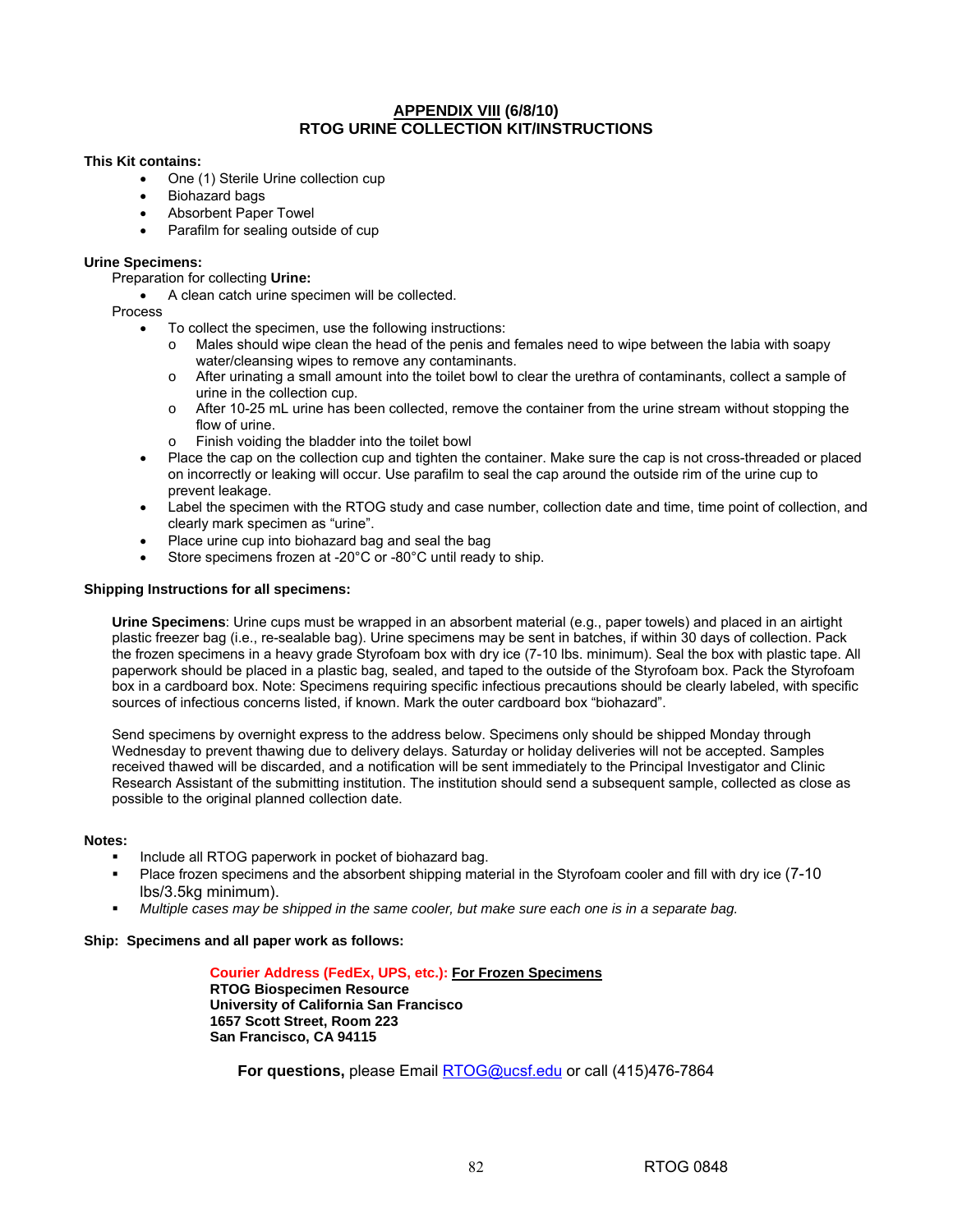#### **APPENDIX VIII (6/8/10) RTOG URINE COLLECTION KIT/INSTRUCTIONS**

#### **This Kit contains:**

- One (1) Sterile Urine collection cup
- Biohazard bags
- Absorbent Paper Towel
- Parafilm for sealing outside of cup

#### **Urine Specimens:**

Preparation for collecting **Urine:** 

• A clean catch urine specimen will be collected.

Process

- To collect the specimen, use the following instructions:
	- $\circ$  Males should wipe clean the head of the penis and females need to wipe between the labia with soapy water/cleansing wipes to remove any contaminants.
	- o After urinating a small amount into the toilet bowl to clear the urethra of contaminants, collect a sample of urine in the collection cup.
	- o After 10-25 mL urine has been collected, remove the container from the urine stream without stopping the flow of urine.
	- o Finish voiding the bladder into the toilet bowl
- Place the cap on the collection cup and tighten the container. Make sure the cap is not cross-threaded or placed on incorrectly or leaking will occur. Use parafilm to seal the cap around the outside rim of the urine cup to prevent leakage.
- Label the specimen with the RTOG study and case number, collection date and time, time point of collection, and clearly mark specimen as "urine".
- Place urine cup into biohazard bag and seal the bag
- Store specimens frozen at -20°C or -80°C until ready to ship.

#### **Shipping Instructions for all specimens:**

**Urine Specimens**: Urine cups must be wrapped in an absorbent material (e.g., paper towels) and placed in an airtight plastic freezer bag (i.e., re-sealable bag). Urine specimens may be sent in batches, if within 30 days of collection. Pack the frozen specimens in a heavy grade Styrofoam box with dry ice (7-10 lbs. minimum). Seal the box with plastic tape. All paperwork should be placed in a plastic bag, sealed, and taped to the outside of the Styrofoam box. Pack the Styrofoam box in a cardboard box. Note: Specimens requiring specific infectious precautions should be clearly labeled, with specific sources of infectious concerns listed, if known. Mark the outer cardboard box "biohazard".

Send specimens by overnight express to the address below. Specimens only should be shipped Monday through Wednesday to prevent thawing due to delivery delays. Saturday or holiday deliveries will not be accepted. Samples received thawed will be discarded, and a notification will be sent immediately to the Principal Investigator and Clinic Research Assistant of the submitting institution. The institution should send a subsequent sample, collected as close as possible to the original planned collection date.

#### **Notes:**

- Include all RTOG paperwork in pocket of biohazard bag.
- Place frozen specimens and the absorbent shipping material in the Styrofoam cooler and fill with dry ice (7-10 lbs/3.5kg minimum).
- *Multiple cases may be shipped in the same cooler, but make sure each one is in a separate bag.*

#### **Ship: Specimens and all paper work as follows:**

**Courier Address (FedEx, UPS, etc.): For Frozen Specimens RTOG Biospecimen Resource University of California San Francisco 1657 Scott Street, Room 223 San Francisco, CA 94115** 

**For questions,** please Email [RTOG@ucsf.edu or](mailto:RTOG@ucsf.edu) call (415)476-7864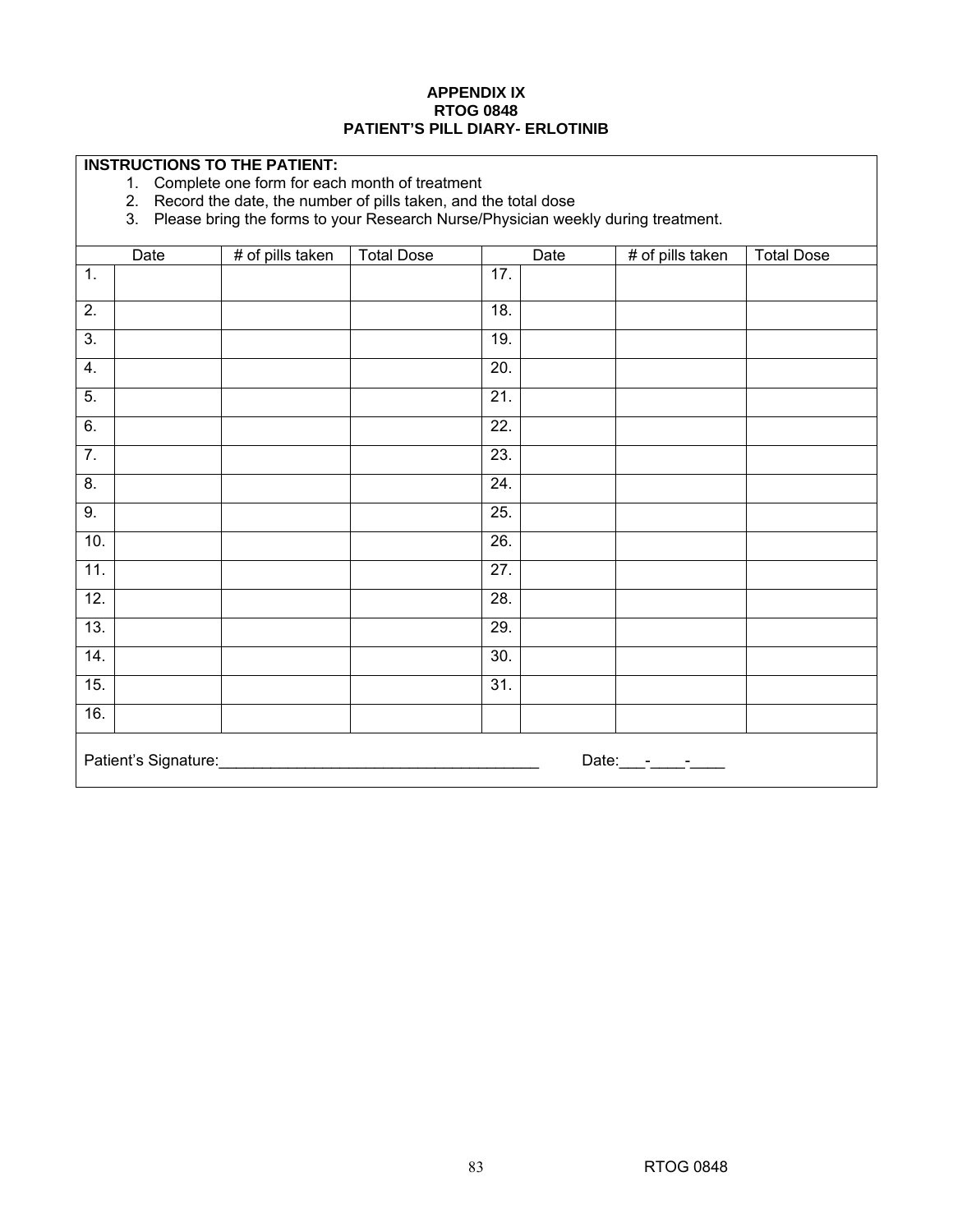#### **APPENDIX IX RTOG 0848 PATIENT'S PILL DIARY- ERLOTINIB**

# **INSTRUCTIONS TO THE PATIENT:**

1. Complete one form for each month of treatment

2. Record the date, the number of pills taken, and the total dose

3. Please bring the forms to your Research Nurse/Physician weekly during treatment.

|                  | Date                 | # of pills taken | <b>Total Dose</b> |                   | Date | # of pills taken    | <b>Total Dose</b> |
|------------------|----------------------|------------------|-------------------|-------------------|------|---------------------|-------------------|
| $\mathbf 1$ .    |                      |                  |                   | 17.               |      |                     |                   |
| $\overline{2}$ . |                      |                  |                   | 18.               |      |                     |                   |
| $\overline{3}$ . |                      |                  |                   | 19.               |      |                     |                   |
| $\overline{4}$ . |                      |                  |                   | 20.               |      |                     |                   |
| 5.               |                      |                  |                   | 21.               |      |                     |                   |
| 6.               |                      |                  |                   | 22.               |      |                     |                   |
| $\overline{7}$ . |                      |                  |                   | 23.               |      |                     |                   |
| $\overline{8}$ . |                      |                  |                   | 24.               |      |                     |                   |
| 9.               |                      |                  |                   | 25.               |      |                     |                   |
| 10.              |                      |                  |                   | 26.               |      |                     |                   |
| 11.              |                      |                  |                   | 27.               |      |                     |                   |
| 12.              |                      |                  |                   | 28.               |      |                     |                   |
| 13.              |                      |                  |                   | 29.               |      |                     |                   |
| 14.              |                      |                  |                   | 30.               |      |                     |                   |
| 15.              |                      |                  |                   | $\overline{31}$ . |      |                     |                   |
| 16.              |                      |                  |                   |                   |      |                     |                   |
|                  | Patient's Signature: |                  |                   |                   |      | Date: $\frac{1}{2}$ |                   |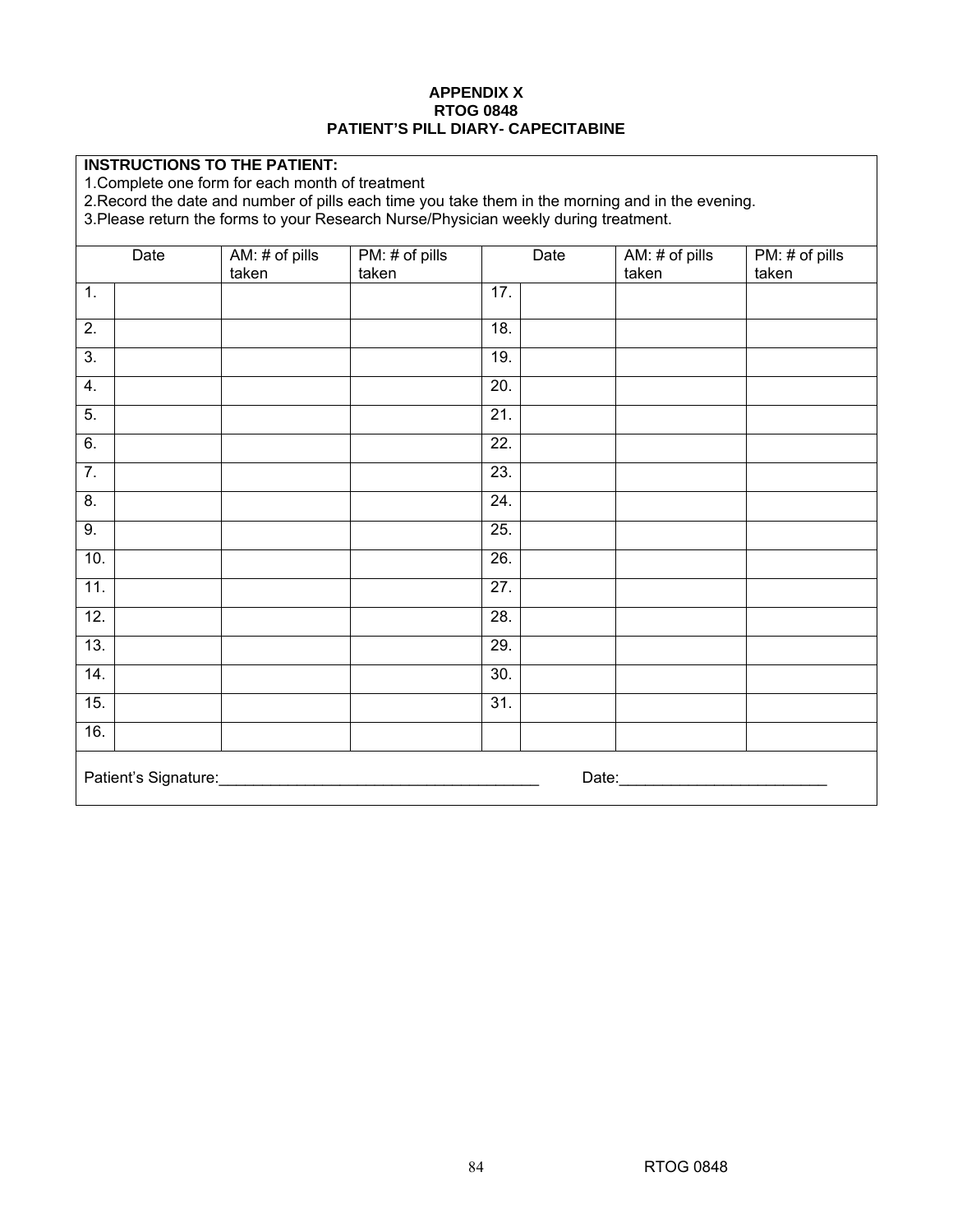#### **APPENDIX X RTOG 0848 PATIENT'S PILL DIARY- CAPECITABINE**

# **INSTRUCTIONS TO THE PATIENT:**

1.Complete one form for each month of treatment

2.Record the date and number of pills each time you take them in the morning and in the evening.

3.Please return the forms to your Research Nurse/Physician weekly during treatment.

|                  | Date                          | AM: # of pills<br>taken | PM: # of pills<br>taken |                   | Date | AM: # of pills<br>taken | PM: # of pills<br>taken |
|------------------|-------------------------------|-------------------------|-------------------------|-------------------|------|-------------------------|-------------------------|
| $\overline{1}$ . |                               |                         |                         | 17.               |      |                         |                         |
| $\overline{2}$ . |                               |                         |                         | 18.               |      |                         |                         |
| $\overline{3}$ . |                               |                         |                         | 19.               |      |                         |                         |
| $\overline{4}$ . |                               |                         |                         | 20.               |      |                         |                         |
| $\overline{5}$ . |                               |                         |                         | 21.               |      |                         |                         |
| 6.               |                               |                         |                         | 22.               |      |                         |                         |
| 7.               |                               |                         |                         | 23.               |      |                         |                         |
| 8.               |                               |                         |                         | $\overline{24}$ . |      |                         |                         |
| 9.               |                               |                         |                         | 25.               |      |                         |                         |
| 10.              |                               |                         |                         | 26.               |      |                         |                         |
| 11.              |                               |                         |                         | 27.               |      |                         |                         |
| 12.              |                               |                         |                         | 28.               |      |                         |                         |
| 13.              |                               |                         |                         | 29.               |      |                         |                         |
| 14.              |                               |                         |                         | 30.               |      |                         |                         |
| 15.              |                               |                         |                         | 31.               |      |                         |                         |
| 16.              |                               |                         |                         |                   |      |                         |                         |
|                  | Patient's Signature:<br>Date: |                         |                         |                   |      |                         |                         |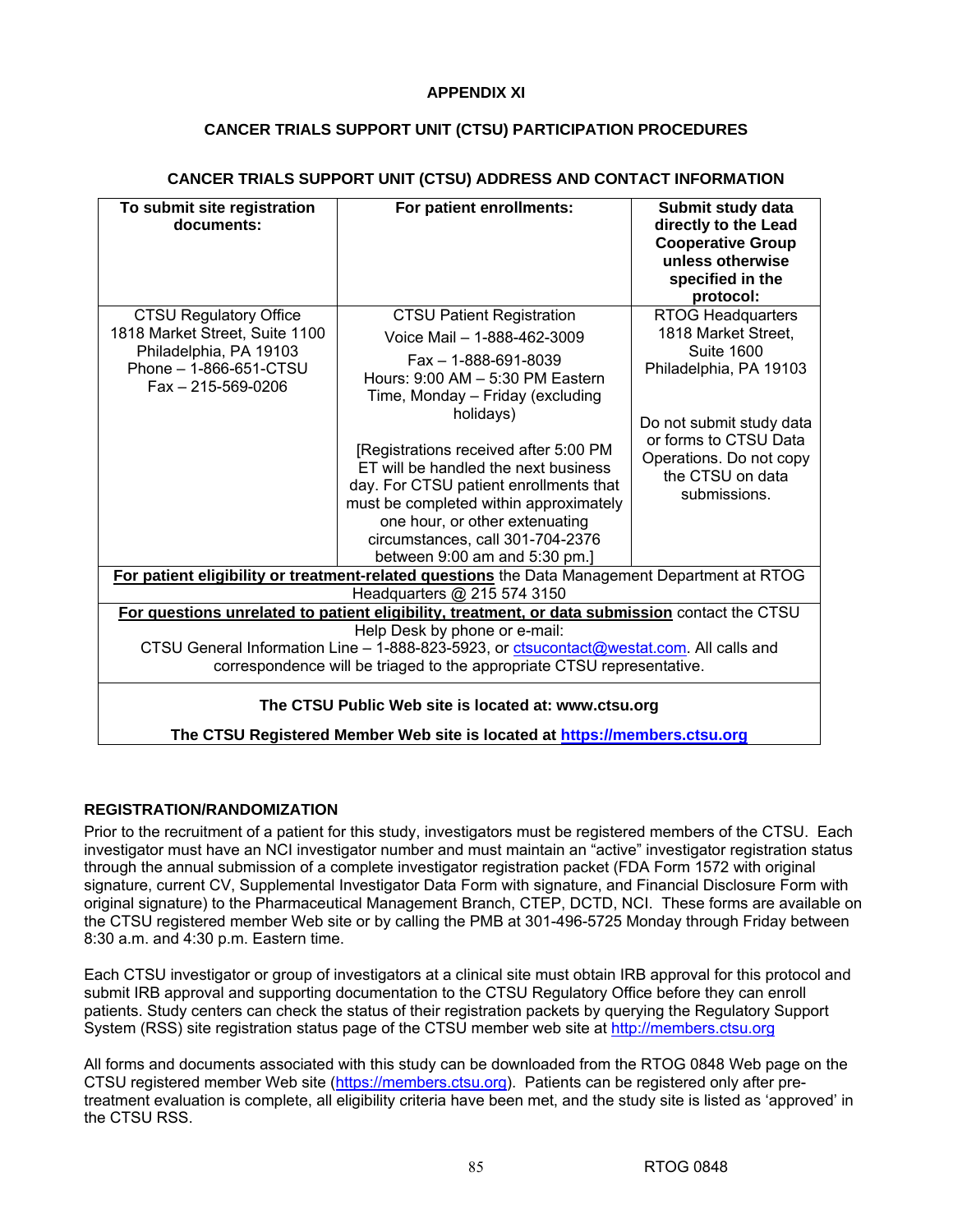### **APPENDIX XI**

## **CANCER TRIALS SUPPORT UNIT (CTSU) PARTICIPATION PROCEDURES**

| To submit site registration<br>documents:                                                                                                                                                           | For patient enrollments:                                                                                                                                                                                                                                                                                                                                                                                                                                         | Submit study data<br>directly to the Lead<br><b>Cooperative Group</b><br>unless otherwise<br>specified in the<br>protocol:                                                                                         |  |  |  |  |  |
|-----------------------------------------------------------------------------------------------------------------------------------------------------------------------------------------------------|------------------------------------------------------------------------------------------------------------------------------------------------------------------------------------------------------------------------------------------------------------------------------------------------------------------------------------------------------------------------------------------------------------------------------------------------------------------|--------------------------------------------------------------------------------------------------------------------------------------------------------------------------------------------------------------------|--|--|--|--|--|
| <b>CTSU Regulatory Office</b><br>1818 Market Street, Suite 1100<br>Philadelphia, PA 19103<br>Phone - 1-866-651-CTSU<br>$Fax - 215 - 569 - 0206$                                                     | <b>CTSU Patient Registration</b><br>Voice Mail - 1-888-462-3009<br>$Fax - 1 - 888 - 691 - 8039$<br>Hours: 9:00 AM - 5:30 PM Eastern<br>Time, Monday - Friday (excluding<br>holidays)<br>[Registrations received after 5:00 PM<br>ET will be handled the next business<br>day. For CTSU patient enrollments that<br>must be completed within approximately<br>one hour, or other extenuating<br>circumstances, call 301-704-2376<br>between 9:00 am and 5:30 pm.] | <b>RTOG Headquarters</b><br>1818 Market Street.<br><b>Suite 1600</b><br>Philadelphia, PA 19103<br>Do not submit study data<br>or forms to CTSU Data<br>Operations. Do not copy<br>the CTSU on data<br>submissions. |  |  |  |  |  |
| For patient eligibility or treatment-related questions the Data Management Department at RTOG<br>Headquarters @ 215 574 3150                                                                        |                                                                                                                                                                                                                                                                                                                                                                                                                                                                  |                                                                                                                                                                                                                    |  |  |  |  |  |
| For questions unrelated to patient eligibility, treatment, or data submission contact the CTSU                                                                                                      |                                                                                                                                                                                                                                                                                                                                                                                                                                                                  |                                                                                                                                                                                                                    |  |  |  |  |  |
| Help Desk by phone or e-mail:<br>CTSU General Information Line - 1-888-823-5923, or ctsucontact@westat.com. All calls and<br>correspondence will be triaged to the appropriate CTSU representative. |                                                                                                                                                                                                                                                                                                                                                                                                                                                                  |                                                                                                                                                                                                                    |  |  |  |  |  |
| The CTSU Public Web site is located at: www.ctsu.org                                                                                                                                                |                                                                                                                                                                                                                                                                                                                                                                                                                                                                  |                                                                                                                                                                                                                    |  |  |  |  |  |

## **CANCER TRIALS SUPPORT UNIT (CTSU) ADDRESS AND CONTACT INFORMATION**

**The CTSU Registered Member Web site is located at<https://members.ctsu.org>**

## **REGISTRATION/RANDOMIZATION**

Prior to the recruitment of a patient for this study, investigators must be registered members of the CTSU. Each investigator must have an NCI investigator number and must maintain an "active" investigator registration status through the annual submission of a complete investigator registration packet (FDA Form 1572 with original signature, current CV, Supplemental Investigator Data Form with signature, and Financial Disclosure Form with original signature) to the Pharmaceutical Management Branch, CTEP, DCTD, NCI. These forms are available on the CTSU registered member Web site or by calling the PMB at 301-496-5725 Monday through Friday between 8:30 a.m. and 4:30 p.m. Eastern time.

Each CTSU investigator or group of investigators at a clinical site must obtain IRB approval for this protocol and submit IRB approval and supporting documentation to the CTSU Regulatory Office before they can enroll patients. Study centers can check the status of their registration packets by querying the Regulatory Support System (RSS) site registration status page of the CTSU member web site at <http://members.ctsu.org>

All forms and documents associated with this study can be downloaded from the RTOG 0848 Web page on the CTSU registered member Web site (<https://members.ctsu.org>). Patients can be registered only after pretreatment evaluation is complete, all eligibility criteria have been met, and the study site is listed as 'approved' in the CTSU RSS.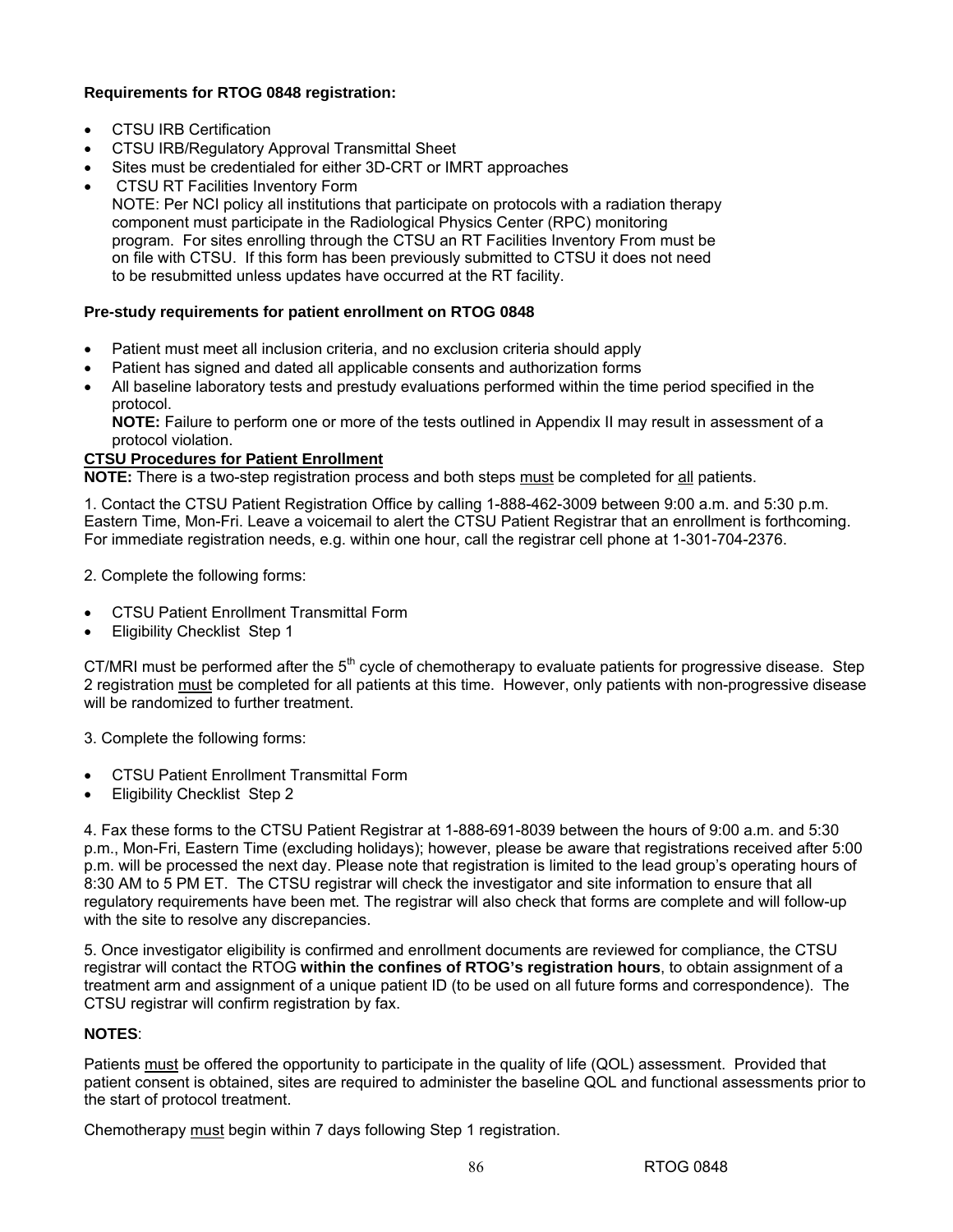## **Requirements for RTOG 0848 registration:**

- CTSU IRB Certification
- CTSU IRB/Regulatory Approval Transmittal Sheet
- Sites must be credentialed for either 3D-CRT or IMRT approaches
- CTSU RT Facilities Inventory Form NOTE: Per NCI policy all institutions that participate on protocols with a radiation therapy component must participate in the Radiological Physics Center (RPC) monitoring program. For sites enrolling through the CTSU an RT Facilities Inventory From must be on file with CTSU. If this form has been previously submitted to CTSU it does not need to be resubmitted unless updates have occurred at the RT facility.

## **Pre-study requirements for patient enrollment on RTOG 0848**

- Patient must meet all inclusion criteria, and no exclusion criteria should apply
- Patient has signed and dated all applicable consents and authorization forms
- All baseline laboratory tests and prestudy evaluations performed within the time period specified in the protocol.

**NOTE:** Failure to perform one or more of the tests outlined in Appendix II may result in assessment of a protocol violation.

### **CTSU Procedures for Patient Enrollment**

**NOTE:** There is a two-step registration process and both steps must be completed for all patients.

1. Contact the CTSU Patient Registration Office by calling 1-888-462-3009 between 9:00 a.m. and 5:30 p.m. Eastern Time, Mon-Fri. Leave a voicemail to alert the CTSU Patient Registrar that an enrollment is forthcoming. For immediate registration needs, e.g. within one hour, call the registrar cell phone at 1-301-704-2376.

2. Complete the following forms:

- CTSU Patient Enrollment Transmittal Form
- Eligibility Checklist Step 1

CT/MRI must be performed after the  $5<sup>th</sup>$  cycle of chemotherapy to evaluate patients for progressive disease. Step 2 registration must be completed for all patients at this time. However, only patients with non-progressive disease will be randomized to further treatment.

3. Complete the following forms:

- CTSU Patient Enrollment Transmittal Form
- Eligibility Checklist Step 2

4. Fax these forms to the CTSU Patient Registrar at 1-888-691-8039 between the hours of 9:00 a.m. and 5:30 p.m., Mon-Fri, Eastern Time (excluding holidays); however, please be aware that registrations received after 5:00 p.m. will be processed the next day. Please note that registration is limited to the lead group's operating hours of 8:30 AM to 5 PM ET.The CTSU registrar will check the investigator and site information to ensure that all regulatory requirements have been met. The registrar will also check that forms are complete and will follow-up with the site to resolve any discrepancies.

5. Once investigator eligibility is confirmed and enrollment documents are reviewed for compliance, the CTSU registrar will contact the RTOG **within the confines of RTOG's registration hours**, to obtain assignment of a treatment arm and assignment of a unique patient ID (to be used on all future forms and correspondence). The CTSU registrar will confirm registration by fax.

## **NOTES**:

Patients must be offered the opportunity to participate in the quality of life (QOL) assessment. Provided that patient consent is obtained, sites are required to administer the baseline QOL and functional assessments prior to the start of protocol treatment.

Chemotherapy must begin within 7 days following Step 1 registration.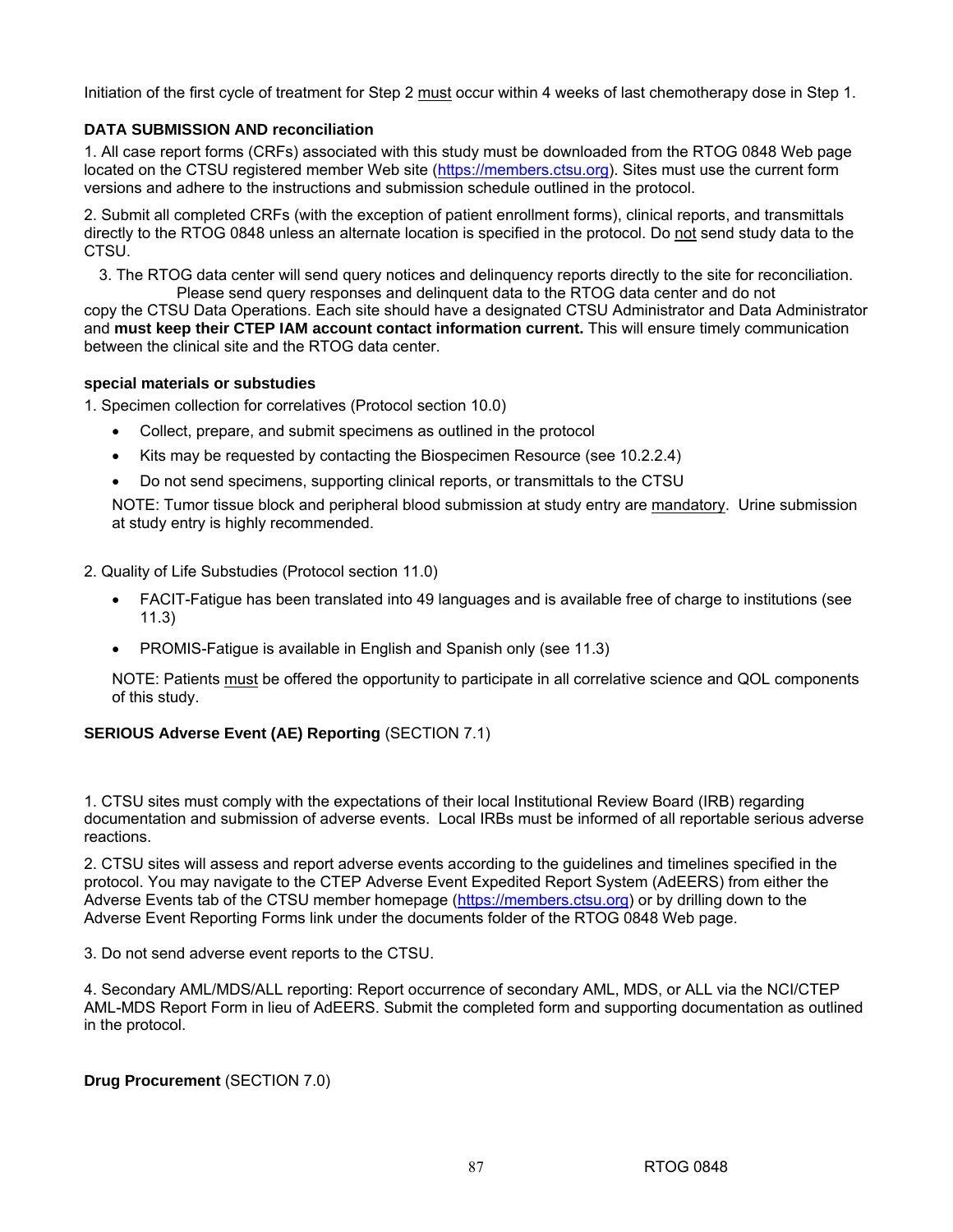Initiation of the first cycle of treatment for Step 2 must occur within 4 weeks of last chemotherapy dose in Step 1.

## **DATA SUBMISSION AND reconciliation**

1. All case report forms (CRFs) associated with this study must be downloaded from the RTOG 0848 Web page located on the CTSU registered member Web site [\(https://members.ctsu.org](https://members.ctsu.org)). Sites must use the current form versions and adhere to the instructions and submission schedule outlined in the protocol.

2. Submit all completed CRFs (with the exception of patient enrollment forms), clinical reports, and transmittals directly to the RTOG 0848 unless an alternate location is specified in the protocol. Do not send study data to the CTSU.

3. The RTOG data center will send query notices and delinquency reports directly to the site for reconciliation. Please send query responses and delinquent data to the RTOG data center and do not

copy the CTSU Data Operations. Each site should have a designated CTSU Administrator and Data Administrator and **must keep their CTEP IAM account contact information current.** This will ensure timely communication between the clinical site and the RTOG data center.

## **special materials or substudies**

1. Specimen collection for correlatives (Protocol section 10.0)

- Collect, prepare, and submit specimens as outlined in the protocol
- Kits may be requested by contacting the Biospecimen Resource (see 10.2.2.4)
- Do not send specimens, supporting clinical reports, or transmittals to the CTSU

NOTE: Tumor tissue block and peripheral blood submission at study entry are mandatory. Urine submission at study entry is highly recommended.

2. Quality of Life Substudies (Protocol section 11.0)

- FACIT-Fatigue has been translated into 49 languages and is available free of charge to institutions (see 11.3)
- PROMIS-Fatigue is available in English and Spanish only (see 11.3)

NOTE: Patients must be offered the opportunity to participate in all correlative science and QOL components of this study.

## **SERIOUS Adverse Event (AE) Reporting (SECTION 7.1)**

1. CTSU sites must comply with the expectations of their local Institutional Review Board (IRB) regarding documentation and submission of adverse events. Local IRBs must be informed of all reportable serious adverse reactions.

2. CTSU sites will assess and report adverse events according to the guidelines and timelines specified in the protocol. You may navigate to the CTEP Adverse Event Expedited Report System (AdEERS) from either the Adverse Events tab of the CTSU member homepage [\(https://members.ctsu.org\)](https://members.ctsu.org) or by drilling down to the Adverse Event Reporting Forms link under the documents folder of the RTOG 0848 Web page.

3. Do not send adverse event reports to the CTSU.

4. Secondary AML/MDS/ALL reporting: Report occurrence of secondary AML, MDS, or ALL via the NCI/CTEP AML-MDS Report Form in lieu of AdEERS. Submit the completed form and supporting documentation as outlined in the protocol.

## **Drug Procurement** (SECTION 7.0)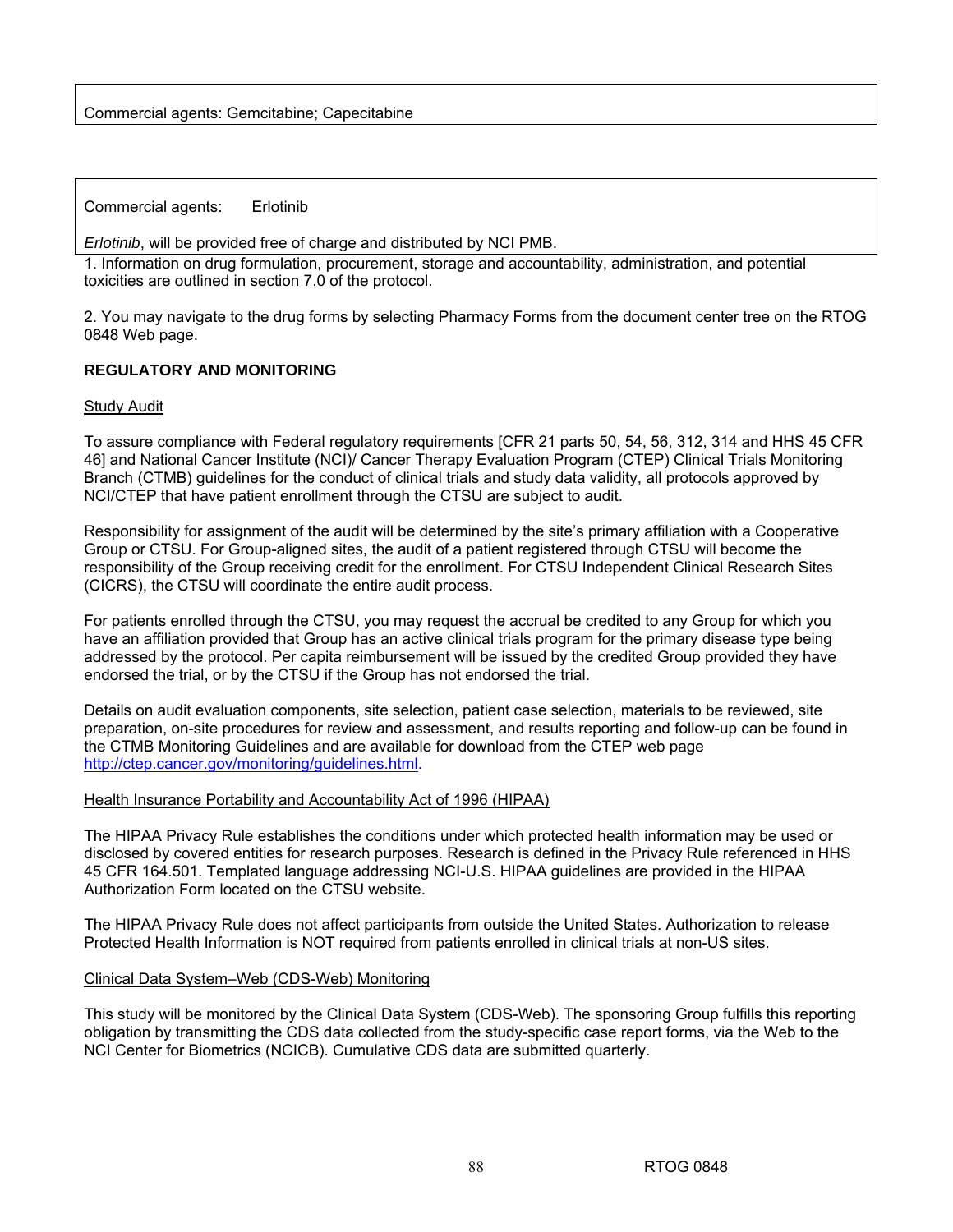Commercial agents: Gemcitabine; Capecitabine

Commercial agents: Erlotinib

*Erlotinib*, will be provided free of charge and distributed by NCI PMB.

1. Information on drug formulation, procurement, storage and accountability, administration, and potential toxicities are outlined in section 7.0 of the protocol.

2. You may navigate to the drug forms by selecting Pharmacy Forms from the document center tree on the RTOG 0848 Web page.

### **REGULATORY AND MONITORING**

#### Study Audit

To assure compliance with Federal regulatory requirements [CFR 21 parts 50, 54, 56, 312, 314 and HHS 45 CFR 46] and National Cancer Institute (NCI)/ Cancer Therapy Evaluation Program (CTEP) Clinical Trials Monitoring Branch (CTMB) guidelines for the conduct of clinical trials and study data validity, all protocols approved by NCI/CTEP that have patient enrollment through the CTSU are subject to audit.

Responsibility for assignment of the audit will be determined by the site's primary affiliation with a Cooperative Group or CTSU. For Group-aligned sites, the audit of a patient registered through CTSU will become the responsibility of the Group receiving credit for the enrollment. For CTSU Independent Clinical Research Sites (CICRS), the CTSU will coordinate the entire audit process.

For patients enrolled through the CTSU, you may request the accrual be credited to any Group for which you have an affiliation provided that Group has an active clinical trials program for the primary disease type being addressed by the protocol. Per capita reimbursement will be issued by the credited Group provided they have endorsed the trial, or by the CTSU if the Group has not endorsed the trial.

Details on audit evaluation components, site selection, patient case selection, materials to be reviewed, site preparation, on-site procedures for review and assessment, and results reporting and follow-up can be found in the CTMB Monitoring Guidelines and are available for download from the CTEP web page [http://ctep.cancer.gov/monitoring/guidelines.html.](http://ctep.cancer.gov/monitoring/guidelines.html)

#### Health Insurance Portability and Accountability Act of 1996 (HIPAA)

The HIPAA Privacy Rule establishes the conditions under which protected health information may be used or disclosed by covered entities for research purposes. Research is defined in the Privacy Rule referenced in HHS 45 CFR 164.501. Templated language addressing NCI-U.S. HIPAA guidelines are provided in the HIPAA Authorization Form located on the CTSU website.

The HIPAA Privacy Rule does not affect participants from outside the United States. Authorization to release Protected Health Information is NOT required from patients enrolled in clinical trials at non-US sites.

#### Clinical Data System–Web (CDS-Web) Monitoring

This study will be monitored by the Clinical Data System (CDS-Web). The sponsoring Group fulfills this reporting obligation by transmitting the CDS data collected from the study-specific case report forms, via the Web to the NCI Center for Biometrics (NCICB). Cumulative CDS data are submitted quarterly.